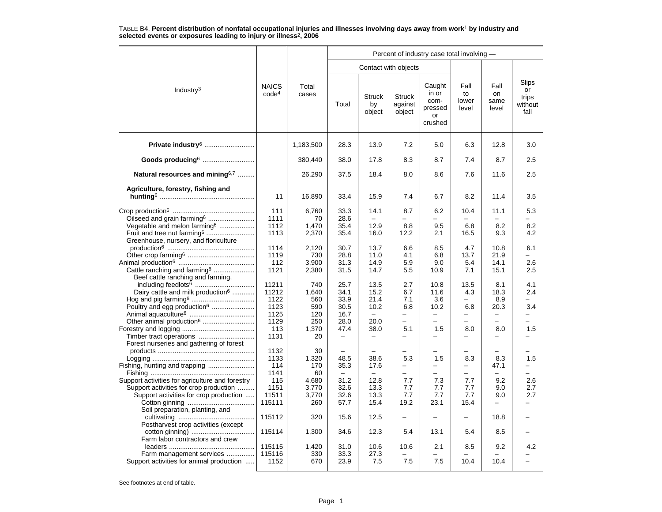|                                                                                                                                     |                                   |                                | Percent of industry case total involving - |                                          |                                                             |                                                     |                              |                                               |                                         |  |  |  |
|-------------------------------------------------------------------------------------------------------------------------------------|-----------------------------------|--------------------------------|--------------------------------------------|------------------------------------------|-------------------------------------------------------------|-----------------------------------------------------|------------------------------|-----------------------------------------------|-----------------------------------------|--|--|--|
|                                                                                                                                     |                                   |                                |                                            | Contact with objects                     |                                                             |                                                     |                              |                                               |                                         |  |  |  |
| Industry <sup>3</sup>                                                                                                               | <b>NAICS</b><br>code <sup>4</sup> | Total<br>cases                 | Total                                      | <b>Struck</b><br>by<br>object            | <b>Struck</b><br>against<br>object                          | Caught<br>in or<br>com-<br>pressed<br>or<br>crushed | Fall<br>to<br>lower<br>level | Fall<br>on<br>same<br>level                   | Slips<br>or<br>trips<br>without<br>fall |  |  |  |
| Private industry <sup>6</sup>                                                                                                       |                                   | 1,183,500                      | 28.3                                       | 13.9                                     | 7.2                                                         | 5.0                                                 | 6.3                          | 12.8                                          | 3.0                                     |  |  |  |
| Goods producing <sup>6</sup>                                                                                                        |                                   | 380,440                        | 38.0                                       | 17.8                                     | 8.3                                                         | 8.7                                                 | 7.4                          | 8.7                                           | 2.5                                     |  |  |  |
| Natural resources and mining <sup>6,7</sup>                                                                                         |                                   | 26,290                         | 37.5                                       | 18.4                                     | 8.0                                                         | 8.6                                                 | 7.6                          | 11.6                                          | 2.5                                     |  |  |  |
| Agriculture, forestry, fishing and                                                                                                  | 11                                | 16,890                         | 33.4                                       | 15.9                                     | 7.4                                                         | 6.7                                                 | 8.2                          | 11.4                                          | 3.5                                     |  |  |  |
| Oilseed and grain farming <sup>6</sup>                                                                                              | 111<br>1111                       | 6,760<br>70                    | 33.3<br>28.6                               | 14.1                                     | 8.7                                                         | 6.2                                                 | 10.4                         | 11.1                                          | 5.3                                     |  |  |  |
| Vegetable and melon farming <sup>6</sup><br>Fruit and tree nut farming <sup>6</sup><br>Greenhouse, nursery, and floriculture        | 1112<br>1113                      | 1,470<br>2,370                 | 35.4<br>35.4                               | 12.9<br>16.0                             | 8.8<br>12.2                                                 | 9.5<br>2.1                                          | 6.8<br>16.5                  | 8.2<br>9.3                                    | 8.2<br>4.2                              |  |  |  |
|                                                                                                                                     | 1114<br>1119                      | 2,120<br>730                   | 30.7<br>28.8                               | 13.7<br>11.0                             | 6.6<br>4.1                                                  | 8.5<br>6.8                                          | 4.7<br>13.7                  | 10.8<br>21.9                                  | 6.1                                     |  |  |  |
| Cattle ranching and farming <sup>6</sup><br>Beef cattle ranching and farming,                                                       | 112<br>1121                       | 3,900<br>2,380                 | 31.3<br>31.5                               | 14.9<br>14.7                             | 5.9<br>5.5                                                  | 9.0<br>10.9                                         | 5.4<br>7.1                   | 14.1<br>15.1                                  | 2.6<br>2.5                              |  |  |  |
| Dairy cattle and milk production <sup>6</sup><br>Poultry and egg production <sup>6</sup>                                            | 11211<br>11212<br>1122<br>1123    | 740<br>1,640<br>560<br>590     | 25.7<br>34.1<br>33.9<br>30.5               | 13.5<br>15.2<br>21.4<br>10.2             | 2.7<br>6.7<br>7.1<br>6.8                                    | 10.8<br>11.6<br>3.6<br>10.2                         | 13.5<br>4.3<br>6.8           | 8.1<br>18.3<br>8.9<br>20.3                    | 4.1<br>2.4<br>3.4                       |  |  |  |
| Other animal production <sup>6</sup>                                                                                                | 1125<br>1129<br>113               | 120<br>250<br>1,370            | 16.7<br>28.0<br>47.4                       | $\overline{\phantom{0}}$<br>20.0<br>38.0 | $\overline{\phantom{0}}$<br>$\overline{\phantom{0}}$<br>5.1 | ÷<br>-<br>1.5                                       | $\equiv$<br>8.0              | $\equiv$<br>8.0                               | ▃<br>1.5                                |  |  |  |
| Forest nurseries and gathering of forest                                                                                            | 1131<br>1132<br>1133              | 20<br>30<br>1,320              | 48.5                                       | 38.6                                     | 5.3                                                         | -<br>1.5                                            | 8.3                          | 8.3                                           | 1.5                                     |  |  |  |
|                                                                                                                                     | 114<br>1141                       | 170<br>60                      | 35.3                                       | 17.6                                     | $\overline{\phantom{0}}$<br>-                               | $\overline{\phantom{0}}$<br>-                       | —                            | 47.1                                          | -                                       |  |  |  |
| Support activities for agriculture and forestry<br>Support activities for crop production<br>Support activities for crop production | 115<br>1151<br>11511<br>115111    | 4,680<br>3,770<br>3,770<br>260 | 31.2<br>32.6<br>32.6<br>57.7               | 12.8<br>13.3<br>13.3<br>15.4             | 7.7<br>7.7<br>7.7<br>19.2                                   | 7.3<br>7.7<br>7.7<br>23.1                           | 7.7<br>7.7<br>7.7<br>15.4    | 9.2<br>9.0<br>9.0<br>$\overline{\phantom{0}}$ | 2.6<br>2.7<br>2.7                       |  |  |  |
| Soil preparation, planting, and<br>Postharvest crop activities (except                                                              | 115112                            | 320                            | 15.6                                       | 12.5                                     | $\overline{\phantom{0}}$                                    |                                                     | $\overline{\phantom{0}}$     | 18.8                                          |                                         |  |  |  |
| Farm labor contractors and crew                                                                                                     | 115114                            | 1,300                          | 34.6                                       | 12.3                                     | 5.4                                                         | 13.1                                                | 5.4                          | 8.5                                           |                                         |  |  |  |
| Farm management services<br>Support activities for animal production                                                                | 115115<br>115116<br>1152          | 1,420<br>330<br>670            | 31.0<br>33.3<br>23.9                       | 10.6<br>27.3<br>7.5                      | 10.6<br>7.5                                                 | 2.1<br>7.5                                          | 8.5<br>10.4                  | 9.2<br>10.4                                   | 4.2                                     |  |  |  |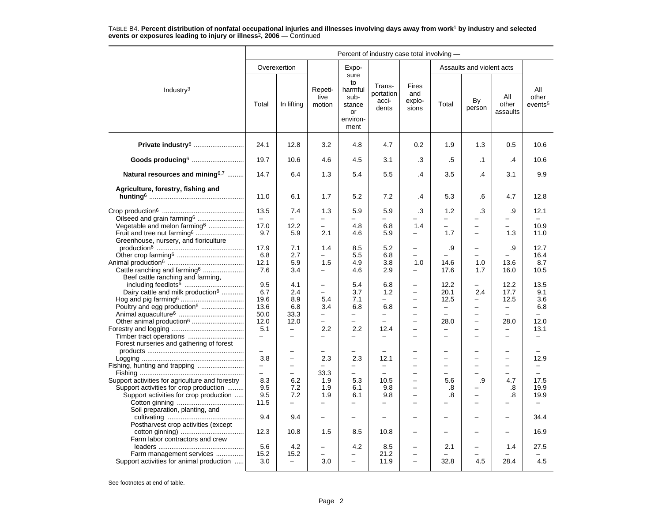|                                                                                                                                     | Percent of industry case total involving -                  |                                                                  |                                                                    |                                                                   |                                                                                          |                                                                                  |                                                             |                                                                  |                                                            |                                                      |  |  |
|-------------------------------------------------------------------------------------------------------------------------------------|-------------------------------------------------------------|------------------------------------------------------------------|--------------------------------------------------------------------|-------------------------------------------------------------------|------------------------------------------------------------------------------------------|----------------------------------------------------------------------------------|-------------------------------------------------------------|------------------------------------------------------------------|------------------------------------------------------------|------------------------------------------------------|--|--|
|                                                                                                                                     |                                                             | Overexertion                                                     |                                                                    | Expo-                                                             |                                                                                          |                                                                                  |                                                             | Assaults and violent acts                                        |                                                            |                                                      |  |  |
| Industry $3$                                                                                                                        | Total                                                       | In lifting                                                       | Repeti-<br>tive<br>motion                                          | sure<br>to<br>harmful<br>sub-<br>stance<br>or<br>environ-<br>ment | Trans-<br>portation<br>acci-<br>dents                                                    | <b>Fires</b><br>and<br>explo-<br>sions                                           | Total                                                       | By<br>person                                                     | All<br>other<br>assaults                                   | All<br>other<br>events <sup>5</sup>                  |  |  |
| Private industry <sup>6</sup>                                                                                                       | 24.1                                                        | 12.8                                                             | 3.2                                                                | 4.8                                                               | 4.7                                                                                      | 0.2                                                                              | 1.9                                                         | 1.3                                                              | 0.5                                                        | 10.6                                                 |  |  |
| Goods producing <sup>6</sup>                                                                                                        | 19.7                                                        | 10.6                                                             | 4.6                                                                | 4.5                                                               | 3.1                                                                                      | .3                                                                               | .5                                                          | $\cdot$ 1                                                        | .4                                                         | 10.6                                                 |  |  |
| Natural resources and mining <sup>6,7</sup>                                                                                         | 14.7                                                        | 6.4                                                              | 1.3                                                                | 5.4                                                               | 5.5                                                                                      | $\cdot$                                                                          | 3.5                                                         | $\cdot$                                                          | 3.1                                                        | 9.9                                                  |  |  |
| Agriculture, forestry, fishing and                                                                                                  | 11.0                                                        | 6.1                                                              | 1.7                                                                | 5.2                                                               | 7.2                                                                                      | .4                                                                               | 5.3                                                         | .6                                                               | 4.7                                                        | 12.8                                                 |  |  |
| Oilseed and grain farming <sup>6</sup><br>Vegetable and melon farming <sup>6</sup>                                                  | 13.5<br>$\equiv$<br>17.0                                    | 7.4<br>$\equiv$<br>12.2                                          | 1.3<br>-<br>-                                                      | 5.9<br>4.8                                                        | 5.9<br>$\overline{\phantom{0}}$<br>6.8                                                   | .3<br>1.4                                                                        | 1.2<br>$\overline{\phantom{0}}$<br>$\overline{\phantom{0}}$ | .3<br>-                                                          | .9<br>$\overline{\phantom{0}}$<br>$\overline{\phantom{0}}$ | 12.1<br>10.9                                         |  |  |
| Fruit and tree nut farming <sup>6</sup><br>Greenhouse, nursery, and floriculture                                                    | 9.7<br>17.9                                                 | 5.9<br>7.1                                                       | 2.1<br>1.4                                                         | 4.6<br>8.5                                                        | 5.9<br>5.2                                                                               | $\overline{\phantom{0}}$<br>-                                                    | 1.7<br>.9                                                   | $\overline{a}$<br>-                                              | 1.3<br>.9                                                  | 11.0<br>12.7                                         |  |  |
| Cattle ranching and farming <sup>6</sup>                                                                                            | 6.8<br>12.1<br>7.6                                          | 2.7<br>5.9<br>3.4                                                | -<br>1.5<br>—                                                      | 5.5<br>4.9<br>4.6                                                 | 6.8<br>3.8<br>2.9                                                                        | $\overline{\phantom{0}}$<br>1.0<br>$\overline{\phantom{0}}$                      | 14.6<br>17.6                                                | $\equiv$<br>1.0<br>1.7                                           | 13.6<br>16.0                                               | 16.4<br>8.7<br>10.5                                  |  |  |
| Beef cattle ranching and farming,<br>Dairy cattle and milk production <sup>6</sup><br>Poultry and egg production <sup>6</sup>       | 9.5<br>6.7<br>19.6<br>13.6                                  | 4.1<br>2.4<br>8.9<br>6.8                                         | $\overline{\phantom{0}}$<br>$\overline{\phantom{0}}$<br>5.4<br>3.4 | 5.4<br>3.7<br>7.1<br>6.8                                          | 6.8<br>1.2<br>$\equiv$<br>6.8                                                            | $\overline{\phantom{0}}$<br>$\overline{\phantom{0}}$<br>$\overline{\phantom{0}}$ | 12.2<br>20.1<br>12.5<br>-                                   | -<br>2.4<br>$\overline{\phantom{0}}$<br>$\overline{\phantom{0}}$ | 12.2<br>17.7<br>12.5<br>$\qquad \qquad -$                  | 13.5<br>9.1<br>3.6<br>6.8                            |  |  |
| Other animal production <sup>6</sup>                                                                                                | 50.0<br>12.0<br>5.1<br>$\overline{\phantom{m}}$             | 33.3<br>12.0<br>$\equiv$<br>$\overline{\phantom{0}}$             | $\qquad \qquad -$<br>$\overline{\phantom{0}}$<br>2.2<br>-          | $\equiv$<br>$\equiv$<br>2.2<br>-                                  | $\overline{\phantom{0}}$<br>$\overline{\phantom{0}}$<br>12.4<br>$\overline{\phantom{0}}$ | $\overline{\phantom{0}}$<br>$\equiv$<br>$\equiv$<br>-                            | $\overline{a}$<br>28.0<br>-                                 | $\overline{a}$<br>$\equiv$<br>L.<br>$\overline{\phantom{0}}$     | $\equiv$<br>28.0<br>$\overline{\phantom{0}}$               | $\equiv$<br>12.0<br>13.1<br>$\overline{\phantom{0}}$ |  |  |
| Forest nurseries and gathering of forest                                                                                            | 3.8<br>$\overline{\phantom{m}}$<br>$\overline{\phantom{0}}$ | $\overline{\phantom{0}}$<br>$\overline{\phantom{0}}$<br>$\equiv$ | 2.3<br>$\overline{\phantom{0}}$<br>33.3                            | 2.3<br>-<br>$\equiv$                                              | 12.1<br>$\overline{\phantom{0}}$                                                         | $\overline{\phantom{0}}$                                                         | -<br>$\overline{\phantom{0}}$                               | $\equiv$<br>$\overline{\phantom{0}}$<br>$\overline{\phantom{0}}$ | $\overline{\phantom{0}}$<br>$\overline{\phantom{0}}$       | 12.9                                                 |  |  |
| Support activities for agriculture and forestry<br>Support activities for crop production<br>Support activities for crop production | 8.3<br>9.5<br>9.5<br>11.5                                   | 6.2<br>7.2<br>7.2                                                | 1.9<br>1.9<br>1.9                                                  | 5.3<br>6.1<br>6.1                                                 | 10.5<br>9.8<br>9.8                                                                       | $\equiv$<br>$\overline{\phantom{0}}$                                             | 5.6<br>.8<br>.8                                             | .9<br>-<br>$\overline{\phantom{0}}$                              | 4.7<br>.8<br>.8                                            | 17.5<br>19.9<br>19.9                                 |  |  |
| Soil preparation, planting, and<br>Postharvest crop activities (except                                                              | 9.4                                                         | 9.4                                                              | $\overline{\phantom{0}}$                                           | $\overline{\phantom{0}}$                                          | $\overline{\phantom{0}}$                                                                 | $\overline{\phantom{0}}$<br>$\overline{\phantom{0}}$                             |                                                             | $\overline{\phantom{0}}$<br>$\overline{\phantom{0}}$             | $\overline{\phantom{0}}$<br>$\overline{\phantom{0}}$       | 34.4                                                 |  |  |
| Farm labor contractors and crew<br>Farm management services<br>Support activities for animal production                             | 12.3<br>5.6<br>15.2<br>3.0                                  | 10.8<br>4.2<br>15.2<br>$\overline{\phantom{0}}$                  | 1.5<br>$\overline{a}$<br>$\overline{\phantom{0}}$<br>3.0           | 8.5<br>4.2<br>$\overline{\phantom{0}}$                            | 10.8<br>8.5<br>21.2<br>11.9                                                              | $\equiv$<br>$\overline{\phantom{0}}$<br>$\overline{\phantom{0}}$                 | 2.1<br>32.8                                                 | $\overline{a}$<br>4.5                                            | 1.4<br>28.4                                                | 16.9<br>27.5<br>4.5                                  |  |  |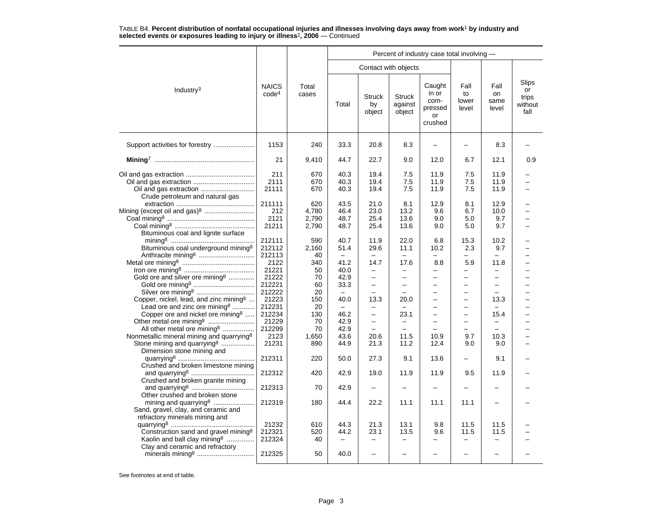|                                                                                                                                             |                                   |                                |                                   |                                                                      |                                          | Percent of industry case total involving -          |                                                                    |                                  |                                         |
|---------------------------------------------------------------------------------------------------------------------------------------------|-----------------------------------|--------------------------------|-----------------------------------|----------------------------------------------------------------------|------------------------------------------|-----------------------------------------------------|--------------------------------------------------------------------|----------------------------------|-----------------------------------------|
|                                                                                                                                             |                                   |                                |                                   | Contact with objects                                                 |                                          |                                                     |                                                                    |                                  |                                         |
| Industry $3$                                                                                                                                | <b>NAICS</b><br>code <sup>4</sup> | Total<br>cases                 | Total                             | <b>Struck</b><br>by<br>object                                        | <b>Struck</b><br>against<br>object       | Caught<br>in or<br>com-<br>pressed<br>or<br>crushed | Fall<br>to<br>lower<br>level                                       | Fall<br>on<br>same<br>level      | Slips<br>or<br>trips<br>without<br>fall |
|                                                                                                                                             | 1153                              | 240                            | 33.3                              | 20.8                                                                 | 8.3                                      |                                                     | -                                                                  | 8.3                              |                                         |
|                                                                                                                                             | 21                                | 9,410                          | 44.7                              | 22.7                                                                 | 9.0                                      | 12.0                                                | 6.7                                                                | 12.1                             | 0.9                                     |
| Oil and gas extraction<br>Crude petroleum and natural gas                                                                                   | 211<br>2111<br>21111              | 670<br>670<br>670              | 40.3<br>40.3<br>40.3              | 19.4<br>19.4<br>19.4                                                 | 7.5<br>7.5<br>7.5                        | 11.9<br>11.9<br>11.9                                | 7.5<br>7.5<br>7.5                                                  | 11.9<br>11.9<br>11.9             |                                         |
| Mining (except oil and gas) <sup>8</sup><br>Bituminous coal and lignite surface                                                             | 211111<br>212<br>2121<br>21211    | 620<br>4,780<br>2,790<br>2,790 | 43.5<br>46.4<br>48.7<br>48.7      | 21.0<br>23.0<br>25.4<br>25.4                                         | 8.1<br>13.2<br>13.6<br>13.6              | 12.9<br>9.6<br>9.0<br>9.0                           | 8.1<br>6.7<br>5.0<br>5.0                                           | 12.9<br>10.0<br>9.7<br>9.7       |                                         |
| Bituminous coal underground mining <sup>8</sup>                                                                                             | 212111<br>212112<br>212113        | 590<br>2,160<br>40             | 40.7<br>51.4<br>$\qquad \qquad -$ | 11.9<br>29.6<br>$\overline{\phantom{0}}$                             | 22.0<br>11.1<br>$\overline{\phantom{0}}$ | 6.8<br>10.2                                         | 15.3<br>2.3                                                        | 10.2<br>9.7<br>-                 |                                         |
| Gold ore and silver ore mining <sup>8</sup>                                                                                                 | 2122<br>21221<br>21222            | 340<br>50<br>70                | 41.2<br>40.0<br>42.9              | 14.7<br>-<br>$\overline{\phantom{0}}$                                | 17.6<br>$\overline{\phantom{0}}$         | 8.8<br>$\equiv$                                     | 5.9<br>$\qquad \qquad -$                                           | 11.8<br>$\overline{\phantom{0}}$ |                                         |
| Silver ore mining <sup>8</sup><br>Copper, nickel, lead, and zinc mining <sup>8</sup>                                                        | 212221<br>212222<br>21223         | 60<br>20<br>150                | 33.3<br>40.0                      | $\overline{\phantom{0}}$<br>13.3                                     | -<br>20.0                                | $\overline{\phantom{0}}$<br>$\qquad \qquad -$       | $\qquad \qquad -$<br>$\equiv$                                      | $\overline{\phantom{0}}$<br>13.3 |                                         |
| Lead ore and zinc ore mining <sup>8</sup><br>Copper ore and nickel ore mining <sup>8</sup>                                                  | 212231<br>212234                  | 20<br>130                      | -<br>46.2                         | -<br>$\equiv$                                                        | $\overline{\phantom{0}}$<br>23.1         | $\equiv$<br>$\equiv$                                | $\qquad \qquad -$<br>$\overline{\phantom{0}}$                      | 15.4                             |                                         |
| All other metal ore mining <sup>8</sup><br>Nonmetallic mineral mining and quarrying <sup>8</sup><br>Stone mining and quarrying <sup>8</sup> | 21229<br>212299<br>2123<br>21231  | 70<br>70<br>1,650<br>890       | 42.9<br>42.9<br>43.6<br>44.9      | $\overline{\phantom{0}}$<br>$\overline{\phantom{0}}$<br>20.6<br>21.3 | $\equiv$<br>11.5<br>11.2                 | $\equiv$<br>10.9<br>12.4                            | $\overline{\phantom{0}}$<br>$\overline{\phantom{0}}$<br>9.7<br>9.0 | 10.3<br>9.0                      |                                         |
| Dimension stone mining and<br>Crushed and broken limestone mining                                                                           | 212311                            | 220                            | 50.0                              | 27.3                                                                 | 9.1                                      | 13.6                                                |                                                                    | 9.1                              |                                         |
| Crushed and broken granite mining                                                                                                           | 212312                            | 420                            | 42.9                              | 19.0                                                                 | 11.9                                     | 11.9                                                | 9.5                                                                | 11.9                             |                                         |
| Other crushed and broken stone<br>mining and quarrying <sup>8</sup>                                                                         | 212313<br>212319                  | 70<br>180                      | 42.9<br>44.4                      | 22.2                                                                 | 11.1                                     | 11.1                                                | 11.1                                                               |                                  |                                         |
| Sand, gravel, clay, and ceramic and<br>refractory minerals mining and                                                                       |                                   |                                |                                   |                                                                      |                                          |                                                     |                                                                    |                                  |                                         |
| Construction sand and gravel mining <sup>8</sup><br>Kaolin and ball clay mining <sup>8</sup>                                                | 21232<br>212321<br>212324         | 610<br>520<br>40               | 44.3<br>44.2                      | 21.3<br>23.1                                                         | 13.1<br>13.5                             | 9.8<br>9.6                                          | 11.5<br>11.5                                                       | 11.5<br>11.5                     |                                         |
| Clay and ceramic and refractory                                                                                                             | 212325                            | 50                             | 40.0                              |                                                                      |                                          |                                                     | -                                                                  |                                  |                                         |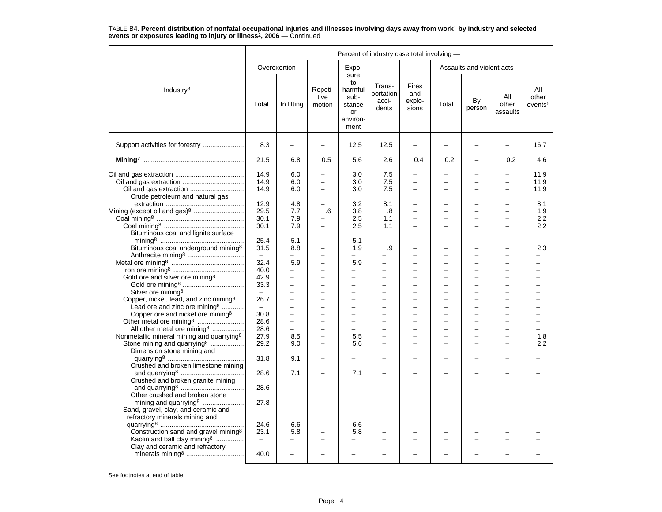|                                                                                                            |                                          |                                                                        |                                                                  |                                                                   |                                       | Percent of industry case total involving -                                |                                                      |                                                                        |                          |                                     |  |
|------------------------------------------------------------------------------------------------------------|------------------------------------------|------------------------------------------------------------------------|------------------------------------------------------------------|-------------------------------------------------------------------|---------------------------------------|---------------------------------------------------------------------------|------------------------------------------------------|------------------------------------------------------------------------|--------------------------|-------------------------------------|--|
|                                                                                                            |                                          | Overexertion                                                           |                                                                  | Expo-                                                             |                                       |                                                                           |                                                      | Assaults and violent acts                                              |                          |                                     |  |
| Industry <sup>3</sup>                                                                                      | Total                                    | In lifting                                                             | Repeti-<br>tive<br>motion                                        | sure<br>to<br>harmful<br>sub-<br>stance<br>or<br>environ-<br>ment | Trans-<br>portation<br>acci-<br>dents | Fires<br>and<br>explo-<br>sions                                           | Total                                                | By<br>person                                                           | All<br>other<br>assaults | All<br>other<br>events <sup>5</sup> |  |
| Support activities for forestry                                                                            | 8.3                                      | $\overline{\phantom{0}}$                                               | $\overline{\phantom{m}}$                                         | 12.5                                                              | 12.5                                  | $\overline{\phantom{0}}$                                                  |                                                      |                                                                        | $\overline{\phantom{0}}$ | 16.7                                |  |
|                                                                                                            | 21.5                                     | 6.8                                                                    | 0.5                                                              | 5.6                                                               | 2.6                                   | 0.4                                                                       | 0.2                                                  | ÷                                                                      | 0.2                      | 4.6                                 |  |
| Crude petroleum and natural gas                                                                            | 14.9<br>14.9<br>14.9                     | 6.0<br>6.0<br>6.0                                                      | $\equiv$<br>$\overline{\phantom{0}}$<br>$\overline{\phantom{0}}$ | 3.0<br>3.0<br>3.0                                                 | 7.5<br>7.5<br>7.5                     | $\overline{\phantom{0}}$<br>$\qquad \qquad -$<br>$\overline{\phantom{0}}$ |                                                      | $\overline{\phantom{0}}$<br>÷                                          |                          | 11.9<br>11.9<br>11.9                |  |
| Mining (except oil and gas) <sup>8</sup><br>Bituminous coal and lignite surface                            | 12.9<br>29.5<br>30.1<br>30.1             | 4.8<br>7.7<br>7.9<br>7.9                                               | $\overline{\phantom{0}}$<br>.6<br>$\overline{\phantom{0}}$       | 3.2<br>3.8<br>2.5<br>2.5                                          | 8.1<br>.8<br>1.1<br>1.1               | $\equiv$                                                                  | $\equiv$                                             | -<br>$\overline{\phantom{0}}$<br>-<br>$\overline{\phantom{0}}$         |                          | 8.1<br>1.9<br>2.2<br>2.2            |  |
| Bituminous coal underground mining <sup>8</sup>                                                            | 25.4<br>31.5<br>$-$                      | 5.1<br>8.8                                                             | $\overline{\phantom{0}}$                                         | 5.1<br>1.9<br>$\overline{\phantom{0}}$                            | .9                                    |                                                                           |                                                      | -<br>$\overline{\phantom{0}}$                                          |                          | 2.3                                 |  |
| Gold ore and silver ore mining <sup>8</sup>                                                                | 32.4<br>40.0<br>42.9                     | 5.9<br>$\overline{\phantom{0}}$<br>-                                   | $\equiv$<br>$\overline{\phantom{0}}$                             | 5.9<br>-<br>$\overline{\phantom{0}}$                              | $\overline{a}$<br>-                   | $\overline{\phantom{0}}$                                                  |                                                      | $\overline{\phantom{0}}$<br>$\overline{a}$<br>$\overline{\phantom{0}}$ |                          |                                     |  |
| Silver ore mining <sup>8</sup><br>Copper, nickel, lead, and zinc mining <sup>8</sup>                       | 33.3<br>$\equiv$<br>26.7                 | $\overline{\phantom{0}}$<br>$\overline{a}$<br>$\overline{\phantom{0}}$ | $\equiv$<br>$\equiv$                                             | $\overline{\phantom{0}}$<br>$\equiv$<br>$\equiv$                  | $\overline{a}$<br>$\overline{a}$      | $\overline{\phantom{0}}$<br>$\equiv$                                      | $\equiv$                                             | L<br>$\overline{a}$<br>$\overline{a}$                                  | $\equiv$                 | $\equiv$                            |  |
| Lead ore and zinc ore mining <sup>8</sup><br>Copper ore and nickel ore mining <sup>8</sup>                 | $\qquad \qquad -$<br>30.8                | $\overline{\phantom{0}}$                                               | $\overline{\phantom{0}}$                                         | $\overline{\phantom{0}}$                                          | $\overline{\phantom{0}}$              | $\overline{\phantom{0}}$                                                  | -                                                    | $\overline{\phantom{0}}$                                               |                          |                                     |  |
| All other metal ore mining <sup>8</sup><br>Nonmetallic mineral mining and quarrying <sup>8</sup>           | 28.6<br>28.6<br>27.9                     | $\overline{\phantom{0}}$<br>$\overline{\phantom{0}}$<br>8.5            | $\overline{\phantom{0}}$<br>$\overline{\phantom{0}}$             | $\equiv$<br>$\overline{\phantom{0}}$<br>5.5                       | $\equiv$<br>L.                        | $\overline{\phantom{0}}$<br>$\overline{\phantom{0}}$                      | $\overline{\phantom{0}}$<br>$\overline{\phantom{0}}$ | $\overline{\phantom{0}}$<br>$\overline{\phantom{0}}$                   | $\equiv$                 | 1.8                                 |  |
| Stone mining and quarrying <sup>8</sup><br>Dimension stone mining and                                      | 29.2<br>31.8                             | 9.0<br>9.1                                                             | $\overline{\phantom{0}}$                                         | 5.6                                                               | $\overline{\phantom{0}}$              | $\overline{\phantom{0}}$                                                  |                                                      | $\overline{a}$                                                         |                          | 2.2                                 |  |
| Crushed and broken limestone mining                                                                        | 28.6                                     | 7.1                                                                    | $\sim$                                                           | 7.1                                                               |                                       | $\overline{\phantom{0}}$                                                  |                                                      | -                                                                      |                          |                                     |  |
| Crushed and broken granite mining<br>Other crushed and broken stone                                        | 28.6                                     |                                                                        |                                                                  |                                                                   |                                       |                                                                           |                                                      |                                                                        |                          |                                     |  |
| mining and quarrying <sup>8</sup><br>Sand, gravel, clay, and ceramic and<br>refractory minerals mining and | 27.8                                     |                                                                        |                                                                  |                                                                   |                                       |                                                                           |                                                      |                                                                        |                          |                                     |  |
| Construction sand and gravel mining <sup>8</sup><br>Kaolin and ball clay mining <sup>8</sup>               | 24.6<br>23.1<br>$\overline{\phantom{m}}$ | 6.6<br>5.8<br>-                                                        | $\overline{\phantom{0}}$<br>$\overline{\phantom{0}}$             | 6.6<br>5.8<br>-                                                   | L.                                    | $\overline{\phantom{0}}$                                                  |                                                      | -<br>L,                                                                |                          |                                     |  |
| Clay and ceramic and refractory                                                                            | 40.0                                     | $\overline{\phantom{0}}$                                               |                                                                  | $\overline{\phantom{0}}$                                          |                                       |                                                                           |                                                      |                                                                        |                          |                                     |  |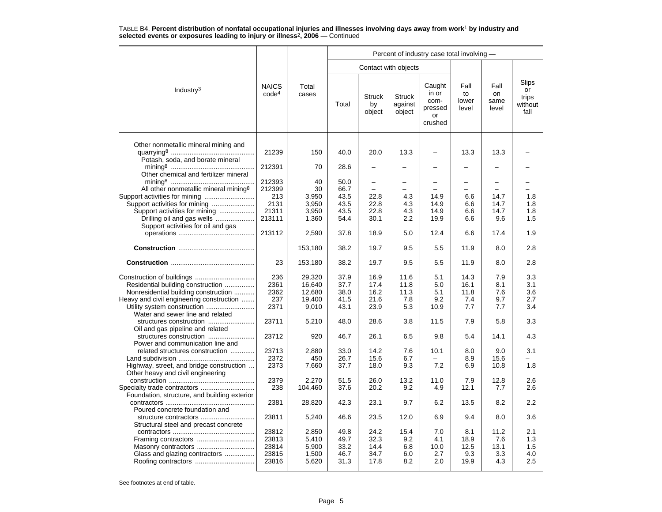|                                                                                                                                                                                         |                                                    |                                               | Percent of industry case total involving -   |                                                               |                                    |                                                     |                                    |                                   |                                         |  |  |  |
|-----------------------------------------------------------------------------------------------------------------------------------------------------------------------------------------|----------------------------------------------------|-----------------------------------------------|----------------------------------------------|---------------------------------------------------------------|------------------------------------|-----------------------------------------------------|------------------------------------|-----------------------------------|-----------------------------------------|--|--|--|
|                                                                                                                                                                                         |                                                    |                                               |                                              | Contact with objects                                          |                                    |                                                     |                                    |                                   |                                         |  |  |  |
| Industry <sup>3</sup>                                                                                                                                                                   | <b>NAICS</b><br>code <sup>4</sup>                  | Total<br>cases                                | Total                                        | <b>Struck</b><br>by<br>object                                 | <b>Struck</b><br>against<br>object | Caught<br>in or<br>com-<br>pressed<br>or<br>crushed | Fall<br>to<br>lower<br>level       | Fall<br>on<br>same<br>level       | Slips<br>or<br>trips<br>without<br>fall |  |  |  |
| Other nonmetallic mineral mining and<br>Potash, soda, and borate mineral                                                                                                                | 21239                                              | 150                                           | 40.0                                         | 20.0                                                          | 13.3                               | $\overline{\phantom{0}}$                            | 13.3                               | 13.3                              |                                         |  |  |  |
| Other chemical and fertilizer mineral                                                                                                                                                   | 212391                                             | 70                                            | 28.6                                         |                                                               |                                    |                                                     |                                    |                                   |                                         |  |  |  |
| All other nonmetallic mineral mining <sup>8</sup><br>Support activities for mining<br>Support activities for mining<br>Drilling oil and gas wells<br>Support activities for oil and gas | 212393<br>212399<br>213<br>2131<br>21311<br>213111 | 40<br>30<br>3,950<br>3,950<br>3,950<br>1,360  | 50.0<br>66.7<br>43.5<br>43.5<br>43.5<br>54.4 | $\overline{\phantom{0}}$<br>-<br>22.8<br>22.8<br>22.8<br>30.1 | 4.3<br>4.3<br>4.3<br>2.2           | 14.9<br>14.9<br>14.9<br>19.9                        | 6.6<br>6.6<br>6.6<br>6.6           | 14.7<br>14.7<br>14.7<br>9.6       | 1.8<br>1.8<br>1.8<br>1.5                |  |  |  |
|                                                                                                                                                                                         | 213112                                             | 2,590                                         | 37.8                                         | 18.9                                                          | 5.0                                | 12.4                                                | 6.6                                | 17.4                              | 1.9                                     |  |  |  |
|                                                                                                                                                                                         |                                                    | 153,180                                       | 38.2                                         | 19.7                                                          | 9.5                                | 5.5                                                 | 11.9                               | 8.0                               | 2.8                                     |  |  |  |
|                                                                                                                                                                                         | 23                                                 | 153,180                                       | 38.2                                         | 19.7                                                          | 9.5                                | 5.5                                                 | 11.9                               | 8.0                               | 2.8                                     |  |  |  |
| Residential building construction<br>Nonresidential building construction<br>Heavy and civil engineering construction<br>Water and sewer line and related                               | 236<br>2361<br>2362<br>237<br>2371                 | 29,320<br>16,640<br>12,680<br>19.400<br>9,010 | 37.9<br>37.7<br>38.0<br>41.5<br>43.1         | 16.9<br>17.4<br>16.2<br>21.6<br>23.9                          | 11.6<br>11.8<br>11.3<br>7.8<br>5.3 | 5.1<br>5.0<br>5.1<br>9.2<br>10.9                    | 14.3<br>16.1<br>11.8<br>7.4<br>7.7 | 7.9<br>8.1<br>7.6<br>9.7<br>7.7   | 3.3<br>3.1<br>3.6<br>2.7<br>3.4         |  |  |  |
| structures construction<br>Oil and gas pipeline and related                                                                                                                             | 23711                                              | 5,210                                         | 48.0                                         | 28.6                                                          | 3.8                                | 11.5                                                | 7.9                                | 5.8                               | 3.3                                     |  |  |  |
| structures construction<br>Power and communication line and                                                                                                                             | 23712                                              | 920                                           | 46.7                                         | 26.1                                                          | 6.5                                | 9.8                                                 | 5.4                                | 14.1                              | 4.3                                     |  |  |  |
| related structures construction<br>Highway, street, and bridge construction<br>Other heavy and civil engineering                                                                        | 23713<br>2372<br>2373                              | 2,880<br>450<br>7,660                         | 33.0<br>26.7<br>37.7                         | 14.2<br>15.6<br>18.0                                          | 7.6<br>6.7<br>9.3                  | 10.1<br>7.2                                         | 8.0<br>8.9<br>6.9                  | 9.0<br>15.6<br>10.8               | 3.1<br>1.8                              |  |  |  |
| Specialty trade contractors<br>Foundation, structure, and building exterior                                                                                                             | 2379<br>238                                        | 2,270<br>104,460                              | 51.5<br>37.6                                 | 26.0<br>20.2                                                  | 13.2<br>9.2                        | 11.0<br>4.9                                         | 7.9<br>12.1                        | 12.8<br>7.7                       | 2.6<br>2.6                              |  |  |  |
| Poured concrete foundation and                                                                                                                                                          | 2381                                               | 28,820                                        | 42.3                                         | 23.1                                                          | 9.7                                | 6.2                                                 | 13.5                               | 8.2                               | 2.2                                     |  |  |  |
| structure contractors<br>Structural steel and precast concrete                                                                                                                          | 23811                                              | 5,240                                         | 46.6                                         | 23.5                                                          | 12.0                               | 6.9                                                 | 9.4                                | 8.0                               | 3.6                                     |  |  |  |
| Framing contractors<br>Glass and glazing contractors                                                                                                                                    | 23812<br>23813<br>23814<br>23815<br>23816          | 2,850<br>5,410<br>5,900<br>1,500<br>5,620     | 49.8<br>49.7<br>33.2<br>46.7<br>31.3         | 24.2<br>32.3<br>14.4<br>34.7<br>17.8                          | 15.4<br>9.2<br>6.8<br>6.0<br>8.2   | 7.0<br>4.1<br>10.0<br>2.7<br>2.0                    | 8.1<br>18.9<br>12.5<br>9.3<br>19.9 | 11.2<br>7.6<br>13.1<br>3.3<br>4.3 | 2.1<br>1.3<br>1.5<br>4.0<br>2.5         |  |  |  |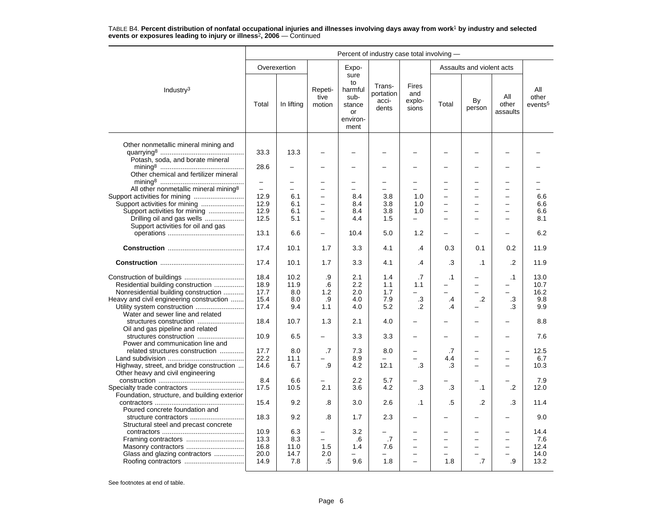|                                                   | Percent of industry case total involving - |              |                           |                                                                   |                                       |                                        |           |                           |                          |                                     |  |
|---------------------------------------------------|--------------------------------------------|--------------|---------------------------|-------------------------------------------------------------------|---------------------------------------|----------------------------------------|-----------|---------------------------|--------------------------|-------------------------------------|--|
|                                                   |                                            | Overexertion |                           | Expo-                                                             |                                       |                                        |           | Assaults and violent acts |                          |                                     |  |
| Industry <sup>3</sup>                             | Total                                      | In lifting   | Repeti-<br>tive<br>motion | sure<br>to<br>harmful<br>sub-<br>stance<br>or<br>environ-<br>ment | Trans-<br>portation<br>acci-<br>dents | <b>Fires</b><br>and<br>explo-<br>sions | Total     | By<br>person              | All<br>other<br>assaults | All<br>other<br>events <sup>5</sup> |  |
| Other nonmetallic mineral mining and              | 33.3                                       | 13.3         |                           |                                                                   |                                       |                                        |           |                           |                          |                                     |  |
| Potash, soda, and borate mineral                  | 28.6                                       |              |                           |                                                                   |                                       |                                        |           |                           |                          |                                     |  |
| Other chemical and fertilizer mineral             | $\equiv$                                   |              |                           |                                                                   |                                       |                                        |           |                           |                          |                                     |  |
| All other nonmetallic mineral mining <sup>8</sup> | $\equiv$                                   | $\equiv$     | $\overline{\phantom{0}}$  |                                                                   |                                       |                                        |           | $\equiv$                  | ÷                        |                                     |  |
| Support activities for mining                     | 12.9                                       | 6.1          | $\overline{\phantom{0}}$  | 8.4                                                               | 3.8                                   | 1.0                                    |           | $\overline{\phantom{0}}$  | L.                       | 6.6                                 |  |
| Support activities for mining                     | 12.9                                       | 6.1          | $\overline{\phantom{0}}$  | 8.4                                                               | 3.8                                   | 1.0                                    |           |                           |                          | 6.6                                 |  |
| Support activities for mining                     | 12.9                                       | 6.1          | $\overline{\phantom{0}}$  | 8.4                                                               | 3.8                                   | 1.0                                    |           |                           |                          | 6.6                                 |  |
| Drilling oil and gas wells                        | 12.5                                       | 5.1          | $\overline{\phantom{0}}$  | 4.4                                                               | 1.5                                   | $\overline{\phantom{0}}$               |           |                           | $\equiv$                 | 8.1                                 |  |
| Support activities for oil and gas                |                                            |              |                           |                                                                   |                                       |                                        |           |                           |                          |                                     |  |
|                                                   | 13.1                                       | 6.6          | $\overline{\phantom{0}}$  | 10.4                                                              | 5.0                                   | 1.2                                    |           |                           |                          | 6.2                                 |  |
|                                                   | 17.4                                       | 10.1         | 1.7                       | 3.3                                                               | 4.1                                   | .4                                     | 0.3       | 0.1                       | 0.2                      | 11.9                                |  |
|                                                   | 17.4                                       | 10.1         | 1.7                       | 3.3                                                               | 4.1                                   | .4                                     | .3        | $\cdot$ 1                 | .2                       | 11.9                                |  |
|                                                   | 18.4                                       | 10.2         | .9                        | 2.1                                                               | 1.4                                   | .7                                     | $\cdot$ 1 |                           | $\cdot$ 1                | 13.0                                |  |
| Residential building construction                 | 18.9                                       | 11.9         | .6                        | 2.2                                                               | 1.1                                   | 1.1                                    |           | $\overline{\phantom{0}}$  |                          | 10.7                                |  |
|                                                   |                                            |              |                           |                                                                   |                                       |                                        | ÷.        | $\overline{\phantom{0}}$  | $\equiv$                 |                                     |  |
| Nonresidential building construction              | 17.7                                       | 8.0          | 1.2                       | 2.0                                                               | 1.7                                   |                                        |           |                           |                          | 16.2                                |  |
| Heavy and civil engineering construction          | 15.4                                       | 8.0          | .9                        | 4.0                                                               | 7.9                                   | .3                                     | $\cdot$   | $\cdot$                   | .3                       | 9.8                                 |  |
| Utility system construction                       | 17.4                                       | 9.4          | 1.1                       | 4.0                                                               | 5.2                                   | $\cdot$                                | .4        |                           | .3                       | 9.9                                 |  |
| Water and sewer line and related                  | 18.4                                       | 10.7         | 1.3                       | 2.1                                                               | 4.0                                   | $\overline{\phantom{0}}$               |           | $\overline{\phantom{0}}$  |                          | 8.8                                 |  |
| Oil and gas pipeline and related                  |                                            |              |                           |                                                                   |                                       |                                        |           |                           |                          |                                     |  |
| Power and communication line and                  | 10.9                                       | 6.5          |                           | 3.3                                                               | 3.3                                   |                                        |           |                           |                          | 7.6                                 |  |
| related structures construction                   | 17.7                                       | 8.0          | .7                        | 7.3                                                               | 8.0                                   |                                        | .7        |                           |                          | 12.5                                |  |
|                                                   | 22.2                                       | 11.1         |                           | 8.9                                                               |                                       |                                        | 4.4       | $\overline{\phantom{0}}$  |                          | 6.7                                 |  |
| Highway, street, and bridge construction          | 14.6                                       | 6.7          | .9                        | 4.2                                                               | 12.1                                  | .3                                     | .3        |                           |                          | 10.3                                |  |
| Other heavy and civil engineering                 |                                            |              |                           |                                                                   |                                       |                                        |           |                           |                          |                                     |  |
|                                                   | 8.4                                        | 6.6          |                           | 2.2                                                               | 5.7                                   |                                        |           |                           |                          | 7.9                                 |  |
|                                                   | 17.5                                       | 10.5         | 2.1                       | 3.6                                                               | 4.2                                   | .3                                     | .3        | $\cdot$ 1                 | $\cdot$                  | 12.0                                |  |
| Foundation, structure, and building exterior      |                                            |              |                           |                                                                   |                                       |                                        |           |                           |                          |                                     |  |
|                                                   | 15.4                                       | 9.2          | .8                        | 3.0                                                               | 2.6                                   | $\cdot$ 1                              | .5        | .2                        | .3                       | 11.4                                |  |
| Poured concrete foundation and                    |                                            |              |                           |                                                                   |                                       |                                        |           |                           |                          |                                     |  |
| structure contractors                             | 18.3                                       | 9.2          | .8                        | 1.7                                                               | 2.3                                   | $\overline{\phantom{0}}$               |           |                           |                          | 9.0                                 |  |
|                                                   |                                            |              |                           |                                                                   |                                       |                                        |           |                           |                          |                                     |  |
| Structural steel and precast concrete             |                                            |              |                           |                                                                   |                                       |                                        |           |                           |                          |                                     |  |
|                                                   | 10.9                                       | 6.3          | $\overline{\phantom{0}}$  | 3.2                                                               |                                       | $\overline{\phantom{0}}$               |           | -                         |                          | 14.4                                |  |
|                                                   | 13.3                                       | 8.3          | $\overline{\phantom{0}}$  | .6                                                                | .7                                    |                                        |           |                           |                          | 7.6                                 |  |
| Masonry contractors                               | 16.8                                       | 11.0         | 1.5                       | 1.4                                                               | 7.6                                   |                                        |           |                           |                          | 12.4                                |  |
| Glass and glazing contractors                     | 20.0                                       | 14.7         | 2.0                       |                                                                   |                                       |                                        |           | $\overline{\phantom{0}}$  |                          | 14.0                                |  |
|                                                   | 14.9                                       | 7.8          | .5                        | 9.6                                                               | 1.8                                   | $\overline{\phantom{0}}$               | 1.8       | .7                        | .9                       | 13.2                                |  |
|                                                   |                                            |              |                           |                                                                   |                                       |                                        |           |                           |                          |                                     |  |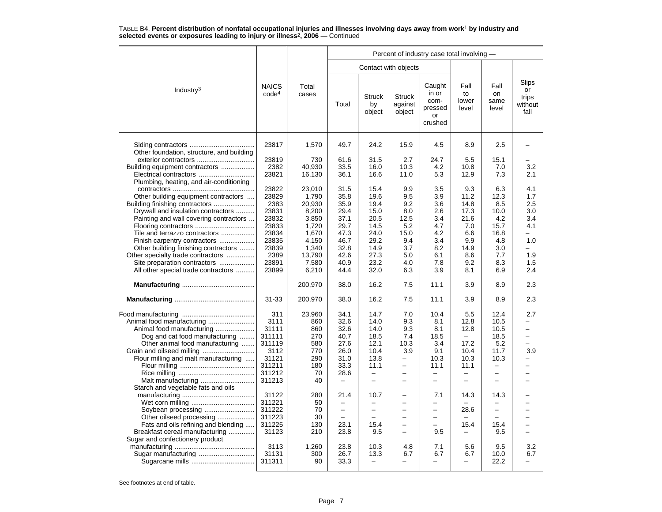|                                                                     |                                   |                |                          |                               |                                    | Percent of industry case total involving -          |                              |                             |                                         |
|---------------------------------------------------------------------|-----------------------------------|----------------|--------------------------|-------------------------------|------------------------------------|-----------------------------------------------------|------------------------------|-----------------------------|-----------------------------------------|
|                                                                     |                                   |                |                          |                               | Contact with objects               |                                                     |                              |                             |                                         |
| Industry <sup>3</sup>                                               | <b>NAICS</b><br>code <sup>4</sup> | Total<br>cases | Total                    | <b>Struck</b><br>by<br>object | <b>Struck</b><br>against<br>object | Caught<br>in or<br>com-<br>pressed<br>or<br>crushed | Fall<br>to<br>lower<br>level | Fall<br>on<br>same<br>level | Slips<br>or<br>trips<br>without<br>fall |
| Other foundation, structure, and building                           | 23817                             | 1,570          | 49.7                     | 24.2                          | 15.9                               | 4.5                                                 | 8.9                          | 2.5                         |                                         |
| exterior contractors                                                | 23819                             | 730            | 61.6                     | 31.5                          | 2.7                                | 24.7                                                | 5.5                          | 15.1                        |                                         |
| Building equipment contractors                                      | 2382                              | 40,930         | 33.5                     | 16.0                          | 10.3                               | 4.2                                                 | 10.8                         | 7.0                         | 3.2                                     |
|                                                                     | 23821                             | 16,130         | 36.1                     | 16.6                          | 11.0                               | 5.3                                                 | 12.9                         | 7.3                         | 2.1                                     |
| Plumbing, heating, and air-conditioning                             |                                   |                |                          |                               |                                    |                                                     |                              |                             |                                         |
|                                                                     | 23822                             | 23,010         | 31.5                     | 15.4                          | 9.9                                | 3.5                                                 | 9.3                          | 6.3                         | 4.1                                     |
| Other building equipment contractors                                | 23829                             | 1,790          | 35.8                     | 19.6                          | 9.5                                | 3.9                                                 | 11.2                         | 12.3                        | 1.7                                     |
| Building finishing contractors                                      | 2383                              | 20.930         | 35.9                     | 19.4                          | 9.2                                | 3.6                                                 | 14.8                         | 8.5                         | 2.5                                     |
| Drywall and insulation contractors                                  | 23831                             | 8,200          | 29.4                     | 15.0                          | 8.0                                | 2.6                                                 | 17.3                         | 10.0                        | 3.0                                     |
| Painting and wall covering contractors                              | 23832                             | 3,850          | 37.1                     | 20.5                          | 12.5                               | 3.4                                                 | 21.6                         | 4.2                         | 3.4                                     |
| Flooring contractors                                                | 23833                             | 1,720          | 29.7                     | 14.5                          | 5.2                                | 4.7                                                 | 7.0                          | 15.7                        | 4.1                                     |
| Tile and terrazzo contractors                                       | 23834                             | 1,670          | 47.3                     | 24.0                          | 15.0                               | 4.2                                                 | 6.6                          | 16.8                        |                                         |
| Finish carpentry contractors                                        | 23835                             | 4.150          | 46.7                     | 29.2                          | 9.4                                | 3.4                                                 | 9.9                          | 4.8                         | 1.0                                     |
| Other building finishing contractors                                | 23839                             | 1,340          | 32.8                     | 14.9                          | 3.7                                | 8.2                                                 | 14.9                         | 3.0                         | -                                       |
| Other specialty trade contractors                                   | 2389                              | 13,790         | 42.6                     | 27.3                          | 5.0                                | 6.1                                                 | 8.6                          | 7.7                         | 1.9                                     |
| Site preparation contractors<br>All other special trade contractors | 23891<br>23899                    | 7,580<br>6,210 | 40.9<br>44.4             | 23.2<br>32.0                  | 4.0<br>6.3                         | 7.8<br>3.9                                          | 9.2<br>8.1                   | 8.3<br>6.9                  | 1.5<br>2.4                              |
|                                                                     |                                   |                |                          |                               | 7.5                                |                                                     | 3.9                          |                             |                                         |
|                                                                     |                                   | 200,970        | 38.0                     | 16.2                          |                                    | 11.1                                                |                              | 8.9                         | 2.3                                     |
|                                                                     | 31-33                             | 200,970        | 38.0                     | 16.2                          | 7.5                                | 11.1                                                | 3.9                          | 8.9                         | 2.3                                     |
|                                                                     | 311                               | 23,960         | 34.1                     | 14.7                          | 7.0                                | 10.4                                                | 5.5                          | 12.4                        | 2.7                                     |
|                                                                     | 3111                              | 860            | 32.6                     | 14.0                          | 9.3                                | 8.1                                                 | 12.8                         | 10.5                        |                                         |
|                                                                     | 31111                             | 860            | 32.6                     | 14.0                          | 9.3                                | 8.1                                                 | 12.8                         | 10.5                        | ÷                                       |
| Dog and cat food manufacturing                                      | 311111                            | 270            | 40.7                     | 18.5                          | 7.4                                | 18.5                                                | $\overline{\phantom{0}}$     | 18.5                        | $\overline{\phantom{0}}$                |
| Other animal food manufacturing                                     | 311119                            | 580            | 27.6                     | 12.1                          | 10.3                               | 3.4                                                 | 17.2                         | 5.2                         | -                                       |
|                                                                     | 3112                              | 770            | 26.0                     | 10.4                          | 3.9                                | 9.1                                                 | 10.4                         | 11.7                        | 3.9                                     |
| Flour milling and malt manufacturing                                | 31121                             | 290            | 31.0                     | 13.8                          | $\overline{\phantom{0}}$           | 10.3                                                | 10.3                         | 10.3                        | -                                       |
|                                                                     | 311211                            | 180            | 33.3                     | 11.1                          | $\equiv$                           | 11.1                                                | 11.1                         | $\overline{\phantom{0}}$    |                                         |
|                                                                     | 311212                            | 70             | 28.6                     | $\overline{\phantom{m}}$      |                                    | $\overline{\phantom{0}}$                            | $\overline{\phantom{0}}$     | $\overline{\phantom{0}}$    |                                         |
| Malt manufacturing                                                  | 311213                            | 40             |                          | -                             |                                    | $\overline{\phantom{0}}$                            |                              |                             |                                         |
| Starch and vegetable fats and oils                                  |                                   |                |                          |                               |                                    |                                                     |                              |                             |                                         |
|                                                                     | 31122                             | 280            | 21.4                     | 10.7                          | $\overline{\phantom{0}}$           | 7.1                                                 | 14.3                         | 14.3                        |                                         |
|                                                                     | 311221                            | 50             |                          |                               |                                    |                                                     |                              |                             |                                         |
| Soybean processing                                                  | 311222                            | 70             | $\overline{\phantom{0}}$ | $\overline{\phantom{0}}$      | -                                  | $\overline{\phantom{0}}$                            | 28.6                         | $\overline{\phantom{0}}$    |                                         |
| Other oilseed processing                                            | 311223                            | 30             |                          |                               |                                    |                                                     |                              |                             |                                         |
| Fats and oils refining and blending                                 | 311225                            | 130            | 23.1                     | 15.4                          |                                    |                                                     | 15.4                         | 15.4                        |                                         |
| Breakfast cereal manufacturing                                      | 31123                             | 210            | 23.8                     | 9.5                           | $\overline{\phantom{0}}$           | 9.5                                                 | —                            | 9.5                         | $\overline{\phantom{0}}$                |
| Sugar and confectionery product                                     |                                   |                |                          |                               |                                    |                                                     |                              |                             |                                         |
|                                                                     | 3113                              | 1,260          | 23.8                     | 10.3                          | 4.8                                | 7.1                                                 | 5.6                          | 9.5                         | 3.2                                     |
| Sugar manufacturing                                                 | 31131<br>311311                   | 300<br>90      | 26.7<br>33.3             | 13.3<br>$\equiv$              | 6.7                                | 6.7<br>÷                                            | 6.7                          | 10.0<br>22.2                | 6.7                                     |
|                                                                     |                                   |                |                          |                               |                                    |                                                     |                              |                             |                                         |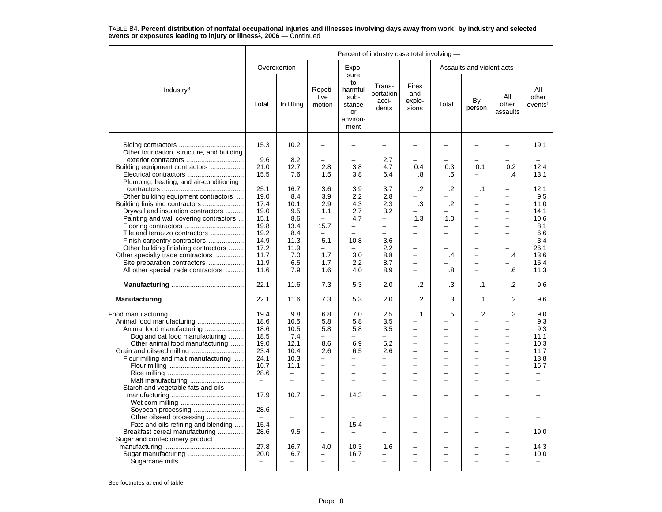|                                           | Percent of industry case total involving - |                          |                           |                                                                   |                                       |                                 |         |                           |                          |                                     |
|-------------------------------------------|--------------------------------------------|--------------------------|---------------------------|-------------------------------------------------------------------|---------------------------------------|---------------------------------|---------|---------------------------|--------------------------|-------------------------------------|
|                                           |                                            | Overexertion             |                           | Expo-                                                             |                                       |                                 |         | Assaults and violent acts |                          |                                     |
| Industry <sup>3</sup>                     | Total                                      | In lifting               | Repeti-<br>tive<br>motion | sure<br>to<br>harmful<br>sub-<br>stance<br>or<br>environ-<br>ment | Trans-<br>portation<br>acci-<br>dents | Fires<br>and<br>explo-<br>sions | Total   | By<br>person              | All<br>other<br>assaults | All<br>other<br>events <sup>5</sup> |
| Other foundation, structure, and building | 15.3                                       | 10.2                     |                           |                                                                   |                                       |                                 |         |                           |                          | 19.1                                |
| exterior contractors                      | 9.6                                        | 8.2                      |                           |                                                                   | 2.7                                   |                                 |         |                           |                          |                                     |
| Building equipment contractors            | 21.0                                       | 12.7                     | 2.8                       | 3.8                                                               | 4.7                                   | 0.4                             | 0.3     | 0.1                       | 0.2                      | 12.4                                |
| Plumbing, heating, and air-conditioning   | 15.5                                       | 7.6                      | 1.5                       | 3.8                                                               | 6.4                                   | .8                              | .5      |                           | $\cdot$                  | 13.1                                |
|                                           | 25.1                                       | 16.7                     | 3.6                       | 3.9                                                               | 3.7                                   | .2                              | .2      | $\cdot$ 1                 |                          | 12.1                                |
| Other building equipment contractors      | 19.0                                       | 8.4                      | 3.9                       | 2.2                                                               | 2.8                                   |                                 |         |                           |                          | 9.5                                 |
|                                           | 17.4                                       | 10.1                     | 2.9                       | 4.3                                                               | 2.3                                   | .3                              | $\cdot$ | $\overline{\phantom{0}}$  | $\overline{\phantom{0}}$ | 11.0                                |
| Drywall and insulation contractors        | 19.0                                       | 9.5                      | 1.1                       | 2.7                                                               | 3.2                                   |                                 |         | ÷.                        |                          | 14.1                                |
| Painting and wall covering contractors    | 15.1                                       | 8.6                      | $\equiv$                  | 4.7                                                               | $\equiv$                              | 1.3                             | 1.0     | $\overline{a}$            |                          | 10.6                                |
|                                           |                                            | 13.4                     | 15.7                      | $\overline{\phantom{0}}$                                          | $\overline{\phantom{0}}$              |                                 |         | ۰                         |                          | 8.1                                 |
|                                           | 19.8                                       |                          |                           |                                                                   |                                       |                                 |         |                           |                          |                                     |
| Tile and terrazzo contractors             | 19.2                                       | 8.4                      | $\overline{\phantom{0}}$  |                                                                   | -                                     | $\equiv$                        |         | L.                        |                          | 6.6                                 |
| Finish carpentry contractors              | 14.9                                       | 11.3                     | 5.1                       | 10.8                                                              | 3.6                                   | $\overline{\phantom{0}}$        |         | L,                        | $\overline{\phantom{0}}$ | 3.4                                 |
| Other building finishing contractors      | 17.2                                       | 11.9                     | -                         |                                                                   | 2.2                                   | $\overline{\phantom{0}}$        |         | ÷,                        |                          | 26.1                                |
| Other specialty trade contractors         | 11.7                                       | 7.0                      | 1.7                       | 3.0                                                               | 8.8                                   |                                 | $\cdot$ |                           | .4                       | 13.6                                |
| Site preparation contractors              | 11.9                                       | 6.5                      | 1.7                       | 2.2                                                               | 8.7                                   | $\overline{\phantom{m}}$        |         | $\overline{\phantom{0}}$  |                          | 15.4                                |
| All other special trade contractors       | 11.6                                       | 7.9                      | 1.6                       | 4.0                                                               | 8.9                                   | $\equiv$                        | .8      | L,                        | .6                       | 11.3                                |
|                                           | 22.1                                       | 11.6                     | 7.3                       | 5.3                                                               | 2.0                                   | .2                              | .3      | $\cdot$ 1                 | $\cdot$                  | 9.6                                 |
|                                           | 22.1                                       | 11.6                     | 7.3                       | 5.3                                                               | 2.0                                   | .2                              | .3      | .1                        | .2                       | 9.6                                 |
|                                           | 19.4                                       | 9.8                      | 6.8                       | 7.0                                                               | 2.5                                   | $\cdot$ 1                       | .5      | $\cdot$                   | .3                       | 9.0                                 |
|                                           | 18.6                                       | 10.5                     | 5.8                       | 5.8                                                               | 3.5                                   |                                 |         |                           |                          | 9.3                                 |
| Animal food manufacturing                 | 18.6                                       | 10.5                     | 5.8                       | 5.8                                                               | 3.5                                   | $\overline{\phantom{0}}$        |         | L                         |                          | 9.3                                 |
|                                           |                                            |                          |                           | -                                                                 | $\overline{\phantom{0}}$              | $\overline{\phantom{0}}$        |         | $\overline{\phantom{0}}$  | $\overline{\phantom{0}}$ |                                     |
| Dog and cat food manufacturing            | 18.5                                       | 7.4                      |                           |                                                                   |                                       |                                 |         |                           |                          | 11.1                                |
| Other animal food manufacturing           | 19.0                                       | 12.1                     | 8.6                       | 6.9                                                               | 5.2                                   |                                 |         | ÷                         |                          | 10.3                                |
|                                           | 23.4                                       | 10.4                     | 2.6                       | 6.5                                                               | 2.6                                   | $\overline{\phantom{0}}$        |         | $\overline{\phantom{0}}$  | $\overline{\phantom{0}}$ | 11.7                                |
| Flour milling and malt manufacturing      | 24.1                                       | 10.3                     | -                         | -                                                                 | -                                     |                                 |         | ÷,                        |                          | 13.8                                |
|                                           | 16.7                                       | 11.1                     | $\overline{\phantom{0}}$  | $\overline{a}$                                                    | $\overline{\phantom{0}}$              |                                 |         | $\overline{a}$            |                          | 16.7                                |
|                                           | 28.6                                       | $\overline{\phantom{0}}$ | -                         | -                                                                 | -                                     | $\equiv$                        |         | -                         | -                        |                                     |
| Malt manufacturing                        | $\overline{\phantom{m}}$                   | $\equiv$                 | $\equiv$                  | $\equiv$                                                          | -                                     | $\equiv$                        |         | L.                        |                          |                                     |
| Starch and vegetable fats and oils        |                                            |                          |                           |                                                                   |                                       |                                 |         |                           |                          |                                     |
|                                           | 17.9                                       | 10.7                     | $\overline{\phantom{0}}$  | 14.3                                                              | -                                     |                                 |         | ۰                         |                          |                                     |
|                                           | $\overline{\phantom{m}}$                   |                          | ÷                         | $\overline{\phantom{0}}$                                          | -                                     | $\overline{\phantom{0}}$        |         | L.                        |                          |                                     |
|                                           | 28.6                                       | $\overline{\phantom{0}}$ | $\overline{\phantom{0}}$  | $\overline{\phantom{0}}$                                          | $\overline{\phantom{0}}$              | $\overline{\phantom{0}}$        |         | $\overline{\phantom{0}}$  |                          |                                     |
| Other oilseed processing                  | $\overline{\phantom{m}}$                   | $\equiv$                 | $\equiv$                  | $\equiv$                                                          | -                                     | $\equiv$                        | -       | L,                        | $\equiv$                 |                                     |
| Fats and oils refining and blending       | 15.4                                       | $\overline{\phantom{0}}$ | $\overline{a}$            | 15.4                                                              | -                                     | $\equiv$                        | -       | ÷                         |                          |                                     |
| Breakfast cereal manufacturing            | 28.6                                       | 9.5                      |                           |                                                                   |                                       |                                 |         | ۰                         |                          | 19.0                                |
| Sugar and confectionery product           |                                            |                          |                           |                                                                   |                                       |                                 |         |                           |                          |                                     |
|                                           | 27.8                                       | 16.7                     | 4.0                       | 10.3                                                              | 1.6                                   |                                 |         | -                         |                          | 14.3                                |
|                                           | 20.0                                       | 6.7                      |                           | 16.7                                                              |                                       |                                 |         | ۰                         |                          | 10.0                                |
|                                           | $\overline{\phantom{a}}$                   | $\overline{\phantom{0}}$ | $\overline{a}$            | $\overline{\phantom{0}}$                                          | $\overline{\phantom{0}}$              |                                 |         | ÷,                        |                          |                                     |
|                                           |                                            |                          |                           |                                                                   |                                       |                                 |         |                           |                          |                                     |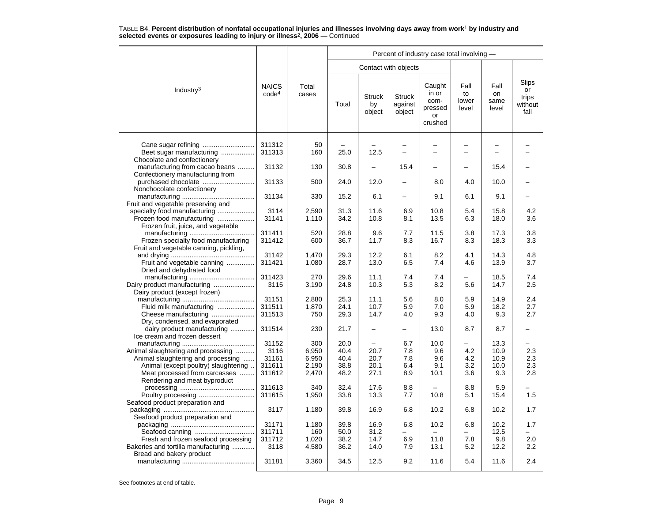|                                                                                                                                                                                   |                                            |                                         |                                      |                               |                                                      | Percent of industry case total involving -          |                                                      |                                     |                                         |
|-----------------------------------------------------------------------------------------------------------------------------------------------------------------------------------|--------------------------------------------|-----------------------------------------|--------------------------------------|-------------------------------|------------------------------------------------------|-----------------------------------------------------|------------------------------------------------------|-------------------------------------|-----------------------------------------|
|                                                                                                                                                                                   |                                            |                                         |                                      |                               | Contact with objects                                 |                                                     |                                                      |                                     |                                         |
| Industry <sup>3</sup>                                                                                                                                                             | <b>NAICS</b><br>code <sup>4</sup>          | Total<br>cases                          | Total                                | <b>Struck</b><br>by<br>object | <b>Struck</b><br>against<br>object                   | Caught<br>in or<br>com-<br>pressed<br>or<br>crushed | Fall<br>to<br>lower<br>level                         | Fall<br>on<br>same<br>level         | Slips<br>or<br>trips<br>without<br>fall |
| Beet sugar manufacturing                                                                                                                                                          | 311312<br>311313                           | 50<br>160                               | 25.0                                 | 12.5                          | $\overline{\phantom{0}}$<br>$\overline{\phantom{0}}$ | $\equiv$                                            | $\overline{\phantom{0}}$<br>$\overline{\phantom{0}}$ |                                     |                                         |
| Chocolate and confectionery<br>manufacturing from cacao beans<br>Confectionery manufacturing from                                                                                 | 31132                                      | 130                                     | 30.8                                 |                               | 15.4                                                 |                                                     |                                                      | 15.4                                |                                         |
| Nonchocolate confectionery                                                                                                                                                        | 31133                                      | 500                                     | 24.0                                 | 12.0                          | $\overline{\phantom{a}}$                             | 8.0                                                 | 4.0                                                  | 10.0                                |                                         |
| Fruit and vegetable preserving and                                                                                                                                                | 31134                                      | 330                                     | 15.2                                 | 6.1                           | $\overline{\phantom{0}}$                             | 9.1                                                 | 6.1                                                  | 9.1                                 |                                         |
| specialty food manufacturing<br>Frozen food manufacturing<br>Frozen fruit, juice, and vegetable                                                                                   | 3114<br>31141                              | 2,590<br>1,110                          | 31.3<br>34.2                         | 11.6<br>10.8                  | 6.9<br>8.1                                           | 10.8<br>13.5                                        | 5.4<br>6.3                                           | 15.8<br>18.0                        | 4.2<br>3.6                              |
| Frozen specialty food manufacturing<br>Fruit and vegetable canning, pickling,                                                                                                     | 311411<br>311412                           | 520<br>600                              | 28.8<br>36.7                         | 9.6<br>11.7                   | 7.7<br>8.3                                           | 11.5<br>16.7                                        | 3.8<br>8.3                                           | 17.3<br>18.3                        | 3.8<br>3.3                              |
| Fruit and vegetable canning<br>Dried and dehydrated food                                                                                                                          | 31142<br>311421                            | 1,470<br>1,080                          | 29.3<br>28.7                         | 12.2<br>13.0                  | 6.1<br>6.5                                           | 8.2<br>7.4                                          | 4.1<br>4.6                                           | 14.3<br>13.9                        | 4.8<br>3.7                              |
| Dairy product manufacturing<br>Dairy product (except frozen)                                                                                                                      | 311423<br>3115                             | 270<br>3,190                            | 29.6<br>24.8                         | 11.1<br>10.3                  | 7.4<br>5.3                                           | 7.4<br>8.2                                          | 5.6                                                  | 18.5<br>14.7                        | 7.4<br>2.5                              |
| Fluid milk manufacturing<br>Cheese manufacturing<br>Dry, condensed, and evaporated                                                                                                | 31151<br>311511<br>311513                  | 2,880<br>1,870<br>750                   | 25.3<br>24.1<br>29.3                 | 11.1<br>10.7<br>14.7          | 5.6<br>5.9<br>4.0                                    | 8.0<br>7.0<br>9.3                                   | 5.9<br>5.9<br>4.0                                    | 14.9<br>18.2<br>9.3                 | 2.4<br>2.7<br>2.7                       |
| dairy product manufacturing<br>Ice cream and frozen dessert                                                                                                                       | 311514                                     | 230                                     | 21.7                                 | $\overline{\phantom{0}}$      | −                                                    | 13.0                                                | 8.7                                                  | 8.7                                 |                                         |
| Animal slaughtering and processing<br>Animal slaughtering and processing<br>Animal (except poultry) slaughtering<br>Meat processed from carcasses<br>Rendering and meat byproduct | 31152<br>3116<br>31161<br>311611<br>311612 | 300<br>6,950<br>6,950<br>2,190<br>2,470 | 20.0<br>40.4<br>40.4<br>38.8<br>48.2 | 20.7<br>20.7<br>20.1<br>27.1  | 6.7<br>7.8<br>7.8<br>6.4<br>8.9                      | 10.0<br>9.6<br>9.6<br>9.1<br>10.1                   | 4.2<br>4.2<br>3.2<br>3.6                             | 13.3<br>10.9<br>10.9<br>10.0<br>9.3 | 2.3<br>2.3<br>2.3<br>2.8                |
| Seafood product preparation and                                                                                                                                                   | 311613<br>311615                           | 340<br>1,950                            | 32.4<br>33.8                         | 17.6<br>13.3                  | 8.8<br>7.7                                           | 10.8                                                | 8.8<br>5.1                                           | 5.9<br>15.4                         | 1.5                                     |
| Seafood product preparation and                                                                                                                                                   | 3117                                       | 1,180                                   | 39.8                                 | 16.9                          | 6.8                                                  | 10.2                                                | 6.8                                                  | 10.2                                | 1.7                                     |
| Fresh and frozen seafood processing<br>Bakeries and tortilla manufacturing                                                                                                        | 31171<br>311711<br>311712<br>3118          | 1,180<br>160<br>1,020<br>4,580          | 39.8<br>50.0<br>38.2<br>36.2         | 16.9<br>31.2<br>14.7<br>14.0  | 6.8<br>6.9<br>7.9                                    | 10.2<br>11.8<br>13.1                                | 6.8<br>7.8<br>5.2                                    | 10.2<br>12.5<br>9.8<br>12.2         | 1.7<br>2.0<br>2.2                       |
| Bread and bakery product                                                                                                                                                          | 31181                                      | 3,360                                   | 34.5                                 | 12.5                          | 9.2                                                  | 11.6                                                | 5.4                                                  | 11.6                                | 2.4                                     |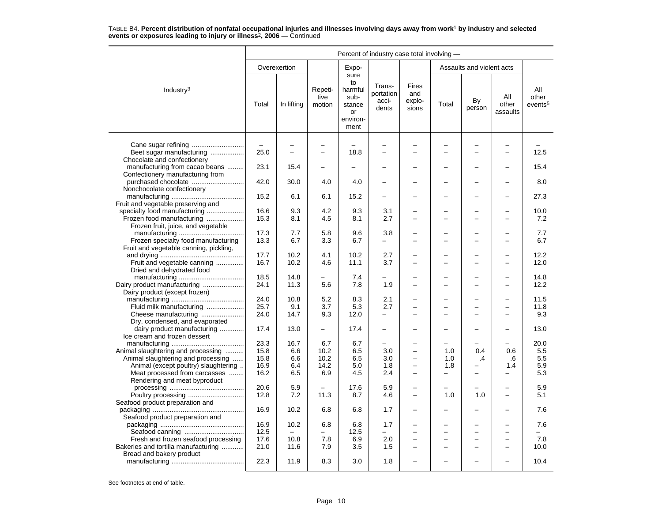|                                                                                | Percent of industry case total involving - |                |                           |                                                                   |                                       |                                 |       |                           |                          |                                     |
|--------------------------------------------------------------------------------|--------------------------------------------|----------------|---------------------------|-------------------------------------------------------------------|---------------------------------------|---------------------------------|-------|---------------------------|--------------------------|-------------------------------------|
|                                                                                |                                            | Overexertion   |                           | Expo-                                                             |                                       |                                 |       | Assaults and violent acts |                          |                                     |
| Industry <sup>3</sup>                                                          | Total                                      | In lifting     | Repeti-<br>tive<br>motion | sure<br>to<br>harmful<br>sub-<br>stance<br>or<br>environ-<br>ment | Trans-<br>portation<br>acci-<br>dents | Fires<br>and<br>explo-<br>sions | Total | By<br>person              | All<br>other<br>assaults | All<br>other<br>events <sup>5</sup> |
|                                                                                |                                            |                |                           |                                                                   |                                       |                                 |       |                           |                          |                                     |
| Cane sugar refining<br>Beet sugar manufacturing<br>Chocolate and confectionery | $\overline{\phantom{m}}$<br>25.0           | $\overline{a}$ | $\overline{\phantom{0}}$  | 18.8                                                              |                                       |                                 |       | $\overline{\phantom{0}}$  | $\overline{\phantom{0}}$ | 12.5                                |
| manufacturing from cacao beans<br>Confectionery manufacturing from             | 23.1                                       | 15.4           |                           |                                                                   |                                       |                                 |       |                           |                          | 15.4                                |
|                                                                                | 42.0                                       | 30.0           | 4.0                       | 4.0                                                               |                                       |                                 |       |                           |                          | 8.0                                 |
| Nonchocolate confectionery                                                     | 15.2                                       | 6.1            | 6.1                       | 15.2                                                              |                                       |                                 |       |                           |                          | 27.3                                |
| Fruit and vegetable preserving and<br>specialty food manufacturing             | 16.6                                       | 9.3            | 4.2                       | 9.3                                                               | 3.1                                   |                                 |       |                           |                          | 10.0                                |
| Frozen food manufacturing<br>Frozen fruit, juice, and vegetable                | 15.3                                       | 8.1            | 4.5                       | 8.1                                                               | 2.7                                   |                                 |       |                           |                          | 7.2                                 |
| Frozen specialty food manufacturing                                            | 17.3<br>13.3                               | 7.7<br>6.7     | 5.8<br>3.3                | 9.6<br>6.7                                                        | 3.8<br>$\overline{\phantom{0}}$       | $\overline{\phantom{0}}$        |       | ÷                         |                          | 7.7<br>6.7                          |
| Fruit and vegetable canning, pickling,                                         | 17.7                                       | 10.2           | 4.1                       | 10.2                                                              | 2.7                                   |                                 |       |                           |                          | 12.2                                |
| Fruit and vegetable canning<br>Dried and dehydrated food                       | 16.7                                       | 10.2           | 4.6                       | 11.1                                                              | 3.7                                   |                                 |       | $\overline{\phantom{0}}$  |                          | 12.0                                |
|                                                                                | 18.5                                       | 14.8           | $\qquad \qquad -$         | 7.4                                                               | $\overline{\phantom{0}}$              |                                 |       | ÷                         |                          | 14.8                                |
| Dairy product manufacturing<br>Dairy product (except frozen)                   | 24.1                                       | 11.3           | 5.6                       | 7.8                                                               | 1.9                                   |                                 |       |                           |                          | 12.2                                |
|                                                                                | 24.0                                       | 10.8           | 5.2                       | 8.3                                                               | 2.1                                   |                                 |       | $\overline{\phantom{0}}$  |                          | 11.5                                |
| Fluid milk manufacturing                                                       | 25.7                                       | 9.1            | 3.7                       | 5.3                                                               | 2.7                                   |                                 |       | -                         |                          | 11.8                                |
| Cheese manufacturing<br>Dry, condensed, and evaporated                         | 24.0                                       | 14.7           | 9.3                       | 12.0                                                              |                                       | $\overline{\phantom{0}}$        |       | L,                        |                          | 9.3                                 |
| dairy product manufacturing<br>Ice cream and frozen dessert                    | 17.4                                       | 13.0           | $\overline{\phantom{0}}$  | 17.4                                                              |                                       |                                 |       |                           |                          | 13.0                                |
|                                                                                | 23.3                                       | 16.7           | 6.7                       | 6.7                                                               | $\overline{\phantom{0}}$              |                                 |       |                           |                          | 20.0                                |
| Animal slaughtering and processing                                             | 15.8                                       | 6.6            | 10.2                      | 6.5                                                               | 3.0                                   | ÷                               | 1.0   | 0.4                       | 0.6                      | 5.5                                 |
| Animal slaughtering and processing                                             | 15.8                                       | 6.6            | 10.2                      | 6.5                                                               | 3.0                                   |                                 | 1.0   | .4                        | .6                       | 5.5                                 |
| Animal (except poultry) slaughtering                                           | 16.9                                       | 6.4            | 14.2                      | 5.0                                                               | 1.8                                   | $\overline{\phantom{0}}$        | 1.8   |                           | 1.4                      | 5.9                                 |
| Meat processed from carcasses<br>Rendering and meat byproduct                  | 16.2                                       | 6.5            | 6.9                       | 4.5                                                               | 2.4                                   | -                               | -     | -                         | $\overline{\phantom{0}}$ | 5.3                                 |
|                                                                                | 20.6<br>12.8                               | 5.9<br>7.2     | 11.3                      | 17.6<br>8.7                                                       | 5.9<br>4.6                            | $\overline{\phantom{0}}$        | 1.0   | 1.0                       |                          | 5.9<br>5.1                          |
| Seafood product preparation and                                                | 16.9                                       | 10.2           | 6.8                       | 6.8                                                               | 1.7                                   | $\overline{\phantom{0}}$        |       | $\overline{\phantom{0}}$  |                          | 7.6                                 |
| Seafood product preparation and                                                | 16.9                                       | 10.2           | 6.8                       | 6.8                                                               | 1.7                                   |                                 |       |                           |                          | 7.6                                 |
|                                                                                | 12.5                                       |                |                           | 12.5                                                              |                                       |                                 |       | -                         |                          |                                     |
| Fresh and frozen seafood processing                                            | 17.6                                       | 10.8           | 7.8                       | 6.9                                                               | 2.0                                   | $\overline{a}$                  |       | $\overline{a}$            |                          | 7.8                                 |
| Bakeries and tortilla manufacturing<br>Bread and bakery product                | 21.0                                       | 11.6           | 7.9                       | 3.5                                                               | 1.5                                   |                                 |       | $\overline{\phantom{0}}$  |                          | 10.0                                |
|                                                                                | 22.3                                       | 11.9           | 8.3                       | 3.0                                                               | 1.8                                   |                                 |       |                           |                          | 10.4                                |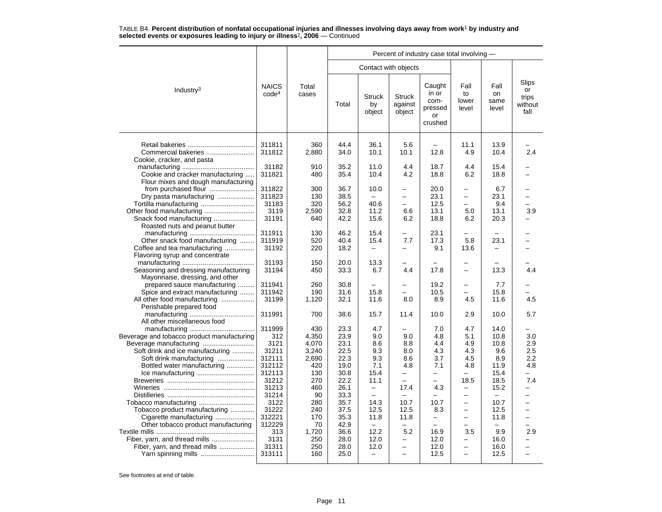|                                                                                                                                                                            |                                                                                                |                                                                                  | Percent of industry case total involving -                                           |                                                                                                                  |                                                                                                                                             |                                                            |                                                                                                                                    |                                                                            |                                                         |  |  |  |
|----------------------------------------------------------------------------------------------------------------------------------------------------------------------------|------------------------------------------------------------------------------------------------|----------------------------------------------------------------------------------|--------------------------------------------------------------------------------------|------------------------------------------------------------------------------------------------------------------|---------------------------------------------------------------------------------------------------------------------------------------------|------------------------------------------------------------|------------------------------------------------------------------------------------------------------------------------------------|----------------------------------------------------------------------------|---------------------------------------------------------|--|--|--|
|                                                                                                                                                                            |                                                                                                |                                                                                  |                                                                                      | Contact with objects                                                                                             |                                                                                                                                             |                                                            |                                                                                                                                    |                                                                            |                                                         |  |  |  |
| Industry <sup>3</sup>                                                                                                                                                      | <b>NAICS</b><br>code <sup>4</sup>                                                              | Total<br>cases                                                                   | Total                                                                                | <b>Struck</b><br>by<br>object                                                                                    | <b>Struck</b><br>against<br>object                                                                                                          | Caught<br>in or<br>com-<br>pressed<br>or<br>crushed        | Fall<br>to<br>lower<br>level                                                                                                       | Fall<br>on<br>same<br>level                                                | Slips<br>or<br>trips<br>without<br>fall                 |  |  |  |
| Commercial bakeries<br>Cookie, cracker, and pasta                                                                                                                          | 311811<br>311812                                                                               | 360<br>2,880                                                                     | 44.4<br>34.0                                                                         | 36.1<br>10.1                                                                                                     | 5.6<br>10.1                                                                                                                                 | 12.8                                                       | 11.1<br>4.9                                                                                                                        | 13.9<br>10.4                                                               | 2.4                                                     |  |  |  |
| Cookie and cracker manufacturing                                                                                                                                           | 31182<br>311821                                                                                | 910<br>480                                                                       | 35.2<br>35.4                                                                         | 11.0<br>10.4                                                                                                     | 4.4<br>4.2                                                                                                                                  | 18.7<br>18.8                                               | 4.4<br>6.2                                                                                                                         | 15.4<br>18.8                                                               |                                                         |  |  |  |
| Flour mixes and dough manufacturing<br>Dry pasta manufacturing                                                                                                             | 311822<br>311823                                                                               | 300<br>130                                                                       | 36.7<br>38.5                                                                         | 10.0                                                                                                             | $\overline{\phantom{0}}$<br>$\equiv$                                                                                                        | 20.0<br>23.1                                               | $\overline{\phantom{0}}$<br>$\equiv$                                                                                               | 6.7<br>23.1                                                                |                                                         |  |  |  |
| Tortilla manufacturing<br>Roasted nuts and peanut butter                                                                                                                   | 31183<br>3119<br>31191                                                                         | 320<br>2,590<br>640                                                              | 56.2<br>32.8<br>42.2                                                                 | 40.6<br>11.2<br>15.6                                                                                             | -<br>6.6<br>6.2                                                                                                                             | 12.5<br>13.1<br>18.8                                       | 5.0<br>6.2                                                                                                                         | 9.4<br>13.1<br>20.3                                                        | 3.9                                                     |  |  |  |
| Other snack food manufacturing<br>Coffee and tea manufacturing<br>Flavoring syrup and concentrate                                                                          | 311911<br>311919<br>31192                                                                      | 130<br>520<br>220                                                                | 46.2<br>40.4<br>18.2                                                                 | 15.4<br>15.4<br>$\overline{\phantom{0}}$                                                                         | -<br>7.7<br>$\overline{\phantom{0}}$                                                                                                        | 23.1<br>17.3<br>9.1                                        | 5.8<br>13.6                                                                                                                        | 23.1                                                                       |                                                         |  |  |  |
| Seasoning and dressing manufacturing                                                                                                                                       | 31193<br>31194                                                                                 | 150<br>450                                                                       | 20.0<br>33.3                                                                         | 13.3<br>6.7                                                                                                      | 4.4                                                                                                                                         | 17.8                                                       | $\overline{\phantom{0}}$<br>$\overline{\phantom{0}}$                                                                               | 13.3                                                                       | 4.4                                                     |  |  |  |
| Mayonnaise, dressing, and other<br>prepared sauce manufacturing<br>Spice and extract manufacturing<br>All other food manufacturing                                         | 311941<br>311942<br>31199                                                                      | 260<br>190<br>1,120                                                              | 30.8<br>31.6<br>32.1                                                                 | 15.8<br>11.6                                                                                                     | -<br>8.0                                                                                                                                    | 19.2<br>10.5<br>8.9                                        | $\equiv$<br>$\overline{\phantom{0}}$<br>4.5                                                                                        | 7.7<br>15.8<br>11.6                                                        | 4.5                                                     |  |  |  |
| Perishable prepared food<br>All other miscellaneous food                                                                                                                   | 311991                                                                                         | 700                                                                              | 38.6                                                                                 | 15.7                                                                                                             | 11.4                                                                                                                                        | 10.0                                                       | 2.9                                                                                                                                | 10.0                                                                       | 5.7                                                     |  |  |  |
| Beverage and tobacco product manufacturing<br>Soft drink and ice manufacturing<br>Soft drink manufacturing<br>Bottled water manufacturing<br>Tobacco product manufacturing | 312<br>3121<br>31211<br>312111<br>312112<br>312113<br>31212<br>31213<br>31214<br>3122<br>31222 | 4,350<br>4.070<br>3,240<br>2,690<br>420<br>130<br>270<br>460<br>90<br>280<br>240 | 23.9<br>23.1<br>22.5<br>22.3<br>19.0<br>30.8<br>22.2<br>26.1<br>33.3<br>35.7<br>37.5 | 9.0<br>8.6<br>9.3<br>9.3<br>7.1<br>15.4<br>11.1<br>$\qquad \qquad -$<br>$\overline{\phantom{0}}$<br>14.3<br>12.5 | 9.0<br>8.8<br>8.0<br>8.6<br>4.8<br>$\overline{\phantom{0}}$<br>$\overline{\phantom{0}}$<br>17.4<br>$\overline{\phantom{0}}$<br>10.7<br>12.5 | 4.8<br>4.4<br>4.3<br>3.7<br>7.1<br>-<br>4.3<br>10.7<br>8.3 | 5.1<br>4.9<br>4.3<br>4.5<br>4.8<br>$\overline{\phantom{0}}$<br>18.5<br>-<br>$\overline{\phantom{0}}$<br>$\overline{a}$<br>$\equiv$ | 10.8<br>10.8<br>9.6<br>8.9<br>11.9<br>15.4<br>18.5<br>15.2<br>10.7<br>12.5 | 3.0<br>2.9<br>2.5<br>2.2<br>4.8<br>-<br>7.4<br>$\equiv$ |  |  |  |
| Cigarette manufacturing<br>Other tobacco product manufacturing<br>Fiber, yarn, and thread mills<br>Yarn spinning mills                                                     | 312221<br>312229<br>313<br>3131<br>31311<br>313111                                             | 170<br>70<br>1,720<br>250<br>250<br>160                                          | 35.3<br>42.9<br>36.6<br>28.0<br>28.0<br>25.0                                         | 11.8<br>12.2<br>12.0<br>12.0<br>$\overline{\phantom{0}}$                                                         | 11.8<br>5.2<br>-<br>$\equiv$                                                                                                                | -<br>16.9<br>12.0<br>12.0<br>12.5                          | $\overline{\phantom{0}}$<br>3.5<br>-<br>$\overline{\phantom{0}}$<br>$\equiv$                                                       | 11.8<br>9.9<br>16.0<br>16.0<br>12.5                                        | $\overline{\phantom{0}}$<br>2.9<br>-                    |  |  |  |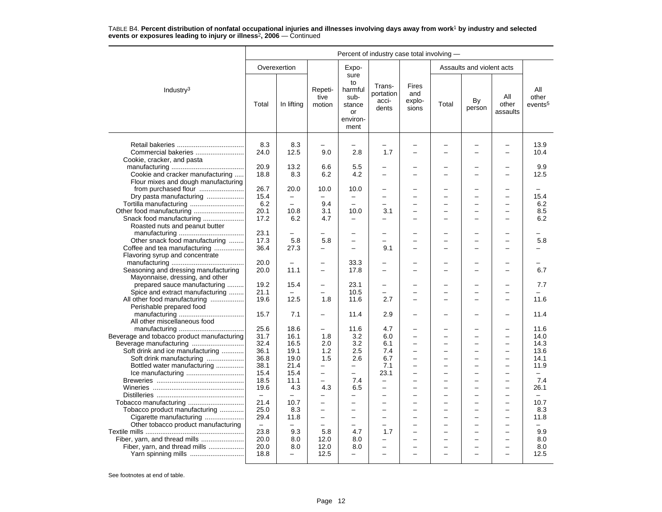|                                                                                                    | Percent of industry case total involving - |                          |                                        |                                                                   |                                                                        |                                 |          |                                                           |                                                      |                                         |
|----------------------------------------------------------------------------------------------------|--------------------------------------------|--------------------------|----------------------------------------|-------------------------------------------------------------------|------------------------------------------------------------------------|---------------------------------|----------|-----------------------------------------------------------|------------------------------------------------------|-----------------------------------------|
|                                                                                                    |                                            | Overexertion             |                                        | Expo-                                                             |                                                                        |                                 |          | Assaults and violent acts                                 |                                                      |                                         |
| Industry <sup>3</sup>                                                                              | Total                                      | In lifting               | Repeti-<br>tive<br>motion              | sure<br>to<br>harmful<br>sub-<br>stance<br>or<br>environ-<br>ment | Trans-<br>portation<br>acci-<br>dents                                  | Fires<br>and<br>explo-<br>sions | Total    | By<br>person                                              | All<br>other<br>assaults                             | All<br>other<br>events <sup>5</sup>     |
| Commercial bakeries                                                                                | 8.3<br>24.0                                | 8.3<br>12.5              | 9.0                                    | 2.8                                                               | 1.7                                                                    |                                 |          |                                                           |                                                      | 13.9<br>10.4                            |
| Cookie, cracker, and pasta<br>Cookie and cracker manufacturing                                     | 20.9<br>18.8                               | 13.2<br>8.3              | 6.6<br>6.2                             | 5.5<br>4.2                                                        | ÷                                                                      |                                 |          | -                                                         |                                                      | 9.9<br>12.5                             |
| Flour mixes and dough manufacturing<br>from purchased flour                                        | 26.7                                       | 20.0                     | 10.0                                   | 10.0                                                              | L.                                                                     |                                 |          | ▃                                                         |                                                      |                                         |
| Dry pasta manufacturing<br>Tortilla manufacturing                                                  | 15.4<br>6.2                                | $\equiv$                 | 9.4                                    | $\equiv$                                                          | L.<br>L.                                                               | ۳                               | -        | ÷<br>-                                                    | $\overline{\phantom{0}}$                             | 15.4<br>6.2                             |
|                                                                                                    | 20.1<br>17.2                               | 10.8<br>6.2              | 3.1<br>4.7                             | 10.0                                                              | 3.1<br>$\overline{\phantom{0}}$                                        |                                 |          | -<br>L                                                    |                                                      | 8.5<br>6.2                              |
| Roasted nuts and peanut butter<br>Other snack food manufacturing                                   | 23.1<br>17.3                               | 5.8                      | 5.8                                    | $\overline{a}$                                                    | $\overline{\phantom{0}}$                                               |                                 |          | ÷,                                                        |                                                      | 5.8                                     |
| Coffee and tea manufacturing<br>Flavoring syrup and concentrate                                    | 36.4                                       | 27.3                     | -                                      | $\equiv$                                                          | 9.1                                                                    |                                 |          | -                                                         |                                                      |                                         |
| Seasoning and dressing manufacturing                                                               | 20.0<br>20.0                               | 11.1                     | $\equiv$<br>$\equiv$                   | 33.3<br>17.8                                                      | $\overline{\phantom{0}}$<br>L.                                         |                                 |          | -                                                         |                                                      | 6.7                                     |
| Mayonnaise, dressing, and other<br>prepared sauce manufacturing<br>Spice and extract manufacturing | 19.2<br>21.1                               | 15.4                     | $\qquad \qquad -$                      | 23.1<br>10.5                                                      | $\overline{\phantom{0}}$<br>$\overline{\phantom{0}}$                   |                                 |          | -<br>-                                                    |                                                      | 7.7                                     |
| All other food manufacturing<br>Perishable prepared food                                           | 19.6                                       | 12.5                     | 1.8                                    | 11.6                                                              | 2.7                                                                    | ۳                               |          | -                                                         |                                                      | 11.6                                    |
| All other miscellaneous food                                                                       | 15.7                                       | 7.1                      |                                        | 11.4                                                              | 2.9                                                                    |                                 |          |                                                           |                                                      | 11.4                                    |
| Beverage and tobacco product manufacturing                                                         | 25.6<br>31.7<br>32.4                       | 18.6<br>16.1<br>16.5     | $\overline{\phantom{m}}$<br>1.8<br>2.0 | 11.6<br>3.2<br>3.2                                                | 4.7<br>6.0<br>6.1                                                      | $\equiv$                        | -        | $\overline{\phantom{0}}$<br>$\overline{\phantom{0}}$      | $\sim$                                               | 11.6<br>14.0<br>14.3                    |
| Soft drink and ice manufacturing<br>Soft drink manufacturing<br>Bottled water manufacturing        | 36.1<br>36.8<br>38.1                       | 19.1<br>19.0<br>21.4     | 1.2<br>1.5<br>$\overline{\phantom{0}}$ | 2.5<br>2.6<br>$\qquad \qquad -$                                   | 7.4<br>6.7<br>7.1                                                      | $\overline{\phantom{0}}$<br>÷   |          | -<br>▃<br>-                                               | $\overline{\phantom{0}}$<br>$\overline{\phantom{0}}$ | 13.6<br>14.1<br>11.9                    |
|                                                                                                    | 15.4<br>18.5<br>19.6                       | 15.4<br>11.1<br>4.3      | $\overline{\phantom{m}}$<br>4.3        | $\overline{\phantom{0}}$<br>7.4<br>6.5                            | 23.1<br>÷<br>$\overline{\phantom{0}}$                                  | ۰<br>÷                          |          | -<br>۰<br>$\overline{\phantom{0}}$                        | $\equiv$<br>$\overline{\phantom{0}}$                 | $\overline{\phantom{0}}$<br>7.4<br>26.1 |
| Tobacco manufacturing                                                                              | $\overline{\phantom{0}}$<br>21.4<br>25.0   | $\equiv$<br>10.7<br>8.3  | $\equiv$<br>$\overline{\phantom{0}}$   | $\overline{a}$<br>$\equiv$<br>-                                   | $\overline{a}$<br>$\overline{\phantom{0}}$<br>$\overline{\phantom{0}}$ | $\overline{\phantom{0}}$        | $\equiv$ | ▃<br>-<br>-                                               | $\overline{\phantom{0}}$<br>$\equiv$                 | $-$<br>10.7<br>8.3                      |
| Tobacco product manufacturing<br>Cigarette manufacturing<br>Other tobacco product manufacturing    | 29.4<br>$\equiv$                           | 11.8                     | $\overline{\phantom{0}}$<br>$\sim$     | $\equiv$                                                          | $\overline{\phantom{0}}$<br>÷                                          | ۳                               | -        | -<br>-                                                    | $\overline{\phantom{0}}$                             | 11.8                                    |
| Fiber, yarn, and thread mills<br>Fiber, yarn, and thread mills                                     | 23.8<br>20.0<br>20.0                       | 9.3<br>8.0<br>8.0        | 5.8<br>12.0<br>12.0                    | 4.7<br>8.0<br>8.0                                                 | 1.7<br>$\overline{\phantom{0}}$<br>$\overline{\phantom{0}}$            | ÷                               | $\equiv$ | $\overline{\phantom{0}}$<br>-<br>$\overline{\phantom{0}}$ | $\overline{\phantom{0}}$<br>$\overline{\phantom{0}}$ | 9.9<br>8.0<br>8.0                       |
| Yarn spinning mills                                                                                | 18.8                                       | $\overline{\phantom{0}}$ | 12.5                                   | $\overline{\phantom{0}}$                                          | $\overline{\phantom{0}}$                                               | $\overline{\phantom{0}}$        | -        | -                                                         | $\overline{\phantom{0}}$                             | 12.5                                    |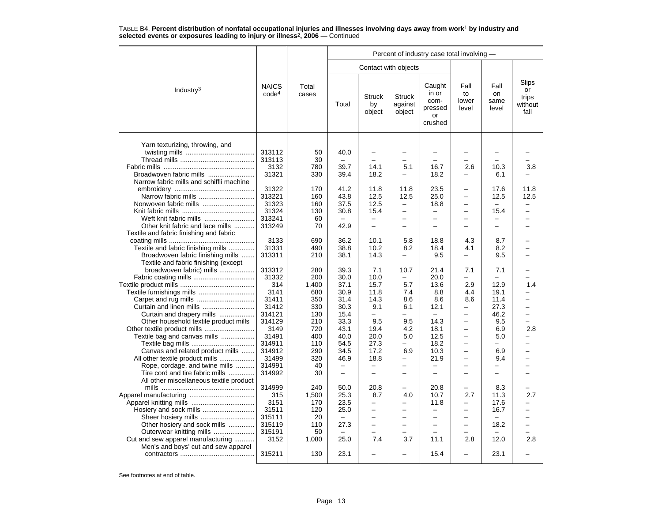|                                          |                                   |                |                          |                               |                                    | Percent of industry case total involving -          |                              |                             |                                         |
|------------------------------------------|-----------------------------------|----------------|--------------------------|-------------------------------|------------------------------------|-----------------------------------------------------|------------------------------|-----------------------------|-----------------------------------------|
|                                          |                                   |                |                          | Contact with objects          |                                    |                                                     |                              |                             |                                         |
| Industry <sup>3</sup>                    | <b>NAICS</b><br>code <sup>4</sup> | Total<br>cases | Total                    | <b>Struck</b><br>by<br>object | <b>Struck</b><br>against<br>object | Caught<br>in or<br>com-<br>pressed<br>or<br>crushed | Fall<br>to<br>lower<br>level | Fall<br>on<br>same<br>level | Slips<br>or<br>trips<br>without<br>fall |
| Yarn texturizing, throwing, and          |                                   |                |                          |                               |                                    |                                                     |                              |                             |                                         |
|                                          | 313112                            | 50             | 40.0                     | $\overline{\phantom{0}}$      |                                    |                                                     |                              |                             |                                         |
|                                          | 313113                            | 30             | $\overline{\phantom{0}}$ | $\overline{a}$                | -                                  | $\overline{\phantom{0}}$                            | $\overline{\phantom{0}}$     |                             |                                         |
|                                          | 3132                              | 780            | 39.7                     | 14.1                          | 5.1                                | 16.7                                                | 2.6                          | 10.3                        | 3.8                                     |
| Broadwoven fabric mills                  | 31321                             | 330            | 39.4                     | 18.2                          | -                                  | 18.2                                                |                              | 6.1                         |                                         |
| Narrow fabric mills and schiffli machine |                                   |                |                          |                               |                                    |                                                     |                              |                             |                                         |
|                                          | 31322                             | 170            | 41.2                     | 11.8                          | 11.8                               | 23.5                                                |                              | 17.6                        | 11.8                                    |
| Narrow fabric mills                      | 313221                            | 160            | 43.8                     | 12.5                          | 12.5                               | 25.0                                                | $\overline{a}$               | 12.5                        | 12.5                                    |
| Nonwoven fabric mills                    | 31323                             | 160            | 37.5                     | 12.5                          | $\overline{\phantom{0}}$           | 18.8                                                | $\overline{\phantom{0}}$     |                             | -                                       |
|                                          | 31324                             | 130            | 30.8                     | 15.4                          | -                                  | $\overline{\phantom{0}}$                            | $\overline{\phantom{0}}$     | 15.4                        |                                         |
| Weft knit fabric mills                   | 313241                            | 60             |                          | $\overline{a}$                |                                    | $\equiv$                                            |                              |                             |                                         |
| Other knit fabric and lace mills         | 313249                            | 70             | 42.9                     | $\overline{\phantom{0}}$      |                                    |                                                     |                              | $\overline{\phantom{0}}$    |                                         |
| Textile and fabric finishing and fabric  |                                   |                |                          |                               |                                    |                                                     |                              |                             |                                         |
|                                          | 3133                              | 690            | 36.2                     | 10.1                          | 5.8                                | 18.8                                                | 4.3                          | 8.7                         |                                         |
| Textile and fabric finishing mills       | 31331                             | 490            | 38.8                     | 10.2                          | 8.2                                | 18.4                                                | 4.1                          | 8.2                         |                                         |
| Broadwoven fabric finishing mills        | 313311                            | 210            | 38.1                     | 14.3                          |                                    | 9.5                                                 | $\overline{\phantom{0}}$     | 9.5                         |                                         |
| Textile and fabric finishing (except     |                                   |                |                          |                               |                                    |                                                     |                              |                             |                                         |
| broadwoven fabric) mills                 | 313312                            | 280            | 39.3                     | 7.1                           | 10.7                               | 21.4                                                | 7.1                          | 7.1                         |                                         |
|                                          | 31332                             | 200            | 30.0                     | 10.0                          | -                                  | 20.0                                                |                              |                             |                                         |
|                                          | 314                               | 1.400          | 37.1                     | 15.7                          | 5.7                                | 13.6                                                | 2.9                          | 12.9                        | 1.4                                     |
|                                          | 3141                              | 680            | 30.9                     | 11.8                          | 7.4                                | 8.8                                                 | 4.4                          | 19.1                        |                                         |
|                                          | 31411                             | 350            | 31.4                     | 14.3                          | 8.6                                | 8.6                                                 | 8.6                          | 11.4                        |                                         |
|                                          | 31412                             | 330            | 30.3                     | 9.1                           | 6.1                                | 12.1                                                | $\overline{\phantom{0}}$     | 27.3                        |                                         |
| Curtain and drapery mills                | 314121                            | 130            | 15.4                     |                               |                                    |                                                     | $\overline{\phantom{0}}$     | 46.2                        |                                         |
| Other household textile product mills    | 314129                            | 210            | 33.3                     | 9.5                           | 9.5                                | 14.3                                                | $\equiv$                     | 9.5                         | L.                                      |
|                                          | 3149                              | 720            | 43.1                     | 19.4                          | 4.2                                | 18.1                                                | $\overline{\phantom{0}}$     | 6.9                         | 2.8                                     |
| Textile bag and canvas mills             | 31491                             | 400            | 40.0                     | 20.0                          | 5.0                                | 12.5                                                | $\overline{\phantom{0}}$     | 5.0                         |                                         |
|                                          | 314911                            | 110            | 54.5                     | 27.3                          | $\overline{\phantom{0}}$           | 18.2                                                | $\overline{\phantom{0}}$     |                             |                                         |
| Canvas and related product mills         | 314912                            | 290            | 34.5                     | 17.2                          | 6.9                                | 10.3                                                | $\overline{\phantom{0}}$     | 6.9                         |                                         |
| All other textile product mills          | 31499                             | 320            | 46.9                     | 18.8                          |                                    | 21.9                                                |                              | 9.4                         |                                         |
| Rope, cordage, and twine mills           | 314991                            | 40             | $\equiv$                 | $\overline{\phantom{0}}$      | $\overline{a}$                     | $\equiv$                                            | $\overline{a}$               | $\overline{\phantom{0}}$    |                                         |
| Tire cord and tire fabric mills          | 314992                            | 30             | $\qquad \qquad -$        | $\overline{\phantom{0}}$      | -                                  | $\equiv$                                            | $\equiv$                     | ۳                           |                                         |
| All other miscellaneous textile product  |                                   |                |                          |                               |                                    |                                                     |                              |                             |                                         |
|                                          | 314999                            | 240            | 50.0                     | 20.8                          |                                    | 20.8                                                | $\overline{\phantom{0}}$     | 8.3                         |                                         |
|                                          | 315                               | 1,500          | 25.3                     | 8.7                           | 4.0                                | 10.7                                                | 2.7                          | 11.3                        | 2.7                                     |
|                                          | 3151                              | 170            | 23.5                     | $\overline{\phantom{0}}$      |                                    | 11.8                                                | $\overline{\phantom{0}}$     | 17.6                        |                                         |
| Hosiery and sock mills                   | 31511                             | 120            | 25.0                     | $\overline{\phantom{0}}$      |                                    | $\overline{\phantom{0}}$                            | -                            | 16.7                        |                                         |
| Sheer hosiery mills                      | 315111                            | 20             | $\overline{\phantom{0}}$ | $\overline{\phantom{0}}$      |                                    |                                                     |                              |                             |                                         |
| Other hosiery and sock mills             | 315119                            | 110            | 27.3                     | $\overline{\phantom{0}}$      |                                    | -                                                   | $\equiv$                     | 18.2                        |                                         |
| Outerwear knitting mills                 | 315191                            | 50             | $\overline{\phantom{0}}$ | $\overline{\phantom{0}}$      |                                    | $\overline{\phantom{0}}$                            |                              |                             |                                         |
| Cut and sew apparel manufacturing        | 3152                              | 1,080          | 25.0                     | 7.4                           | 3.7                                | 11.1                                                | 2.8                          | 12.0                        | 2.8                                     |
| Men's and boys' cut and sew apparel      |                                   |                |                          |                               |                                    |                                                     |                              |                             |                                         |
|                                          | 315211                            | 130            | 23.1                     | -                             |                                    | 15.4                                                | $\overline{\phantom{0}}$     | 23.1                        |                                         |
|                                          |                                   |                |                          |                               |                                    |                                                     |                              |                             |                                         |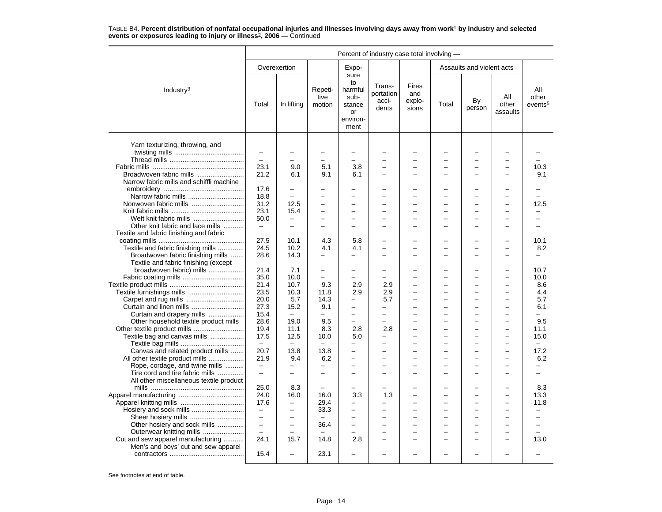|                                          | Percent of industry case total involving - |                          |                           |                                                                   |                                       |                                 |       |                           |                          |                                     |  |
|------------------------------------------|--------------------------------------------|--------------------------|---------------------------|-------------------------------------------------------------------|---------------------------------------|---------------------------------|-------|---------------------------|--------------------------|-------------------------------------|--|
|                                          |                                            | Overexertion             |                           | Expo-                                                             |                                       |                                 |       | Assaults and violent acts |                          |                                     |  |
| Industry <sup>3</sup>                    | Total                                      | In lifting               | Repeti-<br>tive<br>motion | sure<br>to<br>harmful<br>sub-<br>stance<br>or<br>environ-<br>ment | Trans-<br>portation<br>acci-<br>dents | Fires<br>and<br>explo-<br>sions | Total | By<br>person              | All<br>other<br>assaults | All<br>other<br>events <sup>5</sup> |  |
|                                          |                                            |                          |                           |                                                                   |                                       |                                 |       |                           |                          |                                     |  |
| Yarn texturizing, throwing, and          | -                                          |                          |                           |                                                                   |                                       |                                 |       |                           |                          |                                     |  |
|                                          | $\equiv$                                   |                          |                           | $\overline{a}$                                                    |                                       |                                 |       |                           |                          |                                     |  |
|                                          | 23.1                                       | 9.0                      | 5.1                       | 3.8                                                               | ۳                                     | $\overline{\phantom{0}}$        |       | -                         | $\overline{\phantom{0}}$ | 10.3                                |  |
| Broadwoven fabric mills                  | 21.2                                       | 6.1                      | 9.1                       | 6.1                                                               |                                       |                                 |       |                           |                          | 9.1                                 |  |
| Narrow fabric mills and schiffli machine |                                            |                          |                           |                                                                   |                                       |                                 |       |                           |                          |                                     |  |
|                                          | 17.6                                       | $\overline{\phantom{0}}$ |                           |                                                                   |                                       |                                 |       | -                         |                          |                                     |  |
|                                          | 18.8                                       | $\equiv$                 | -                         | L,                                                                |                                       |                                 |       | L                         |                          |                                     |  |
| Nonwoven fabric mills                    | 31.2                                       | 12.5                     | -                         | -                                                                 |                                       |                                 |       | -                         |                          | 12.5                                |  |
|                                          | 23.1                                       | 15.4                     |                           | $\overline{\phantom{0}}$                                          |                                       |                                 |       |                           |                          |                                     |  |
| Weft knit fabric mills                   | 50.0                                       | $\equiv$                 | $\equiv$                  | $\overline{\phantom{0}}$                                          | $\equiv$                              | $\equiv$                        |       | -                         |                          |                                     |  |
| Other knit fabric and lace mills         | $\overline{\phantom{m}}$                   |                          | $\equiv$                  | ÷                                                                 |                                       |                                 |       | <u>.</u>                  |                          |                                     |  |
| Textile and fabric finishing and fabric  |                                            |                          |                           |                                                                   |                                       |                                 |       |                           |                          |                                     |  |
|                                          | 27.5                                       | 10.1                     | 4.3                       | 5.8                                                               |                                       |                                 |       |                           |                          | 10.1                                |  |
| Textile and fabric finishing mills       | 24.5                                       | 10.2                     | 4.1                       | 4.1                                                               |                                       | -                               |       | -                         |                          | 8.2                                 |  |
| Broadwoven fabric finishing mills        | 28.6                                       | 14.3                     |                           |                                                                   |                                       |                                 |       | ▃                         |                          |                                     |  |
| Textile and fabric finishing (except     |                                            |                          |                           |                                                                   |                                       |                                 |       |                           |                          |                                     |  |
| broadwoven fabric) mills                 | 21.4                                       | 7.1                      | -                         | -                                                                 |                                       |                                 |       | -                         |                          | 10.7                                |  |
|                                          | 35.0                                       | 10.0                     | $\overline{a}$            | $\overline{a}$                                                    |                                       |                                 |       | -                         |                          | 10.0                                |  |
|                                          | 21.4                                       | 10.7                     | 9.3                       | 2.9                                                               | 2.9                                   |                                 |       | L                         |                          | 8.6                                 |  |
|                                          | 23.5                                       | 10.3                     | 11.8                      | 2.9                                                               | 2.9                                   | $\equiv$                        | -     | $\overline{\phantom{0}}$  | $\equiv$                 | 4.4                                 |  |
|                                          | 20.0                                       | 5.7                      | 14.3                      |                                                                   | 5.7                                   |                                 |       | -                         |                          | 5.7                                 |  |
|                                          | 27.3                                       | 15.2                     | 9.1                       | $\overline{a}$                                                    | $\overline{a}$                        |                                 |       | $\overline{a}$            |                          | 6.1                                 |  |
| Curtain and drapery mills                | 15.4                                       | $\overline{\phantom{0}}$ |                           | -                                                                 | $\overline{\phantom{0}}$              |                                 |       | -                         | $\overline{\phantom{0}}$ |                                     |  |
| Other household textile product mills    | 28.6                                       | 19.0                     | 9.5                       | $\overline{\phantom{0}}$                                          | $\equiv$                              | ÷                               |       | -                         | $\sim$                   | 9.5                                 |  |
|                                          | 19.4                                       | 11.1                     | 8.3                       | 2.8                                                               | 2.8                                   |                                 |       | $\overline{a}$            |                          | 11.1                                |  |
| Textile bag and canvas mills             | 17.5                                       | 12.5                     | 10.0                      | 5.0                                                               | $\overline{\phantom{0}}$              |                                 |       | -                         |                          | 15.0                                |  |
|                                          | $\overline{\phantom{a}}$                   | $\equiv$                 | $\equiv$                  |                                                                   |                                       |                                 |       | -                         |                          |                                     |  |
| Canvas and related product mills         | 20.7                                       | 13.8                     | 13.8                      | $\overline{\phantom{0}}$                                          | -                                     | $\overline{\phantom{0}}$        |       | $\overline{\phantom{0}}$  |                          | 17.2                                |  |
| All other textile product mills          | 21.9                                       | 9.4                      | 6.2                       | $\overline{\phantom{0}}$                                          |                                       |                                 |       | -                         |                          | 6.2                                 |  |
| Rope, cordage, and twine mills           | $\qquad \qquad -$                          | $\overline{\phantom{0}}$ | $\overline{\phantom{0}}$  | $\overline{\phantom{0}}$                                          | $\overline{\phantom{0}}$              | $\overline{\phantom{0}}$        |       | -                         | $\overline{\phantom{0}}$ | $\overline{\phantom{0}}$            |  |
| Tire cord and tire fabric mills          | $\overline{\phantom{m}}$                   | $\overline{\phantom{0}}$ | $\overline{a}$            | L,                                                                |                                       | -                               |       | -                         |                          | $\overline{\phantom{0}}$            |  |
| All other miscellaneous textile product  |                                            |                          |                           |                                                                   |                                       |                                 |       |                           |                          |                                     |  |
|                                          | 25.0                                       | 8.3                      |                           |                                                                   |                                       |                                 |       | ▃                         |                          | 8.3                                 |  |
|                                          | 24.0                                       | 16.0                     | 16.0                      | 3.3                                                               | 1.3                                   | ÷                               |       | $\overline{\phantom{0}}$  | $\sim$                   | 13.3                                |  |
|                                          | 17.6                                       | $\overline{\phantom{0}}$ | 29.4                      | -                                                                 |                                       |                                 |       |                           |                          | 11.8                                |  |
|                                          | $\overline{\phantom{0}}$                   | $\overline{\phantom{0}}$ | 33.3                      | $\overline{\phantom{0}}$                                          |                                       | $\overline{\phantom{0}}$        |       | -                         |                          |                                     |  |
|                                          | $\qquad \qquad -$                          | $\overline{\phantom{0}}$ |                           | -                                                                 |                                       | -                               |       | -                         | $\sim$                   | $\equiv$                            |  |
| Other hosiery and sock mills             | $\overline{\phantom{0}}$                   |                          | 36.4                      |                                                                   |                                       |                                 |       |                           |                          |                                     |  |
| Outerwear knitting mills                 | $\equiv$                                   | $\overline{\phantom{0}}$ |                           | $\overline{\phantom{0}}$                                          | $\equiv$                              | $\overline{a}$                  |       | $\overline{\phantom{0}}$  |                          |                                     |  |
| Cut and sew apparel manufacturing        | 24.1                                       | 15.7                     | 14.8                      | 2.8                                                               | ۳                                     | $\equiv$                        |       | ÷                         | -                        | 13.0                                |  |
| Men's and boys' cut and sew apparel      |                                            |                          |                           |                                                                   |                                       |                                 |       |                           |                          |                                     |  |
|                                          | 15.4                                       |                          | 23.1                      |                                                                   |                                       |                                 |       |                           |                          |                                     |  |
|                                          |                                            |                          |                           |                                                                   |                                       |                                 |       |                           |                          |                                     |  |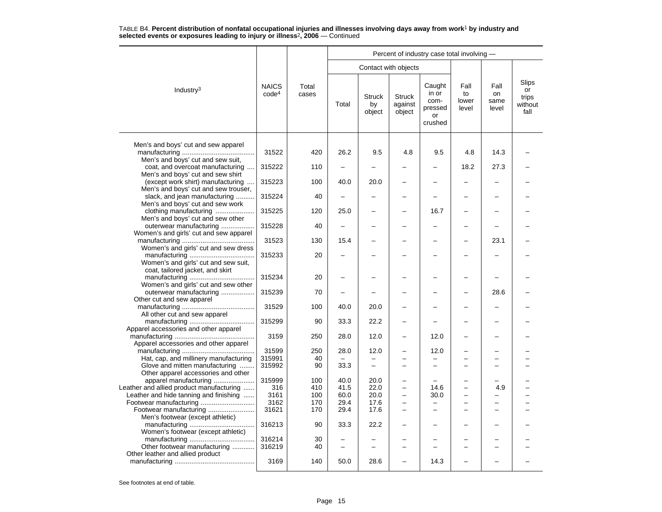|                                                                                                                |                                   |                |                          |                                            |                                    | Percent of industry case total involving -                 |                              |                             |                                         |
|----------------------------------------------------------------------------------------------------------------|-----------------------------------|----------------|--------------------------|--------------------------------------------|------------------------------------|------------------------------------------------------------|------------------------------|-----------------------------|-----------------------------------------|
|                                                                                                                |                                   |                |                          |                                            | Contact with objects               |                                                            |                              |                             |                                         |
| Industry $3$                                                                                                   | <b>NAICS</b><br>code <sup>4</sup> | Total<br>cases | Total                    | <b>Struck</b><br>by<br>object              | <b>Struck</b><br>against<br>object | Caught<br>in or<br>com-<br>pressed<br><b>or</b><br>crushed | Fall<br>to<br>lower<br>level | Fall<br>on<br>same<br>level | Slips<br>or<br>trips<br>without<br>fall |
| Men's and boys' cut and sew apparel                                                                            | 31522                             | 420            | 26.2                     | 9.5                                        | 4.8                                | 9.5                                                        | 4.8                          | 14.3                        |                                         |
| Men's and boys' cut and sew suit,<br>coat, and overcoat manufacturing                                          | 315222                            | 110            |                          |                                            |                                    |                                                            | 18.2                         | 27.3                        |                                         |
| Men's and boys' cut and sew shirt<br>(except work shirt) manufacturing                                         | 315223                            | 100            | 40.0                     | 20.0                                       |                                    |                                                            |                              |                             |                                         |
| Men's and boys' cut and sew trouser,<br>slack, and jean manufacturing                                          | 315224                            | 40             |                          |                                            |                                    |                                                            |                              |                             |                                         |
| Men's and boys' cut and sew work<br>clothing manufacturing<br>Men's and boys' cut and sew other                | 315225                            | 120            | 25.0                     |                                            |                                    | 16.7                                                       |                              |                             |                                         |
| outerwear manufacturing<br>Women's and girls' cut and sew apparel                                              | 315228                            | 40             | $\overline{\phantom{0}}$ |                                            |                                    |                                                            |                              |                             |                                         |
| Women's and girls' cut and sew dress                                                                           | 31523                             | 130            | 15.4                     |                                            |                                    |                                                            |                              | 23.1                        |                                         |
| Women's and girls' cut and sew suit,                                                                           | 315233                            | 20             |                          |                                            |                                    |                                                            |                              |                             |                                         |
| coat, tailored jacket, and skirt<br>Women's and girls' cut and sew other                                       | 315234                            | 20             |                          |                                            |                                    |                                                            |                              |                             |                                         |
| outerwear manufacturing<br>Other cut and sew apparel                                                           | 315239                            | 70             |                          |                                            |                                    |                                                            |                              | 28.6                        |                                         |
| All other cut and sew apparel                                                                                  | 31529                             | 100            | 40.0                     | 20.0                                       |                                    |                                                            |                              |                             |                                         |
| Apparel accessories and other apparel                                                                          | 315299                            | 90             | 33.3                     | 22.2                                       |                                    |                                                            |                              |                             |                                         |
| Apparel accessories and other apparel                                                                          | 3159                              | 250            | 28.0                     | 12.0                                       |                                    | 12.0                                                       |                              |                             |                                         |
|                                                                                                                | 31599                             | 250            | 28.0                     | 12.0                                       |                                    | 12.0                                                       |                              |                             |                                         |
| Hat, cap, and millinery manufacturing<br>Glove and mitten manufacturing<br>Other apparel accessories and other | 315991<br>315992                  | 40<br>90       | $\equiv$<br>33.3         | $\overline{\phantom{0}}$<br>$\overline{a}$ | $\equiv$                           | $\overline{\phantom{0}}$                                   |                              | $\equiv$                    |                                         |
| apparel manufacturing<br>Leather and allied product manufacturing                                              | 315999<br>316                     | 100<br>410     | 40.0<br>41.5             | 20.0<br>22.0                               | $\overline{\phantom{0}}$           | 14.6                                                       | $\equiv$                     | 4.9                         |                                         |
| Leather and hide tanning and finishing                                                                         | 3161<br>3162                      | 100<br>170     | 60.0<br>29.4             | 20.0<br>17.6                               | $\equiv$                           | 30.0                                                       | $\overline{\phantom{a}}$     | -                           |                                         |
| Footwear manufacturing<br>Men's footwear (except athletic)                                                     | 31621                             | 170            | 29.4                     | 17.6                                       | $\overline{\phantom{0}}$           |                                                            |                              |                             |                                         |
| Women's footwear (except athletic)                                                                             | 316213                            | 90             | 33.3                     | 22.2                                       |                                    |                                                            |                              |                             |                                         |
| Other footwear manufacturing                                                                                   | 316214<br>316219                  | 30<br>40       | $\overline{\phantom{0}}$ |                                            |                                    |                                                            |                              |                             |                                         |
| Other leather and allied product                                                                               | 3169                              | 140            | 50.0                     | 28.6                                       |                                    | 14.3                                                       |                              |                             |                                         |
|                                                                                                                |                                   |                |                          |                                            |                                    |                                                            |                              |                             |                                         |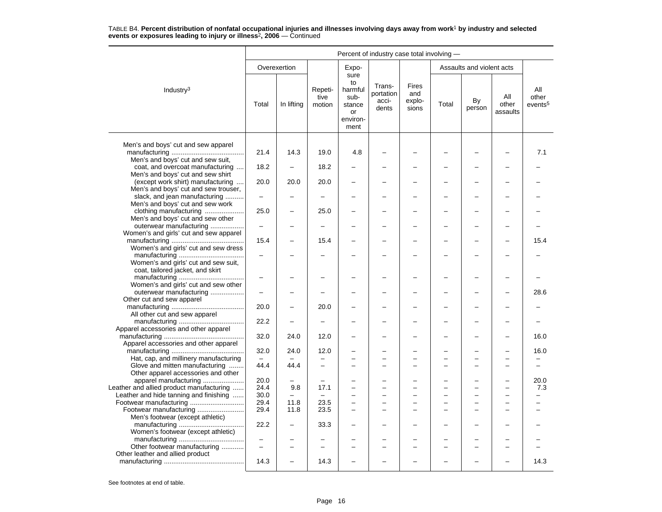|                                                                              | Percent of industry case total involving - |                          |                           |                                                                   |                                       |                                 |       |                           |                          |                                     |  |
|------------------------------------------------------------------------------|--------------------------------------------|--------------------------|---------------------------|-------------------------------------------------------------------|---------------------------------------|---------------------------------|-------|---------------------------|--------------------------|-------------------------------------|--|
|                                                                              |                                            | Overexertion             |                           | Expo-                                                             |                                       |                                 |       | Assaults and violent acts |                          |                                     |  |
| Industry $3$                                                                 | Total                                      | In lifting               | Repeti-<br>tive<br>motion | sure<br>to<br>harmful<br>sub-<br>stance<br>or<br>environ-<br>ment | Trans-<br>portation<br>acci-<br>dents | Fires<br>and<br>explo-<br>sions | Total | By<br>person              | All<br>other<br>assaults | All<br>other<br>events <sup>5</sup> |  |
| Men's and boys' cut and sew apparel                                          | 21.4                                       | 14.3                     | 19.0                      | 4.8                                                               |                                       |                                 |       |                           |                          | 7.1                                 |  |
| Men's and boys' cut and sew suit,<br>coat, and overcoat manufacturing        | 18.2                                       |                          | 18.2                      |                                                                   |                                       |                                 |       |                           |                          |                                     |  |
| Men's and boys' cut and sew shirt<br>(except work shirt) manufacturing       | 20.0                                       | 20.0                     | 20.0                      |                                                                   |                                       |                                 |       |                           |                          |                                     |  |
| Men's and boys' cut and sew trouser,<br>slack, and jean manufacturing        | $\overline{\phantom{m}}$                   |                          |                           |                                                                   |                                       |                                 |       |                           |                          |                                     |  |
| Men's and boys' cut and sew work<br>clothing manufacturing                   | 25.0                                       |                          | 25.0                      |                                                                   |                                       |                                 |       |                           |                          |                                     |  |
| Men's and boys' cut and sew other<br>outerwear manufacturing                 | $\qquad \qquad -$                          |                          |                           |                                                                   |                                       |                                 |       |                           |                          |                                     |  |
| Women's and girls' cut and sew apparel                                       | 15.4                                       |                          | 15.4                      |                                                                   |                                       |                                 |       |                           |                          | 15.4                                |  |
| Women's and girls' cut and sew dress<br>Women's and girls' cut and sew suit, |                                            |                          |                           |                                                                   |                                       |                                 |       |                           |                          |                                     |  |
| coat, tailored jacket, and skirt<br>Women's and girls' cut and sew other     | $\overline{\phantom{0}}$                   |                          |                           |                                                                   |                                       |                                 |       |                           |                          |                                     |  |
| outerwear manufacturing<br>Other cut and sew apparel                         | $\overline{\phantom{0}}$                   |                          |                           |                                                                   |                                       |                                 |       |                           |                          | 28.6                                |  |
| All other cut and sew apparel                                                | 20.0                                       |                          | 20.0                      |                                                                   |                                       |                                 |       |                           |                          |                                     |  |
| Apparel accessories and other apparel                                        | 22.2                                       |                          | $\overline{\phantom{0}}$  |                                                                   |                                       |                                 |       |                           |                          |                                     |  |
| Apparel accessories and other apparel                                        | 32.0                                       | 24.0                     | 12.0                      |                                                                   |                                       |                                 |       |                           |                          | 16.0                                |  |
|                                                                              | 32.0                                       | 24.0                     | 12.0                      |                                                                   |                                       |                                 |       |                           |                          | 16.0                                |  |
| Hat, cap, and millinery manufacturing                                        |                                            |                          |                           |                                                                   |                                       |                                 |       |                           |                          |                                     |  |
| Glove and mitten manufacturing<br>Other apparel accessories and other        | 44.4                                       | 44.4                     |                           | -                                                                 |                                       |                                 |       |                           |                          | $\overline{\phantom{0}}$            |  |
| apparel manufacturing                                                        | 20.0                                       | $\overline{\phantom{0}}$ | $\overline{\phantom{0}}$  | -                                                                 | $\equiv$                              | -                               |       | $\equiv$                  | $\overline{\phantom{0}}$ | 20.0                                |  |
| Leather and allied product manufacturing                                     | 24.4                                       | 9.8                      | 17.1                      | $\overline{\phantom{0}}$                                          |                                       |                                 |       |                           |                          | 7.3                                 |  |
| Leather and hide tanning and finishing                                       | 30.0                                       |                          |                           | -                                                                 |                                       |                                 |       |                           |                          |                                     |  |
|                                                                              | 29.4                                       | 11.8                     | 23.5                      | -                                                                 |                                       |                                 |       | —                         |                          |                                     |  |
| Footwear manufacturing<br>Men's footwear (except athletic)                   | 29.4                                       | 11.8                     | 23.5                      | $\equiv$                                                          |                                       |                                 |       | $\equiv$                  |                          |                                     |  |
| Women's footwear (except athletic)                                           | 22.2                                       |                          | 33.3                      |                                                                   |                                       |                                 |       |                           |                          |                                     |  |
|                                                                              | $\overline{\phantom{0}}$                   |                          |                           |                                                                   |                                       |                                 |       |                           |                          |                                     |  |
| Other footwear manufacturing<br>Other leather and allied product             | $\overline{\phantom{0}}$                   |                          |                           |                                                                   |                                       |                                 |       |                           |                          |                                     |  |
|                                                                              | 14.3                                       |                          | 14.3                      |                                                                   |                                       |                                 |       |                           |                          | 14.3                                |  |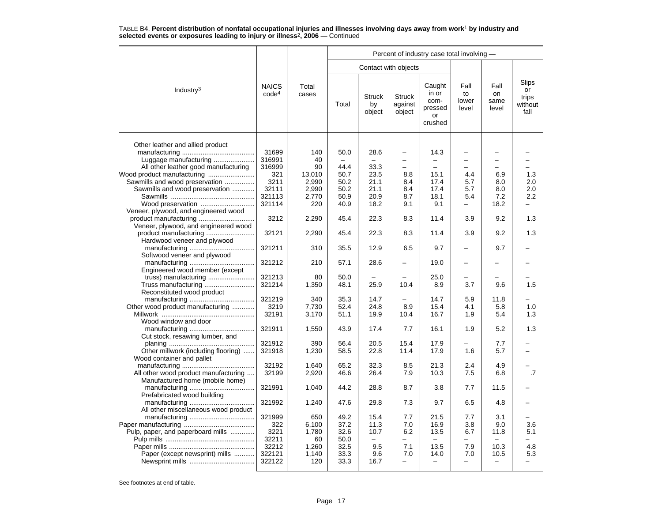|                                      |                                   |                |       |                               |                                    | Percent of industry case total involving -          |                              |                             |                                                |
|--------------------------------------|-----------------------------------|----------------|-------|-------------------------------|------------------------------------|-----------------------------------------------------|------------------------------|-----------------------------|------------------------------------------------|
|                                      |                                   |                |       |                               | Contact with objects               |                                                     |                              |                             |                                                |
| Industry <sup>3</sup>                | <b>NAICS</b><br>code <sup>4</sup> | Total<br>cases | Total | <b>Struck</b><br>by<br>object | <b>Struck</b><br>against<br>object | Caught<br>in or<br>com-<br>pressed<br>or<br>crushed | Fall<br>to<br>lower<br>level | Fall<br>on<br>same<br>level | <b>Slips</b><br>or<br>trips<br>without<br>fall |
| Other leather and allied product     |                                   |                |       |                               |                                    |                                                     |                              |                             |                                                |
|                                      | 31699                             | 140            | 50.0  | 28.6                          | -                                  | 14.3                                                | -                            |                             |                                                |
| Luggage manufacturing                | 316991                            | 40             |       |                               | L.                                 |                                                     | -                            | $\overline{\phantom{0}}$    |                                                |
| All other leather good manufacturing | 316999                            | 90             | 44.4  | 33.3                          |                                    |                                                     |                              |                             |                                                |
| Wood product manufacturing           | 321                               | 13,010         | 50.7  | 23.5                          | 8.8                                | 15.1                                                | 4.4                          | 6.9                         | 1.3                                            |
| Sawmills and wood preservation       | 3211                              | 2,990          | 50.2  | 21.1                          | 8.4                                | 17.4                                                | 5.7                          | 8.0                         | 2.0                                            |
| Sawmills and wood preservation       | 32111                             | 2,990          | 50.2  | 21.1                          | 8.4                                | 17.4                                                | 5.7                          | 8.0                         | 2.0                                            |
|                                      | 321113                            | 2,770          | 50.9  | 20.9                          | 8.7                                | 18.1                                                | 5.4                          | 7.2                         | 2.2                                            |
| Wood preservation                    | 321114                            | 220            | 40.9  | 18.2                          | 9.1                                | 9.1                                                 | $\overline{\phantom{0}}$     | 18.2                        |                                                |
| Veneer, plywood, and engineered wood |                                   |                |       |                               |                                    |                                                     |                              |                             |                                                |
|                                      | 3212                              | 2,290          | 45.4  | 22.3                          | 8.3                                | 11.4                                                | 3.9                          | 9.2                         | 1.3                                            |
|                                      |                                   |                |       |                               |                                    |                                                     |                              |                             |                                                |
| Veneer, plywood, and engineered wood |                                   |                |       |                               |                                    |                                                     |                              |                             |                                                |
| product manufacturing                | 32121                             | 2,290          | 45.4  | 22.3                          | 8.3                                | 11.4                                                | 3.9                          | 9.2                         | 1.3                                            |
| Hardwood veneer and plywood          |                                   |                |       |                               |                                    |                                                     |                              |                             |                                                |
|                                      | 321211                            | 310            | 35.5  | 12.9                          | 6.5                                | 9.7                                                 | $\overline{\phantom{0}}$     | 9.7                         |                                                |
| Softwood veneer and plywood          |                                   |                |       |                               |                                    |                                                     |                              |                             |                                                |
|                                      | 321212                            | 210            | 57.1  | 28.6                          |                                    | 19.0                                                | -                            |                             |                                                |
| Engineered wood member (except       |                                   |                |       |                               |                                    |                                                     |                              |                             |                                                |
|                                      | 321213                            | 80             | 50.0  |                               |                                    | 25.0                                                |                              |                             |                                                |
| Truss manufacturing                  | 321214                            | 1,350          | 48.1  | 25.9                          | 10.4                               | 8.9                                                 | 3.7                          | 9.6                         | 1.5                                            |
| Reconstituted wood product           |                                   |                |       |                               |                                    |                                                     |                              |                             |                                                |
|                                      | 321219                            | 340            | 35.3  | 14.7                          |                                    | 14.7                                                | 5.9                          | 11.8                        |                                                |
| Other wood product manufacturing     | 3219                              | 7.730          | 52.4  | 24.8                          | 8.9                                | 15.4                                                | 4.1                          | 5.8                         | 1.0                                            |
|                                      | 32191                             | 3,170          | 51.1  | 19.9                          | 10.4                               | 16.7                                                | 1.9                          | 5.4                         | 1.3                                            |
| Wood window and door                 |                                   |                |       |                               |                                    |                                                     |                              |                             |                                                |
|                                      | 321911                            | 1,550          | 43.9  | 17.4                          | 7.7                                | 16.1                                                | 1.9                          | 5.2                         | 1.3                                            |
| Cut stock, resawing lumber, and      |                                   |                |       |                               |                                    |                                                     |                              |                             |                                                |
|                                      | 321912                            | 390            | 56.4  | 20.5                          | 15.4                               | 17.9                                                |                              | 7.7                         |                                                |
| Other millwork (including flooring)  | 321918                            | 1,230          | 58.5  | 22.8                          | 11.4                               | 17.9                                                | 1.6                          | 5.7                         |                                                |
| Wood container and pallet            |                                   |                |       |                               |                                    |                                                     |                              |                             |                                                |
|                                      | 32192                             | 1.640          | 65.2  | 32.3                          | 8.5                                | 21.3                                                | 2.4                          | 4.9                         |                                                |
| All other wood product manufacturing | 32199                             | 2,920          | 46.6  | 26.4                          | 7.9                                | 10.3                                                | 7.5                          | 6.8                         | .7                                             |
| Manufactured home (mobile home)      |                                   |                |       |                               |                                    |                                                     |                              |                             |                                                |
|                                      | 321991                            | 1,040          | 44.2  | 28.8                          | 8.7                                | 3.8                                                 | 7.7                          | 11.5                        |                                                |
| Prefabricated wood building          |                                   |                |       |                               |                                    |                                                     |                              |                             |                                                |
|                                      | 321992                            | 1,240          | 47.6  | 29.8                          | 7.3                                | 9.7                                                 | 6.5                          | 4.8                         |                                                |
| All other miscellaneous wood product |                                   |                |       |                               |                                    |                                                     |                              |                             |                                                |
|                                      | 321999                            | 650            | 49.2  | 15.4                          | 7.7                                | 21.5                                                | 7.7                          | 3.1                         |                                                |
|                                      | 322                               | 6,100          | 37.2  | 11.3                          | 7.0                                | 16.9                                                | 3.8                          | 9.0                         | 3.6                                            |
|                                      | 3221                              | 1,780          | 32.6  | 10.7                          | 6.2                                | 13.5                                                | 6.7                          | 11.8                        | 5.1                                            |
| Pulp, paper, and paperboard mills    |                                   |                |       |                               |                                    |                                                     |                              |                             |                                                |
|                                      | 32211                             | 60             | 50.0  |                               | -                                  |                                                     |                              |                             |                                                |
|                                      | 32212                             | 1,260          | 32.5  | 9.5                           | 7.1                                | 13.5                                                | 7.9                          | 10.3                        | 4.8                                            |
| Paper (except newsprint) mills       | 322121                            | 1,140          | 33.3  | 9.6                           | 7.0                                | 14.0                                                | 7.0                          | 10.5                        | 5.3                                            |
|                                      | 322122                            | 120            | 33.3  | 16.7                          | $\overline{a}$                     | $\overline{\phantom{0}}$                            | $\overline{\phantom{0}}$     | $\overline{\phantom{0}}$    |                                                |
|                                      |                                   |                |       |                               |                                    |                                                     |                              |                             |                                                |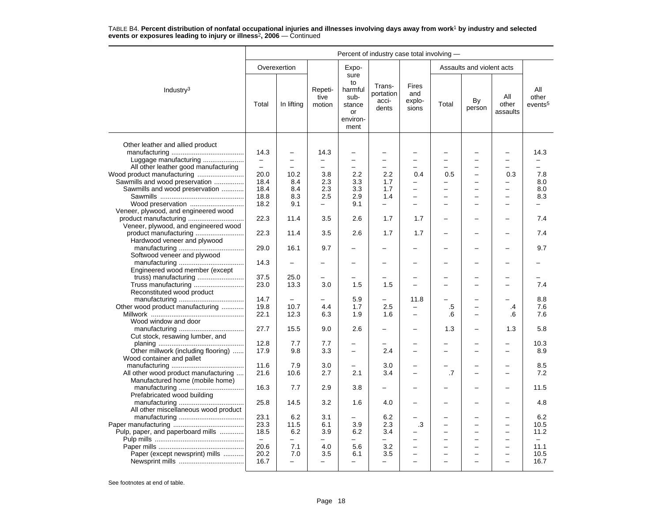|                                      |                                  |                          |                           |                                                                   | Percent of industry case total involving - |                                 |       |                           |                          |                                     |
|--------------------------------------|----------------------------------|--------------------------|---------------------------|-------------------------------------------------------------------|--------------------------------------------|---------------------------------|-------|---------------------------|--------------------------|-------------------------------------|
|                                      |                                  | Overexertion             |                           | Expo-                                                             |                                            |                                 |       | Assaults and violent acts |                          |                                     |
| Industry <sup>3</sup>                | Total                            | In lifting               | Repeti-<br>tive<br>motion | sure<br>to<br>harmful<br>sub-<br>stance<br>or<br>environ-<br>ment | Trans-<br>portation<br>acci-<br>dents      | Fires<br>and<br>explo-<br>sions | Total | By<br>person              | All<br>other<br>assaults | All<br>other<br>events <sup>5</sup> |
| Other leather and allied product     |                                  |                          |                           |                                                                   |                                            |                                 |       |                           |                          |                                     |
| Luggage manufacturing                | 14.3<br>$\overline{\phantom{0}}$ | $\overline{\phantom{0}}$ | 14.3                      | $\overline{\phantom{0}}$<br>$\overline{\phantom{0}}$              | $\equiv$                                   |                                 |       |                           |                          | 14.3                                |
| All other leather good manufacturing | $\overline{\phantom{m}}$         | $\overline{\phantom{0}}$ | $\equiv$                  | $\overline{a}$                                                    | $\equiv$                                   |                                 |       | -                         |                          |                                     |
|                                      | 20.0                             | 10.2                     | 3.8                       | 2.2                                                               | 2.2                                        | 0.4                             | 0.5   | -                         | 0.3                      | 7.8                                 |
| Sawmills and wood preservation       | 18.4                             | 8.4                      | 2.3                       | 3.3                                                               | 1.7                                        | L.                              |       |                           |                          | 8.0                                 |
| Sawmills and wood preservation       | 18.4                             | 8.4                      | 2.3                       | 3.3                                                               | 1.7                                        | $\overline{\phantom{0}}$        |       |                           |                          | 8.0                                 |
|                                      | 18.8                             | 8.3                      | 2.5                       | 2.9                                                               | 1.4                                        | $\overline{\phantom{0}}$        |       | ▃                         |                          | 8.3                                 |
|                                      | 18.2                             | 9.1                      | $\qquad \qquad -$         | 9.1                                                               | $\qquad \qquad -$                          | $\overline{a}$                  |       | -                         |                          |                                     |
|                                      |                                  |                          |                           |                                                                   |                                            |                                 |       |                           |                          |                                     |
| Veneer, plywood, and engineered wood |                                  |                          |                           |                                                                   |                                            |                                 |       |                           |                          |                                     |
|                                      | 22.3                             | 11.4                     | 3.5                       | 2.6                                                               | 1.7                                        | 1.7                             |       |                           |                          | 7.4                                 |
| Veneer, plywood, and engineered wood | 22.3                             | 11.4                     | 3.5                       | 2.6                                                               | 1.7                                        | 1.7                             |       | -                         |                          | 7.4                                 |
| Hardwood veneer and plywood          |                                  |                          |                           |                                                                   |                                            |                                 |       |                           |                          |                                     |
| Softwood veneer and plywood          | 29.0                             | 16.1                     | 9.7                       |                                                                   |                                            |                                 |       |                           |                          | 9.7                                 |
|                                      | 14.3                             |                          |                           |                                                                   |                                            |                                 |       |                           |                          |                                     |
| Engineered wood member (except       |                                  |                          |                           |                                                                   |                                            |                                 |       |                           |                          |                                     |
|                                      | 37.5                             | 25.0                     | -                         |                                                                   |                                            |                                 |       |                           |                          |                                     |
| Truss manufacturing                  | 23.0                             | 13.3                     | 3.0                       | 1.5                                                               | 1.5                                        |                                 |       |                           |                          | 7.4                                 |
| Reconstituted wood product           |                                  |                          |                           |                                                                   |                                            |                                 |       |                           |                          |                                     |
|                                      | 14.7                             |                          |                           | 5.9                                                               | $\overline{\phantom{0}}$                   | 11.8                            |       |                           |                          | 8.8                                 |
| Other wood product manufacturing     | 19.8                             | 10.7                     | 4.4                       | 1.7                                                               | 2.5                                        |                                 | .5    | -                         | .4                       | 7.6                                 |
|                                      | 22.1                             | 12.3                     | 6.3                       | 1.9                                                               | 1.6                                        | -                               | .6    | -                         | .6                       | 7.6                                 |
| Wood window and door                 |                                  |                          |                           |                                                                   |                                            |                                 |       |                           |                          |                                     |
|                                      | 27.7                             | 15.5                     | 9.0                       | 2.6                                                               |                                            |                                 | 1.3   |                           | 1.3                      | 5.8                                 |
| Cut stock, resawing lumber, and      |                                  |                          |                           |                                                                   |                                            |                                 |       |                           |                          |                                     |
|                                      | 12.8                             | 7.7                      | 7.7                       |                                                                   |                                            |                                 |       |                           |                          | 10.3                                |
| Other millwork (including flooring)  | 17.9                             | 9.8                      | 3.3                       | $\overline{\phantom{0}}$                                          | 2.4                                        | $\overline{\phantom{0}}$        |       | -                         |                          | 8.9                                 |
| Wood container and pallet            |                                  |                          |                           |                                                                   |                                            |                                 |       |                           |                          |                                     |
|                                      | 11.6                             | 7.9                      | 3.0                       | -                                                                 | 3.0                                        |                                 |       |                           |                          | 8.5                                 |
| All other wood product manufacturing | 21.6                             | 10.6                     | 2.7                       | 2.1                                                               | 3.4                                        | $\equiv$                        | .7    | -                         | -                        | 7.2                                 |
| Manufactured home (mobile home)      |                                  |                          |                           |                                                                   |                                            |                                 |       |                           |                          |                                     |
|                                      | 16.3                             | 7.7                      | 2.9                       | 3.8                                                               |                                            |                                 |       |                           |                          | 11.5                                |
| Prefabricated wood building          |                                  |                          |                           |                                                                   |                                            |                                 |       |                           |                          |                                     |
|                                      | 25.8                             | 14.5                     | 3.2                       | 1.6                                                               | 4.0                                        |                                 |       |                           |                          | 4.8                                 |
| All other miscellaneous wood product |                                  |                          |                           |                                                                   |                                            |                                 |       |                           |                          |                                     |
|                                      | 23.1                             | 6.2                      | 3.1                       | -                                                                 | 6.2                                        |                                 |       | -                         |                          | 6.2                                 |
|                                      | 23.3                             | 11.5                     | 6.1                       | 3.9                                                               | 2.3                                        | .3                              |       | $\overline{\phantom{0}}$  |                          | 10.5                                |
| Pulp, paper, and paperboard mills    | 18.5                             | 6.2                      | 3.9                       | 6.2                                                               | 3.4                                        |                                 |       | -                         |                          | 11.2                                |
|                                      | $\equiv$                         | $\equiv$                 | ÷                         |                                                                   |                                            |                                 |       | $\overline{a}$            |                          | $\equiv$                            |
|                                      | 20.6                             | 7.1                      | 4.0                       | 5.6                                                               | 3.2                                        |                                 |       | $\overline{\phantom{0}}$  |                          | 11.1                                |
| Paper (except newsprint) mills       | 20.2                             | 7.0                      | 3.5                       | 6.1                                                               | 3.5                                        | -                               |       |                           |                          | 10.5                                |
|                                      | 16.7                             | $\equiv$                 | $\overline{\phantom{0}}$  | $\overline{\phantom{0}}$                                          | -                                          | ÷                               |       |                           |                          | 16.7                                |
|                                      |                                  |                          |                           |                                                                   |                                            |                                 |       |                           |                          |                                     |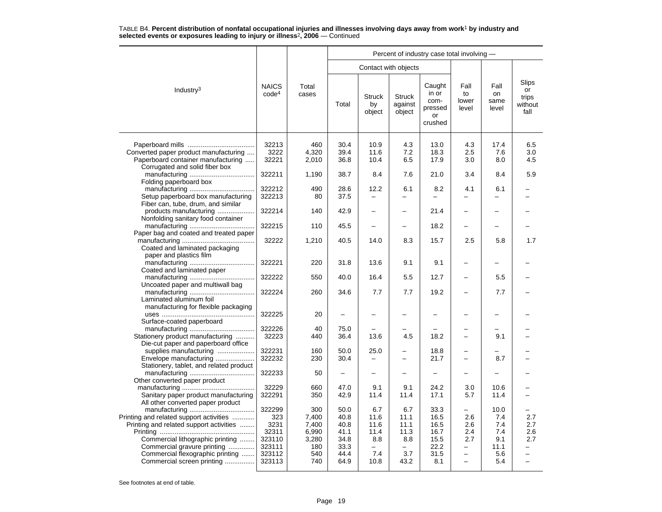|                                                                                                                                                                                            |                                                    |                                                | Percent of industry case total involving -   |                                         |                                         |                                                     |                                                           |                                          |                                                      |  |  |  |
|--------------------------------------------------------------------------------------------------------------------------------------------------------------------------------------------|----------------------------------------------------|------------------------------------------------|----------------------------------------------|-----------------------------------------|-----------------------------------------|-----------------------------------------------------|-----------------------------------------------------------|------------------------------------------|------------------------------------------------------|--|--|--|
|                                                                                                                                                                                            |                                                    |                                                |                                              |                                         | Contact with objects                    |                                                     |                                                           |                                          |                                                      |  |  |  |
| Industry <sup>3</sup>                                                                                                                                                                      | <b>NAICS</b><br>code <sup>4</sup>                  | Total<br>cases                                 | Total                                        | <b>Struck</b><br>by<br>object           | <b>Struck</b><br>against<br>object      | Caught<br>in or<br>com-<br>pressed<br>or<br>crushed | Fall<br>to<br>lower<br>level                              | Fall<br>on<br>same<br>level              | Slips<br>or<br>trips<br>without<br>fall              |  |  |  |
| Converted paper product manufacturing<br>Paperboard container manufacturing                                                                                                                | 32213<br>3222<br>32221                             | 460<br>4,320<br>2,010                          | 30.4<br>39.4<br>36.8                         | 10.9<br>11.6<br>10.4                    | 4.3<br>7.2<br>6.5                       | 13.0<br>18.3<br>17.9                                | 4.3<br>2.5<br>3.0                                         | 17.4<br>7.6<br>8.0                       | 6.5<br>3.0<br>4.5                                    |  |  |  |
| Corrugated and solid fiber box<br>Folding paperboard box                                                                                                                                   | 322211                                             | 1,190                                          | 38.7                                         | 8.4                                     | 7.6                                     | 21.0                                                | 3.4                                                       | 8.4                                      | 5.9                                                  |  |  |  |
| Setup paperboard box manufacturing<br>Fiber can, tube, drum, and similar                                                                                                                   | 322212<br>322213                                   | 490<br>80                                      | 28.6<br>37.5                                 | 12.2<br>$\overline{a}$                  | 6.1<br>L.                               | 8.2                                                 | 4.1                                                       | 6.1                                      |                                                      |  |  |  |
| products manufacturing<br>Nonfolding sanitary food container                                                                                                                               | 322214                                             | 140                                            | 42.9                                         |                                         |                                         | 21.4                                                |                                                           |                                          |                                                      |  |  |  |
| Paper bag and coated and treated paper                                                                                                                                                     | 322215                                             | 110                                            | 45.5                                         |                                         |                                         | 18.2                                                |                                                           |                                          |                                                      |  |  |  |
| Coated and laminated packaging                                                                                                                                                             | 32222                                              | 1,210                                          | 40.5                                         | 14.0                                    | 8.3                                     | 15.7                                                | 2.5                                                       | 5.8                                      | 1.7                                                  |  |  |  |
| paper and plastics film<br>Coated and laminated paper                                                                                                                                      | 322221                                             | 220                                            | 31.8                                         | 13.6                                    | 9.1                                     | 9.1                                                 | $\overline{\phantom{0}}$                                  |                                          |                                                      |  |  |  |
| Uncoated paper and multiwall bag                                                                                                                                                           | 322222                                             | 550                                            | 40.0                                         | 16.4                                    | 5.5                                     | 12.7                                                | -                                                         | 5.5                                      |                                                      |  |  |  |
| Laminated aluminum foil                                                                                                                                                                    | 322224                                             | 260                                            | 34.6                                         | 7.7                                     | 7.7                                     | 19.2                                                |                                                           | 7.7                                      |                                                      |  |  |  |
| manufacturing for flexible packaging<br>Surface-coated paperboard                                                                                                                          | 322225                                             | 20                                             | -                                            |                                         |                                         |                                                     |                                                           |                                          |                                                      |  |  |  |
| Stationery product manufacturing                                                                                                                                                           | 322226<br>32223                                    | 40<br>440                                      | 75.0<br>36.4                                 | 13.6                                    | 4.5                                     | 18.2                                                |                                                           | 9.1                                      |                                                      |  |  |  |
| Die-cut paper and paperboard office<br>supplies manufacturing<br>Envelope manufacturing                                                                                                    | 322231<br>322232                                   | 160<br>230                                     | 50.0<br>30.4                                 | 25.0                                    |                                         | 18.8<br>21.7                                        |                                                           | 8.7                                      |                                                      |  |  |  |
| Stationery, tablet, and related product                                                                                                                                                    | 322233                                             | 50                                             | $\qquad \qquad -$                            | $\overline{\phantom{0}}$                |                                         |                                                     | $\overline{\phantom{0}}$                                  |                                          |                                                      |  |  |  |
| Other converted paper product<br>Sanitary paper product manufacturing                                                                                                                      | 32229<br>322291                                    | 660<br>350                                     | 47.0<br>42.9                                 | 9.1<br>11.4                             | 9.1<br>11.4                             | 24.2<br>17.1                                        | 3.0<br>5.7                                                | 10.6<br>11.4                             |                                                      |  |  |  |
| All other converted paper product<br>Printing and related support activities<br>Printing and related support activities<br>Commercial lithographic printing<br>Commercial gravure printing | 322299<br>323<br>3231<br>32311<br>323110<br>323111 | 300<br>7,400<br>7,400<br>6,990<br>3,280<br>180 | 50.0<br>40.8<br>40.8<br>41.1<br>34.8<br>33.3 | 6.7<br>11.6<br>11.6<br>11.4<br>8.8<br>- | 6.7<br>11.1<br>11.1<br>11.3<br>8.8<br>— | 33.3<br>16.5<br>16.5<br>16.7<br>15.5<br>22.2        | $\overline{\phantom{0}}$<br>2.6<br>2.6<br>2.4<br>2.7<br>- | 10.0<br>7.4<br>7.4<br>7.4<br>9.1<br>11.1 | 2.7<br>2.7<br>2.6<br>2.7<br>$\overline{\phantom{0}}$ |  |  |  |
| Commercial flexographic printing<br>Commercial screen printing                                                                                                                             | 323112<br>323113                                   | 540<br>740                                     | 44.4<br>64.9                                 | 7.4<br>10.8                             | 3.7<br>43.2                             | 31.5<br>8.1                                         | $\overline{\phantom{0}}$                                  | 5.6<br>5.4                               |                                                      |  |  |  |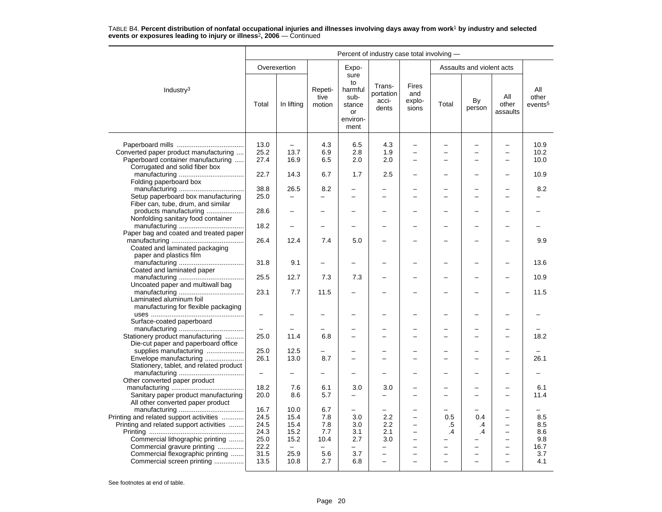|                                                                                    | Percent of industry case total involving - |                                  |                           |                                                                   |                                       |                                                      |                          |                           |                                                      |                                     |  |
|------------------------------------------------------------------------------------|--------------------------------------------|----------------------------------|---------------------------|-------------------------------------------------------------------|---------------------------------------|------------------------------------------------------|--------------------------|---------------------------|------------------------------------------------------|-------------------------------------|--|
|                                                                                    |                                            | Overexertion                     |                           | Expo-                                                             |                                       |                                                      |                          | Assaults and violent acts |                                                      |                                     |  |
| Industry $3$                                                                       | Total                                      | In lifting                       | Repeti-<br>tive<br>motion | sure<br>to<br>harmful<br>sub-<br>stance<br>or<br>environ-<br>ment | Trans-<br>portation<br>acci-<br>dents | Fires<br>and<br>explo-<br>sions                      | Total                    | By<br>person              | All<br>other<br>assaults                             | All<br>other<br>events <sup>5</sup> |  |
|                                                                                    |                                            |                                  |                           |                                                                   |                                       |                                                      |                          |                           |                                                      |                                     |  |
| Converted paper product manufacturing                                              | 13.0<br>25.2                               | $\overline{\phantom{0}}$<br>13.7 | 4.3<br>6.9                | 6.5<br>2.8                                                        | 4.3<br>1.9                            | $\overline{\phantom{0}}$<br>$\overline{\phantom{0}}$ |                          | L,<br>÷                   | $\overline{\phantom{0}}$<br>$\overline{\phantom{0}}$ | 10.9<br>10.2                        |  |
| Paperboard container manufacturing                                                 | 27.4                                       | 16.9                             | 6.5                       | 2.0                                                               | 2.0                                   |                                                      |                          |                           |                                                      | 10.0                                |  |
| Corrugated and solid fiber box                                                     |                                            |                                  |                           |                                                                   |                                       |                                                      |                          |                           |                                                      |                                     |  |
|                                                                                    | 22.7                                       | 14.3                             | 6.7                       | 1.7                                                               | 2.5                                   | $\overline{\phantom{0}}$                             |                          |                           |                                                      | 10.9                                |  |
| Folding paperboard box                                                             |                                            |                                  |                           |                                                                   |                                       |                                                      |                          |                           |                                                      |                                     |  |
|                                                                                    | 38.8                                       | 26.5                             | 8.2                       |                                                                   |                                       |                                                      |                          | ÷                         |                                                      | 8.2                                 |  |
| Setup paperboard box manufacturing                                                 | 25.0                                       |                                  |                           |                                                                   |                                       |                                                      |                          |                           |                                                      |                                     |  |
| Fiber can, tube, drum, and similar                                                 |                                            |                                  |                           |                                                                   |                                       |                                                      |                          |                           |                                                      |                                     |  |
| products manufacturing                                                             | 28.6                                       |                                  |                           |                                                                   |                                       | $\overline{\phantom{0}}$                             |                          | $\overline{\phantom{0}}$  |                                                      |                                     |  |
| Nonfolding sanitary food container                                                 |                                            |                                  |                           |                                                                   |                                       |                                                      |                          |                           |                                                      |                                     |  |
|                                                                                    | 18.2                                       |                                  |                           |                                                                   |                                       |                                                      |                          |                           |                                                      |                                     |  |
| Paper bag and coated and treated paper                                             |                                            | 12.4                             | 7.4                       | 5.0                                                               |                                       |                                                      |                          |                           |                                                      | 9.9                                 |  |
| Coated and laminated packaging                                                     | 26.4                                       |                                  |                           |                                                                   |                                       |                                                      |                          |                           |                                                      |                                     |  |
| paper and plastics film                                                            |                                            |                                  |                           |                                                                   |                                       |                                                      |                          |                           |                                                      |                                     |  |
|                                                                                    | 31.8                                       | 9.1                              |                           |                                                                   |                                       |                                                      |                          |                           |                                                      | 13.6                                |  |
| Coated and laminated paper                                                         |                                            |                                  |                           |                                                                   |                                       |                                                      |                          |                           |                                                      |                                     |  |
|                                                                                    | 25.5                                       | 12.7                             | 7.3                       | 7.3                                                               |                                       | $\overline{\phantom{0}}$                             |                          |                           |                                                      | 10.9                                |  |
| Uncoated paper and multiwall bag                                                   |                                            |                                  |                           |                                                                   |                                       |                                                      |                          |                           |                                                      |                                     |  |
|                                                                                    | 23.1                                       | 7.7                              | 11.5                      |                                                                   |                                       |                                                      |                          |                           |                                                      | 11.5                                |  |
| Laminated aluminum foil                                                            |                                            |                                  |                           |                                                                   |                                       |                                                      |                          |                           |                                                      |                                     |  |
| manufacturing for flexible packaging                                               |                                            |                                  |                           |                                                                   |                                       |                                                      |                          |                           |                                                      |                                     |  |
|                                                                                    | $\overline{\phantom{m}}$                   |                                  |                           |                                                                   |                                       |                                                      |                          |                           |                                                      |                                     |  |
| Surface-coated paperboard                                                          |                                            |                                  |                           |                                                                   |                                       |                                                      |                          |                           |                                                      |                                     |  |
|                                                                                    | 25.0                                       | 11.4                             | 6.8                       |                                                                   |                                       | $\overline{\phantom{0}}$                             |                          | $\overline{\phantom{0}}$  |                                                      | 18.2                                |  |
| Stationery product manufacturing<br>Die-cut paper and paperboard office            |                                            |                                  |                           |                                                                   |                                       |                                                      |                          |                           |                                                      |                                     |  |
| supplies manufacturing                                                             | 25.0                                       | 12.5                             |                           |                                                                   |                                       |                                                      |                          |                           |                                                      |                                     |  |
| Envelope manufacturing                                                             | 26.1                                       | 13.0                             | 8.7                       |                                                                   | ÷                                     | $\overline{\phantom{0}}$                             |                          | L,                        |                                                      | 26.1                                |  |
| Stationery, tablet, and related product                                            |                                            |                                  |                           |                                                                   |                                       |                                                      |                          |                           |                                                      |                                     |  |
|                                                                                    | $\qquad \qquad -$                          | ÷                                |                           |                                                                   |                                       |                                                      |                          |                           |                                                      |                                     |  |
| Other converted paper product                                                      |                                            |                                  |                           |                                                                   |                                       |                                                      |                          |                           |                                                      |                                     |  |
|                                                                                    | 18.2                                       | 7.6                              | 6.1                       | 3.0                                                               | 3.0                                   |                                                      |                          | -                         |                                                      | 6.1                                 |  |
| Sanitary paper product manufacturing                                               | 20.0                                       | 8.6                              | 5.7                       | $\overline{\phantom{0}}$                                          | $\overline{\phantom{0}}$              | $\equiv$                                             |                          | L,                        | $\sim$                                               | 11.4                                |  |
| All other converted paper product                                                  |                                            |                                  |                           |                                                                   |                                       |                                                      |                          |                           |                                                      |                                     |  |
|                                                                                    | 16.7<br>24.5                               | 10.0<br>15.4                     | 6.7<br>7.8                | $\overline{\phantom{0}}$<br>3.0                                   | 2.2                                   |                                                      | 0.5                      | 0.4                       | $\overline{\phantom{0}}$                             | 8.5                                 |  |
| Printing and related support activities<br>Printing and related support activities | 24.5                                       | 15.4                             | 7.8                       | 3.0                                                               | 2.2                                   | $\overline{\phantom{0}}$                             | .5                       | .4                        | $\overline{\phantom{0}}$                             | 8.5                                 |  |
|                                                                                    | 24.3                                       | 15.2                             | 7.7                       | 3.1                                                               | 2.1                                   | $\overline{\phantom{0}}$                             | $\cdot$                  | $\cdot$                   | $\overline{\phantom{0}}$                             | 8.6                                 |  |
| Commercial lithographic printing                                                   | 25.0                                       | 15.2                             | 10.4                      | 2.7                                                               | 3.0                                   | —                                                    |                          | -                         | $\overline{\phantom{0}}$                             | 9.8                                 |  |
| Commercial gravure printing                                                        | 22.2                                       | $\equiv$                         | $\equiv$                  | -                                                                 | $\overline{\phantom{0}}$              | $\overline{\phantom{0}}$                             |                          | $\overline{\phantom{0}}$  | $\overline{\phantom{0}}$                             | 16.7                                |  |
| Commercial flexographic printing                                                   | 31.5                                       | 25.9                             | 5.6                       | 3.7                                                               | $\overline{\phantom{0}}$              | $\overline{\phantom{0}}$                             |                          | $\overline{\phantom{0}}$  | $\overline{\phantom{0}}$                             | 3.7                                 |  |
| Commercial screen printing                                                         | 13.5                                       | 10.8                             | 2.7                       | 6.8                                                               | $\overline{\phantom{0}}$              | $\overline{\phantom{0}}$                             | $\overline{\phantom{0}}$ | $\overline{\phantom{0}}$  | $\overline{\phantom{0}}$                             | 4.1                                 |  |
|                                                                                    |                                            |                                  |                           |                                                                   |                                       |                                                      |                          |                           |                                                      |                                     |  |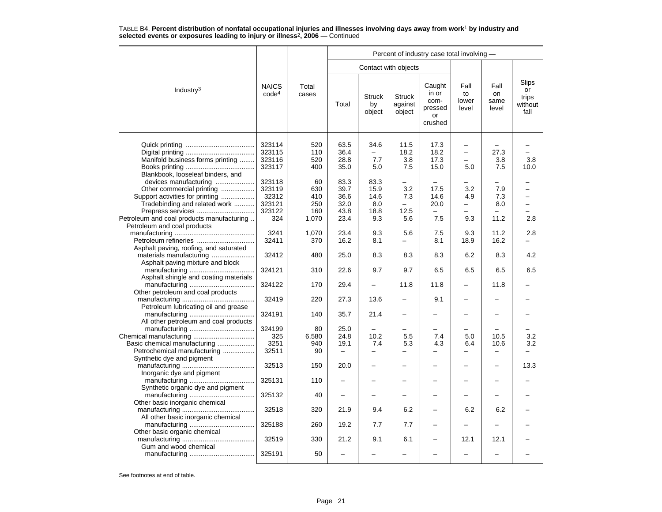|                                                                                                                                                                                                                               |                                                      |                                         | Percent of industry case total involving -       |                                            |                                       |                                                     |                                 |                             |                                         |  |  |  |
|-------------------------------------------------------------------------------------------------------------------------------------------------------------------------------------------------------------------------------|------------------------------------------------------|-----------------------------------------|--------------------------------------------------|--------------------------------------------|---------------------------------------|-----------------------------------------------------|---------------------------------|-----------------------------|-----------------------------------------|--|--|--|
|                                                                                                                                                                                                                               |                                                      |                                         |                                                  |                                            | Contact with objects                  |                                                     |                                 |                             |                                         |  |  |  |
| Industry <sup>3</sup>                                                                                                                                                                                                         | <b>NAICS</b><br>code <sup>4</sup>                    | Total<br>cases                          | Total                                            | <b>Struck</b><br>by<br>object              | <b>Struck</b><br>against<br>object    | Caught<br>in or<br>com-<br>pressed<br>or<br>crushed | Fall<br>to<br>lower<br>level    | Fall<br>on<br>same<br>level | Slips<br>or<br>trips<br>without<br>fall |  |  |  |
| Manifold business forms printing                                                                                                                                                                                              | 323114<br>323115<br>323116<br>323117                 | 520<br>110<br>520<br>400                | 63.5<br>36.4<br>28.8<br>35.0                     | 34.6<br>7.7<br>5.0                         | 11.5<br>18.2<br>3.8<br>7.5            | 17.3<br>18.2<br>17.3<br>15.0                        | $\overline{\phantom{0}}$<br>5.0 | 27.3<br>3.8<br>7.5          | 3.8<br>10.0                             |  |  |  |
| Blankbook, looseleaf binders, and<br>devices manufacturing<br>Other commercial printing<br>Support activities for printing<br>Tradebinding and related work<br>Prepress services<br>Petroleum and coal products manufacturing | 323118<br>323119<br>32312<br>323121<br>323122<br>324 | 60<br>630<br>410<br>250<br>160<br>1,070 | 83.3<br>39.7<br>36.6<br>32.0<br>43.8<br>23.4     | 83.3<br>15.9<br>14.6<br>8.0<br>18.8<br>9.3 | 3.2<br>7.3<br>$\equiv$<br>12.5<br>5.6 | 17.5<br>14.6<br>20.0<br>7.5                         | 3.2<br>4.9<br>—<br>9.3          | 7.9<br>7.3<br>8.0<br>11.2   | -<br>2.8                                |  |  |  |
| Petroleum and coal products<br>Petroleum refineries                                                                                                                                                                           | 3241<br>32411                                        | 1,070<br>370                            | 23.4<br>16.2                                     | 9.3<br>8.1                                 | 5.6                                   | 7.5<br>8.1                                          | 9.3<br>18.9                     | 11.2<br>16.2                | 2.8                                     |  |  |  |
| Asphalt paving, roofing, and saturated<br>Asphalt paving mixture and block                                                                                                                                                    | 32412                                                | 480                                     | 25.0                                             | 8.3                                        | 8.3                                   | 8.3                                                 | 6.2                             | 8.3                         | 4.2                                     |  |  |  |
| Asphalt shingle and coating materials                                                                                                                                                                                         | 324121<br>324122                                     | 310<br>170                              | 22.6<br>29.4                                     | 9.7<br>$\overline{\phantom{0}}$            | 9.7<br>11.8                           | 6.5<br>11.8                                         | 6.5<br>$\overline{\phantom{0}}$ | 6.5<br>11.8                 | 6.5                                     |  |  |  |
| Other petroleum and coal products<br>Petroleum lubricating oil and grease                                                                                                                                                     | 32419                                                | 220                                     | 27.3                                             | 13.6                                       |                                       | 9.1                                                 |                                 |                             |                                         |  |  |  |
| All other petroleum and coal products                                                                                                                                                                                         | 324191                                               | 140                                     | 35.7                                             | 21.4                                       | $\overline{\phantom{0}}$              |                                                     |                                 |                             |                                         |  |  |  |
| Basic chemical manufacturing<br>Petrochemical manufacturing                                                                                                                                                                   | 324199<br>325<br>3251<br>32511                       | 80<br>6,580<br>940<br>90                | 25.0<br>24.8<br>19.1<br>$\overline{\phantom{0}}$ | 10.2<br>7.4<br>$\overline{\phantom{0}}$    | 5.5<br>5.3<br>-                       | 7.4<br>4.3                                          | 5.0<br>6.4                      | 10.5<br>10.6                | 3.2<br>3.2                              |  |  |  |
| Synthetic dye and pigment<br>Inorganic dye and pigment                                                                                                                                                                        | 32513                                                | 150                                     | 20.0                                             |                                            |                                       |                                                     | $\overline{\phantom{0}}$        |                             | 13.3                                    |  |  |  |
| Synthetic organic dye and pigment                                                                                                                                                                                             | 325131                                               | 110                                     |                                                  |                                            |                                       |                                                     |                                 |                             |                                         |  |  |  |
| Other basic inorganic chemical                                                                                                                                                                                                | 325132<br>32518                                      | 40<br>320                               | $\overline{\phantom{0}}$<br>21.9                 | -<br>9.4                                   | 6.2                                   | $\overline{\phantom{0}}$                            | -<br>6.2                        | 6.2                         |                                         |  |  |  |
| All other basic inorganic chemical<br>Other basic organic chemical                                                                                                                                                            | 325188                                               | 260                                     | 19.2                                             | 7.7                                        | 7.7                                   |                                                     |                                 |                             |                                         |  |  |  |
| Gum and wood chemical                                                                                                                                                                                                         | 32519                                                | 330                                     | 21.2                                             | 9.1                                        | 6.1                                   |                                                     | 12.1                            | 12.1                        |                                         |  |  |  |
|                                                                                                                                                                                                                               | 325191                                               | 50                                      |                                                  |                                            |                                       |                                                     |                                 |                             |                                         |  |  |  |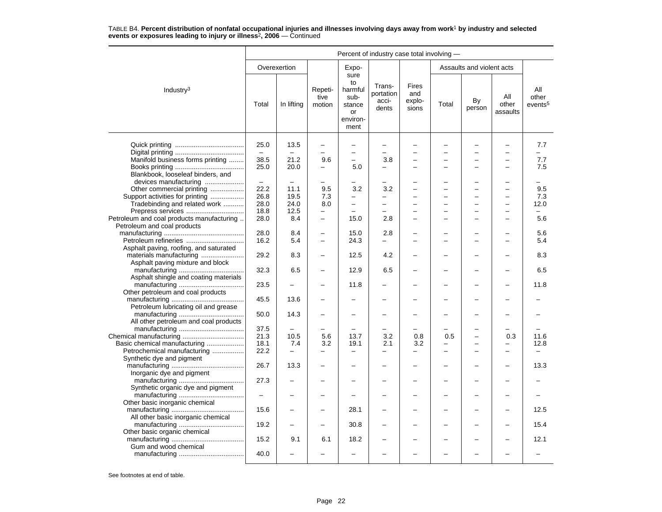|                                           | Percent of industry case total involving - |                          |                           |                                                                   |                                       |                                 |       |                           |                          |                                     |  |  |
|-------------------------------------------|--------------------------------------------|--------------------------|---------------------------|-------------------------------------------------------------------|---------------------------------------|---------------------------------|-------|---------------------------|--------------------------|-------------------------------------|--|--|
|                                           |                                            | Overexertion             |                           | Expo-                                                             |                                       |                                 |       | Assaults and violent acts |                          |                                     |  |  |
| Industry <sup>3</sup>                     | Total                                      | In lifting               | Repeti-<br>tive<br>motion | sure<br>to<br>harmful<br>sub-<br>stance<br>or<br>environ-<br>ment | Trans-<br>portation<br>acci-<br>dents | Fires<br>and<br>explo-<br>sions | Total | By<br>person              | All<br>other<br>assaults | All<br>other<br>events <sup>5</sup> |  |  |
|                                           | 25.0                                       | 13.5                     | $\overline{\phantom{0}}$  | $\overline{\phantom{0}}$                                          | $\overline{\phantom{0}}$              |                                 |       |                           | $\overline{\phantom{0}}$ | 7.7                                 |  |  |
|                                           |                                            |                          |                           | $\overline{a}$                                                    | $\overline{a}$                        |                                 |       |                           |                          |                                     |  |  |
| Manifold business forms printing          | 38.5                                       | 21.2                     | 9.6                       | $\overline{\phantom{0}}$                                          | 3.8                                   |                                 |       | -                         |                          | 7.7                                 |  |  |
|                                           | 25.0                                       | 20.0                     | -                         | 5.0                                                               | $\overline{\phantom{0}}$              | $\overline{\phantom{0}}$        |       | $\overline{\phantom{0}}$  |                          | 7.5                                 |  |  |
| Blankbook, looseleaf binders, and         |                                            |                          |                           |                                                                   |                                       |                                 |       |                           |                          |                                     |  |  |
| devices manufacturing                     |                                            |                          |                           |                                                                   |                                       |                                 |       | L,                        |                          |                                     |  |  |
| Other commercial printing                 | 22.2                                       | 11.1                     | 9.5                       | 3.2                                                               | 3.2                                   |                                 |       | $\overline{a}$            |                          | 9.5                                 |  |  |
| Support activities for printing           | 26.8                                       | 19.5                     | 7.3                       |                                                                   | $\overline{\phantom{0}}$              | $\overline{\phantom{0}}$        |       | L,                        | ۳                        | 7.3                                 |  |  |
| Tradebinding and related work             | 28.0                                       | 24.0                     | 8.0                       | $\overline{\phantom{0}}$                                          | $\overline{\phantom{0}}$              |                                 |       | -                         |                          | 12.0                                |  |  |
| Prepress services                         | 18.8                                       | 12.5                     | -                         |                                                                   |                                       |                                 |       | -                         |                          |                                     |  |  |
| Petroleum and coal products manufacturing | 28.0                                       | 8.4                      | $\overline{\phantom{0}}$  | 15.0                                                              | 2.8                                   | $\overline{\phantom{0}}$        |       | L,                        |                          | 5.6                                 |  |  |
| Petroleum and coal products               |                                            |                          |                           |                                                                   |                                       |                                 |       |                           |                          |                                     |  |  |
|                                           | 28.0                                       | 8.4                      |                           | 15.0                                                              | 2.8                                   |                                 |       |                           |                          | 5.6                                 |  |  |
| Petroleum refineries                      | 16.2                                       | 5.4                      |                           | 24.3                                                              |                                       |                                 |       |                           |                          | 5.4                                 |  |  |
| Asphalt paving, roofing, and saturated    |                                            |                          |                           |                                                                   |                                       |                                 |       |                           |                          |                                     |  |  |
|                                           | 29.2                                       | 8.3                      |                           | 12.5                                                              | 4.2                                   |                                 |       | -                         |                          | 8.3                                 |  |  |
| Asphalt paving mixture and block          |                                            |                          |                           |                                                                   |                                       |                                 |       |                           |                          |                                     |  |  |
|                                           | 32.3                                       | 6.5                      |                           | 12.9                                                              | 6.5                                   | $\overline{\phantom{0}}$        |       | -                         |                          | 6.5                                 |  |  |
| Asphalt shingle and coating materials     |                                            |                          |                           |                                                                   |                                       |                                 |       |                           |                          |                                     |  |  |
|                                           | 23.5                                       |                          |                           | 11.8                                                              |                                       |                                 |       |                           |                          | 11.8                                |  |  |
| Other petroleum and coal products         |                                            |                          |                           |                                                                   |                                       |                                 |       |                           |                          |                                     |  |  |
|                                           | 45.5                                       | 13.6                     |                           |                                                                   |                                       |                                 |       |                           |                          |                                     |  |  |
| Petroleum lubricating oil and grease      |                                            |                          |                           |                                                                   |                                       |                                 |       |                           |                          |                                     |  |  |
|                                           | 50.0                                       | 14.3                     |                           |                                                                   | $\overline{\phantom{0}}$              |                                 |       |                           |                          |                                     |  |  |
| All other petroleum and coal products     |                                            |                          |                           |                                                                   |                                       |                                 |       |                           |                          |                                     |  |  |
|                                           | 37.5                                       |                          |                           |                                                                   |                                       |                                 |       |                           |                          |                                     |  |  |
|                                           | 21.3                                       | 10.5                     | 5.6                       | 13.7                                                              | 3.2                                   | 0.8                             | 0.5   | ÷                         | 0.3                      | 11.6                                |  |  |
| Basic chemical manufacturing              | 18.1                                       | 7.4                      | 3.2                       | 19.1                                                              | 2.1                                   | 3.2                             |       | ÷                         |                          | 12.8                                |  |  |
| Petrochemical manufacturing               | 22.2                                       | $\overline{\phantom{0}}$ | $\overline{\phantom{0}}$  | $\overline{\phantom{0}}$                                          | $\overline{\phantom{0}}$              | ÷                               |       | <u>.</u>                  |                          | $\overline{\phantom{0}}$            |  |  |
| Synthetic dye and pigment                 |                                            |                          |                           |                                                                   |                                       |                                 |       |                           |                          |                                     |  |  |
|                                           | 26.7                                       | 13.3                     |                           |                                                                   |                                       |                                 |       |                           |                          | 13.3                                |  |  |
| Inorganic dye and pigment                 |                                            |                          |                           |                                                                   |                                       |                                 |       |                           |                          |                                     |  |  |
|                                           | 27.3                                       |                          |                           |                                                                   |                                       |                                 |       | -                         |                          |                                     |  |  |
| Synthetic organic dye and pigment         |                                            |                          |                           |                                                                   |                                       |                                 |       |                           |                          |                                     |  |  |
|                                           | $\qquad \qquad -$                          |                          | -                         | $\overline{\phantom{0}}$                                          | $\equiv$                              | $\overline{\phantom{0}}$        |       | L,                        | $\overline{\phantom{0}}$ |                                     |  |  |
| Other basic inorganic chemical            |                                            |                          |                           |                                                                   |                                       |                                 |       |                           |                          |                                     |  |  |
|                                           | 15.6                                       |                          |                           | 28.1                                                              |                                       |                                 |       |                           |                          | 12.5                                |  |  |
| All other basic inorganic chemical        |                                            |                          |                           |                                                                   |                                       |                                 |       |                           |                          |                                     |  |  |
|                                           | 19.2                                       |                          |                           | 30.8                                                              |                                       |                                 |       |                           |                          | 15.4                                |  |  |
| Other basic organic chemical              |                                            |                          |                           |                                                                   |                                       |                                 |       |                           |                          |                                     |  |  |
|                                           | 15.2                                       | 9.1                      | 6.1                       | 18.2                                                              |                                       |                                 |       |                           |                          | 12.1                                |  |  |
| Gum and wood chemical                     | 40.0                                       |                          |                           |                                                                   |                                       |                                 |       |                           |                          |                                     |  |  |
|                                           |                                            |                          |                           |                                                                   |                                       |                                 |       |                           |                          |                                     |  |  |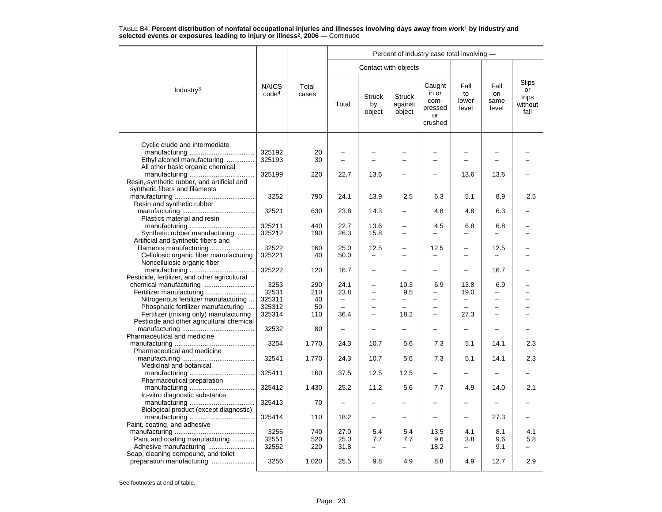|                                                                               |                                   |                |                          |                               |                                    | Percent of industry case total involving -          |                              |                             |                                         |
|-------------------------------------------------------------------------------|-----------------------------------|----------------|--------------------------|-------------------------------|------------------------------------|-----------------------------------------------------|------------------------------|-----------------------------|-----------------------------------------|
|                                                                               |                                   |                |                          | Contact with objects          |                                    |                                                     |                              |                             |                                         |
| Industry <sup>3</sup>                                                         | <b>NAICS</b><br>code <sup>4</sup> | Total<br>cases | Total                    | <b>Struck</b><br>by<br>object | <b>Struck</b><br>against<br>object | Caught<br>in or<br>com-<br>pressed<br>or<br>crushed | Fall<br>to<br>lower<br>level | Fall<br>on<br>same<br>level | Slips<br>or<br>trips<br>without<br>fall |
|                                                                               |                                   |                |                          |                               |                                    |                                                     |                              |                             |                                         |
| Cyclic crude and intermediate                                                 | 325192                            | 20             |                          |                               |                                    |                                                     |                              |                             |                                         |
| Ethyl alcohol manufacturing<br>All other basic organic chemical               | 325193                            | 30             |                          |                               |                                    |                                                     |                              |                             |                                         |
| Resin, synthetic rubber, and artificial and<br>synthetic fibers and filaments | 325199                            | 220            | 22.7                     | 13.6                          |                                    |                                                     | 13.6                         | 13.6                        |                                         |
| Resin and synthetic rubber                                                    | 3252                              | 790            | 24.1                     | 13.9                          | 2.5                                | 6.3                                                 | 5.1                          | 8.9                         | 2.5                                     |
| Plastics material and resin                                                   | 32521                             | 630            | 23.8                     | 14.3                          |                                    | 4.8                                                 | 4.8                          | 6.3                         |                                         |
|                                                                               | 325211                            | 440            | 22.7                     | 13.6                          |                                    | 4.5                                                 | 6.8                          | 6.8                         |                                         |
| Synthetic rubber manufacturing<br>Artificial and synthetic fibers and         | 325212                            | 190            | 26.3                     | 15.8                          |                                    |                                                     |                              |                             |                                         |
| filaments manufacturing                                                       | 32522                             | 160            | 25.0                     | 12.5                          |                                    | 12.5                                                |                              | 12.5                        |                                         |
| Cellulosic organic fiber manufacturing<br>Noncellulosic organic fiber         | 325221                            | 40             | 50.0                     |                               |                                    |                                                     |                              |                             |                                         |
|                                                                               | 325222                            | 120            | 16.7                     |                               |                                    |                                                     |                              | 16.7                        |                                         |
| Pesticide, fertilizer, and other agricultural                                 |                                   |                |                          |                               |                                    |                                                     |                              |                             |                                         |
|                                                                               | 3253                              | 290            | 24.1                     |                               | 10.3                               | 6.9                                                 | 13.8                         | 6.9                         |                                         |
|                                                                               | 32531<br>325311                   | 210<br>40      | 23.8                     | $\overline{\phantom{0}}$      | 9.5                                | $\overline{\phantom{0}}$                            | 19.0                         |                             |                                         |
| Nitrogenous fertilizer manufacturing                                          | 325312                            | 50             | $\qquad \qquad -$        | $\overline{\phantom{0}}$      | -                                  | $\overline{\phantom{0}}$                            | $\qquad \qquad -$            | -                           |                                         |
| Phosphatic fertilizer manufacturing<br>Fertilizer (mixing only) manufacturing | 325314                            | 110            | 36.4                     |                               | 18.2                               |                                                     | 27.3                         |                             |                                         |
| Pesticide and other agricultural chemical                                     |                                   |                |                          |                               |                                    |                                                     |                              |                             |                                         |
| Pharmaceutical and medicine                                                   | 32532                             | 80             | $\overline{\phantom{0}}$ |                               |                                    |                                                     | $\overline{\phantom{0}}$     |                             |                                         |
| Pharmaceutical and medicine                                                   | 3254                              | 1,770          | 24.3                     | 10.7                          | 5.6                                | 7.3                                                 | 5.1                          | 14.1                        | 2.3                                     |
| Medicinal and botanical                                                       | 32541                             | 1,770          | 24.3                     | 10.7                          | 5.6                                | 7.3                                                 | 5.1                          | 14.1                        | 2.3                                     |
| Pharmaceutical preparation                                                    | 325411                            | 160            | 37.5                     | 12.5                          | 12.5                               |                                                     |                              |                             |                                         |
| In-vitro diagnostic substance                                                 | 325412                            | 1,430          | 25.2                     | 11.2                          | 5.6                                | 7.7                                                 | 4.9                          | 14.0                        | 2.1                                     |
| Biological product (except diagnostic)                                        | 325413                            | 70             |                          |                               |                                    |                                                     |                              |                             |                                         |
| Paint, coating, and adhesive                                                  | 325414                            | 110            | 18.2                     | $\overline{\phantom{0}}$      |                                    |                                                     |                              | 27.3                        |                                         |
|                                                                               | 3255                              | 740            | 27.0                     | 5.4                           | 5.4                                | 13.5                                                | 4.1                          | 8.1                         | 4.1                                     |
| Paint and coating manufacturing                                               | 32551                             | 520            | 25.0                     | 7.7                           | 7.7                                | 9.6                                                 | 3.8                          | 9.6                         | 5.8                                     |
|                                                                               | 32552                             | 220            | 31.8                     | $\overline{\phantom{0}}$      | $\overline{\phantom{0}}$           | 18.2                                                |                              | 9.1                         |                                         |
| Soap, cleaning compound, and toilet                                           |                                   |                |                          |                               |                                    |                                                     |                              |                             |                                         |
| preparation manufacturing                                                     | 3256                              | 1,020          | 25.5                     | 9.8                           | 4.9                                | 8.8                                                 | 4.9                          | 12.7                        | 2.9                                     |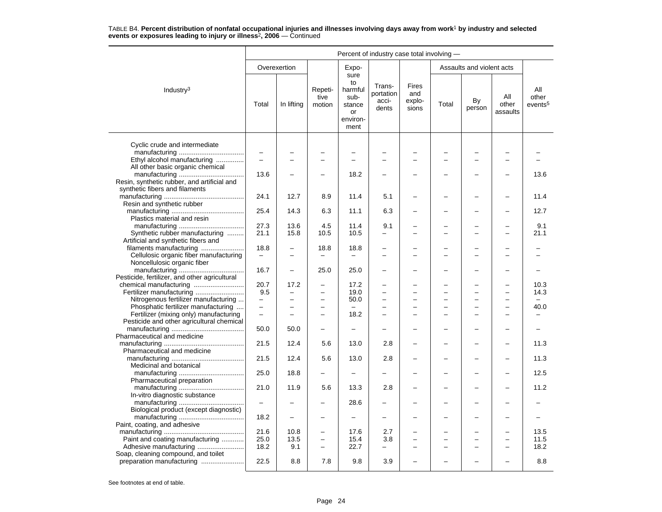|                                                                       | Percent of industry case total involving - |                          |                           |                                                                   |                                       |                                        |       |                           |                          |                                     |  |  |
|-----------------------------------------------------------------------|--------------------------------------------|--------------------------|---------------------------|-------------------------------------------------------------------|---------------------------------------|----------------------------------------|-------|---------------------------|--------------------------|-------------------------------------|--|--|
|                                                                       |                                            | Overexertion             |                           | Expo-                                                             |                                       |                                        |       | Assaults and violent acts |                          |                                     |  |  |
| Industry <sup>3</sup>                                                 | Total                                      | In lifting               | Repeti-<br>tive<br>motion | sure<br>to<br>harmful<br>sub-<br>stance<br>or<br>environ-<br>ment | Trans-<br>portation<br>acci-<br>dents | <b>Fires</b><br>and<br>explo-<br>sions | Total | By<br>person              | All<br>other<br>assaults | All<br>other<br>events <sup>5</sup> |  |  |
| Cyclic crude and intermediate                                         |                                            |                          |                           |                                                                   |                                       |                                        |       |                           |                          |                                     |  |  |
|                                                                       | $\overline{\phantom{m}}$                   |                          |                           |                                                                   |                                       |                                        |       |                           |                          |                                     |  |  |
| Ethyl alcohol manufacturing                                           |                                            |                          | −                         |                                                                   |                                       |                                        |       |                           |                          |                                     |  |  |
| All other basic organic chemical                                      |                                            |                          |                           |                                                                   |                                       |                                        |       |                           |                          |                                     |  |  |
|                                                                       | 13.6                                       |                          | -                         | 18.2                                                              |                                       |                                        |       |                           |                          | 13.6                                |  |  |
| Resin, synthetic rubber, and artificial and                           |                                            |                          |                           |                                                                   |                                       |                                        |       |                           |                          |                                     |  |  |
| synthetic fibers and filaments                                        | 24.1                                       | 12.7                     | 8.9                       | 11.4                                                              | 5.1                                   |                                        |       |                           |                          | 11.4                                |  |  |
| Resin and synthetic rubber                                            |                                            |                          |                           |                                                                   |                                       |                                        |       |                           |                          |                                     |  |  |
|                                                                       | 25.4                                       | 14.3                     | 6.3                       | 11.1                                                              | 6.3                                   |                                        |       |                           |                          | 12.7                                |  |  |
| Plastics material and resin                                           |                                            |                          |                           |                                                                   |                                       |                                        |       |                           |                          |                                     |  |  |
|                                                                       | 27.3                                       | 13.6                     | 4.5                       | 11.4                                                              | 9.1                                   |                                        |       |                           |                          | 9.1                                 |  |  |
| Synthetic rubber manufacturing                                        | 21.1                                       | 15.8                     | 10.5                      | 10.5                                                              |                                       |                                        |       |                           |                          | 21.1                                |  |  |
| Artificial and synthetic fibers and                                   |                                            |                          |                           |                                                                   |                                       |                                        |       |                           |                          |                                     |  |  |
| filaments manufacturing                                               | 18.8                                       | $\overline{\phantom{0}}$ | 18.8                      | 18.8                                                              |                                       |                                        |       |                           |                          |                                     |  |  |
| Cellulosic organic fiber manufacturing<br>Noncellulosic organic fiber |                                            |                          |                           |                                                                   |                                       |                                        |       |                           |                          |                                     |  |  |
|                                                                       | 16.7                                       | $\overline{\phantom{0}}$ | 25.0                      | 25.0                                                              |                                       |                                        |       |                           |                          |                                     |  |  |
| Pesticide, fertilizer, and other agricultural                         |                                            |                          |                           |                                                                   |                                       |                                        |       |                           |                          |                                     |  |  |
|                                                                       | 20.7                                       | 17.2                     | ÷                         | 17.2                                                              |                                       |                                        |       |                           |                          | 10.3                                |  |  |
| Fertilizer manufacturing                                              | 9.5                                        |                          | -                         | 19.0                                                              |                                       |                                        |       |                           |                          | 14.3                                |  |  |
| Nitrogenous fertilizer manufacturing                                  | $\overline{a}$                             | L.                       | $\overline{\phantom{0}}$  | 50.0                                                              |                                       |                                        |       |                           | $\equiv$                 |                                     |  |  |
| Phosphatic fertilizer manufacturing                                   | $\frac{1}{2}$                              | $\overline{\phantom{0}}$ | $\overline{\phantom{0}}$  |                                                                   |                                       |                                        |       | $\overline{\phantom{0}}$  |                          | 40.0                                |  |  |
| Fertilizer (mixing only) manufacturing                                | $\overline{\phantom{0}}$                   | ÷                        | $\overline{\phantom{0}}$  | 18.2                                                              |                                       |                                        |       |                           |                          |                                     |  |  |
| Pesticide and other agricultural chemical                             |                                            |                          |                           |                                                                   |                                       |                                        |       |                           |                          |                                     |  |  |
| Pharmaceutical and medicine                                           | 50.0                                       | 50.0                     |                           |                                                                   |                                       |                                        |       |                           |                          |                                     |  |  |
|                                                                       | 21.5                                       | 12.4                     | 5.6                       | 13.0                                                              | 2.8                                   |                                        |       |                           | $\overline{\phantom{0}}$ | 11.3                                |  |  |
| Pharmaceutical and medicine                                           |                                            |                          |                           |                                                                   |                                       |                                        |       |                           |                          |                                     |  |  |
|                                                                       | 21.5                                       | 12.4                     | 5.6                       | 13.0                                                              | 2.8                                   |                                        |       |                           |                          | 11.3                                |  |  |
| Medicinal and botanical                                               |                                            |                          |                           |                                                                   |                                       |                                        |       |                           |                          |                                     |  |  |
|                                                                       | 25.0                                       | 18.8                     | -                         | $\overline{\phantom{0}}$                                          |                                       |                                        |       |                           |                          | 12.5                                |  |  |
| Pharmaceutical preparation                                            |                                            |                          |                           |                                                                   |                                       |                                        |       |                           |                          |                                     |  |  |
| In-vitro diagnostic substance                                         | 21.0                                       | 11.9                     | 5.6                       | 13.3                                                              | 2.8                                   |                                        |       |                           |                          | 11.2                                |  |  |
|                                                                       | $\overline{\phantom{0}}$                   |                          |                           | 28.6                                                              |                                       |                                        |       |                           |                          |                                     |  |  |
| Biological product (except diagnostic)                                |                                            |                          |                           |                                                                   |                                       |                                        |       |                           |                          |                                     |  |  |
|                                                                       | 18.2                                       | $\overline{\phantom{0}}$ | -                         | $\overline{\phantom{0}}$                                          |                                       |                                        |       |                           |                          |                                     |  |  |
| Paint, coating, and adhesive                                          |                                            |                          |                           |                                                                   |                                       |                                        |       |                           |                          |                                     |  |  |
|                                                                       | 21.6                                       | 10.8                     | $\overline{\phantom{0}}$  | 17.6                                                              | 2.7                                   |                                        |       |                           |                          | 13.5                                |  |  |
| Paint and coating manufacturing                                       | 25.0                                       | 13.5                     | $\overline{\phantom{0}}$  | 15.4                                                              | 3.8                                   | ÷                                      |       | $\sim$                    | $\overline{\phantom{0}}$ | 11.5                                |  |  |
| Adhesive manufacturing                                                | 18.2                                       | 9.1                      | L,                        | 22.7                                                              |                                       |                                        |       |                           |                          | 18.2                                |  |  |
| Soap, cleaning compound, and toilet                                   | 22.5                                       | 8.8                      | 7.8                       | 9.8                                                               | 3.9                                   |                                        |       |                           |                          | 8.8                                 |  |  |
| preparation manufacturing                                             |                                            |                          |                           |                                                                   |                                       |                                        |       |                           |                          |                                     |  |  |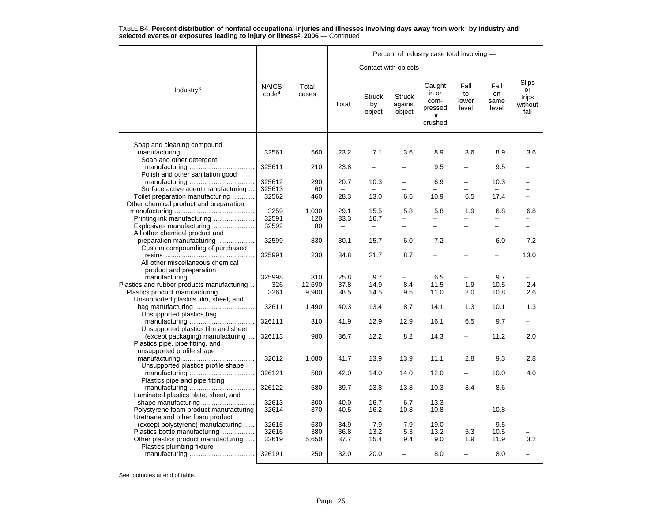|                                                                       |                                   |                |                          |                               |                                    | Percent of industry case total involving -          |                              |                             |                                                |
|-----------------------------------------------------------------------|-----------------------------------|----------------|--------------------------|-------------------------------|------------------------------------|-----------------------------------------------------|------------------------------|-----------------------------|------------------------------------------------|
|                                                                       |                                   |                |                          |                               | Contact with objects               |                                                     |                              |                             |                                                |
| Industry <sup>3</sup>                                                 | <b>NAICS</b><br>code <sup>4</sup> | Total<br>cases | Total                    | <b>Struck</b><br>by<br>object | <b>Struck</b><br>against<br>object | Caught<br>in or<br>com-<br>pressed<br>or<br>crushed | Fall<br>to<br>lower<br>level | Fall<br>on<br>same<br>level | <b>Slips</b><br>or<br>trips<br>without<br>fall |
| Soap and cleaning compound                                            |                                   |                |                          |                               |                                    |                                                     |                              |                             |                                                |
| Soap and other detergent                                              | 32561                             | 560            | 23.2                     | 7.1                           | 3.6                                | 8.9                                                 | 3.6                          | 8.9                         | 3.6                                            |
| Polish and other sanitation good                                      | 325611                            | 210            | 23.8                     | $\equiv$                      |                                    | 9.5                                                 |                              | 9.5                         |                                                |
|                                                                       | 325612                            | 290            | 20.7                     | 10.3                          |                                    | 6.9                                                 | —                            | 10.3                        |                                                |
| Surface active agent manufacturing                                    | 325613                            | 60             |                          |                               |                                    |                                                     |                              |                             |                                                |
| Toilet preparation manufacturing                                      | 32562                             | 460            | 28.3                     | 13.0                          | 6.5                                | 10.9                                                | 6.5                          | 17.4                        |                                                |
| Other chemical product and preparation                                |                                   |                |                          |                               |                                    |                                                     |                              |                             |                                                |
|                                                                       | 3259                              | 1,030          | 29.1                     | 15.5                          | 5.8                                | 5.8                                                 | 1.9                          | 6.8                         | 6.8                                            |
|                                                                       | 32591                             | 120            | 33.3                     | 16.7                          | $\overline{\phantom{0}}$           |                                                     |                              |                             |                                                |
| Explosives manufacturing                                              | 32592                             | 80             | $\overline{\phantom{0}}$ | $\overline{\phantom{0}}$      | $\overline{\phantom{0}}$           |                                                     | $\overline{\phantom{0}}$     |                             |                                                |
| All other chemical product and                                        |                                   |                |                          |                               |                                    |                                                     |                              |                             |                                                |
| preparation manufacturing                                             | 32599                             | 830            | 30.1                     | 15.7                          | 6.0                                | 7.2                                                 | $\overline{\phantom{0}}$     | 6.0                         | 7.2                                            |
| Custom compounding of purchased                                       |                                   | 230            | 34.8                     |                               | 8.7                                |                                                     |                              |                             |                                                |
| All other miscellaneous chemical                                      | 325991                            |                |                          | 21.7                          |                                    |                                                     |                              |                             | 13.0                                           |
| product and preparation                                               |                                   |                |                          |                               |                                    |                                                     |                              |                             |                                                |
|                                                                       | 325998                            | 310            | 25.8                     | 9.7                           |                                    | 6.5                                                 |                              | 9.7                         |                                                |
| Plastics and rubber products manufacturing                            | 326                               | 12,690         | 37.8                     | 14.9                          | 8.4                                | 11.5                                                | 1.9                          | 10.5                        | 2.4                                            |
| Plastics product manufacturing                                        | 3261                              | 9,900          | 38.5                     | 14.5                          | 9.5                                | 11.0                                                | 2.0                          | 10.8                        | 2.6                                            |
| Unsupported plastics film, sheet, and                                 |                                   |                |                          |                               |                                    |                                                     |                              |                             |                                                |
|                                                                       | 32611                             | 1,490          | 40.3                     | 13.4                          | 8.7                                | 14.1                                                | 1.3                          | 10.1                        | 1.3                                            |
| Unsupported plastics bag                                              |                                   |                |                          |                               |                                    |                                                     |                              |                             |                                                |
|                                                                       | 326111                            | 310            | 41.9                     | 12.9                          | 12.9                               | 16.1                                                | 6.5                          | 9.7                         |                                                |
| Unsupported plastics film and sheet                                   |                                   |                |                          |                               |                                    |                                                     |                              |                             |                                                |
| (except packaging) manufacturing                                      | 326113                            | 980            | 36.7                     | 12.2                          | 8.2                                | 14.3                                                |                              | 11.2                        | 2.0                                            |
| Plastics pipe, pipe fitting, and<br>unsupported profile shape         |                                   |                |                          |                               |                                    |                                                     |                              |                             |                                                |
|                                                                       | 32612                             | 1,080          | 41.7                     | 13.9                          | 13.9                               | 11.1                                                | 2.8                          | 9.3                         | 2.8                                            |
| Unsupported plastics profile shape                                    |                                   |                |                          |                               |                                    |                                                     |                              |                             |                                                |
|                                                                       | 326121                            | 500            | 42.0                     | 14.0                          | 14.0                               | 12.0                                                | -                            | 10.0                        | 4.0                                            |
| Plastics pipe and pipe fitting                                        |                                   |                |                          |                               |                                    |                                                     |                              |                             |                                                |
|                                                                       | 326122                            | 580            | 39.7                     | 13.8                          | 13.8                               | 10.3                                                | 3.4                          | 8.6                         |                                                |
| Laminated plastics plate, sheet, and                                  |                                   |                |                          |                               |                                    |                                                     |                              |                             |                                                |
| shape manufacturing                                                   | 32613                             | 300            | 40.0                     | 16.7                          | 6.7                                | 13.3                                                |                              |                             |                                                |
| Polystyrene foam product manufacturing                                | 32614                             | 370            | 40.5                     | 16.2                          | 10.8                               | 10.8                                                | $\overline{\phantom{0}}$     | 10.8                        |                                                |
| Urethane and other foam product                                       |                                   |                |                          |                               |                                    |                                                     |                              |                             |                                                |
| (except polystyrene) manufacturing                                    | 32615                             | 630            | 34.9                     | 7.9                           | 7.9                                | 19.0                                                |                              | 9.5                         |                                                |
| Plastics bottle manufacturing<br>Other plastics product manufacturing | 32616<br>32619                    | 380<br>5,650   | 36.8<br>37.7             | 13.2<br>15.4                  | 5.3<br>9.4                         | 13.2<br>9.0                                         | 5.3<br>1.9                   | 10.5<br>11.9                | 3.2                                            |
| Plastics plumbing fixture                                             |                                   |                |                          |                               |                                    |                                                     |                              |                             |                                                |
|                                                                       | 326191                            | 250            | 32.0                     | 20.0                          |                                    | 8.0                                                 |                              | 8.0                         |                                                |
|                                                                       |                                   |                |                          |                               |                                    |                                                     |                              |                             |                                                |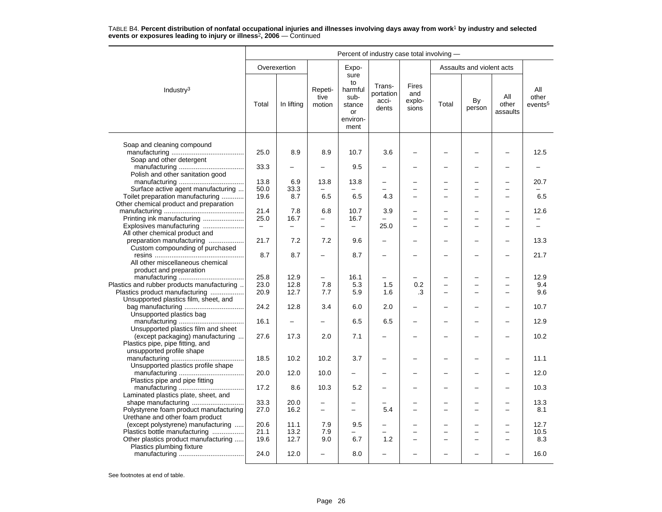|                                                             | Percent of industry case total involving - |                          |                           |                                                                   |                                       |                                        |       |                           |                          |                                     |  |  |
|-------------------------------------------------------------|--------------------------------------------|--------------------------|---------------------------|-------------------------------------------------------------------|---------------------------------------|----------------------------------------|-------|---------------------------|--------------------------|-------------------------------------|--|--|
|                                                             |                                            | Overexertion             |                           | Expo-                                                             |                                       |                                        |       | Assaults and violent acts |                          |                                     |  |  |
| Industry $3$                                                | Total                                      | In lifting               | Repeti-<br>tive<br>motion | sure<br>to<br>harmful<br>sub-<br>stance<br>or<br>environ-<br>ment | Trans-<br>portation<br>acci-<br>dents | <b>Fires</b><br>and<br>explo-<br>sions | Total | By<br>person              | All<br>other<br>assaults | All<br>other<br>events <sup>5</sup> |  |  |
| Soap and cleaning compound                                  |                                            |                          |                           |                                                                   |                                       |                                        |       |                           |                          |                                     |  |  |
|                                                             | 25.0                                       | 8.9                      | 8.9                       | 10.7                                                              | 3.6                                   |                                        |       |                           |                          | 12.5                                |  |  |
| Soap and other detergent                                    |                                            |                          |                           |                                                                   |                                       |                                        |       |                           |                          |                                     |  |  |
|                                                             | 33.3                                       |                          |                           | 9.5                                                               |                                       |                                        |       |                           |                          |                                     |  |  |
| Polish and other sanitation good                            |                                            |                          |                           |                                                                   |                                       |                                        |       |                           |                          |                                     |  |  |
|                                                             | 13.8                                       | 6.9                      | 13.8                      | 13.8                                                              | $\overline{\phantom{0}}$              | -                                      |       | ÷                         |                          | 20.7                                |  |  |
| Surface active agent manufacturing                          | 50.0                                       | 33.3                     |                           |                                                                   |                                       |                                        |       | $\overline{\phantom{0}}$  |                          |                                     |  |  |
| Toilet preparation manufacturing                            | 19.6                                       | 8.7                      | 6.5                       | 6.5                                                               | 4.3                                   |                                        |       | L.                        |                          | 6.5                                 |  |  |
| Other chemical product and preparation                      |                                            |                          |                           |                                                                   |                                       |                                        |       |                           |                          |                                     |  |  |
|                                                             | 21.4                                       | 7.8                      | 6.8                       | 10.7                                                              | 3.9                                   |                                        |       |                           |                          | 12.6                                |  |  |
| Printing ink manufacturing                                  | 25.0                                       | 16.7                     | $\overline{a}$            | 16.7                                                              |                                       |                                        |       | L.                        |                          |                                     |  |  |
| Explosives manufacturing                                    | $\overline{\phantom{m}}$                   | $\overline{\phantom{0}}$ | -                         | -                                                                 | 25.0                                  | $\overline{\phantom{0}}$               |       |                           |                          |                                     |  |  |
| All other chemical product and                              |                                            |                          |                           |                                                                   |                                       |                                        |       |                           |                          |                                     |  |  |
| preparation manufacturing                                   | 21.7                                       | 7.2                      | 7.2                       | 9.6                                                               | $\overline{\phantom{0}}$              |                                        |       | L,                        |                          | 13.3                                |  |  |
| Custom compounding of purchased                             |                                            |                          |                           |                                                                   |                                       |                                        |       |                           |                          |                                     |  |  |
|                                                             | 8.7                                        | 8.7                      | $\overline{\phantom{0}}$  | 8.7                                                               | $\overline{\phantom{0}}$              |                                        |       | L,                        |                          | 21.7                                |  |  |
| All other miscellaneous chemical<br>product and preparation |                                            |                          |                           |                                                                   |                                       |                                        |       |                           |                          |                                     |  |  |
|                                                             | 25.8                                       | 12.9                     | $\equiv$                  | 16.1                                                              | $\overline{\phantom{0}}$              |                                        |       | ÷                         |                          | 12.9                                |  |  |
| Plastics and rubber products manufacturing                  | 23.0                                       | 12.8                     | 7.8                       | 5.3                                                               | 1.5                                   | 0.2                                    |       | ÷                         |                          | 9.4                                 |  |  |
| Plastics product manufacturing                              | 20.9                                       | 12.7                     | 7.7                       | 5.9                                                               | 1.6                                   | .3                                     |       | L,                        |                          | 9.6                                 |  |  |
| Unsupported plastics film, sheet, and                       |                                            |                          |                           |                                                                   |                                       |                                        |       |                           |                          |                                     |  |  |
|                                                             | 24.2                                       | 12.8                     | 3.4                       | 6.0                                                               | 2.0                                   | $\overline{\phantom{0}}$               |       | -                         |                          | 10.7                                |  |  |
| Unsupported plastics bag                                    |                                            |                          |                           |                                                                   |                                       |                                        |       |                           |                          |                                     |  |  |
|                                                             | 16.1                                       |                          |                           | 6.5                                                               | 6.5                                   | $\overline{\phantom{0}}$               |       | L,                        |                          | 12.9                                |  |  |
| Unsupported plastics film and sheet                         |                                            |                          |                           |                                                                   |                                       |                                        |       |                           |                          |                                     |  |  |
| (except packaging) manufacturing                            | 27.6                                       | 17.3                     | 2.0                       | 7.1                                                               |                                       |                                        |       |                           |                          | 10.2                                |  |  |
| Plastics pipe, pipe fitting, and                            |                                            |                          |                           |                                                                   |                                       |                                        |       |                           |                          |                                     |  |  |
| unsupported profile shape                                   |                                            |                          |                           |                                                                   |                                       |                                        |       |                           |                          |                                     |  |  |
|                                                             | 18.5                                       | 10.2                     | 10.2                      | 3.7                                                               |                                       |                                        |       |                           |                          | 11.1                                |  |  |
| Unsupported plastics profile shape                          |                                            |                          |                           |                                                                   |                                       |                                        |       |                           |                          |                                     |  |  |
|                                                             | 20.0                                       | 12.0                     | 10.0                      | -                                                                 |                                       |                                        |       | -                         |                          | 12.0                                |  |  |
| Plastics pipe and pipe fitting                              |                                            |                          |                           |                                                                   |                                       |                                        |       |                           |                          |                                     |  |  |
|                                                             | 17.2                                       | 8.6                      | 10.3                      | 5.2                                                               |                                       |                                        |       | L,                        |                          | 10.3                                |  |  |
| Laminated plastics plate, sheet, and<br>shape manufacturing | 33.3                                       | 20.0                     | $\overline{\phantom{0}}$  |                                                                   |                                       |                                        |       |                           |                          | 13.3                                |  |  |
| Polystyrene foam product manufacturing                      | 27.0                                       | 16.2                     | $\overline{\phantom{0}}$  | $\overline{\phantom{0}}$                                          | 5.4                                   |                                        |       |                           |                          | 8.1                                 |  |  |
| Urethane and other foam product                             |                                            |                          |                           |                                                                   |                                       |                                        |       |                           |                          |                                     |  |  |
| (except polystyrene) manufacturing                          | 20.6                                       | 11.1                     | 7.9                       | 9.5                                                               |                                       |                                        |       |                           |                          | 12.7                                |  |  |
| Plastics bottle manufacturing                               | 21.1                                       | 13.2                     | 7.9                       |                                                                   |                                       | -                                      |       | $\overline{\phantom{0}}$  | $\sim$                   | 10.5                                |  |  |
| Other plastics product manufacturing                        | 19.6                                       | 12.7                     | 9.0                       | 6.7                                                               | 1.2                                   |                                        |       |                           |                          | 8.3                                 |  |  |
| Plastics plumbing fixture                                   |                                            |                          |                           |                                                                   |                                       |                                        |       |                           |                          |                                     |  |  |
|                                                             | 24.0                                       | 12.0                     | $\equiv$                  | 8.0                                                               | $\equiv$                              | $\equiv$                               |       | $\equiv$                  | $\sim$                   | 16.0                                |  |  |
|                                                             |                                            |                          |                           |                                                                   |                                       |                                        |       |                           |                          |                                     |  |  |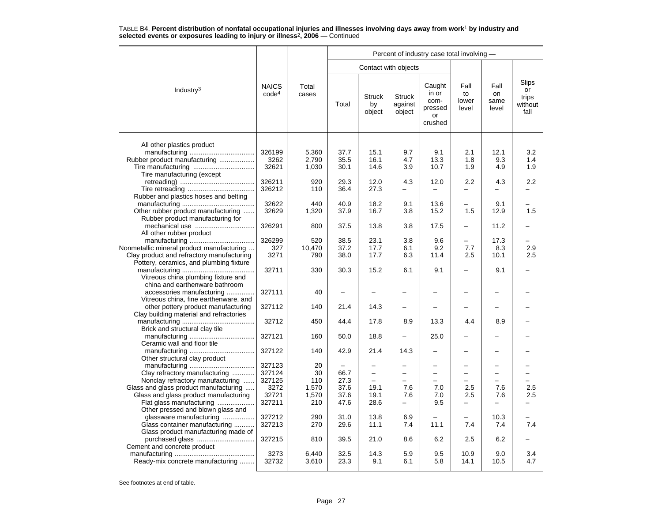|                                           |                                   |                |                          |                               |                                    | Percent of industry case total involving -          |                              |                             |                                         |
|-------------------------------------------|-----------------------------------|----------------|--------------------------|-------------------------------|------------------------------------|-----------------------------------------------------|------------------------------|-----------------------------|-----------------------------------------|
|                                           |                                   |                |                          | Contact with objects          |                                    |                                                     |                              |                             |                                         |
| Industry $3$                              | <b>NAICS</b><br>code <sup>4</sup> | Total<br>cases | Total                    | <b>Struck</b><br>by<br>object | <b>Struck</b><br>against<br>object | Caught<br>in or<br>com-<br>pressed<br>or<br>crushed | Fall<br>to<br>lower<br>level | Fall<br>on<br>same<br>level | Slips<br>or<br>trips<br>without<br>fall |
| All other plastics product                |                                   |                |                          |                               |                                    |                                                     |                              |                             |                                         |
|                                           | 326199                            | 5,360          | 37.7                     | 15.1                          | 9.7                                | 9.1                                                 | 2.1                          | 12.1                        | 3.2                                     |
| Rubber product manufacturing              | 3262                              | 2,790          | 35.5                     | 16.1                          | 4.7                                | 13.3                                                | 1.8                          | 9.3                         | 1.4                                     |
|                                           | 32621                             | 1,030          | 30.1                     | 14.6                          | 3.9                                | 10.7                                                | 1.9                          | 4.9                         | 1.9                                     |
| Tire manufacturing (except                |                                   |                |                          |                               |                                    |                                                     |                              |                             |                                         |
|                                           | 326211                            | 920            | 29.3                     | 12.0                          | 4.3                                | 12.0                                                | 2.2                          | 4.3                         | 2.2                                     |
|                                           | 326212                            | 110            | 36.4                     | 27.3                          | -                                  |                                                     |                              |                             |                                         |
| Rubber and plastics hoses and belting     |                                   |                |                          |                               |                                    |                                                     |                              |                             |                                         |
|                                           | 32622                             | 440            | 40.9                     | 18.2                          | 9.1                                | 13.6                                                |                              | 9.1                         |                                         |
| Other rubber product manufacturing        | 32629                             | 1,320          | 37.9                     | 16.7                          | 3.8                                | 15.2                                                | 1.5                          | 12.9                        | 1.5                                     |
| Rubber product manufacturing for          |                                   |                |                          |                               |                                    |                                                     |                              |                             |                                         |
|                                           |                                   | 800            |                          | 13.8                          |                                    | 17.5                                                | -                            | 11.2                        |                                         |
| mechanical use                            | 326291                            |                | 37.5                     |                               | 3.8                                |                                                     |                              |                             |                                         |
| All other rubber product                  |                                   |                |                          |                               |                                    |                                                     |                              |                             |                                         |
|                                           | 326299                            | 520            | 38.5                     | 23.1                          | 3.8                                | 9.6                                                 | $\overline{a}$               | 17.3                        |                                         |
| Nonmetallic mineral product manufacturing | 327                               | 10.470         | 37.2                     | 17.7                          | 6.1                                | 9.2                                                 | 7.7                          | 8.3                         | 2.9                                     |
| Clay product and refractory manufacturing | 3271                              | 790            | 38.0                     | 17.7                          | 6.3                                | 11.4                                                | 2.5                          | 10.1                        | 2.5                                     |
| Pottery, ceramics, and plumbing fixture   |                                   |                |                          |                               |                                    |                                                     |                              |                             |                                         |
|                                           | 32711                             | 330            | 30.3                     | 15.2                          | 6.1                                | 9.1                                                 | -                            | 9.1                         |                                         |
| Vitreous china plumbing fixture and       |                                   |                |                          |                               |                                    |                                                     |                              |                             |                                         |
| china and earthenware bathroom            |                                   |                |                          |                               |                                    |                                                     |                              |                             |                                         |
| accessories manufacturing                 | 327111                            | 40             | $\overline{\phantom{0}}$ |                               |                                    |                                                     |                              |                             |                                         |
| Vitreous china, fine earthenware, and     |                                   |                |                          |                               |                                    |                                                     |                              |                             |                                         |
| other pottery product manufacturing       | 327112                            | 140            | 21.4                     | 14.3                          |                                    |                                                     |                              |                             |                                         |
| Clay building material and refractories   |                                   |                |                          |                               |                                    |                                                     |                              |                             |                                         |
|                                           | 32712                             | 450            | 44.4                     | 17.8                          | 8.9                                | 13.3                                                | 4.4                          | 8.9                         |                                         |
| Brick and structural clay tile            |                                   |                |                          |                               |                                    |                                                     |                              |                             |                                         |
|                                           | 327121                            | 160            | 50.0                     | 18.8                          |                                    | 25.0                                                |                              |                             |                                         |
| Ceramic wall and floor tile               |                                   |                |                          |                               |                                    |                                                     |                              |                             |                                         |
|                                           | 327122                            | 140            | 42.9                     | 21.4                          | 14.3                               |                                                     |                              |                             |                                         |
|                                           |                                   |                |                          |                               |                                    |                                                     |                              |                             |                                         |
| Other structural clay product             |                                   |                |                          |                               |                                    |                                                     |                              |                             |                                         |
|                                           | 327123                            | 20             | $\overline{\phantom{0}}$ | $\overline{\phantom{0}}$      |                                    | $\overline{\phantom{0}}$                            |                              |                             |                                         |
| Clay refractory manufacturing             | 327124                            | 30             | 66.7                     | $\overline{\phantom{0}}$      | $\equiv$                           | $\overline{\phantom{0}}$                            | $\equiv$                     | -                           |                                         |
| Nonclay refractory manufacturing          | 327125                            | 110            | 27.3                     | $\overline{\phantom{0}}$      | $\equiv$                           | $\equiv$                                            | $\equiv$                     | $\equiv$                    | -                                       |
| Glass and glass product manufacturing     | 3272                              | 1,570          | 37.6                     | 19.1                          | 7.6                                | 7.0                                                 | 2.5                          | 7.6                         | 2.5                                     |
| Glass and glass product manufacturing     | 32721                             | 1,570          | 37.6                     | 19.1                          | 7.6                                | 7.0                                                 | 2.5                          | 7.6                         | 2.5                                     |
| Flat glass manufacturing                  | 327211                            | 210            | 47.6                     | 28.6                          | $\overline{\phantom{0}}$           | 9.5                                                 | $\overline{\phantom{0}}$     | $\overline{\phantom{0}}$    | $\overline{\phantom{0}}$                |
| Other pressed and blown glass and         |                                   |                |                          |                               |                                    |                                                     |                              |                             |                                         |
| glassware manufacturing                   | 327212                            | 290            | 31.0                     | 13.8                          | 6.9                                |                                                     | $\overline{\phantom{0}}$     | 10.3                        |                                         |
| Glass container manufacturing             | 327213                            | 270            | 29.6                     | 11.1                          | 7.4                                | 11.1                                                | 7.4                          | 7.4                         | 7.4                                     |
| Glass product manufacturing made of       |                                   |                |                          |                               |                                    |                                                     |                              |                             |                                         |
| purchased glass                           | 327215                            | 810            | 39.5                     | 21.0                          | 8.6                                | 6.2                                                 | 2.5                          | 6.2                         |                                         |
| Cement and concrete product               |                                   |                |                          |                               |                                    |                                                     |                              |                             |                                         |
|                                           | 3273                              | 6,440          | 32.5                     | 14.3                          | 5.9                                | 9.5                                                 | 10.9                         | 9.0                         | 3.4                                     |
| Ready-mix concrete manufacturing          | 32732                             | 3,610          | 23.3                     | 9.1                           | 6.1                                | 5.8                                                 | 14.1                         | 10.5                        | 4.7                                     |
|                                           |                                   |                |                          |                               |                                    |                                                     |                              |                             |                                         |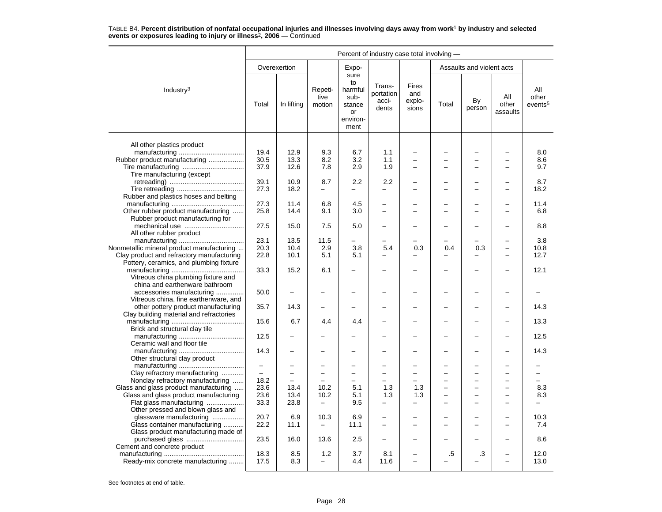|                                                                                      | Percent of industry case total involving - |                          |                                 |                                                                   |                                       |                                        |       |                           |                          |                                     |  |  |
|--------------------------------------------------------------------------------------|--------------------------------------------|--------------------------|---------------------------------|-------------------------------------------------------------------|---------------------------------------|----------------------------------------|-------|---------------------------|--------------------------|-------------------------------------|--|--|
|                                                                                      |                                            | Overexertion             |                                 | Expo-                                                             |                                       |                                        |       | Assaults and violent acts |                          |                                     |  |  |
| Industry <sup>3</sup>                                                                | Total                                      | In lifting               | Repeti-<br>tive<br>motion       | sure<br>to<br>harmful<br>sub-<br>stance<br>or<br>environ-<br>ment | Trans-<br>portation<br>acci-<br>dents | <b>Fires</b><br>and<br>explo-<br>sions | Total | By<br>person              | All<br>other<br>assaults | All<br>other<br>events <sup>5</sup> |  |  |
|                                                                                      |                                            |                          |                                 |                                                                   |                                       |                                        |       |                           |                          |                                     |  |  |
| All other plastics product<br>Rubber product manufacturing                           | 19.4<br>30.5                               | 12.9<br>13.3             | 9.3<br>8.2                      | 6.7<br>3.2                                                        | 1.1<br>1.1                            | $\overline{\phantom{0}}$               |       |                           |                          | 8.0<br>8.6                          |  |  |
| Tire manufacturing (except                                                           | 37.9                                       | 12.6                     | 7.8                             | 2.9                                                               | 1.9                                   | $\overline{\phantom{0}}$               |       | ۰                         |                          | 9.7                                 |  |  |
| Rubber and plastics hoses and belting                                                | 39.1<br>27.3                               | 10.9<br>18.2             | 8.7<br>-                        | 2.2<br>-                                                          | 2.2<br>$\overline{\phantom{0}}$       | $\overline{\phantom{0}}$<br>$\equiv$   |       | L.                        |                          | 8.7<br>18.2                         |  |  |
| Other rubber product manufacturing                                                   | 27.3<br>25.8                               | 11.4<br>14.4             | 6.8<br>9.1                      | 4.5<br>3.0                                                        | $\overline{\phantom{0}}$              |                                        |       |                           |                          | 11.4<br>6.8                         |  |  |
| Rubber product manufacturing for                                                     | 27.5                                       | 15.0                     | 7.5                             | 5.0                                                               | -                                     |                                        |       | ÷,                        |                          | 8.8                                 |  |  |
| All other rubber product<br>Nonmetallic mineral product manufacturing                | 23.1<br>20.3                               | 13.5<br>10.4             | 11.5<br>2.9                     | 3.8                                                               | 5.4                                   | 0.3                                    | 0.4   | 0.3                       | $\overline{\phantom{0}}$ | 3.8<br>10.8                         |  |  |
| Clay product and refractory manufacturing<br>Pottery, ceramics, and plumbing fixture | 22.8                                       | 10.1                     | 5.1                             | 5.1                                                               |                                       |                                        |       |                           |                          | 12.7                                |  |  |
| Vitreous china plumbing fixture and<br>china and earthenware bathroom                | 33.3                                       | 15.2                     | 6.1                             |                                                                   |                                       |                                        |       |                           |                          | 12.1                                |  |  |
| accessories manufacturing<br>Vitreous china, fine earthenware, and                   | 50.0                                       |                          |                                 |                                                                   |                                       |                                        |       | L,                        |                          |                                     |  |  |
| other pottery product manufacturing<br>Clay building material and refractories       | 35.7                                       | 14.3                     |                                 |                                                                   |                                       |                                        |       |                           |                          | 14.3                                |  |  |
| Brick and structural clay tile                                                       | 15.6                                       | 6.7                      | 4.4                             | 4.4                                                               |                                       |                                        |       | L,                        |                          | 13.3                                |  |  |
| Ceramic wall and floor tile                                                          | 12.5                                       |                          |                                 |                                                                   |                                       |                                        |       | ÷,                        |                          | 12.5                                |  |  |
| Other structural clay product                                                        | 14.3                                       |                          |                                 |                                                                   |                                       |                                        |       |                           |                          | 14.3                                |  |  |
|                                                                                      | $\overline{\phantom{m}}$<br>$\equiv$       | $\overline{\phantom{0}}$ | -                               | $\overline{\phantom{0}}$                                          | -<br>$\overline{\phantom{0}}$         |                                        |       | ÷<br>L                    |                          |                                     |  |  |
| Clay refractory manufacturing<br>Nonclay refractory manufacturing                    | 18.2                                       |                          |                                 | $\overline{a}$                                                    | -                                     |                                        |       | ÷,                        |                          |                                     |  |  |
| Glass and glass product manufacturing                                                | 23.6                                       | 13.4                     | 10.2                            | 5.1                                                               | 1.3                                   | 1.3                                    | -     | L,                        | $\overline{\phantom{0}}$ | 8.3                                 |  |  |
| Glass and glass product manufacturing                                                | 23.6                                       | 13.4                     | 10.2                            | 5.1                                                               | 1.3                                   | 1.3                                    |       | L,                        | $\equiv$                 | 8.3                                 |  |  |
| Flat glass manufacturing<br>Other pressed and blown glass and                        | 33.3                                       | 23.8                     |                                 | 9.5                                                               |                                       |                                        |       |                           |                          |                                     |  |  |
| glassware manufacturing                                                              | 20.7                                       | 6.9                      | 10.3                            | 6.9                                                               | -                                     |                                        |       |                           |                          | 10.3                                |  |  |
| Glass container manufacturing<br>Glass product manufacturing made of                 | 22.2                                       | 11.1                     | $\overline{\phantom{0}}$        | 11.1                                                              | -                                     | $\overline{\phantom{0}}$               |       | L,                        |                          | 7.4                                 |  |  |
| purchased glass<br>Cement and concrete product                                       | 23.5                                       | 16.0                     | 13.6                            | 2.5                                                               |                                       |                                        |       |                           |                          | 8.6                                 |  |  |
| Ready-mix concrete manufacturing                                                     | 18.3<br>17.5                               | 8.5<br>8.3               | 1.2<br>$\overline{\phantom{0}}$ | 3.7<br>4.4                                                        | 8.1<br>11.6                           | $\overline{\phantom{0}}$               | .5    | .3                        | $\overline{\phantom{0}}$ | 12.0<br>13.0                        |  |  |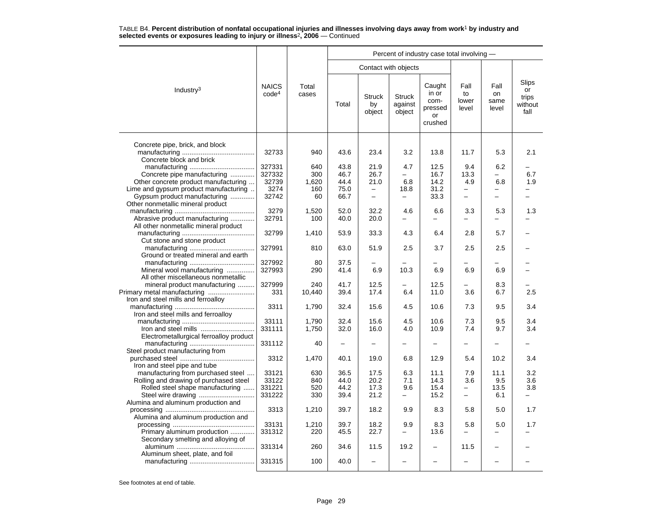|                                                             |                                   |                |              |                               |                                    | Percent of industry case total involving -          |                              |                             |                                         |
|-------------------------------------------------------------|-----------------------------------|----------------|--------------|-------------------------------|------------------------------------|-----------------------------------------------------|------------------------------|-----------------------------|-----------------------------------------|
|                                                             |                                   |                |              |                               | Contact with objects               |                                                     |                              |                             |                                         |
| Industry <sup>3</sup>                                       | <b>NAICS</b><br>code <sup>4</sup> | Total<br>cases | Total        | <b>Struck</b><br>by<br>object | <b>Struck</b><br>against<br>object | Caught<br>in or<br>com-<br>pressed<br>or<br>crushed | Fall<br>to<br>lower<br>level | Fall<br>on<br>same<br>level | Slips<br>or<br>trips<br>without<br>fall |
|                                                             |                                   |                |              |                               |                                    |                                                     |                              |                             |                                         |
| Concrete pipe, brick, and block<br>Concrete block and brick | 32733                             | 940            | 43.6         | 23.4                          | 3.2                                | 13.8                                                | 11.7                         | 5.3                         | 2.1                                     |
|                                                             | 327331                            | 640            | 43.8         | 21.9                          | 4.7                                | 12.5                                                | 9.4                          | 6.2                         |                                         |
| Concrete pipe manufacturing                                 | 327332                            | 300            | 46.7         | 26.7                          |                                    | 16.7                                                | 13.3                         |                             | 6.7                                     |
| Other concrete product manufacturing                        | 32739                             | 1,620          | 44.4         | 21.0                          | 6.8                                | 14.2                                                | 4.9                          | 6.8                         | 1.9                                     |
| Lime and gypsum product manufacturing                       | 3274                              | 160            | 75.0         | -                             | 18.8                               | 31.2                                                | -                            | -                           |                                         |
| Gypsum product manufacturing                                | 32742                             | 60             | 66.7         | $\equiv$                      | $\overline{\phantom{0}}$           | 33.3                                                | $\equiv$                     | $\equiv$                    | L.                                      |
| Other nonmetallic mineral product                           |                                   |                |              |                               |                                    |                                                     |                              |                             |                                         |
|                                                             | 3279                              | 1,520          | 52.0         | 32.2                          | 4.6                                | 6.6                                                 | 3.3                          | 5.3                         | 1.3                                     |
| Abrasive product manufacturing                              | 32791                             | 100            | 40.0         | 20.0                          | $\equiv$                           |                                                     |                              |                             |                                         |
| All other nonmetallic mineral product                       | 32799                             | 1.410          | 53.9         | 33.3                          | 4.3                                | 6.4                                                 | 2.8                          | 5.7                         |                                         |
| Cut stone and stone product                                 |                                   |                |              |                               |                                    |                                                     |                              |                             |                                         |
| Ground or treated mineral and earth                         | 327991                            | 810            | 63.0         | 51.9                          | 2.5                                | 3.7                                                 | 2.5                          | 2.5                         |                                         |
|                                                             | 327992                            | 80             | 37.5         |                               |                                    |                                                     |                              |                             |                                         |
| Mineral wool manufacturing                                  | 327993                            | 290            | 41.4         | 6.9                           | 10.3                               | 6.9                                                 | 6.9                          | 6.9                         |                                         |
| All other miscellaneous nonmetallic                         |                                   |                |              |                               |                                    |                                                     |                              |                             |                                         |
| mineral product manufacturing                               | 327999                            | 240            | 41.7         | 12.5                          |                                    | 12.5                                                |                              | 8.3                         |                                         |
| Primary metal manufacturing                                 | 331                               | 10,440         | 39.4         | 17.4                          | 6.4                                | 11.0                                                | 3.6                          | 6.7                         | 2.5                                     |
| Iron and steel mills and ferroalloy                         |                                   |                |              |                               |                                    |                                                     |                              |                             |                                         |
|                                                             | 3311                              | 1,790          | 32.4         | 15.6                          | 4.5                                | 10.6                                                | 7.3                          | 9.5                         | 3.4                                     |
| Iron and steel mills and ferroalloy                         |                                   |                |              |                               |                                    |                                                     |                              |                             |                                         |
| Iron and steel mills                                        | 33111<br>331111                   | 1,790          | 32.4<br>32.0 | 15.6<br>16.0                  | 4.5<br>4.0                         | 10.6<br>10.9                                        | 7.3<br>7.4                   | 9.5<br>9.7                  | 3.4<br>3.4                              |
| Electrometallurgical ferroalloy product                     |                                   | 1,750          |              |                               |                                    |                                                     |                              |                             |                                         |
|                                                             | 331112                            | 40             | -            |                               |                                    |                                                     |                              |                             |                                         |
| Steel product manufacturing from                            |                                   |                |              |                               |                                    |                                                     |                              |                             |                                         |
|                                                             | 3312                              | 1,470          | 40.1         | 19.0                          | 6.8                                | 12.9                                                | 5.4                          | 10.2                        | 3.4                                     |
| Iron and steel pipe and tube                                |                                   |                |              |                               |                                    |                                                     |                              |                             |                                         |
| manufacturing from purchased steel                          | 33121                             | 630            | 36.5         | 17.5                          | 6.3                                | 11.1                                                | 7.9                          | 11.1                        | 3.2                                     |
| Rolling and drawing of purchased steel                      | 33122                             | 840            | 44.0         | 20.2                          | 7.1                                | 14.3                                                | 3.6                          | 9.5                         | 3.6                                     |
| Rolled steel shape manufacturing                            | 331221                            | 520            | 44.2         | 17.3                          | 9.6                                | 15.4                                                |                              | 13.5                        | 3.8                                     |
|                                                             | 331222                            | 330            | 39.4         | 21.2                          | -                                  | 15.2                                                | $\overline{\phantom{0}}$     | 6.1                         | -                                       |
| Alumina and aluminum production and                         |                                   |                |              |                               |                                    |                                                     |                              |                             |                                         |
| Alumina and aluminum production and                         | 3313                              | 1,210          | 39.7         | 18.2                          | 9.9                                | 8.3                                                 | 5.8                          | 5.0                         | 1.7                                     |
|                                                             | 33131                             | 1,210          | 39.7         | 18.2                          | 9.9                                | 8.3                                                 | 5.8                          | 5.0                         | 1.7                                     |
| Primary aluminum production                                 | 331312                            | 220            | 45.5         | 22.7                          |                                    | 13.6                                                |                              |                             |                                         |
| Secondary smelting and alloying of                          |                                   |                |              |                               |                                    |                                                     |                              |                             |                                         |
|                                                             | 331314                            | 260            | 34.6         | 11.5                          | 19.2                               |                                                     | 11.5                         |                             |                                         |
| Aluminum sheet, plate, and foil                             |                                   |                |              |                               |                                    |                                                     |                              |                             |                                         |
|                                                             | 331315                            | 100            | 40.0         |                               |                                    |                                                     |                              |                             |                                         |
|                                                             |                                   |                |              |                               |                                    |                                                     |                              |                             |                                         |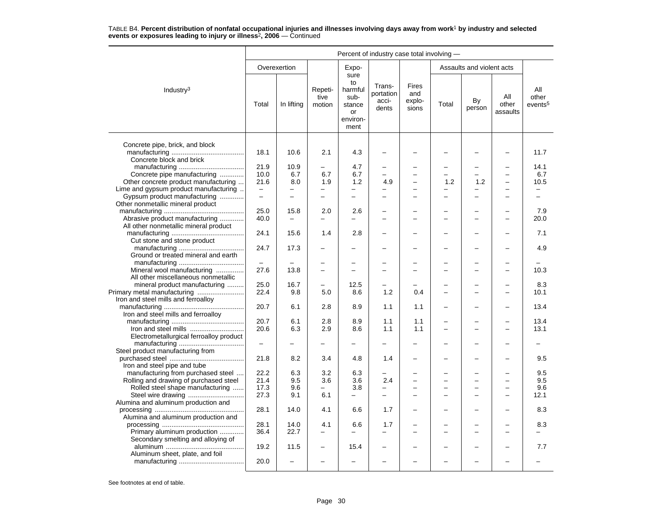|                                                                   | Percent of industry case total involving - |                                            |                                      |                                                                   |                                       |                                        |       |                           |                                    |                                      |  |
|-------------------------------------------------------------------|--------------------------------------------|--------------------------------------------|--------------------------------------|-------------------------------------------------------------------|---------------------------------------|----------------------------------------|-------|---------------------------|------------------------------------|--------------------------------------|--|
|                                                                   |                                            | Overexertion                               |                                      | Expo-                                                             |                                       |                                        |       | Assaults and violent acts |                                    |                                      |  |
| Industry <sup>3</sup>                                             | Total                                      | In lifting                                 | Repeti-<br>tive<br>motion            | sure<br>to<br>harmful<br>sub-<br>stance<br>or<br>environ-<br>ment | Trans-<br>portation<br>acci-<br>dents | <b>Fires</b><br>and<br>explo-<br>sions | Total | By<br>person              | All<br>other<br>assaults           | All<br>other<br>events <sup>5</sup>  |  |
| Concrete pipe, brick, and block                                   | 18.1                                       | 10.6                                       | 2.1                                  | 4.3                                                               |                                       |                                        |       |                           |                                    | 11.7                                 |  |
| Concrete block and brick                                          |                                            |                                            |                                      |                                                                   |                                       |                                        |       |                           |                                    |                                      |  |
|                                                                   | 21.9                                       | 10.9                                       | $\qquad \qquad -$                    | 4.7                                                               | -                                     |                                        |       | -                         |                                    | 14.1                                 |  |
| Concrete pipe manufacturing                                       | 10.0                                       | 6.7                                        | 6.7                                  | 6.7                                                               | $\overline{\phantom{0}}$              |                                        |       | $\overline{\phantom{0}}$  |                                    | 6.7                                  |  |
| Other concrete product manufacturing                              | 21.6                                       | 8.0                                        | 1.9                                  | 1.2                                                               | 4.9                                   | $\overline{a}$                         | 1.2   | 1.2                       | $\equiv$                           | 10.5                                 |  |
| Lime and gypsum product manufacturing                             | $\overline{\phantom{m}}$<br>$\equiv$       | $\overline{\phantom{0}}$<br>$\overline{a}$ | $\overline{\phantom{m}}$<br>$\equiv$ | —<br>$\equiv$                                                     | -                                     | $\overline{\phantom{0}}$<br>$\equiv$   |       | L.                        | $\overline{\phantom{0}}$<br>$\sim$ | $\overline{\phantom{0}}$<br>$\equiv$ |  |
| Gypsum product manufacturing<br>Other nonmetallic mineral product |                                            |                                            |                                      |                                                                   |                                       |                                        |       |                           |                                    |                                      |  |
|                                                                   | 25.0                                       | 15.8                                       | 2.0                                  | 2.6                                                               |                                       |                                        |       |                           |                                    | 7.9                                  |  |
| Abrasive product manufacturing                                    | 40.0                                       |                                            | ÷                                    |                                                                   | L.                                    |                                        |       | L                         |                                    | 20.0                                 |  |
| All other nonmetallic mineral product                             |                                            |                                            |                                      |                                                                   |                                       |                                        |       |                           |                                    |                                      |  |
| Cut stone and stone product                                       | 24.1                                       | 15.6                                       | 1.4                                  | 2.8                                                               |                                       |                                        |       |                           |                                    | 7.1                                  |  |
|                                                                   | 24.7                                       | 17.3                                       |                                      |                                                                   |                                       |                                        |       |                           |                                    | 4.9                                  |  |
| Ground or treated mineral and earth                               |                                            |                                            |                                      |                                                                   |                                       |                                        |       |                           |                                    |                                      |  |
|                                                                   |                                            |                                            | $\overline{\phantom{0}}$             |                                                                   |                                       |                                        |       | ▃                         |                                    |                                      |  |
| Mineral wool manufacturing                                        | 27.6                                       | 13.8                                       | $\equiv$                             | $\equiv$                                                          | L.                                    | $\equiv$                               |       | L                         | $\overline{\phantom{0}}$           | 10.3                                 |  |
| All other miscellaneous nonmetallic                               | 25.0                                       | 16.7                                       |                                      |                                                                   |                                       |                                        |       |                           |                                    | 8.3                                  |  |
| mineral product manufacturing<br>Primary metal manufacturing      | 22.4                                       | 9.8                                        | 5.0                                  | 12.5<br>8.6                                                       | 1.2                                   | 0.4                                    |       | L                         | $\sim$                             | 10.1                                 |  |
| Iron and steel mills and ferroalloy                               |                                            |                                            |                                      |                                                                   |                                       |                                        |       |                           |                                    |                                      |  |
|                                                                   | 20.7                                       | 6.1                                        | 2.8                                  | 8.9                                                               | 1.1                                   | 1.1                                    |       |                           |                                    | 13.4                                 |  |
| Iron and steel mills and ferroalloy                               |                                            |                                            |                                      |                                                                   |                                       |                                        |       |                           |                                    |                                      |  |
|                                                                   | 20.7                                       | 6.1                                        | 2.8                                  | 8.9                                                               | 1.1                                   | 1.1                                    |       |                           |                                    | 13.4                                 |  |
|                                                                   | 20.6                                       | 6.3                                        | 2.9                                  | 8.6                                                               | 1.1                                   | 1.1                                    |       | ▃                         |                                    | 13.1                                 |  |
| Electrometallurgical ferroalloy product                           |                                            |                                            |                                      |                                                                   |                                       |                                        |       |                           |                                    |                                      |  |
|                                                                   | $\qquad \qquad -$                          |                                            |                                      |                                                                   |                                       |                                        |       |                           |                                    |                                      |  |
| Steel product manufacturing from                                  |                                            |                                            |                                      |                                                                   |                                       |                                        |       |                           |                                    |                                      |  |
|                                                                   | 21.8                                       | 8.2                                        | 3.4                                  | 4.8                                                               | 1.4                                   |                                        |       |                           |                                    | 9.5                                  |  |
| Iron and steel pipe and tube                                      |                                            |                                            |                                      |                                                                   |                                       |                                        |       |                           |                                    |                                      |  |
| manufacturing from purchased steel                                | 22.2                                       | 6.3                                        | 3.2                                  | 6.3                                                               |                                       | $\equiv$                               |       | $\equiv$                  | $\sim$                             | 9.5                                  |  |
| Rolling and drawing of purchased steel                            | 21.4                                       | 9.5                                        | 3.6                                  | 3.6                                                               | 2.4                                   |                                        |       |                           |                                    | 9.5                                  |  |
| Rolled steel shape manufacturing                                  | 17.3                                       | 9.6                                        | $\equiv$                             | 3.8                                                               | -                                     |                                        |       | -                         |                                    | 9.6                                  |  |
|                                                                   | 27.3                                       | 9.1                                        | 6.1                                  | $\equiv$                                                          | $\overline{\phantom{0}}$              |                                        |       |                           |                                    | 12.1                                 |  |
| Alumina and aluminum production and                               |                                            |                                            |                                      |                                                                   |                                       |                                        |       |                           |                                    |                                      |  |
| Alumina and aluminum production and                               | 28.1                                       | 14.0                                       | 4.1                                  | 6.6                                                               | 1.7                                   | $\overline{\phantom{0}}$               |       |                           |                                    | 8.3                                  |  |
|                                                                   | 28.1                                       | 14.0                                       | 4.1                                  | 6.6                                                               | 1.7                                   | $\overline{\phantom{0}}$               |       | <u>.</u>                  |                                    | 8.3                                  |  |
| Primary aluminum production                                       | 36.4                                       | 22.7                                       |                                      |                                                                   |                                       |                                        |       |                           |                                    |                                      |  |
| Secondary smelting and alloying of                                |                                            |                                            |                                      |                                                                   |                                       |                                        |       |                           |                                    |                                      |  |
|                                                                   | 19.2                                       | 11.5                                       | $\overline{\phantom{0}}$             | 15.4                                                              |                                       |                                        |       | ▃                         |                                    | 7.7                                  |  |
| Aluminum sheet, plate, and foil                                   | 20.0                                       |                                            |                                      |                                                                   |                                       |                                        |       |                           |                                    |                                      |  |
|                                                                   |                                            |                                            |                                      |                                                                   |                                       |                                        |       |                           |                                    |                                      |  |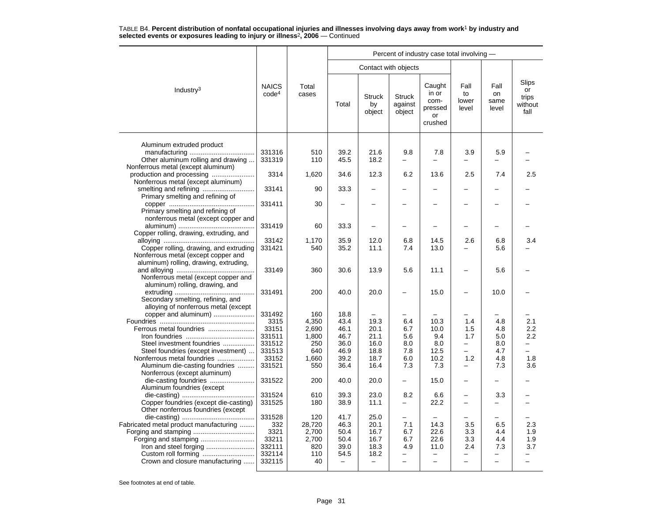|                                                                                                                  |                                   |                |              |                               |                                    | Percent of industry case total involving -          |                              |                             |                                         |
|------------------------------------------------------------------------------------------------------------------|-----------------------------------|----------------|--------------|-------------------------------|------------------------------------|-----------------------------------------------------|------------------------------|-----------------------------|-----------------------------------------|
|                                                                                                                  |                                   |                |              |                               | Contact with objects               |                                                     |                              |                             |                                         |
| Industry <sup>3</sup>                                                                                            | <b>NAICS</b><br>code <sup>4</sup> | Total<br>cases | Total        | <b>Struck</b><br>by<br>object | <b>Struck</b><br>against<br>object | Caught<br>in or<br>com-<br>pressed<br>or<br>crushed | Fall<br>to<br>lower<br>level | Fall<br>on<br>same<br>level | Slips<br>or<br>trips<br>without<br>fall |
| Aluminum extruded product<br>Other aluminum rolling and drawing                                                  | 331316<br>331319                  | 510<br>110     | 39.2<br>45.5 | 21.6<br>18.2                  | 9.8                                | 7.8                                                 | 3.9                          | 5.9                         |                                         |
| Nonferrous metal (except aluminum)<br>Nonferrous metal (except aluminum)                                         | 3314                              | 1,620          | 34.6         | 12.3                          | 6.2                                | 13.6                                                | 2.5                          | 7.4                         | 2.5                                     |
| Primary smelting and refining of                                                                                 | 33141                             | 90             | 33.3         | $\overline{\phantom{0}}$      |                                    |                                                     |                              |                             |                                         |
| Primary smelting and refining of<br>nonferrous metal (except copper and                                          | 331411                            | 30             |              |                               |                                    |                                                     |                              |                             |                                         |
| Copper rolling, drawing, extruding, and                                                                          | 331419                            | 60             | 33.3         | $\overline{\phantom{0}}$      |                                    |                                                     |                              |                             |                                         |
|                                                                                                                  | 33142                             | 1,170          | 35.9         | 12.0                          | 6.8                                | 14.5                                                | 2.6                          | 6.8                         | 3.4                                     |
| Copper rolling, drawing, and extruding<br>Nonferrous metal (except copper and                                    | 331421                            | 540            | 35.2         | 11.1                          | 7.4                                | 13.0                                                |                              | 5.6                         |                                         |
| aluminum) rolling, drawing, extruding,<br>Nonferrous metal (except copper and<br>aluminum) rolling, drawing, and | 33149                             | 360            | 30.6         | 13.9                          | 5.6                                | 11.1                                                | $\overline{\phantom{0}}$     | 5.6                         |                                         |
| Secondary smelting, refining, and<br>alloying of nonferrous metal (except                                        | 331491                            | 200            | 40.0         | 20.0                          |                                    | 15.0                                                |                              | 10.0                        |                                         |
| copper and aluminum)                                                                                             | 331492                            | 160            | 18.8         |                               |                                    |                                                     |                              |                             |                                         |
|                                                                                                                  | 3315                              | 4,350          | 43.4         | 19.3                          | 6.4                                | 10.3                                                | 1.4                          | 4.8                         | 2.1                                     |
| Ferrous metal foundries                                                                                          | 33151                             | 2,690          | 46.1         | 20.1                          | 6.7                                | 10.0                                                | 1.5                          | 4.8                         | $2.2\phantom{0}$                        |
|                                                                                                                  | 331511                            | 1,800          | 46.7         | 21.1                          | 5.6                                | 9.4                                                 | 1.7                          | 5.0                         | 2.2                                     |
| Steel investment foundries                                                                                       | 331512                            | 250            | 36.0         | 16.0                          | 8.0                                | 8.0                                                 | -                            | 8.0                         |                                         |
| Steel foundries (except investment)                                                                              | 331513                            | 640            | 46.9         | 18.8                          | 7.8                                | 12.5                                                | -                            | 4.7                         |                                         |
| Nonferrous metal foundries                                                                                       | 33152                             | 1,660          | 39.2         | 18.7                          | 6.0                                | 10.2                                                | 1.2                          | 4.8                         | 1.8                                     |
| Aluminum die-casting foundries<br>Nonferrous (except aluminum)                                                   | 331521                            | 550            | 36.4         | 16.4                          | 7.3                                | 7.3                                                 | $\overline{a}$               | 7.3                         | 3.6                                     |
| die-casting foundries<br>Aluminum foundries (except                                                              | 331522                            | 200            | 40.0         | 20.0                          |                                    | 15.0                                                |                              |                             |                                         |
|                                                                                                                  | 331524                            | 610            | 39.3         | 23.0                          | 8.2                                | 6.6                                                 | $\overline{\phantom{0}}$     | 3.3                         |                                         |
| Copper foundries (except die-casting)<br>Other nonferrous foundries (except                                      | 331525                            | 180            | 38.9         | 11.1                          | $\overline{a}$                     | 22.2                                                | $\equiv$                     |                             |                                         |
|                                                                                                                  | 331528                            | 120            | 41.7         | 25.0                          |                                    |                                                     |                              |                             |                                         |
| Fabricated metal product manufacturing                                                                           | 332                               | 28,720         | 46.3         | 20.1                          | 7.1                                | 14.3                                                | 3.5                          | 6.5                         | 2.3                                     |
| Forging and stamping                                                                                             | 3321                              | 2,700          | 50.4         | 16.7                          | 6.7                                | 22.6                                                | 3.3                          | 4.4                         | 1.9                                     |
|                                                                                                                  | 33211                             | 2,700          | 50.4         | 16.7                          | 6.7                                | 22.6                                                | 3.3                          | 4.4                         | 1.9                                     |
| Iron and steel forging                                                                                           | 332111                            | 820            | 39.0         | 18.3                          | 4.9                                | 11.0                                                | 2.4                          | 7.3                         | 3.7                                     |
| Custom roll forming                                                                                              | 332114                            | 110            | 54.5         | 18.2                          |                                    |                                                     |                              |                             |                                         |
| Crown and closure manufacturing                                                                                  | 332115                            | 40             | $\equiv$     | $\qquad \qquad -$             |                                    |                                                     | $\overline{\phantom{0}}$     |                             |                                         |
|                                                                                                                  |                                   |                |              |                               |                                    |                                                     |                              |                             |                                         |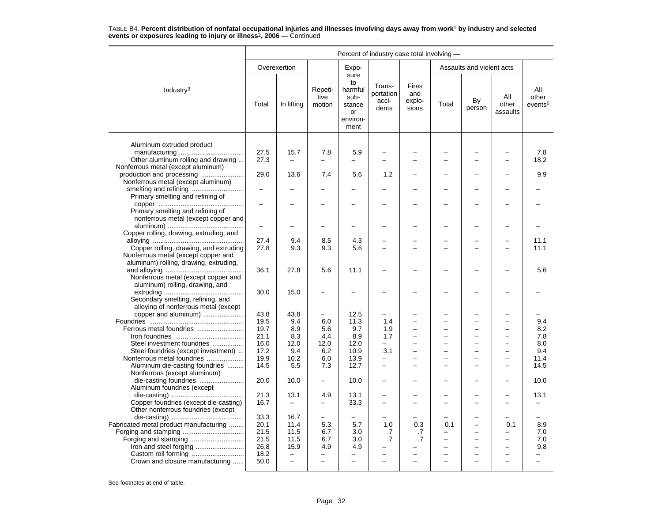|                                                                                                                              |                                      | Percent of industry case total involving - |                                 |                                                                   |                                                      |                                        |       |                                                                                    |                                                                                         |                                     |  |  |
|------------------------------------------------------------------------------------------------------------------------------|--------------------------------------|--------------------------------------------|---------------------------------|-------------------------------------------------------------------|------------------------------------------------------|----------------------------------------|-------|------------------------------------------------------------------------------------|-----------------------------------------------------------------------------------------|-------------------------------------|--|--|
|                                                                                                                              |                                      | Overexertion                               |                                 | Expo-                                                             |                                                      |                                        |       | Assaults and violent acts                                                          |                                                                                         |                                     |  |  |
| Industry <sup>3</sup>                                                                                                        | Total                                | In lifting                                 | Repeti-<br>tive<br>motion       | sure<br>to<br>harmful<br>sub-<br>stance<br>or<br>environ-<br>ment | Trans-<br>portation<br>acci-<br>dents                | <b>Fires</b><br>and<br>explo-<br>sions | Total | By<br>person                                                                       | All<br>other<br>assaults                                                                | ΑIΙ<br>other<br>events <sup>5</sup> |  |  |
| Aluminum extruded product                                                                                                    |                                      |                                            |                                 |                                                                   |                                                      |                                        |       |                                                                                    |                                                                                         |                                     |  |  |
| Other aluminum rolling and drawing<br>Nonferrous metal (except aluminum)                                                     | 27.5<br>27.3                         | 15.7                                       | 7.8                             | 5.9                                                               |                                                      |                                        |       |                                                                                    |                                                                                         | 7.8<br>18.2                         |  |  |
| production and processing<br>Nonferrous metal (except aluminum)                                                              | 29.0                                 | 13.6                                       | 7.4                             | 5.6                                                               | 1.2                                                  |                                        |       | -                                                                                  |                                                                                         | 9.9                                 |  |  |
| smelting and refining<br>Primary smelting and refining of                                                                    | $\overline{\phantom{0}}$             |                                            |                                 |                                                                   |                                                      |                                        |       |                                                                                    |                                                                                         |                                     |  |  |
| Primary smelting and refining of<br>nonferrous metal (except copper and                                                      |                                      |                                            |                                 |                                                                   |                                                      |                                        |       |                                                                                    |                                                                                         |                                     |  |  |
| Copper rolling, drawing, extruding, and                                                                                      | $\overline{\phantom{0}}$             |                                            |                                 |                                                                   |                                                      |                                        |       |                                                                                    |                                                                                         |                                     |  |  |
| Copper rolling, drawing, and extruding<br>Nonferrous metal (except copper and                                                | 27.4<br>27.8                         | 9.4<br>9.3                                 | 8.5<br>9.3                      | 4.3<br>5.6                                                        |                                                      |                                        |       |                                                                                    |                                                                                         | 11.1<br>11.1                        |  |  |
| aluminum) rolling, drawing, extruding,<br>Nonferrous metal (except copper and<br>aluminum) rolling, drawing, and             | 36.1                                 | 27.8                                       | 5.6                             | 11.1                                                              |                                                      |                                        |       |                                                                                    |                                                                                         | 5.6                                 |  |  |
| Secondary smelting, refining, and<br>alloying of nonferrous metal (except                                                    | 30.0                                 | 15.0                                       |                                 |                                                                   |                                                      |                                        |       |                                                                                    |                                                                                         |                                     |  |  |
| copper and aluminum)<br>Ferrous metal foundries                                                                              | 43.8<br>19.5<br>19.7                 | 43.8<br>9.4<br>8.9                         | —<br>6.0<br>5.6                 | 12.5<br>11.3<br>9.7                                               | 1.4<br>1.9                                           |                                        |       | ÷<br>$\overline{\phantom{0}}$                                                      | $\overline{\phantom{0}}$                                                                | 9.4<br>8.2                          |  |  |
| Steel investment foundries<br>Steel foundries (except investment)                                                            | 21.1<br>16.0<br>17.2                 | 8.3<br>12.0<br>9.4                         | 4.4<br>12.0<br>6.2              | 8.9<br>12.0<br>10.9                                               | 1.7<br>$\overline{\phantom{0}}$<br>3.1               | -<br>$\overline{a}$                    |       | -<br>$\overline{\phantom{0}}$<br>$\overline{\phantom{0}}$                          | $\overline{\phantom{0}}$<br>$\overline{\phantom{0}}$                                    | 7.8<br>8.0<br>9.4                   |  |  |
| Nonferrous metal foundries<br>Aluminum die-casting foundries<br>Nonferrous (except aluminum)                                 | 19.9<br>14.5                         | 10.2<br>5.5                                | 6.0<br>7.3                      | 13.9<br>12.7                                                      | $\overline{\phantom{0}}$<br>$\overline{\phantom{0}}$ | ÷                                      |       | $\overline{\phantom{0}}$<br>$\overline{\phantom{0}}$                               | $\overline{\phantom{0}}$                                                                | 11.4<br>14.5                        |  |  |
| die-casting foundries                                                                                                        | 20.0                                 | 10.0                                       | $\equiv$                        | 10.0                                                              |                                                      |                                        |       |                                                                                    |                                                                                         | 10.0                                |  |  |
| Aluminum foundries (except<br>Copper foundries (except die-casting)                                                          | 21.3<br>16.7                         | 13.1<br>$\qquad \qquad -$                  | 4.9<br>$\overline{\phantom{0}}$ | 13.1<br>33.3                                                      | -<br>$\overline{\phantom{0}}$                        | $\overline{ }$                         |       | ÷                                                                                  |                                                                                         | 13.1                                |  |  |
| Other nonferrous foundries (except<br>Fabricated metal product manufacturing<br>Forging and stamping<br>Forging and stamping | 33.3<br>20.1<br>21.5<br>21.5<br>26.8 | 16.7<br>11.4<br>11.5<br>11.5<br>15.9       | 5.3<br>6.7<br>6.7<br>4.9        | 5.7<br>3.0<br>3.0<br>4.9                                          | 1.0<br>.7<br>.7                                      | 0.3<br>.7<br>$\cdot$ 7                 | 0.1   | $\overline{a}$<br>$\overline{\phantom{0}}$<br>$\equiv$<br>$\overline{\phantom{0}}$ | 0.1<br>$\overline{\phantom{0}}$<br>$\overline{\phantom{0}}$<br>$\overline{\phantom{0}}$ | 8.9<br>7.0<br>7.0<br>9.8            |  |  |
| Custom roll forming<br>Crown and closure manufacturing                                                                       | 18.2<br>50.0                         | $\overline{\phantom{0}}$                   |                                 | $\overline{\phantom{0}}$                                          |                                                      |                                        |       |                                                                                    |                                                                                         |                                     |  |  |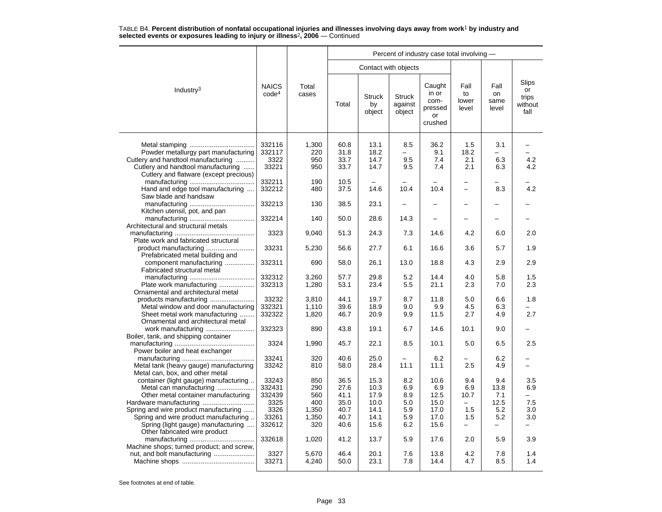|                                                                                                                      |                                   |                            |                              |                               |                                               | Percent of industry case total involving -          |                              |                                               |                                         |
|----------------------------------------------------------------------------------------------------------------------|-----------------------------------|----------------------------|------------------------------|-------------------------------|-----------------------------------------------|-----------------------------------------------------|------------------------------|-----------------------------------------------|-----------------------------------------|
|                                                                                                                      |                                   |                            |                              |                               | Contact with objects                          |                                                     |                              |                                               |                                         |
| Industry <sup>3</sup>                                                                                                | <b>NAICS</b><br>code <sup>4</sup> | Total<br>cases             | Total                        | <b>Struck</b><br>by<br>object | <b>Struck</b><br>against<br>object            | Caught<br>in or<br>com-<br>pressed<br>or<br>crushed | Fall<br>to<br>lower<br>level | Fall<br>on<br>same<br>level                   | Slips<br>or<br>trips<br>without<br>fall |
| Powder metallurgy part manufacturing<br>Cutlery and handtool manufacturing<br>Cutlery and handtool manufacturing     | 332116<br>332117<br>3322<br>33221 | 1,300<br>220<br>950<br>950 | 60.8<br>31.8<br>33.7<br>33.7 | 13.1<br>18.2<br>14.7<br>14.7  | 8.5<br>$\overline{\phantom{0}}$<br>9.5<br>9.5 | 36.2<br>9.1<br>7.4<br>7.4                           | 1.5<br>18.2<br>2.1<br>2.1    | 3.1<br>$\overline{\phantom{0}}$<br>6.3<br>6.3 | 4.2<br>4.2                              |
| Cutlery and flatware (except precious)<br>Hand and edge tool manufacturing                                           | 332211<br>332212                  | 190<br>480                 | 10.5<br>37.5                 | 14.6                          | 10.4                                          | 10.4                                                | $\overline{\phantom{0}}$     | 8.3                                           | 4.2                                     |
| Saw blade and handsaw                                                                                                | 332213                            | 130                        | 38.5                         | 23.1                          |                                               |                                                     |                              |                                               |                                         |
| Kitchen utensil, pot, and pan                                                                                        | 332214                            | 140                        | 50.0                         | 28.6                          | 14.3                                          |                                                     |                              |                                               |                                         |
| Architectural and structural metals                                                                                  | 3323                              | 9,040                      | 51.3                         | 24.3                          | 7.3                                           | 14.6                                                | 4.2                          | 6.0                                           | 2.0                                     |
| Plate work and fabricated structural<br>product manufacturing                                                        | 33231                             | 5,230                      | 56.6                         | 27.7                          | 6.1                                           | 16.6                                                | 3.6                          | 5.7                                           | 1.9                                     |
| Prefabricated metal building and<br>component manufacturing<br>Fabricated structural metal                           | 332311                            | 690                        | 58.0                         | 26.1                          | 13.0                                          | 18.8                                                | 4.3                          | 2.9                                           | 2.9                                     |
| Plate work manufacturing<br>Ornamental and architectural metal                                                       | 332312<br>332313                  | 3,260<br>1,280             | 57.7<br>53.1                 | 29.8<br>23.4                  | 5.2<br>5.5                                    | 14.4<br>21.1                                        | 4.0<br>2.3                   | 5.8<br>7.0                                    | 1.5<br>2.3                              |
| products manufacturing<br>Metal window and door manufacturing                                                        | 33232<br>332321                   | 3,810<br>1,110             | 44.1<br>39.6                 | 19.7<br>18.9                  | 8.7<br>9.0                                    | 11.8<br>9.9                                         | 5.0<br>4.5                   | 6.6<br>6.3                                    | 1.8                                     |
| Sheet metal work manufacturing<br>Ornamental and architectural metal                                                 | 332322<br>332323                  | 1,820<br>890               | 46.7<br>43.8                 | 20.9<br>19.1                  | 9.9<br>6.7                                    | 11.5<br>14.6                                        | 2.7<br>10.1                  | 4.9<br>9.0                                    | 2.7                                     |
| Boiler, tank, and shipping container                                                                                 | 3324                              | 1,990                      | 45.7                         | 22.1                          | 8.5                                           | 10.1                                                | 5.0                          | 6.5                                           | 2.5                                     |
| Power boiler and heat exchanger<br>Metal tank (heavy gauge) manufacturing                                            | 33241<br>33242                    | 320<br>810                 | 40.6<br>58.0                 | 25.0<br>28.4                  | 11.1                                          | 6.2<br>11.1                                         | 2.5                          | 6.2<br>4.9                                    |                                         |
| Metal can, box, and other metal<br>container (light gauge) manufacturing<br>Metal can manufacturing                  | 33243<br>332431                   | 850<br>290                 | 36.5<br>27.6                 | 15.3<br>10.3                  | 8.2<br>6.9                                    | 10.6<br>6.9                                         | 9.4<br>6.9                   | 9.4<br>13.8                                   | 3.5<br>6.9                              |
| Other metal container manufacturing                                                                                  | 332439<br>3325                    | 560<br>400                 | 41.1<br>35.0                 | 17.9<br>10.0                  | 8.9<br>5.0                                    | 12.5<br>15.0                                        | 10.7                         | 7.1<br>12.5                                   | $\overline{\phantom{0}}$<br>7.5         |
| Spring and wire product manufacturing<br>Spring and wire product manufacturing<br>Spring (light gauge) manufacturing | 3326<br>33261<br>332612           | 1,350<br>1,350<br>320      | 40.7<br>40.7<br>40.6         | 14.1<br>14.1<br>15.6          | 5.9<br>5.9<br>6.2                             | 17.0<br>17.0<br>15.6                                | 1.5<br>1.5                   | 5.2<br>5.2                                    | 3.0<br>3.0                              |
| Other fabricated wire product<br>Machine shops; turned product; and screw,                                           | 332618                            | 1,020                      | 41.2                         | 13.7                          | 5.9                                           | 17.6                                                | 2.0                          | 5.9                                           | 3.9                                     |
|                                                                                                                      | 3327<br>33271                     | 5,670<br>4,240             | 46.4<br>50.0                 | 20.1<br>23.1                  | 7.6<br>7.8                                    | 13.8<br>14.4                                        | 4.2<br>4.7                   | 7.8<br>8.5                                    | 1.4<br>1.4                              |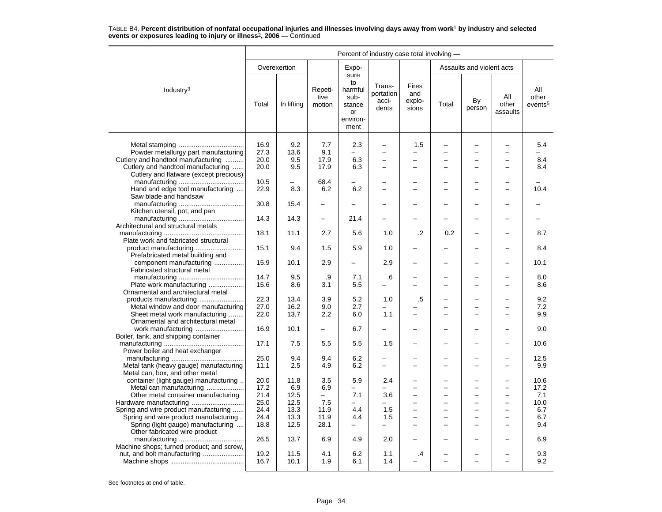|                                                                              | Percent of industry case total involving - |              |                           |                                                                   |                                       |                                 |       |                           |                          |                                     |
|------------------------------------------------------------------------------|--------------------------------------------|--------------|---------------------------|-------------------------------------------------------------------|---------------------------------------|---------------------------------|-------|---------------------------|--------------------------|-------------------------------------|
|                                                                              |                                            | Overexertion |                           | Expo-                                                             |                                       |                                 |       | Assaults and violent acts |                          |                                     |
| Industry <sup>3</sup>                                                        | Total                                      | In lifting   | Repeti-<br>tive<br>motion | sure<br>to<br>harmful<br>sub-<br>stance<br>or<br>environ-<br>ment | Trans-<br>portation<br>acci-<br>dents | Fires<br>and<br>explo-<br>sions | Total | By<br>person              | All<br>other<br>assaults | All<br>other<br>events <sup>5</sup> |
|                                                                              |                                            | 9.2          |                           |                                                                   | $\overline{\phantom{0}}$              |                                 |       |                           | $\overline{\phantom{0}}$ |                                     |
| Powder metallurgy part manufacturing                                         | 16.9<br>27.3                               | 13.6         | 7.7<br>9.1                | 2.3<br>$\overline{\phantom{0}}$                                   | $\overline{\phantom{0}}$              | 1.5<br>$\overline{\phantom{0}}$ |       | L,                        | $\equiv$                 | 5.4                                 |
| Cutlery and handtool manufacturing                                           | 20.0                                       | 9.5          | 17.9                      | 6.3                                                               | L.                                    | $\overline{\phantom{0}}$        |       |                           |                          | 8.4                                 |
|                                                                              |                                            | 9.5          | 17.9                      |                                                                   | $\overline{\phantom{0}}$              | $\overline{\phantom{0}}$        |       | $\overline{\phantom{0}}$  |                          |                                     |
| Cutlery and handtool manufacturing<br>Cutlery and flatware (except precious) | 20.0                                       |              |                           | 6.3                                                               |                                       |                                 |       |                           |                          | 8.4                                 |
|                                                                              | 10.5                                       |              | 68.4                      |                                                                   |                                       |                                 |       |                           |                          |                                     |
| Hand and edge tool manufacturing                                             | 22.9                                       | 8.3          | 6.2                       | 6.2                                                               | L.                                    | $\overline{\phantom{0}}$        |       | ÷                         |                          | 10.4                                |
| Saw blade and handsaw                                                        |                                            |              |                           |                                                                   |                                       |                                 |       |                           |                          |                                     |
|                                                                              | 30.8                                       | 15.4         |                           |                                                                   |                                       |                                 |       |                           |                          |                                     |
| Kitchen utensil, pot, and pan                                                |                                            |              |                           |                                                                   |                                       |                                 |       |                           |                          |                                     |
|                                                                              | 14.3                                       | 14.3         | $\overline{\phantom{0}}$  | 21.4                                                              |                                       |                                 |       |                           |                          |                                     |
| Architectural and structural metals                                          |                                            |              |                           |                                                                   |                                       |                                 |       |                           |                          |                                     |
| Plate work and fabricated structural                                         | 18.1                                       | 11.1         | 2.7                       | 5.6                                                               | 1.0                                   | $\cdot$                         | 0.2   |                           |                          | 8.7                                 |
|                                                                              | 15.1                                       | 9.4          | 1.5                       | 5.9                                                               | 1.0                                   |                                 |       |                           |                          | 8.4                                 |
| Prefabricated metal building and                                             |                                            |              |                           |                                                                   |                                       |                                 |       |                           |                          |                                     |
| component manufacturing                                                      | 15.9                                       | 10.1         | 2.9                       |                                                                   | 2.9                                   |                                 |       |                           |                          | 10.1                                |
| Fabricated structural metal                                                  |                                            |              |                           |                                                                   |                                       |                                 |       |                           |                          |                                     |
|                                                                              | 14.7                                       | 9.5          | .9                        | 7.1                                                               | .6                                    |                                 |       |                           |                          | 8.0                                 |
| Plate work manufacturing                                                     | 15.6                                       | 8.6          | 3.1                       | 5.5                                                               |                                       |                                 |       |                           |                          | 8.6                                 |
| Ornamental and architectural metal                                           |                                            |              |                           |                                                                   |                                       |                                 |       |                           |                          |                                     |
|                                                                              | 22.3                                       | 13.4         | 3.9                       | 5.2                                                               | 1.0                                   | .5                              |       | <u>.</u>                  |                          | 9.2                                 |
| Metal window and door manufacturing                                          | 27.0                                       | 16.2         | 9.0                       | 2.7                                                               |                                       |                                 |       |                           |                          | 7.2                                 |
| Sheet metal work manufacturing                                               | 22.0                                       | 13.7         | 2.2                       | 6.0                                                               | 1.1                                   |                                 |       |                           |                          | 9.9                                 |
| Ornamental and architectural metal<br>work manufacturing                     | 16.9                                       | 10.1         |                           | 6.7                                                               |                                       |                                 |       |                           |                          | 9.0                                 |
| Boiler, tank, and shipping container                                         |                                            |              |                           |                                                                   |                                       |                                 |       |                           |                          |                                     |
|                                                                              | 17.1                                       | 7.5          | 5.5                       | 5.5                                                               | 1.5                                   |                                 |       |                           |                          | 10.6                                |
| Power boiler and heat exchanger                                              |                                            |              |                           |                                                                   |                                       |                                 |       |                           |                          |                                     |
|                                                                              | 25.0                                       | 9.4          | 9.4                       | 6.2                                                               | -                                     |                                 |       | ▃                         |                          | 12.5                                |
| Metal tank (heavy gauge) manufacturing                                       | 11.1                                       | 2.5          | 4.9                       | 6.2                                                               | $\overline{\phantom{0}}$              | $\overline{\phantom{0}}$        |       | ÷                         | $\overline{\phantom{0}}$ | 9.9                                 |
| Metal can, box, and other metal                                              |                                            |              |                           |                                                                   |                                       |                                 |       |                           |                          |                                     |
| container (light gauge) manufacturing                                        | 20.0                                       | 11.8         | 3.5                       | 5.9                                                               | 2.4                                   |                                 |       |                           |                          | 10.6                                |
| Metal can manufacturing                                                      | 17.2                                       | 6.9          | 6.9                       | Ξ.                                                                | -                                     |                                 |       |                           | $\overline{\phantom{0}}$ | 17.2                                |
| Other metal container manufacturing                                          | 21.4                                       | 12.5         | $\overline{\phantom{0}}$  | 7.1                                                               | 3.6                                   | $\overline{\phantom{0}}$        |       | L,                        | $\overline{\phantom{0}}$ | 7.1                                 |
|                                                                              | 25.0                                       | 12.5         | 7.5                       |                                                                   |                                       |                                 |       | ÷.                        |                          | 10.0                                |
| Spring and wire product manufacturing                                        | 24.4                                       | 13.3         | 11.9                      | 4.4                                                               | 1.5                                   | $\overline{\phantom{0}}$        |       | $\overline{\phantom{0}}$  | $\overline{\phantom{0}}$ | 6.7                                 |
| Spring and wire product manufacturing                                        | 24.4                                       | 13.3         | 11.9                      | 4.4                                                               | 1.5                                   |                                 |       | L,                        |                          | 6.7                                 |
| Spring (light gauge) manufacturing<br>Other fabricated wire product          | 18.8                                       | 12.5         | 28.1                      |                                                                   | $\overline{\phantom{0}}$              | $\equiv$                        |       |                           | -                        | 9.4                                 |
|                                                                              | 26.5                                       | 13.7         | 6.9                       | 4.9                                                               | 2.0                                   |                                 |       |                           |                          | 6.9                                 |
| Machine shops; turned product; and screw,                                    | 19.2                                       | 11.5         |                           | 6.2                                                               | 1.1                                   |                                 |       |                           |                          | 9.3                                 |
|                                                                              | 16.7                                       | 10.1         | 4.1<br>1.9                | 6.1                                                               | 1.4                                   | $\cdot$                         |       | L,                        | $\overline{\phantom{0}}$ | 9.2                                 |
|                                                                              |                                            |              |                           |                                                                   |                                       |                                 |       |                           |                          |                                     |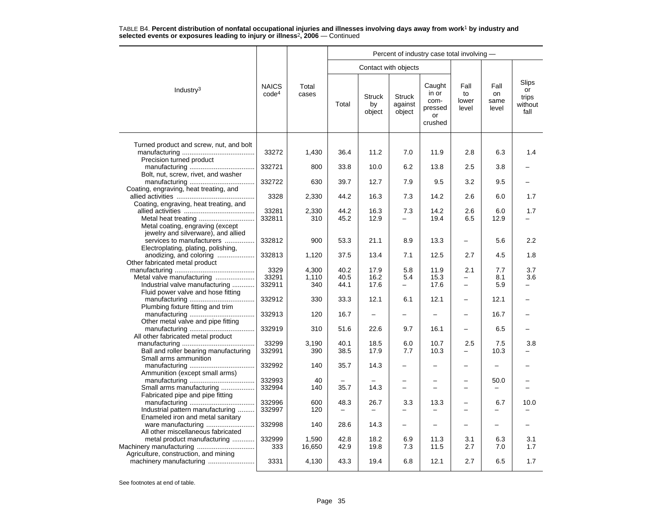|                                                                                                      |                                   |                 | Percent of industry case total involving - |                               |                                    |                                                     |                                      |                             |                                                |  |  |  |
|------------------------------------------------------------------------------------------------------|-----------------------------------|-----------------|--------------------------------------------|-------------------------------|------------------------------------|-----------------------------------------------------|--------------------------------------|-----------------------------|------------------------------------------------|--|--|--|
|                                                                                                      |                                   |                 |                                            | Contact with objects          |                                    |                                                     |                                      |                             |                                                |  |  |  |
| Industry <sup>3</sup>                                                                                | <b>NAICS</b><br>code <sup>4</sup> | Total<br>cases  | Total                                      | <b>Struck</b><br>by<br>object | <b>Struck</b><br>against<br>object | Caught<br>in or<br>com-<br>pressed<br>or<br>crushed | Fall<br>to<br>lower<br>level         | Fall<br>on<br>same<br>level | <b>Slips</b><br>or<br>trips<br>without<br>fall |  |  |  |
| Turned product and screw, nut, and bolt                                                              | 33272                             | 1,430           | 36.4                                       | 11.2                          | 7.0                                | 11.9                                                | 2.8                                  | 6.3                         | 1.4                                            |  |  |  |
| Precision turned product                                                                             | 332721                            | 800             | 33.8                                       | 10.0                          | 6.2                                | 13.8                                                | 2.5                                  | 3.8                         |                                                |  |  |  |
| Bolt, nut, screw, rivet, and washer                                                                  | 332722                            | 630             | 39.7                                       | 12.7                          | 7.9                                | 9.5                                                 | 3.2                                  | 9.5                         |                                                |  |  |  |
| Coating, engraving, heat treating, and                                                               | 3328                              | 2,330           | 44.2                                       | 16.3                          | 7.3                                | 14.2                                                | 2.6                                  | 6.0                         | 1.7                                            |  |  |  |
| Coating, engraving, heat treating, and                                                               | 33281<br>332811                   | 2,330<br>310    | 44.2<br>45.2                               | 16.3<br>12.9                  | 7.3                                | 14.2<br>19.4                                        | 2.6<br>6.5                           | 6.0<br>12.9                 | 1.7                                            |  |  |  |
| Metal coating, engraving (except<br>jewelry and silverware), and allied<br>services to manufacturers | 332812                            | 900             | 53.3                                       | 21.1                          | 8.9                                | 13.3                                                | $\overline{\phantom{0}}$             | 5.6                         | 2.2                                            |  |  |  |
| Electroplating, plating, polishing,<br>anodizing, and coloring                                       | 332813                            | 1,120           | 37.5                                       | 13.4                          | 7.1                                | 12.5                                                | 2.7                                  | 4.5                         | 1.8                                            |  |  |  |
| Other fabricated metal product                                                                       | 3329                              | 4,300           | 40.2                                       | 17.9                          | 5.8                                | 11.9                                                | 2.1                                  | 7.7                         | 3.7                                            |  |  |  |
| Metal valve manufacturing<br>Industrial valve manufacturing<br>Fluid power valve and hose fitting    | 33291<br>332911                   | 1,110<br>340    | 40.5<br>44.1                               | 16.2<br>17.6                  | 5.4                                | 15.3<br>17.6                                        | $\overline{\phantom{0}}$<br>$\equiv$ | 8.1<br>5.9                  | 3.6<br>L,                                      |  |  |  |
| Plumbing fixture fitting and trim                                                                    | 332912                            | 330             | 33.3                                       | 12.1                          | 6.1                                | 12.1                                                | $\overline{\phantom{0}}$             | 12.1                        |                                                |  |  |  |
| Other metal valve and pipe fitting                                                                   | 332913                            | 120             | 16.7                                       |                               |                                    | $\overline{\phantom{0}}$                            | $\overline{\phantom{0}}$             | 16.7                        |                                                |  |  |  |
| All other fabricated metal product                                                                   | 332919                            | 310             | 51.6                                       | 22.6                          | 9.7                                | 16.1                                                | $\equiv$                             | 6.5                         |                                                |  |  |  |
| Ball and roller bearing manufacturing<br>Small arms ammunition                                       | 33299<br>332991                   | 3,190<br>390    | 40.1<br>38.5                               | 18.5<br>17.9                  | 6.0<br>7.7                         | 10.7<br>10.3                                        | 2.5                                  | 7.5<br>10.3                 | 3.8                                            |  |  |  |
| Ammunition (except small arms)                                                                       | 332992                            | 140             | 35.7                                       | 14.3                          |                                    |                                                     | $\overline{\phantom{0}}$             |                             |                                                |  |  |  |
| Small arms manufacturing<br>Fabricated pipe and pipe fitting                                         | 332993<br>332994                  | 40<br>140       | 35.7                                       | 14.3                          | $\overline{\phantom{0}}$           |                                                     | -<br>$\overline{\phantom{0}}$        | 50.0                        |                                                |  |  |  |
| Industrial pattern manufacturing<br>Enameled iron and metal sanitary                                 | 332996<br>332997                  | 600<br>120      | 48.3<br>$\overline{\phantom{0}}$           | 26.7                          | 3.3                                | 13.3                                                | -<br>$\overline{\phantom{0}}$        | 6.7<br>-                    | 10.0                                           |  |  |  |
| ware manufacturing<br>All other miscellaneous fabricated                                             | 332998                            | 140             | 28.6                                       | 14.3                          |                                    |                                                     | $\overline{\phantom{0}}$             | -                           |                                                |  |  |  |
| metal product manufacturing<br>Machinery manufacturing                                               | 332999<br>333                     | 1.590<br>16,650 | 42.8<br>42.9                               | 18.2<br>19.8                  | 6.9<br>7.3                         | 11.3<br>11.5                                        | 3.1<br>2.7                           | 6.3<br>7.0                  | 3.1<br>1.7                                     |  |  |  |
| Agriculture, construction, and mining                                                                | 3331                              | 4,130           | 43.3                                       | 19.4                          | 6.8                                | 12.1                                                | 2.7                                  | 6.5                         | 1.7                                            |  |  |  |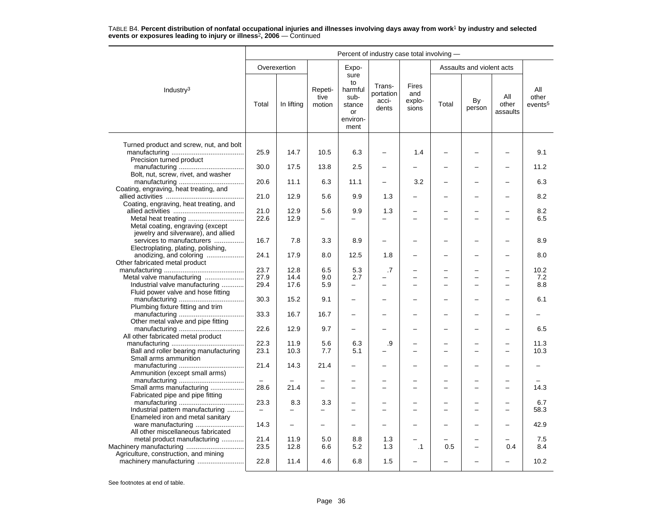|                                                                                                         | Percent of industry case total involving - |                                 |                           |                                                                   |                                       |                                        |       |                               |                          |                                     |  |  |
|---------------------------------------------------------------------------------------------------------|--------------------------------------------|---------------------------------|---------------------------|-------------------------------------------------------------------|---------------------------------------|----------------------------------------|-------|-------------------------------|--------------------------|-------------------------------------|--|--|
|                                                                                                         |                                            | Overexertion                    |                           | Expo-                                                             |                                       |                                        |       | Assaults and violent acts     |                          |                                     |  |  |
| Industry <sup>3</sup>                                                                                   | Total                                      | In lifting                      | Repeti-<br>tive<br>motion | sure<br>to<br>harmful<br>sub-<br>stance<br>or<br>environ-<br>ment | Trans-<br>portation<br>acci-<br>dents | <b>Fires</b><br>and<br>explo-<br>sions | Total | By<br>person                  | All<br>other<br>assaults | All<br>other<br>events <sup>5</sup> |  |  |
| Turned product and screw, nut, and bolt                                                                 | 25.9                                       | 14.7                            | 10.5                      | 6.3                                                               |                                       | 1.4                                    |       |                               |                          | 9.1                                 |  |  |
| Precision turned product                                                                                | 30.0                                       | 17.5                            | 13.8                      | 2.5                                                               |                                       |                                        |       |                               |                          | 11.2                                |  |  |
| Bolt, nut, screw, rivet, and washer<br>Coating, engraving, heat treating, and                           | 20.6                                       | 11.1                            | 6.3                       | 11.1                                                              |                                       | 3.2                                    |       |                               |                          | 6.3                                 |  |  |
| Coating, engraving, heat treating, and                                                                  | 21.0                                       | 12.9                            | 5.6                       | 9.9                                                               | 1.3                                   | $\overline{\phantom{0}}$               |       | L                             |                          | 8.2                                 |  |  |
| Metal coating, engraving (except                                                                        | 21.0<br>22.6                               | 12.9<br>12.9                    | 5.6<br>$\equiv$           | 9.9                                                               | 1.3                                   | $\equiv$                               |       | -                             | $\sim$                   | 8.2<br>6.5                          |  |  |
| jewelry and silverware), and allied<br>services to manufacturers<br>Electroplating, plating, polishing, | 16.7                                       | 7.8                             | 3.3                       | 8.9                                                               |                                       |                                        |       | -                             |                          | 8.9                                 |  |  |
| anodizing, and coloring<br>Other fabricated metal product                                               | 24.1                                       | 17.9                            | 8.0                       | 12.5                                                              | 1.8                                   |                                        |       | ▃                             |                          | 8.0                                 |  |  |
|                                                                                                         | 23.7                                       | 12.8                            | 6.5                       | 5.3                                                               | .7                                    |                                        |       |                               |                          | 10.2                                |  |  |
|                                                                                                         | 27.9                                       | 14.4                            | 9.0                       | 2.7                                                               |                                       |                                        |       |                               |                          | 7.2                                 |  |  |
| Industrial valve manufacturing<br>Fluid power valve and hose fitting                                    | 29.4                                       | 17.6                            | 5.9                       | $\overline{\phantom{0}}$                                          | $\overline{\phantom{0}}$              |                                        |       |                               |                          | 8.8                                 |  |  |
| Plumbing fixture fitting and trim                                                                       | 30.3                                       | 15.2                            | 9.1                       | $\overline{\phantom{0}}$                                          |                                       |                                        |       | <u>.</u>                      |                          | 6.1                                 |  |  |
| Other metal valve and pipe fitting                                                                      | 33.3                                       | 16.7                            | 16.7                      |                                                                   |                                       |                                        |       | -                             |                          |                                     |  |  |
| All other fabricated metal product                                                                      | 22.6                                       | 12.9                            | 9.7                       | $\equiv$                                                          |                                       |                                        |       | L                             |                          | 6.5                                 |  |  |
| Ball and roller bearing manufacturing<br>Small arms ammunition                                          | 22.3<br>23.1                               | 11.9<br>10.3                    | 5.6<br>7.7                | 6.3<br>5.1                                                        | .9                                    |                                        |       | -<br>$\overline{\phantom{0}}$ |                          | 11.3<br>10.3                        |  |  |
| Ammunition (except small arms)                                                                          | 21.4                                       | 14.3                            | 21.4                      |                                                                   |                                       |                                        |       |                               |                          |                                     |  |  |
| Small arms manufacturing                                                                                | 28.6                                       | 21.4                            | $\overline{\phantom{0}}$  | $\overline{\phantom{0}}$                                          | $\overline{\phantom{0}}$              | $\overline{\phantom{0}}$               |       | -                             | $\overline{\phantom{0}}$ | 14.3                                |  |  |
| Fabricated pipe and pipe fitting                                                                        | 23.3                                       |                                 |                           |                                                                   |                                       |                                        |       |                               |                          | 6.7                                 |  |  |
| Industrial pattern manufacturing<br>Enameled iron and metal sanitary                                    |                                            | 8.3<br>$\overline{\phantom{0}}$ | 3.3                       |                                                                   |                                       |                                        |       |                               |                          | 58.3                                |  |  |
| All other miscellaneous fabricated                                                                      | 14.3                                       | $\overline{\phantom{0}}$        | $\overline{\phantom{m}}$  |                                                                   |                                       |                                        |       |                               |                          | 42.9                                |  |  |
| metal product manufacturing<br>Machinery manufacturing                                                  | 21.4<br>23.5                               | 11.9<br>12.8                    | 5.0<br>6.6                | 8.8<br>5.2                                                        | 1.3<br>1.3                            | $\cdot$ 1                              | 0.5   |                               | 0.4                      | 7.5<br>8.4                          |  |  |
| Agriculture, construction, and mining                                                                   | 22.8                                       | 11.4                            | 4.6                       | 6.8                                                               | 1.5                                   |                                        |       |                               |                          | 10.2                                |  |  |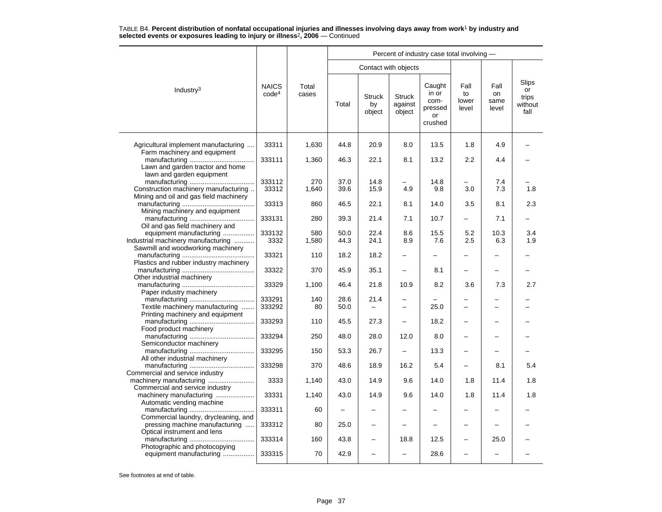|                                                                                |                                   |                | Percent of industry case total involving - |                               |                                    |                                                     |                              |                             |                                         |  |  |  |
|--------------------------------------------------------------------------------|-----------------------------------|----------------|--------------------------------------------|-------------------------------|------------------------------------|-----------------------------------------------------|------------------------------|-----------------------------|-----------------------------------------|--|--|--|
|                                                                                |                                   |                |                                            | Contact with objects          |                                    |                                                     |                              |                             |                                         |  |  |  |
| Industry <sup>3</sup>                                                          | <b>NAICS</b><br>code <sup>4</sup> | Total<br>cases | Total                                      | <b>Struck</b><br>by<br>object | <b>Struck</b><br>against<br>object | Caught<br>in or<br>com-<br>pressed<br>or<br>crushed | Fall<br>to<br>lower<br>level | Fall<br>on<br>same<br>level | Slips<br>or<br>trips<br>without<br>fall |  |  |  |
| Agricultural implement manufacturing                                           | 33311                             | 1,630          | 44.8                                       | 20.9                          | 8.0                                | 13.5                                                | 1.8                          | 4.9                         |                                         |  |  |  |
| Farm machinery and equipment<br>Lawn and garden tractor and home               | 333111                            | 1,360          | 46.3                                       | 22.1                          | 8.1                                | 13.2                                                | 2.2                          | 4.4                         |                                         |  |  |  |
| lawn and garden equipment                                                      |                                   | 270            |                                            |                               |                                    |                                                     |                              |                             |                                         |  |  |  |
| Construction machinery manufacturing<br>Mining and oil and gas field machinery | 333112<br>33312                   | 1,640          | 37.0<br>39.6                               | 14.8<br>15.9                  | 4.9                                | 14.8<br>9.8                                         | 3.0                          | 7.4<br>7.3                  | 1.8                                     |  |  |  |
| Mining machinery and equipment                                                 | 33313                             | 860            | 46.5                                       | 22.1                          | 8.1                                | 14.0                                                | 3.5                          | 8.1                         | 2.3                                     |  |  |  |
| Oil and gas field machinery and                                                | 333131                            | 280            | 39.3                                       | 21.4                          | 7.1                                | 10.7                                                | $\overline{\phantom{0}}$     | 7.1                         |                                         |  |  |  |
| equipment manufacturing                                                        | 333132                            | 580            | 50.0                                       | 22.4                          | 8.6                                | 15.5                                                | 5.2                          | 10.3                        | 3.4                                     |  |  |  |
| Industrial machinery manufacturing                                             | 3332                              | 1,580          | 44.3                                       | 24.1                          | 8.9                                | 7.6                                                 | 2.5                          | 6.3                         | 1.9                                     |  |  |  |
| Sawmill and woodworking machinery<br>Plastics and rubber industry machinery    | 33321                             | 110            | 18.2                                       | 18.2                          |                                    |                                                     | -                            |                             |                                         |  |  |  |
| Other industrial machinery                                                     | 33322                             | 370            | 45.9                                       | 35.1                          |                                    | 8.1                                                 | $\overline{\phantom{0}}$     |                             |                                         |  |  |  |
| Paper industry machinery                                                       | 33329                             | 1,100          | 46.4                                       | 21.8                          | 10.9                               | 8.2                                                 | 3.6                          | 7.3                         | 2.7                                     |  |  |  |
|                                                                                | 333291                            | 140            | 28.6                                       | 21.4                          |                                    |                                                     |                              |                             |                                         |  |  |  |
| Textile machinery manufacturing<br>Printing machinery and equipment            | 333292                            | 80             | 50.0                                       |                               |                                    | 25.0                                                | $\equiv$                     |                             |                                         |  |  |  |
|                                                                                | 333293                            | 110            | 45.5                                       | 27.3                          |                                    | 18.2                                                | $\overline{\phantom{0}}$     |                             |                                         |  |  |  |
| Food product machinery<br>Semiconductor machinery                              | 333294                            | 250            | 48.0                                       | 28.0                          | 12.0                               | 8.0                                                 |                              |                             |                                         |  |  |  |
| All other industrial machinery                                                 | 333295                            | 150            | 53.3                                       | 26.7                          | $\overline{\phantom{0}}$           | 13.3                                                | $\overline{\phantom{0}}$     |                             |                                         |  |  |  |
| Commercial and service industry                                                | 333298                            | 370            | 48.6                                       | 18.9                          | 16.2                               | 5.4                                                 | -                            | 8.1                         | 5.4                                     |  |  |  |
| machinery manufacturing<br>Commercial and service industry                     | 3333                              | 1,140          | 43.0                                       | 14.9                          | 9.6                                | 14.0                                                | 1.8                          | 11.4                        | 1.8                                     |  |  |  |
| machinery manufacturing<br>Automatic vending machine                           | 33331                             | 1,140          | 43.0                                       | 14.9                          | 9.6                                | 14.0                                                | 1.8                          | 11.4                        | 1.8                                     |  |  |  |
| Commercial laundry, drycleaning, and                                           | 333311                            | 60             | $\overline{a}$                             | $\overline{\phantom{0}}$      |                                    |                                                     |                              |                             |                                         |  |  |  |
| pressing machine manufacturing<br>Optical instrument and lens                  | 333312                            | 80             | 25.0                                       | $\overline{\phantom{0}}$      |                                    |                                                     | -                            |                             |                                         |  |  |  |
| Photographic and photocopying                                                  | 333314                            | 160            | 43.8                                       | -                             | 18.8                               | 12.5                                                | -                            | 25.0                        |                                         |  |  |  |
| equipment manufacturing                                                        | 333315                            | 70             | 42.9                                       | $\equiv$                      |                                    | 28.6                                                |                              |                             |                                         |  |  |  |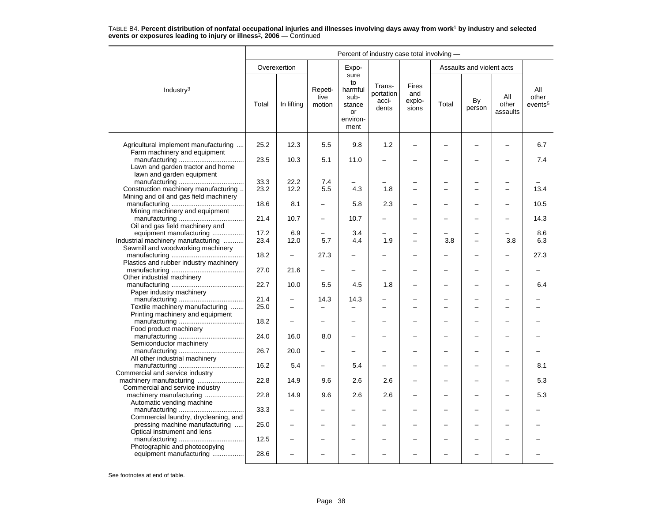|                                                                                                    | Percent of industry case total involving - |                          |                           |                                                                   |                                       |                                 |                |                           |                          |                                     |
|----------------------------------------------------------------------------------------------------|--------------------------------------------|--------------------------|---------------------------|-------------------------------------------------------------------|---------------------------------------|---------------------------------|----------------|---------------------------|--------------------------|-------------------------------------|
|                                                                                                    |                                            | Overexertion             |                           | Expo-                                                             |                                       |                                 |                | Assaults and violent acts |                          |                                     |
| Industry <sup>3</sup>                                                                              | Total                                      | In lifting               | Repeti-<br>tive<br>motion | sure<br>to<br>harmful<br>sub-<br>stance<br>or<br>environ-<br>ment | Trans-<br>portation<br>acci-<br>dents | Fires<br>and<br>explo-<br>sions | Total          | By<br>person              | All<br>other<br>assaults | All<br>other<br>events <sup>5</sup> |
| Agricultural implement manufacturing                                                               | 25.2                                       | 12.3                     | 5.5                       | 9.8                                                               | 1.2                                   | -                               |                |                           | $\overline{\phantom{0}}$ | 6.7                                 |
| Farm machinery and equipment<br>Lawn and garden tractor and home                                   | 23.5                                       | 10.3                     | 5.1                       | 11.0                                                              |                                       |                                 |                |                           |                          | 7.4                                 |
| lawn and garden equipment                                                                          |                                            |                          |                           |                                                                   |                                       |                                 |                |                           |                          |                                     |
| Construction machinery manufacturing<br>Mining and oil and gas field machinery                     | 33.3<br>23.2                               | 22.2<br>12.2             | 7.4<br>5.5                | 4.3                                                               | 1.8                                   | L.                              | $\overline{ }$ | $\overline{\phantom{0}}$  | $\overline{\phantom{0}}$ | 13.4                                |
| Mining machinery and equipment                                                                     | 18.6                                       | 8.1                      |                           | 5.8                                                               | 2.3                                   |                                 |                |                           |                          | 10.5                                |
| Oil and gas field machinery and                                                                    | 21.4                                       | 10.7                     | $\overline{\phantom{0}}$  | 10.7                                                              |                                       |                                 |                |                           |                          | 14.3                                |
| equipment manufacturing<br>Industrial machinery manufacturing<br>Sawmill and woodworking machinery | 17.2<br>23.4                               | 6.9<br>12.0              | 5.7                       | 3.4<br>4.4                                                        | 1.9                                   |                                 | 3.8            |                           | 3.8                      | 8.6<br>6.3                          |
| Plastics and rubber industry machinery                                                             | 18.2                                       | $\overline{\phantom{0}}$ | 27.3                      | $\overline{\phantom{0}}$                                          |                                       |                                 |                |                           |                          | 27.3                                |
| Other industrial machinery                                                                         | 27.0                                       | 21.6                     |                           |                                                                   |                                       |                                 |                |                           |                          |                                     |
| Paper industry machinery                                                                           | 22.7                                       | 10.0                     | 5.5                       | 4.5                                                               | 1.8                                   |                                 |                |                           |                          | 6.4                                 |
| Textile machinery manufacturing                                                                    | 21.4<br>25.0                               | $\equiv$                 | 14.3                      | 14.3                                                              |                                       |                                 |                |                           |                          |                                     |
| Printing machinery and equipment                                                                   | 18.2                                       |                          |                           |                                                                   |                                       |                                 |                |                           |                          |                                     |
| Food product machinery                                                                             | 24.0                                       | 16.0                     | 8.0                       | $\overline{\phantom{0}}$                                          |                                       |                                 |                | ÷                         |                          |                                     |
| Semiconductor machinery<br>All other industrial machinery                                          | 26.7                                       | 20.0                     |                           |                                                                   |                                       |                                 |                |                           |                          |                                     |
| Commercial and service industry                                                                    | 16.2                                       | 5.4                      |                           | 5.4                                                               |                                       |                                 |                |                           |                          | 8.1                                 |
| Commercial and service industry                                                                    | 22.8                                       | 14.9                     | 9.6                       | 2.6                                                               | 2.6                                   |                                 |                |                           |                          | 5.3                                 |
| machinery manufacturing<br>Automatic vending machine                                               | 22.8                                       | 14.9                     | 9.6                       | 2.6                                                               | 2.6                                   |                                 |                |                           |                          | 5.3                                 |
| Commercial laundry, drycleaning, and                                                               | 33.3                                       |                          |                           |                                                                   |                                       |                                 |                |                           |                          |                                     |
| pressing machine manufacturing<br>Optical instrument and lens                                      | 25.0                                       |                          |                           |                                                                   |                                       |                                 |                |                           |                          |                                     |
| Photographic and photocopying                                                                      | 12.5                                       |                          |                           |                                                                   |                                       |                                 |                |                           |                          |                                     |
| equipment manufacturing                                                                            | 28.6                                       |                          |                           |                                                                   |                                       |                                 |                |                           |                          |                                     |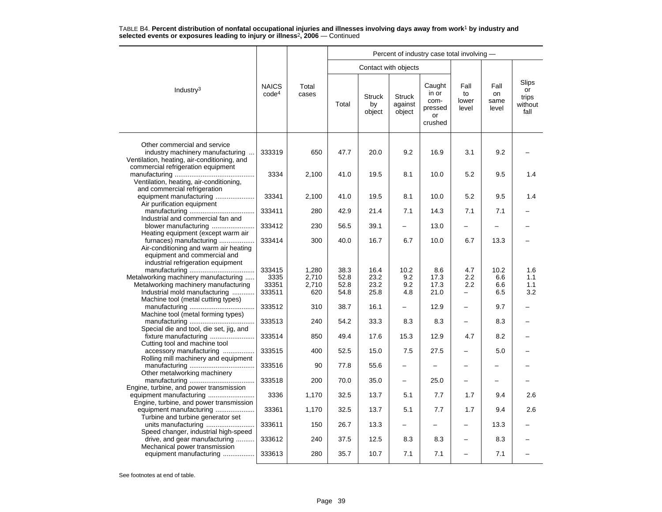|                                                                                                                                                       |                                   |                | Percent of industry case total involving - |                               |                                    |                                                     |                              |                             |                                         |  |  |  |
|-------------------------------------------------------------------------------------------------------------------------------------------------------|-----------------------------------|----------------|--------------------------------------------|-------------------------------|------------------------------------|-----------------------------------------------------|------------------------------|-----------------------------|-----------------------------------------|--|--|--|
|                                                                                                                                                       |                                   |                |                                            |                               | Contact with objects               |                                                     |                              |                             |                                         |  |  |  |
| Industry <sup>3</sup>                                                                                                                                 | <b>NAICS</b><br>code <sup>4</sup> | Total<br>cases | Total                                      | <b>Struck</b><br>by<br>object | <b>Struck</b><br>against<br>object | Caught<br>in or<br>com-<br>pressed<br>or<br>crushed | Fall<br>to<br>lower<br>level | Fall<br>on<br>same<br>level | Slips<br>or<br>trips<br>without<br>fall |  |  |  |
| Other commercial and service<br>industry machinery manufacturing<br>Ventilation, heating, air-conditioning, and<br>commercial refrigeration equipment | 333319                            | 650            | 47.7                                       | 20.0                          | 9.2                                | 16.9                                                | 3.1                          | 9.2                         |                                         |  |  |  |
| Ventilation, heating, air-conditioning,<br>and commercial refrigeration                                                                               | 3334                              | 2,100          | 41.0                                       | 19.5                          | 8.1                                | 10.0                                                | 5.2                          | 9.5                         | 1.4                                     |  |  |  |
| equipment manufacturing<br>Air purification equipment                                                                                                 | 33341                             | 2,100          | 41.0                                       | 19.5                          | 8.1                                | 10.0                                                | 5.2                          | 9.5                         | 1.4                                     |  |  |  |
| Industrial and commercial fan and                                                                                                                     | 333411                            | 280            | 42.9                                       | 21.4                          | 7.1                                | 14.3                                                | 7.1                          | 7.1                         |                                         |  |  |  |
| blower manufacturing<br>Heating equipment (except warm air                                                                                            | 333412                            | 230            | 56.5                                       | 39.1                          |                                    | 13.0                                                | $\overline{\phantom{0}}$     |                             |                                         |  |  |  |
| furnaces) manufacturing<br>Air-conditioning and warm air heating<br>equipment and commercial and<br>industrial refrigeration equipment                | 333414                            | 300            | 40.0                                       | 16.7                          | 6.7                                | 10.0                                                | 6.7                          | 13.3                        |                                         |  |  |  |
|                                                                                                                                                       | 333415                            | 1,280          | 38.3                                       | 16.4                          | 10.2                               | 8.6                                                 | 4.7                          | 10.2                        | 1.6                                     |  |  |  |
| Metalworking machinery manufacturing                                                                                                                  | 3335                              | 2,710          | 52.8                                       | 23.2                          | 9.2                                | 17.3                                                | 2.2                          | 6.6                         | 1.1                                     |  |  |  |
| Metalworking machinery manufacturing                                                                                                                  | 33351                             | 2,710          | 52.8                                       | 23.2                          | 9.2                                | 17.3                                                | 2.2                          | 6.6                         | 1.1                                     |  |  |  |
| Industrial mold manufacturing<br>Machine tool (metal cutting types)                                                                                   | 333511                            | 620            | 54.8                                       | 25.8                          | 4.8                                | 21.0                                                | —                            | 6.5                         | 3.2                                     |  |  |  |
| Machine tool (metal forming types)                                                                                                                    | 333512                            | 310            | 38.7                                       | 16.1                          | $\overline{\phantom{0}}$           | 12.9                                                | $\overline{\phantom{0}}$     | 9.7                         |                                         |  |  |  |
| Special die and tool, die set, jig, and                                                                                                               | 333513                            | 240            | 54.2                                       | 33.3                          | 8.3                                | 8.3                                                 | -                            | 8.3                         |                                         |  |  |  |
| fixture manufacturing<br>Cutting tool and machine tool                                                                                                | 333514                            | 850            | 49.4                                       | 17.6                          | 15.3                               | 12.9                                                | 4.7                          | 8.2                         |                                         |  |  |  |
| accessory manufacturing<br>Rolling mill machinery and equipment                                                                                       | 333515                            | 400            | 52.5                                       | 15.0                          | 7.5                                | 27.5                                                | -                            | 5.0                         |                                         |  |  |  |
| Other metalworking machinery                                                                                                                          | 333516                            | 90             | 77.8                                       | 55.6                          |                                    |                                                     |                              |                             |                                         |  |  |  |
| Engine, turbine, and power transmission                                                                                                               | 333518                            | 200            | 70.0                                       | 35.0                          |                                    | 25.0                                                |                              |                             |                                         |  |  |  |
| Engine, turbine, and power transmission                                                                                                               | 3336                              | 1,170          | 32.5                                       | 13.7                          | 5.1                                | 7.7                                                 | 1.7                          | 9.4                         | 2.6                                     |  |  |  |
| equipment manufacturing<br>Turbine and turbine generator set                                                                                          | 33361                             | 1,170          | 32.5                                       | 13.7                          | 5.1                                | 7.7                                                 | 1.7                          | 9.4                         | 2.6                                     |  |  |  |
| Speed changer, industrial high-speed                                                                                                                  | 333611                            | 150            | 26.7                                       | 13.3                          |                                    |                                                     |                              | 13.3                        |                                         |  |  |  |
| drive, and gear manufacturing<br>Mechanical power transmission                                                                                        | 333612                            | 240            | 37.5                                       | 12.5                          | 8.3                                | 8.3                                                 | -                            | 8.3                         |                                         |  |  |  |
| equipment manufacturing                                                                                                                               | 333613                            | 280            | 35.7                                       | 10.7                          | 7.1                                | 7.1                                                 |                              | 7.1                         |                                         |  |  |  |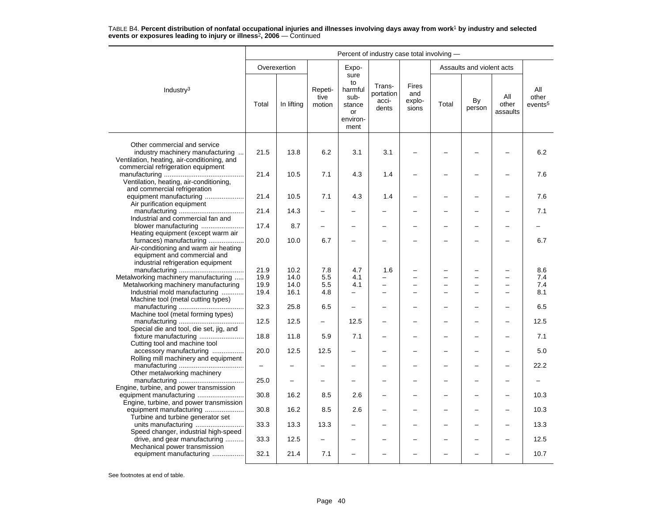|                                                                                                                                        | Percent of industry case total involving - |              |                           |                                                                   |                                       |                                 |       |                           |                          |                                     |  |  |
|----------------------------------------------------------------------------------------------------------------------------------------|--------------------------------------------|--------------|---------------------------|-------------------------------------------------------------------|---------------------------------------|---------------------------------|-------|---------------------------|--------------------------|-------------------------------------|--|--|
|                                                                                                                                        |                                            | Overexertion |                           | Expo-                                                             |                                       |                                 |       | Assaults and violent acts |                          |                                     |  |  |
| Industry <sup>3</sup>                                                                                                                  | Total                                      | In lifting   | Repeti-<br>tive<br>motion | sure<br>to<br>harmful<br>sub-<br>stance<br>or<br>environ-<br>ment | Trans-<br>portation<br>acci-<br>dents | Fires<br>and<br>explo-<br>sions | Total | By<br>person              | All<br>other<br>assaults | All<br>other<br>events <sup>5</sup> |  |  |
| Other commercial and service<br>industry machinery manufacturing<br>Ventilation, heating, air-conditioning, and                        | 21.5                                       | 13.8         | 6.2                       | 3.1                                                               | 3.1                                   |                                 |       |                           |                          | 6.2                                 |  |  |
| commercial refrigeration equipment<br>Ventilation, heating, air-conditioning,                                                          | 21.4                                       | 10.5         | 7.1                       | 4.3                                                               | 1.4                                   |                                 |       |                           |                          | 7.6                                 |  |  |
| and commercial refrigeration<br>equipment manufacturing<br>Air purification equipment                                                  | 21.4                                       | 10.5         | 7.1                       | 4.3                                                               | 1.4                                   |                                 |       |                           |                          | 7.6                                 |  |  |
| Industrial and commercial fan and                                                                                                      | 21.4                                       | 14.3         |                           |                                                                   |                                       |                                 |       |                           |                          | 7.1                                 |  |  |
| blower manufacturing<br>Heating equipment (except warm air                                                                             | 17.4                                       | 8.7          |                           |                                                                   |                                       |                                 |       |                           |                          |                                     |  |  |
| furnaces) manufacturing<br>Air-conditioning and warm air heating<br>equipment and commercial and<br>industrial refrigeration equipment | 20.0                                       | 10.0         | 6.7                       |                                                                   |                                       |                                 |       | L                         |                          | 6.7                                 |  |  |
|                                                                                                                                        | 21.9                                       | 10.2         | 7.8                       | 4.7                                                               | 1.6                                   |                                 |       | -                         |                          | 8.6                                 |  |  |
| Metalworking machinery manufacturing                                                                                                   | 19.9                                       | 14.0         | 5.5                       | 4.1                                                               |                                       |                                 |       | -                         |                          | 7.4                                 |  |  |
| Metalworking machinery manufacturing                                                                                                   | 19.9                                       | 14.0         | 5.5                       | 4.1                                                               | -                                     | $\equiv$                        |       | -                         | $\overline{\phantom{0}}$ | 7.4                                 |  |  |
| Industrial mold manufacturing<br>Machine tool (metal cutting types)                                                                    | 19.4                                       | 16.1         | 4.8                       | -                                                                 | -                                     |                                 |       | -                         |                          | 8.1                                 |  |  |
| Machine tool (metal forming types)                                                                                                     | 32.3                                       | 25.8         | 6.5                       | $\equiv$                                                          |                                       |                                 |       |                           |                          | 6.5                                 |  |  |
| Special die and tool, die set, jig, and                                                                                                | 12.5                                       | 12.5         |                           | 12.5                                                              |                                       |                                 |       |                           |                          | 12.5                                |  |  |
| Cutting tool and machine tool                                                                                                          | 18.8                                       | 11.8         | 5.9                       | 7.1                                                               |                                       |                                 |       | ▃                         |                          | 7.1                                 |  |  |
| accessory manufacturing<br>Rolling mill machinery and equipment                                                                        | 20.0                                       | 12.5         | 12.5                      |                                                                   |                                       |                                 |       |                           |                          | 5.0                                 |  |  |
| Other metalworking machinery                                                                                                           | $\qquad \qquad -$                          |              |                           |                                                                   |                                       |                                 |       |                           |                          | 22.2                                |  |  |
| Engine, turbine, and power transmission                                                                                                | 25.0                                       |              |                           |                                                                   |                                       |                                 |       |                           |                          |                                     |  |  |
| Engine, turbine, and power transmission                                                                                                | 30.8                                       | 16.2         | 8.5                       | 2.6                                                               |                                       |                                 |       | -                         |                          | 10.3                                |  |  |
| equipment manufacturing<br>Turbine and turbine generator set                                                                           | 30.8                                       | 16.2         | 8.5                       | 2.6                                                               |                                       |                                 |       |                           |                          | 10.3                                |  |  |
| Speed changer, industrial high-speed                                                                                                   | 33.3                                       | 13.3         | 13.3                      |                                                                   |                                       |                                 |       |                           |                          | 13.3                                |  |  |
| drive, and gear manufacturing<br>Mechanical power transmission                                                                         | 33.3                                       | 12.5         | $\overline{\phantom{0}}$  |                                                                   |                                       |                                 |       | -                         |                          | 12.5                                |  |  |
| equipment manufacturing                                                                                                                | 32.1                                       | 21.4         | 7.1                       |                                                                   |                                       |                                 |       |                           |                          | 10.7                                |  |  |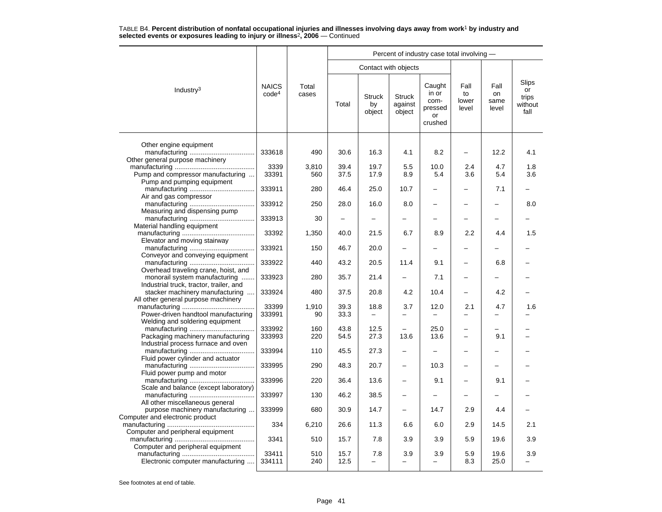|                                                                                                                   |                                   |                |                          |                                 |                                    | Percent of industry case total involving -          |                              |                             |                                         |
|-------------------------------------------------------------------------------------------------------------------|-----------------------------------|----------------|--------------------------|---------------------------------|------------------------------------|-----------------------------------------------------|------------------------------|-----------------------------|-----------------------------------------|
|                                                                                                                   |                                   |                |                          | Contact with objects            |                                    |                                                     |                              |                             |                                         |
| Industry <sup>3</sup>                                                                                             | <b>NAICS</b><br>code <sup>4</sup> | Total<br>cases | Total                    | <b>Struck</b><br>by<br>object   | <b>Struck</b><br>against<br>object | Caught<br>in or<br>com-<br>pressed<br>or<br>crushed | Fall<br>to<br>lower<br>level | Fall<br>on<br>same<br>level | Slips<br>or<br>trips<br>without<br>fall |
| Other engine equipment                                                                                            | 333618                            | 490            | 30.6                     | 16.3                            | 4.1                                | 8.2                                                 | $\qquad \qquad -$            | 12.2                        | 4.1                                     |
| Other general purpose machinery                                                                                   |                                   |                |                          |                                 |                                    |                                                     |                              |                             |                                         |
|                                                                                                                   | 3339                              | 3,810          | 39.4                     | 19.7                            | 5.5                                | 10.0                                                | 2.4                          | 4.7                         | 1.8                                     |
| Pump and compressor manufacturing                                                                                 | 33391                             | 560            | 37.5                     | 17.9                            | 8.9                                | 5.4                                                 | 3.6                          | 5.4                         | 3.6                                     |
| Pump and pumping equipment<br>Air and gas compressor                                                              | 333911                            | 280            | 46.4                     | 25.0                            | 10.7                               |                                                     | $\overline{\phantom{0}}$     | 7.1                         |                                         |
| Measuring and dispensing pump                                                                                     | 333912                            | 250            | 28.0                     | 16.0                            | 8.0                                |                                                     |                              |                             | 8.0                                     |
| Material handling equipment                                                                                       | 333913                            | 30             | $\overline{\phantom{0}}$ |                                 |                                    |                                                     |                              |                             |                                         |
|                                                                                                                   | 33392                             | 1,350          | 40.0                     | 21.5                            | 6.7                                | 8.9                                                 | 2.2                          | 4.4                         | 1.5                                     |
| Elevator and moving stairway                                                                                      | 333921                            | 150            | 46.7                     | 20.0                            |                                    |                                                     |                              |                             |                                         |
| Conveyor and conveying equipment                                                                                  | 333922                            | 440            | 43.2                     | 20.5                            | 11.4                               | 9.1                                                 | -                            | 6.8                         |                                         |
| Overhead traveling crane, hoist, and<br>monorail system manufacturing                                             | 333923                            | 280            | 35.7                     | 21.4                            | $\overline{\phantom{0}}$           | 7.1                                                 | $\overline{\phantom{0}}$     |                             |                                         |
| Industrial truck, tractor, trailer, and<br>stacker machinery manufacturing<br>All other general purpose machinery | 333924                            | 480            | 37.5                     | 20.8                            | 4.2                                | 10.4                                                |                              | 4.2                         |                                         |
|                                                                                                                   | 33399                             | 1,910          | 39.3                     | 18.8                            | 3.7                                | 12.0                                                | 2.1                          | 4.7                         | 1.6                                     |
| Power-driven handtool manufacturing<br>Welding and soldering equipment                                            | 333991                            | 90             | 33.3                     | $\equiv$                        |                                    |                                                     |                              |                             |                                         |
|                                                                                                                   | 333992                            | 160            | 43.8                     | 12.5                            |                                    | 25.0                                                |                              |                             |                                         |
| Packaging machinery manufacturing<br>Industrial process furnace and oven                                          | 333993                            | 220            | 54.5                     | 27.3                            | 13.6                               | 13.6                                                |                              | 9.1                         |                                         |
| Fluid power cylinder and actuator                                                                                 | 333994                            | 110            | 45.5                     | 27.3                            | $\overline{\phantom{0}}$           |                                                     | $\overline{\phantom{0}}$     |                             |                                         |
| Fluid power pump and motor                                                                                        | 333995                            | 290            | 48.3                     | 20.7                            |                                    | 10.3                                                |                              |                             |                                         |
| Scale and balance (except laboratory)                                                                             | 333996                            | 220            | 36.4                     | 13.6                            |                                    | 9.1                                                 |                              | 9.1                         |                                         |
|                                                                                                                   | 333997                            | 130            | 46.2                     | 38.5                            | $\overline{\phantom{0}}$           |                                                     | -                            |                             |                                         |
| All other miscellaneous general<br>purpose machinery manufacturing                                                | 333999                            | 680            | 30.9                     | 14.7                            | $\overline{\phantom{0}}$           | 14.7                                                | 2.9                          | 4.4                         |                                         |
| Computer and electronic product                                                                                   | 334                               | 6,210          | 26.6                     | 11.3                            | 6.6                                | 6.0                                                 | 2.9                          | 14.5                        | 2.1                                     |
| Computer and peripheral equipment                                                                                 | 3341                              | 510            | 15.7                     | 7.8                             | 3.9                                | 3.9                                                 | 5.9                          | 19.6                        | 3.9                                     |
| Computer and peripheral equipment<br>Electronic computer manufacturing                                            | 33411<br>334111                   | 510<br>240     | 15.7<br>12.5             | 7.8<br>$\overline{\phantom{0}}$ | 3.9<br>$\equiv$                    | 3.9                                                 | 5.9<br>8.3                   | 19.6<br>25.0                | 3.9                                     |
|                                                                                                                   |                                   |                |                          |                                 |                                    |                                                     |                              |                             |                                         |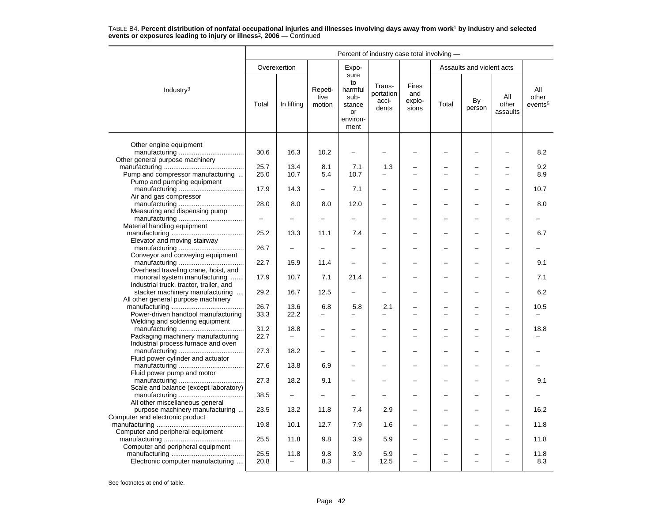|                                                                          | Percent of industry case total involving - |                                  |                           |                                                                   |                                       |                                        |       |                           |                          |                                     |  |  |
|--------------------------------------------------------------------------|--------------------------------------------|----------------------------------|---------------------------|-------------------------------------------------------------------|---------------------------------------|----------------------------------------|-------|---------------------------|--------------------------|-------------------------------------|--|--|
|                                                                          |                                            | Overexertion                     |                           | Expo-                                                             |                                       |                                        |       | Assaults and violent acts |                          |                                     |  |  |
| Industry <sup>3</sup>                                                    | Total                                      | In lifting                       | Repeti-<br>tive<br>motion | sure<br>to<br>harmful<br>sub-<br>stance<br>or<br>environ-<br>ment | Trans-<br>portation<br>acci-<br>dents | <b>Fires</b><br>and<br>explo-<br>sions | Total | By<br>person              | All<br>other<br>assaults | All<br>other<br>events <sup>5</sup> |  |  |
|                                                                          |                                            |                                  |                           |                                                                   |                                       |                                        |       |                           |                          |                                     |  |  |
| Other engine equipment<br>Other general purpose machinery                | 30.6                                       | 16.3                             | 10.2                      | $\overline{\phantom{0}}$                                          |                                       |                                        |       |                           |                          | 8.2                                 |  |  |
|                                                                          | 25.7                                       | 13.4                             | 8.1                       | 7.1                                                               | 1.3                                   |                                        |       |                           |                          | 9.2                                 |  |  |
| Pump and compressor manufacturing                                        | 25.0                                       | 10.7                             | 5.4                       | 10.7                                                              |                                       |                                        |       | −                         |                          | 8.9                                 |  |  |
| Pump and pumping equipment<br>Air and gas compressor                     | 17.9                                       | 14.3                             | $\overline{\phantom{m}}$  | 7.1                                                               | -                                     | $\equiv$                               |       | ▃                         |                          | 10.7                                |  |  |
| Measuring and dispensing pump                                            | 28.0                                       | 8.0                              | 8.0                       | 12.0                                                              |                                       |                                        |       |                           |                          | 8.0                                 |  |  |
|                                                                          | $\equiv$                                   |                                  |                           |                                                                   |                                       |                                        |       | ▃                         |                          |                                     |  |  |
| Material handling equipment                                              | 25.2                                       | 13.3                             | 11.1                      | 7.4                                                               |                                       |                                        |       |                           |                          | 6.7                                 |  |  |
| Elevator and moving stairway<br>Conveyor and conveying equipment         | 26.7                                       | $\overline{\phantom{0}}$         |                           |                                                                   |                                       |                                        |       |                           |                          |                                     |  |  |
| Overhead traveling crane, hoist, and                                     | 22.7                                       | 15.9                             | 11.4                      |                                                                   |                                       |                                        |       |                           |                          | 9.1                                 |  |  |
| monorail system manufacturing<br>Industrial truck, tractor, trailer, and | 17.9                                       | 10.7                             | 7.1                       | 21.4                                                              |                                       |                                        |       | ▃                         |                          | 7.1                                 |  |  |
| stacker machinery manufacturing<br>All other general purpose machinery   | 29.2                                       | 16.7                             | 12.5                      |                                                                   |                                       |                                        |       |                           |                          | 6.2                                 |  |  |
|                                                                          | 26.7                                       | 13.6                             | 6.8                       | 5.8                                                               | 2.1                                   |                                        |       |                           |                          | 10.5                                |  |  |
| Power-driven handtool manufacturing<br>Welding and soldering equipment   | 33.3                                       | 22.2                             |                           | $\overline{\phantom{0}}$                                          |                                       |                                        |       |                           |                          |                                     |  |  |
| Packaging machinery manufacturing                                        | 31.2<br>22.7                               | 18.8<br>$\overline{\phantom{0}}$ |                           |                                                                   |                                       |                                        |       |                           |                          | 18.8                                |  |  |
| Industrial process furnace and oven                                      |                                            |                                  |                           |                                                                   |                                       |                                        |       |                           |                          |                                     |  |  |
| Fluid power cylinder and actuator                                        | 27.3                                       | 18.2                             |                           |                                                                   |                                       | $\overline{\phantom{0}}$               |       |                           |                          |                                     |  |  |
| Fluid power pump and motor                                               | 27.6                                       | 13.8                             | 6.9                       |                                                                   |                                       |                                        |       |                           |                          |                                     |  |  |
| Scale and balance (except laboratory)                                    | 27.3                                       | 18.2                             | 9.1                       |                                                                   |                                       |                                        |       |                           |                          | 9.1                                 |  |  |
| All other miscellaneous general                                          | 38.5                                       | $\qquad \qquad -$                |                           |                                                                   |                                       |                                        |       |                           |                          |                                     |  |  |
| purpose machinery manufacturing<br>Computer and electronic product       | 23.5                                       | 13.2                             | 11.8                      | 7.4                                                               | 2.9                                   |                                        |       |                           |                          | 16.2                                |  |  |
| Computer and peripheral equipment                                        | 19.8                                       | 10.1                             | 12.7                      | 7.9                                                               | 1.6                                   |                                        |       |                           |                          | 11.8                                |  |  |
| Computer and peripheral equipment                                        | 25.5                                       | 11.8                             | 9.8                       | 3.9                                                               | 5.9                                   |                                        |       |                           |                          | 11.8                                |  |  |
| Electronic computer manufacturing                                        | 25.5<br>20.8                               | 11.8<br>$\overline{\phantom{0}}$ | 9.8<br>8.3                | 3.9<br>$\equiv$                                                   | 5.9<br>12.5                           | $\overline{\phantom{0}}$               |       | $\overline{\phantom{0}}$  | $\overline{\phantom{0}}$ | 11.8<br>8.3                         |  |  |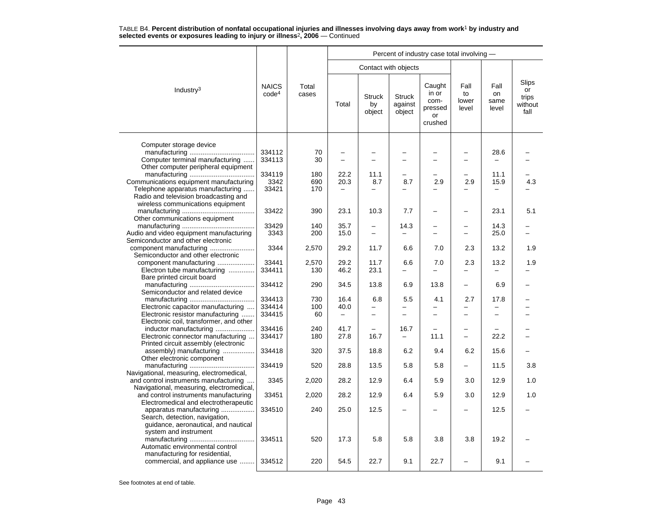|                                                                                                   |                                   |                |                          |                               |                                    | Percent of industry case total involving -          |                              |                             |                                                |
|---------------------------------------------------------------------------------------------------|-----------------------------------|----------------|--------------------------|-------------------------------|------------------------------------|-----------------------------------------------------|------------------------------|-----------------------------|------------------------------------------------|
|                                                                                                   |                                   |                |                          |                               | Contact with objects               |                                                     |                              |                             |                                                |
| Industry <sup>3</sup>                                                                             | <b>NAICS</b><br>code <sup>4</sup> | Total<br>cases | Total                    | <b>Struck</b><br>by<br>object | <b>Struck</b><br>against<br>object | Caught<br>in or<br>com-<br>pressed<br>or<br>crushed | Fall<br>to<br>lower<br>level | Fall<br>on<br>same<br>level | <b>Slips</b><br>or<br>trips<br>without<br>fall |
|                                                                                                   |                                   |                |                          |                               |                                    |                                                     |                              |                             |                                                |
| Computer storage device<br>Computer terminal manufacturing<br>Other computer peripheral equipment | 334112<br>334113                  | 70<br>30       |                          | $\overline{\phantom{0}}$<br>L |                                    |                                                     |                              | 28.6                        |                                                |
|                                                                                                   | 334119                            | 180            | 22.2                     | 11.1                          |                                    |                                                     |                              | 11.1                        |                                                |
| Communications equipment manufacturing                                                            | 3342                              | 690            | 20.3                     | 8.7                           | 8.7                                | 2.9                                                 | 2.9                          | 15.9                        | 4.3                                            |
| Telephone apparatus manufacturing                                                                 | 33421                             | 170            |                          |                               |                                    |                                                     |                              |                             |                                                |
| Radio and television broadcasting and                                                             |                                   |                |                          |                               |                                    |                                                     |                              |                             |                                                |
| wireless communications equipment                                                                 | 33422                             | 390            | 23.1                     | 10.3                          | 7.7                                |                                                     |                              | 23.1                        | 5.1                                            |
| Other communications equipment                                                                    |                                   |                |                          |                               |                                    |                                                     |                              |                             |                                                |
|                                                                                                   | 33429                             | 140            | 35.7                     | $\overline{\phantom{m}}$      | 14.3                               |                                                     |                              | 14.3                        |                                                |
| Audio and video equipment manufacturing                                                           | 3343                              | 200            | 15.0                     | $\overline{\phantom{0}}$      |                                    |                                                     |                              | 25.0                        |                                                |
| Semiconductor and other electronic                                                                |                                   |                |                          |                               |                                    |                                                     |                              |                             |                                                |
| Semiconductor and other electronic                                                                | 3344                              | 2,570          | 29.2                     | 11.7                          | 6.6                                | 7.0                                                 | 2.3                          | 13.2                        | 1.9                                            |
| component manufacturing                                                                           | 33441                             | 2,570          | 29.2                     | 11.7                          | 6.6                                | 7.0                                                 | 2.3                          | 13.2                        | 1.9                                            |
| Electron tube manufacturing                                                                       | 334411                            | 130            | 46.2                     | 23.1                          |                                    |                                                     |                              |                             |                                                |
| Bare printed circuit board                                                                        |                                   |                |                          |                               |                                    |                                                     |                              |                             |                                                |
|                                                                                                   | 334412                            | 290            | 34.5                     | 13.8                          | 6.9                                | 13.8                                                |                              | 6.9                         |                                                |
| Semiconductor and related device                                                                  | 334413                            | 730            |                          |                               |                                    |                                                     | 2.7                          |                             |                                                |
| Electronic capacitor manufacturing                                                                | 334414                            | 100            | 16.4<br>40.0             | 6.8                           | 5.5                                | 4.1                                                 |                              | 17.8                        |                                                |
| Electronic resistor manufacturing                                                                 | 334415                            | 60             | $\overline{\phantom{0}}$ | -                             |                                    |                                                     | $\overline{\phantom{0}}$     |                             |                                                |
| Electronic coil, transformer, and other                                                           |                                   |                |                          |                               |                                    |                                                     |                              |                             |                                                |
| inductor manufacturing                                                                            | 334416                            | 240            | 41.7                     |                               | 16.7                               |                                                     |                              |                             |                                                |
| Electronic connector manufacturing                                                                | 334417                            | 180            | 27.8                     | 16.7                          | -                                  | 11.1                                                | -                            | 22.2                        |                                                |
| Printed circuit assembly (electronic<br>assembly) manufacturing                                   | 334418                            | 320            | 37.5                     | 18.8                          | 6.2                                | 9.4                                                 | 6.2                          | 15.6                        |                                                |
| Other electronic component                                                                        |                                   |                |                          |                               |                                    |                                                     |                              |                             |                                                |
|                                                                                                   | 334419                            | 520            | 28.8                     | 13.5                          | 5.8                                | 5.8                                                 |                              | 11.5                        | 3.8                                            |
| Navigational, measuring, electromedical,                                                          |                                   |                |                          |                               |                                    |                                                     |                              |                             |                                                |
| and control instruments manufacturing                                                             | 3345                              | 2,020          | 28.2                     | 12.9                          | 6.4                                | 5.9                                                 | 3.0                          | 12.9                        | 1.0                                            |
| Navigational, measuring, electromedical,<br>and control instruments manufacturing                 | 33451                             | 2,020          | 28.2                     | 12.9                          | 6.4                                | 5.9                                                 | 3.0                          | 12.9                        | 1.0                                            |
| Electromedical and electrotherapeutic                                                             |                                   |                |                          |                               |                                    |                                                     |                              |                             |                                                |
| apparatus manufacturing                                                                           | 334510                            | 240            | 25.0                     | 12.5                          |                                    |                                                     |                              | 12.5                        |                                                |
| Search, detection, navigation,                                                                    |                                   |                |                          |                               |                                    |                                                     |                              |                             |                                                |
| guidance, aeronautical, and nautical                                                              |                                   |                |                          |                               |                                    |                                                     |                              |                             |                                                |
| system and instrument                                                                             |                                   |                |                          |                               |                                    |                                                     |                              |                             |                                                |
| Automatic environmental control                                                                   | 334511                            | 520            | 17.3                     | 5.8                           | 5.8                                | 3.8                                                 | 3.8                          | 19.2                        |                                                |
| manufacturing for residential,                                                                    |                                   |                |                          |                               |                                    |                                                     |                              |                             |                                                |
| commercial, and appliance use                                                                     | 334512                            | 220            | 54.5                     | 22.7                          | 9.1                                | 22.7                                                |                              | 9.1                         |                                                |
|                                                                                                   |                                   |                |                          |                               |                                    |                                                     |                              |                             |                                                |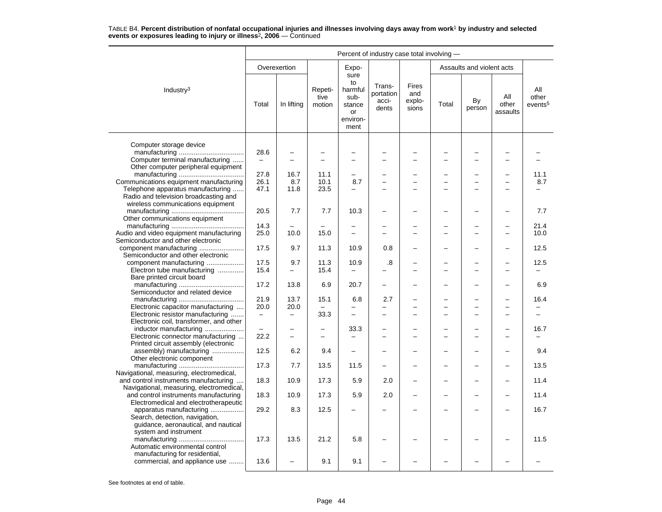|                                                                            | Percent of industry case total involving - |                          |                           |                                                                   |                                            |                                        |       |                           |                          |                                     |  |
|----------------------------------------------------------------------------|--------------------------------------------|--------------------------|---------------------------|-------------------------------------------------------------------|--------------------------------------------|----------------------------------------|-------|---------------------------|--------------------------|-------------------------------------|--|
|                                                                            |                                            | Overexertion             |                           | Expo-                                                             |                                            |                                        |       | Assaults and violent acts |                          |                                     |  |
| Industry <sup>3</sup>                                                      | Total                                      | In lifting               | Repeti-<br>tive<br>motion | sure<br>to<br>harmful<br>sub-<br>stance<br>or<br>environ-<br>ment | Trans-<br>portation<br>acci-<br>dents      | <b>Fires</b><br>and<br>explo-<br>sions | Total | By<br>person              | All<br>other<br>assaults | All<br>other<br>events <sup>5</sup> |  |
|                                                                            |                                            |                          |                           |                                                                   |                                            |                                        |       |                           |                          |                                     |  |
| Computer storage device                                                    | 28.6                                       |                          |                           |                                                                   |                                            | $\overline{\phantom{0}}$               |       | $\overline{\phantom{0}}$  |                          |                                     |  |
| Computer terminal manufacturing                                            |                                            | L                        |                           |                                                                   | $\overline{\phantom{0}}$                   |                                        |       | $\overline{\phantom{0}}$  |                          |                                     |  |
| Other computer peripheral equipment                                        |                                            |                          |                           |                                                                   |                                            |                                        |       |                           |                          |                                     |  |
|                                                                            | 27.8                                       | 16.7                     | 11.1                      |                                                                   | ▃                                          |                                        |       |                           |                          | 11.1                                |  |
| Communications equipment manufacturing                                     | 26.1                                       | 8.7                      | 10.1                      | 8.7                                                               | $\overline{a}$<br>$\overline{\phantom{0}}$ | $\overline{\phantom{0}}$<br>$\equiv$   |       | $\overline{a}$<br>-       |                          | 8.7                                 |  |
| Telephone apparatus manufacturing<br>Radio and television broadcasting and | 47.1                                       | 11.8                     | 23.5                      | -                                                                 |                                            |                                        |       |                           |                          |                                     |  |
| wireless communications equipment                                          |                                            |                          |                           |                                                                   |                                            |                                        |       |                           |                          |                                     |  |
|                                                                            | 20.5                                       | 7.7                      | 7.7                       | 10.3                                                              |                                            |                                        |       |                           |                          | 7.7                                 |  |
| Other communications equipment                                             |                                            |                          |                           |                                                                   |                                            |                                        |       |                           |                          |                                     |  |
|                                                                            | 14.3                                       |                          |                           | $\overline{\phantom{0}}$                                          | -                                          |                                        |       | $\overline{\phantom{0}}$  |                          | 21.4                                |  |
| Audio and video equipment manufacturing                                    | 25.0                                       | 10.0                     | 15.0                      |                                                                   |                                            |                                        |       |                           |                          | 10.0                                |  |
| Semiconductor and other electronic                                         |                                            |                          |                           |                                                                   |                                            |                                        |       |                           |                          |                                     |  |
| component manufacturing                                                    | 17.5                                       | 9.7                      | 11.3                      | 10.9                                                              | 0.8                                        |                                        |       | -                         |                          | 12.5                                |  |
| Semiconductor and other electronic                                         |                                            |                          |                           |                                                                   |                                            |                                        |       |                           |                          |                                     |  |
| component manufacturing                                                    | 17.5                                       | 9.7                      | 11.3                      | 10.9                                                              | .8                                         |                                        |       | -<br>−                    |                          | 12.5                                |  |
| Electron tube manufacturing<br>Bare printed circuit board                  | 15.4                                       | $\overline{\phantom{0}}$ | 15.4                      |                                                                   |                                            |                                        |       |                           |                          |                                     |  |
|                                                                            | 17.2                                       | 13.8                     | 6.9                       | 20.7                                                              | $\overline{\phantom{0}}$                   |                                        |       | -                         |                          | 6.9                                 |  |
| Semiconductor and related device                                           |                                            |                          |                           |                                                                   |                                            |                                        |       |                           |                          |                                     |  |
|                                                                            | 21.9                                       | 13.7                     | 15.1                      | 6.8                                                               | 2.7                                        |                                        |       |                           |                          | 16.4                                |  |
| Electronic capacitor manufacturing                                         | 20.0                                       | 20.0                     |                           |                                                                   |                                            |                                        |       | $\overline{\phantom{0}}$  |                          |                                     |  |
| Electronic resistor manufacturing                                          | $\equiv$                                   | $\overline{\phantom{0}}$ | 33.3                      | $\overline{a}$                                                    | $\overline{\phantom{0}}$                   | $\equiv$                               |       | $\overline{a}$            | $\sim$                   |                                     |  |
| Electronic coil, transformer, and other                                    |                                            |                          |                           |                                                                   |                                            |                                        |       |                           |                          |                                     |  |
| inductor manufacturing                                                     |                                            |                          |                           | 33.3                                                              |                                            |                                        |       |                           |                          | 16.7                                |  |
| Electronic connector manufacturing                                         | 22.2                                       | -                        |                           |                                                                   |                                            |                                        |       | -                         |                          |                                     |  |
| Printed circuit assembly (electronic                                       | 12.5                                       | 6.2                      | 9.4                       | ÷                                                                 |                                            |                                        |       | $\overline{\phantom{0}}$  |                          | 9.4                                 |  |
| assembly) manufacturing<br>Other electronic component                      |                                            |                          |                           |                                                                   |                                            |                                        |       |                           |                          |                                     |  |
|                                                                            | 17.3                                       | 7.7                      | 13.5                      | 11.5                                                              |                                            |                                        |       |                           |                          | 13.5                                |  |
| Navigational, measuring, electromedical,                                   |                                            |                          |                           |                                                                   |                                            |                                        |       |                           |                          |                                     |  |
| and control instruments manufacturing                                      | 18.3                                       | 10.9                     | 17.3                      | 5.9                                                               | 2.0                                        |                                        |       |                           |                          | 11.4                                |  |
| Navigational, measuring, electromedical,                                   |                                            |                          |                           |                                                                   |                                            |                                        |       |                           |                          |                                     |  |
| and control instruments manufacturing                                      | 18.3                                       | 10.9                     | 17.3                      | 5.9                                                               | 2.0                                        |                                        |       | -                         |                          | 11.4                                |  |
| Electromedical and electrotherapeutic                                      |                                            |                          |                           |                                                                   |                                            |                                        |       |                           |                          |                                     |  |
| apparatus manufacturing                                                    | 29.2                                       | 8.3                      | 12.5                      |                                                                   |                                            |                                        |       |                           |                          | 16.7                                |  |
| Search, detection, navigation,<br>quidance, aeronautical, and nautical     |                                            |                          |                           |                                                                   |                                            |                                        |       |                           |                          |                                     |  |
| system and instrument                                                      |                                            |                          |                           |                                                                   |                                            |                                        |       |                           |                          |                                     |  |
|                                                                            | 17.3                                       | 13.5                     | 21.2                      | 5.8                                                               |                                            |                                        |       |                           |                          | 11.5                                |  |
| Automatic environmental control                                            |                                            |                          |                           |                                                                   |                                            |                                        |       |                           |                          |                                     |  |
| manufacturing for residential,                                             |                                            |                          |                           |                                                                   |                                            |                                        |       |                           |                          |                                     |  |
| commercial, and appliance use                                              | 13.6                                       | ÷                        | 9.1                       | 9.1                                                               |                                            |                                        |       |                           |                          |                                     |  |
|                                                                            |                                            |                          |                           |                                                                   |                                            |                                        |       |                           |                          |                                     |  |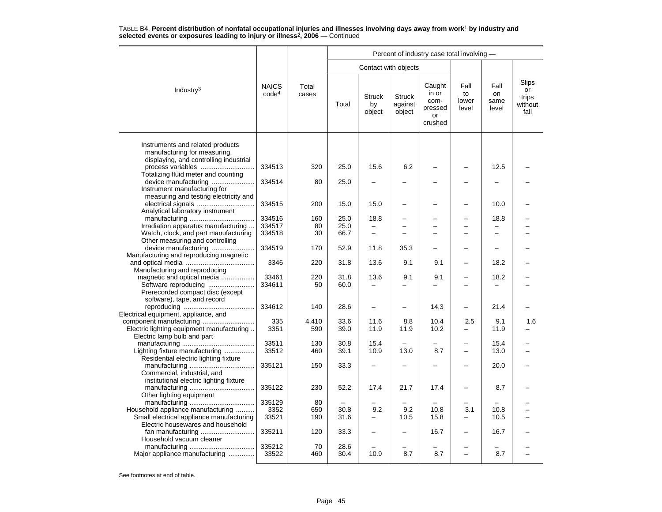|                                                                                                            |                                   |                |              |                               |                                    | Percent of industry case total involving -          |                              |                             |                                         |
|------------------------------------------------------------------------------------------------------------|-----------------------------------|----------------|--------------|-------------------------------|------------------------------------|-----------------------------------------------------|------------------------------|-----------------------------|-----------------------------------------|
|                                                                                                            |                                   |                |              | Contact with objects          |                                    |                                                     |                              |                             |                                         |
| Industry <sup>3</sup>                                                                                      | <b>NAICS</b><br>code <sup>4</sup> | Total<br>cases | Total        | <b>Struck</b><br>by<br>object | <b>Struck</b><br>against<br>object | Caught<br>in or<br>com-<br>pressed<br>or<br>crushed | Fall<br>to<br>lower<br>level | Fall<br>on<br>same<br>level | Slips<br>or<br>trips<br>without<br>fall |
| Instruments and related products<br>manufacturing for measuring,<br>displaying, and controlling industrial |                                   |                |              |                               |                                    |                                                     |                              |                             |                                         |
| Totalizing fluid meter and counting                                                                        | 334513                            | 320            | 25.0         | 15.6                          | 6.2                                |                                                     |                              | 12.5                        |                                         |
| device manufacturing<br>Instrument manufacturing for<br>measuring and testing electricity and              | 334514                            | 80             | 25.0         |                               |                                    |                                                     |                              |                             |                                         |
| Analytical laboratory instrument                                                                           | 334515                            | 200            | 15.0         | 15.0                          |                                    |                                                     |                              | 10.0                        |                                         |
|                                                                                                            | 334516                            | 160            | 25.0         | 18.8                          |                                    |                                                     |                              | 18.8                        |                                         |
| Irradiation apparatus manufacturing                                                                        | 334517                            | 80             | 25.0         | $\overline{\phantom{0}}$      |                                    | $\equiv$                                            | $\overline{\phantom{0}}$     | $\overline{\phantom{0}}$    |                                         |
| Watch, clock, and part manufacturing<br>Other measuring and controlling                                    | 334518                            | 30             | 66.7         |                               |                                    |                                                     |                              |                             |                                         |
| device manufacturing<br>Manufacturing and reproducing magnetic                                             | 334519                            | 170            | 52.9         | 11.8                          | 35.3                               |                                                     | $\overline{\phantom{0}}$     |                             |                                         |
| Manufacturing and reproducing                                                                              | 3346                              | 220            | 31.8         | 13.6                          | 9.1                                | 9.1                                                 |                              | 18.2                        |                                         |
| magnetic and optical media<br>Software reproducing                                                         | 33461<br>334611                   | 220<br>50      | 31.8<br>60.0 | 13.6                          | 9.1                                | 9.1                                                 |                              | 18.2                        |                                         |
| Prerecorded compact disc (except<br>software), tape, and record                                            |                                   |                |              |                               |                                    |                                                     |                              |                             |                                         |
| Electrical equipment, appliance, and                                                                       | 334612                            | 140            | 28.6         | $\overline{\phantom{m}}$      | $\overline{\phantom{0}}$           | 14.3                                                | -                            | 21.4                        |                                         |
|                                                                                                            | 335                               | 4,410          | 33.6         | 11.6                          | 8.8                                | 10.4                                                | 2.5                          | 9.1                         | 1.6                                     |
| Electric lighting equipment manufacturing<br>Electric lamp bulb and part                                   | 3351                              | 590            | 39.0         | 11.9                          | 11.9                               | 10.2                                                | -                            | 11.9                        |                                         |
|                                                                                                            | 33511                             | 130            | 30.8         | 15.4                          |                                    |                                                     |                              | 15.4                        |                                         |
| Lighting fixture manufacturing<br>Residential electric lighting fixture                                    | 33512                             | 460            | 39.1         | 10.9                          | 13.0                               | 8.7                                                 | $\overline{a}$               | 13.0                        |                                         |
| Commercial, industrial, and                                                                                | 335121                            | 150            | 33.3         |                               |                                    |                                                     |                              | 20.0                        |                                         |
| institutional electric lighting fixture<br>Other lighting equipment                                        | 335122                            | 230            | 52.2         | 17.4                          | 21.7                               | 17.4                                                |                              | 8.7                         |                                         |
|                                                                                                            | 335129                            | 80             |              |                               |                                    |                                                     |                              |                             |                                         |
| Household appliance manufacturing                                                                          | 3352                              | 650            | 30.8         | 9.2                           | 9.2                                | 10.8                                                | 3.1                          | 10.8                        |                                         |
| Small electrical appliance manufacturing                                                                   | 33521                             | 190            | 31.6         |                               | 10.5                               | 15.8                                                | -                            | 10.5                        |                                         |
| Electric housewares and household                                                                          | 335211                            | 120            | 33.3         |                               |                                    | 16.7                                                |                              | 16.7                        |                                         |
| Household vacuum cleaner                                                                                   |                                   |                |              |                               |                                    |                                                     |                              |                             |                                         |
|                                                                                                            | 335212                            | 70             | 28.6         |                               |                                    |                                                     |                              |                             |                                         |
| Major appliance manufacturing                                                                              | 33522                             | 460            | 30.4         | 10.9                          | 8.7                                | 8.7                                                 |                              | 8.7                         |                                         |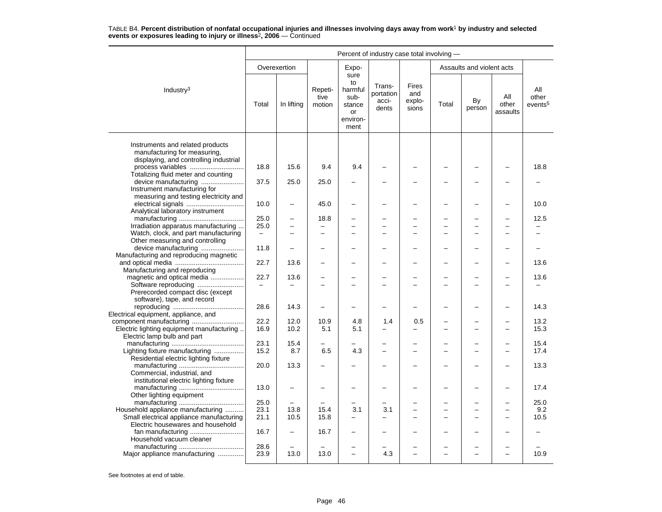|                                                                                                            | Percent of industry case total involving - |              |                           |                                                                   |                                       |                                 |       |                           |                          |                                     |
|------------------------------------------------------------------------------------------------------------|--------------------------------------------|--------------|---------------------------|-------------------------------------------------------------------|---------------------------------------|---------------------------------|-------|---------------------------|--------------------------|-------------------------------------|
|                                                                                                            |                                            | Overexertion |                           | Expo-                                                             |                                       |                                 |       | Assaults and violent acts |                          |                                     |
| Industry <sup>3</sup>                                                                                      | Total                                      | In lifting   | Repeti-<br>tive<br>motion | sure<br>to<br>harmful<br>sub-<br>stance<br>or<br>environ-<br>ment | Trans-<br>portation<br>acci-<br>dents | Fires<br>and<br>explo-<br>sions | Total | By<br>person              | All<br>other<br>assaults | All<br>other<br>events <sup>5</sup> |
| Instruments and related products<br>manufacturing for measuring,<br>displaying, and controlling industrial |                                            |              |                           | 9.4                                                               |                                       |                                 |       |                           |                          |                                     |
| Totalizing fluid meter and counting                                                                        | 18.8                                       | 15.6         | 9.4                       |                                                                   |                                       |                                 |       |                           |                          | 18.8                                |
| device manufacturing<br>Instrument manufacturing for<br>measuring and testing electricity and              | 37.5                                       | 25.0         | 25.0                      |                                                                   |                                       |                                 |       |                           |                          |                                     |
| Analytical laboratory instrument                                                                           | 10.0                                       |              | 45.0                      |                                                                   |                                       |                                 |       |                           |                          | 10.0                                |
|                                                                                                            | 25.0                                       |              | 18.8                      |                                                                   |                                       |                                 |       |                           |                          | 12.5                                |
| Irradiation apparatus manufacturing                                                                        | 25.0                                       |              | $\equiv$                  | $\overline{\phantom{a}}$                                          | $\equiv$                              | $\overline{\phantom{0}}$        |       | L,                        |                          |                                     |
| Watch, clock, and part manufacturing<br>Other measuring and controlling                                    | $\equiv$                                   |              |                           | $\overline{\phantom{0}}$                                          |                                       |                                 |       | L,                        |                          |                                     |
| device manufacturing<br>Manufacturing and reproducing magnetic                                             | 11.8                                       |              |                           |                                                                   |                                       |                                 |       | -                         |                          |                                     |
| Manufacturing and reproducing                                                                              | 22.7                                       | 13.6         |                           | $\overline{\phantom{0}}$                                          |                                       | $\overline{\phantom{0}}$        |       | L.                        |                          | 13.6                                |
| magnetic and optical media                                                                                 | 22.7                                       | 13.6         |                           |                                                                   |                                       |                                 |       |                           |                          | 13.6                                |
| Software reproducing<br>Prerecorded compact disc (except<br>software), tape, and record                    |                                            |              |                           |                                                                   |                                       |                                 |       |                           |                          |                                     |
| Electrical equipment, appliance, and                                                                       | 28.6                                       | 14.3         | $\overline{\phantom{0}}$  | -                                                                 | -                                     |                                 |       | ÷                         |                          | 14.3                                |
|                                                                                                            | 22.2                                       | 12.0         | 10.9                      | 4.8                                                               | 1.4                                   | 0.5                             |       |                           |                          | 13.2                                |
| Electric lighting equipment manufacturing<br>Electric lamp bulb and part                                   | 16.9                                       | 10.2         | 5.1                       | 5.1                                                               |                                       |                                 |       | -                         |                          | 15.3                                |
|                                                                                                            | 23.1                                       | 15.4         |                           |                                                                   |                                       |                                 |       |                           |                          | 15.4                                |
| Lighting fixture manufacturing<br>Residential electric lighting fixture                                    | 15.2                                       | 8.7          | 6.5                       | 4.3                                                               | $\equiv$                              | ÷                               |       | $\overline{a}$            |                          | 17.4                                |
| Commercial, industrial, and<br>institutional electric lighting fixture                                     | 20.0                                       | 13.3         |                           |                                                                   |                                       |                                 |       |                           |                          | 13.3                                |
| Other lighting equipment                                                                                   | 13.0                                       |              |                           |                                                                   |                                       |                                 |       | -                         |                          | 17.4                                |
|                                                                                                            | 25.0                                       |              |                           |                                                                   |                                       |                                 |       |                           |                          | 25.0                                |
| Household appliance manufacturing                                                                          | 23.1                                       | 13.8         | 15.4                      | 3.1                                                               | 3.1                                   |                                 |       | $\overline{\phantom{0}}$  |                          | 9.2                                 |
| Small electrical appliance manufacturing<br>Electric housewares and household                              | 21.1                                       | 10.5         | 15.8                      | -                                                                 | $\overline{\phantom{0}}$              |                                 |       | -                         |                          | 10.5                                |
| Household vacuum cleaner                                                                                   | 16.7                                       |              | 16.7                      |                                                                   |                                       |                                 |       |                           |                          |                                     |
| Major appliance manufacturing                                                                              | 28.6<br>23.9                               | 13.0         | 13.0                      |                                                                   | 4.3                                   |                                 |       |                           |                          | 10.9                                |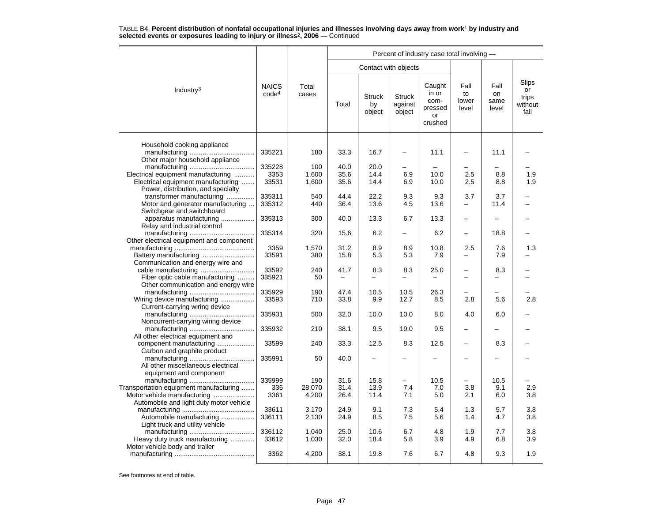|                                          |                                   |                |                          |                               |                                    | Percent of industry case total involving -          |                              |                             |                                         |
|------------------------------------------|-----------------------------------|----------------|--------------------------|-------------------------------|------------------------------------|-----------------------------------------------------|------------------------------|-----------------------------|-----------------------------------------|
|                                          |                                   |                |                          | Contact with objects          |                                    |                                                     |                              |                             |                                         |
| Industry <sup>3</sup>                    | <b>NAICS</b><br>code <sup>4</sup> | Total<br>cases | Total                    | <b>Struck</b><br>by<br>object | <b>Struck</b><br>against<br>object | Caught<br>in or<br>com-<br>pressed<br>or<br>crushed | Fall<br>to<br>lower<br>level | Fall<br>on<br>same<br>level | Slips<br>or<br>trips<br>without<br>fall |
| Household cooking appliance              |                                   |                |                          |                               |                                    |                                                     |                              |                             |                                         |
| Other major household appliance          | 335221                            | 180            | 33.3                     | 16.7                          |                                    | 11.1                                                |                              | 11.1                        |                                         |
|                                          | 335228                            | 100            | 40.0                     | 20.0                          |                                    |                                                     |                              |                             |                                         |
| Electrical equipment manufacturing       | 3353                              | 1,600          | 35.6                     | 14.4                          | 6.9                                | 10.0                                                | 2.5                          | 8.8                         | 1.9                                     |
| Electrical equipment manufacturing       | 33531                             | 1,600          | 35.6                     | 14.4                          | 6.9                                | 10.0                                                | 2.5                          | 8.8                         | 1.9                                     |
| Power, distribution, and specialty       |                                   |                |                          |                               |                                    |                                                     |                              |                             |                                         |
| transformer manufacturing                | 335311                            | 540            | 44.4                     | 22.2                          | 9.3                                | 9.3                                                 | 3.7                          | 3.7                         |                                         |
| Motor and generator manufacturing        | 335312                            | 440            | 36.4                     | 13.6                          | 4.5                                | 13.6                                                | -                            | 11.4                        |                                         |
| Switchgear and switchboard               |                                   |                |                          |                               |                                    |                                                     |                              |                             |                                         |
| apparatus manufacturing                  | 335313                            | 300            | 40.0                     | 13.3                          | 6.7                                | 13.3                                                | —                            | -                           |                                         |
| Relay and industrial control             |                                   |                |                          |                               |                                    |                                                     |                              |                             |                                         |
|                                          | 335314                            | 320            | 15.6                     | 6.2                           | $\overline{\phantom{0}}$           | 6.2                                                 | —                            | 18.8                        |                                         |
| Other electrical equipment and component |                                   |                |                          |                               |                                    |                                                     |                              |                             |                                         |
|                                          | 3359                              | 1,570          | 31.2                     | 8.9                           | 8.9                                | 10.8                                                | 2.5                          | 7.6                         | 1.3                                     |
|                                          | 33591                             | 380            | 15.8                     | 5.3                           | 5.3                                | 7.9                                                 |                              | 7.9                         |                                         |
| Communication and energy wire and        |                                   |                |                          |                               |                                    |                                                     |                              |                             |                                         |
|                                          | 33592                             | 240            | 41.7                     | 8.3                           | 8.3                                | 25.0                                                | -                            | 8.3                         |                                         |
| Fiber optic cable manufacturing          | 335921                            | 50             | $\overline{\phantom{0}}$ |                               |                                    |                                                     |                              | $\overline{\phantom{0}}$    |                                         |
| Other communication and energy wire      |                                   |                |                          |                               |                                    |                                                     |                              |                             |                                         |
|                                          | 335929                            | 190            | 47.4                     | 10.5                          | 10.5                               | 26.3                                                |                              |                             |                                         |
| Wiring device manufacturing              | 33593                             | 710            | 33.8                     | 9.9                           | 12.7                               | 8.5                                                 | 2.8                          | 5.6                         | 2.8                                     |
| Current-carrying wiring device           |                                   |                |                          |                               |                                    |                                                     |                              |                             |                                         |
|                                          | 335931                            | 500            | 32.0                     | 10.0                          | 10.0                               | 8.0                                                 | 4.0                          | 6.0                         |                                         |
| Noncurrent-carrying wiring device        |                                   |                |                          |                               |                                    |                                                     |                              |                             |                                         |
|                                          | 335932                            | 210            | 38.1                     | 9.5                           | 19.0                               | 9.5                                                 | -                            | $\overline{\phantom{0}}$    |                                         |
| All other electrical equipment and       |                                   |                |                          |                               |                                    |                                                     |                              |                             |                                         |
| component manufacturing                  | 33599                             | 240            | 33.3                     | 12.5                          | 8.3                                | 12.5                                                |                              | 8.3                         |                                         |
| Carbon and graphite product              |                                   |                |                          |                               |                                    |                                                     |                              |                             |                                         |
|                                          | 335991                            | 50             | 40.0                     |                               |                                    |                                                     | -                            |                             |                                         |
| All other miscellaneous electrical       |                                   |                |                          |                               |                                    |                                                     |                              |                             |                                         |
| equipment and component                  |                                   |                |                          |                               |                                    |                                                     |                              |                             |                                         |
|                                          | 335999                            | 190            | 31.6                     | 15.8                          | -                                  | 10.5                                                |                              | 10.5                        |                                         |
| Transportation equipment manufacturing   | 336                               | 28,070         | 31.4                     | 13.9                          | 7.4                                | 7.0                                                 | 3.8                          | 9.1                         | 2.9                                     |
| Motor vehicle manufacturing              | 3361                              | 4,200          | 26.4                     | 11.4                          | 7.1                                | 5.0                                                 | 2.1                          | 6.0                         | 3.8                                     |
| Automobile and light duty motor vehicle  |                                   |                |                          |                               |                                    |                                                     |                              |                             |                                         |
|                                          | 33611                             | 3,170          | 24.9                     | 9.1                           | 7.3                                | 5.4                                                 | 1.3                          | 5.7                         | 3.8                                     |
| Automobile manufacturing                 | 336111                            | 2,130          | 24.9                     | 8.5                           | 7.5                                | 5.6                                                 | 1.4                          | 4.7                         | 3.8                                     |
| Light truck and utility vehicle          |                                   |                |                          |                               |                                    |                                                     |                              |                             |                                         |
|                                          | 336112                            | 1,040          | 25.0                     | 10.6                          | 6.7                                | 4.8                                                 | 1.9                          | 7.7                         | 3.8                                     |
| Heavy duty truck manufacturing           | 33612                             | 1,030          | 32.0                     | 18.4                          | 5.8                                | 3.9                                                 | 4.9                          | 6.8                         | 3.9                                     |
| Motor vehicle body and trailer           |                                   |                |                          |                               |                                    |                                                     |                              |                             |                                         |
|                                          | 3362                              | 4,200          | 38.1                     | 19.8                          | 7.6                                | 6.7                                                 | 4.8                          | 9.3                         | 1.9                                     |
|                                          |                                   |                |                          |                               |                                    |                                                     |                              |                             |                                         |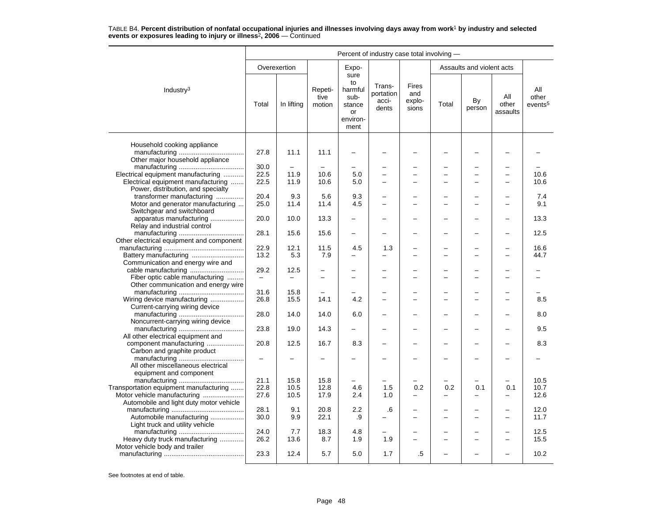|                                                                          | Percent of industry case total involving - |                          |                           |                                                                   |                                            |                                 |       |                           |                          |                                     |  |  |
|--------------------------------------------------------------------------|--------------------------------------------|--------------------------|---------------------------|-------------------------------------------------------------------|--------------------------------------------|---------------------------------|-------|---------------------------|--------------------------|-------------------------------------|--|--|
|                                                                          |                                            | Overexertion             |                           | Expo-                                                             |                                            |                                 |       | Assaults and violent acts |                          |                                     |  |  |
| Industry <sup>3</sup>                                                    | Total                                      | In lifting               | Repeti-<br>tive<br>motion | sure<br>to<br>harmful<br>sub-<br>stance<br>or<br>environ-<br>ment | Trans-<br>portation<br>acci-<br>dents      | Fires<br>and<br>explo-<br>sions | Total | By<br>person              | All<br>other<br>assaults | All<br>other<br>events <sup>5</sup> |  |  |
|                                                                          |                                            |                          |                           |                                                                   |                                            |                                 |       |                           |                          |                                     |  |  |
| Household cooking appliance<br>Other major household appliance           | 27.8                                       | 11.1                     | 11.1                      |                                                                   |                                            |                                 |       |                           |                          |                                     |  |  |
|                                                                          | 30.0                                       |                          |                           |                                                                   |                                            |                                 |       | -                         |                          |                                     |  |  |
| Electrical equipment manufacturing                                       | 22.5                                       | 11.9                     | 10.6                      | 5.0                                                               | $\overline{a}$                             |                                 |       | $\overline{\phantom{0}}$  |                          | 10.6                                |  |  |
| Electrical equipment manufacturing<br>Power, distribution, and specialty | 22.5                                       | 11.9                     | 10.6                      | 5.0                                                               | $\overline{a}$                             |                                 |       | $\overline{a}$            |                          | 10.6                                |  |  |
| transformer manufacturing                                                | 20.4                                       | 9.3                      | 5.6                       | 9.3                                                               |                                            |                                 |       | L,                        |                          | 7.4                                 |  |  |
| Motor and generator manufacturing                                        | 25.0                                       | 11.4                     | 11.4                      | 4.5                                                               |                                            |                                 |       | ÷                         |                          | 9.1                                 |  |  |
| Switchgear and switchboard                                               |                                            |                          |                           |                                                                   |                                            |                                 |       |                           |                          |                                     |  |  |
| apparatus manufacturing<br>Relay and industrial control                  | 20.0                                       | 10.0                     | 13.3                      |                                                                   |                                            | -                               |       | L,                        |                          | 13.3                                |  |  |
| Other electrical equipment and component                                 | 28.1                                       | 15.6                     | 15.6                      | $\overline{\phantom{0}}$                                          |                                            |                                 |       | -                         |                          | 12.5                                |  |  |
|                                                                          | 22.9                                       | 12.1                     | 11.5                      | 4.5                                                               | 1.3                                        |                                 |       |                           |                          | 16.6                                |  |  |
| Battery manufacturing                                                    | 13.2                                       | 5.3                      | 7.9                       |                                                                   |                                            |                                 |       |                           |                          | 44.7                                |  |  |
| Communication and energy wire and                                        | 29.2                                       | 12.5                     | $\overline{\phantom{0}}$  | -                                                                 | $\equiv$                                   | $\overline{\phantom{0}}$        |       | $\overline{\phantom{0}}$  |                          |                                     |  |  |
| Fiber optic cable manufacturing                                          | $\qquad \qquad -$                          | $\overline{\phantom{0}}$ |                           |                                                                   |                                            |                                 |       | $\overline{a}$            |                          |                                     |  |  |
| Other communication and energy wire                                      |                                            |                          |                           |                                                                   |                                            |                                 |       |                           |                          |                                     |  |  |
|                                                                          | 31.6                                       | 15.8                     | 14.1                      | 4.2                                                               | $\overline{\phantom{0}}$<br>$\overline{a}$ | $\overline{\phantom{0}}$        |       | L,                        | ۳                        |                                     |  |  |
| Wiring device manufacturing<br>Current-carrying wiring device            | 26.8                                       | 15.5                     |                           |                                                                   |                                            | $\overline{\phantom{0}}$        |       | $\overline{\phantom{0}}$  |                          | 8.5                                 |  |  |
| Noncurrent-carrying wiring device                                        | 28.0                                       | 14.0                     | 14.0                      | 6.0                                                               |                                            | -                               |       | -                         |                          | 8.0                                 |  |  |
| All other electrical equipment and                                       | 23.8                                       | 19.0                     | 14.3                      | $\overline{\phantom{0}}$                                          |                                            | $\overline{\phantom{0}}$        |       | L,                        |                          | 9.5                                 |  |  |
| component manufacturing                                                  | 20.8                                       | 12.5                     | 16.7                      | 8.3                                                               |                                            |                                 |       | -                         |                          | 8.3                                 |  |  |
| Carbon and graphite product                                              |                                            |                          |                           |                                                                   |                                            |                                 |       |                           |                          |                                     |  |  |
| All other miscellaneous electrical<br>equipment and component            |                                            |                          |                           |                                                                   |                                            |                                 |       |                           |                          |                                     |  |  |
|                                                                          | 21.1                                       | 15.8                     | 15.8                      |                                                                   |                                            |                                 |       |                           |                          | 10.5                                |  |  |
| Transportation equipment manufacturing                                   | 22.8                                       | 10.5                     | 12.8                      | 4.6                                                               | 1.5                                        | 0.2                             | 0.2   | 0.1                       | 0.1                      | 10.7                                |  |  |
| Motor vehicle manufacturing                                              | 27.6                                       | 10.5                     | 17.9                      | 2.4                                                               | 1.0                                        | -                               | -     | -                         | -                        | 12.6                                |  |  |
| Automobile and light duty motor vehicle                                  |                                            |                          |                           |                                                                   |                                            |                                 |       |                           |                          |                                     |  |  |
|                                                                          | 28.1                                       | 9.1                      | 20.8                      | 2.2                                                               | .6                                         |                                 |       | L,                        |                          | 12.0                                |  |  |
| Automobile manufacturing<br>Light truck and utility vehicle              | 30.0                                       | 9.9                      | 22.1                      | .9                                                                |                                            | $\equiv$                        |       | ÷                         | $\sim$                   | 11.7                                |  |  |
|                                                                          | 24.0                                       | 7.7                      | 18.3                      | 4.8                                                               |                                            |                                 |       | L,                        |                          | 12.5                                |  |  |
| Heavy duty truck manufacturing                                           | 26.2                                       | 13.6                     | 8.7                       | 1.9                                                               | 1.9                                        |                                 |       | $\overline{\phantom{0}}$  | $\sim$                   | 15.5                                |  |  |
| Motor vehicle body and trailer                                           | 23.3                                       | 12.4                     | 5.7                       | 5.0                                                               | 1.7                                        | .5                              |       |                           |                          | 10.2                                |  |  |
|                                                                          |                                            |                          |                           |                                                                   |                                            |                                 |       |                           |                          |                                     |  |  |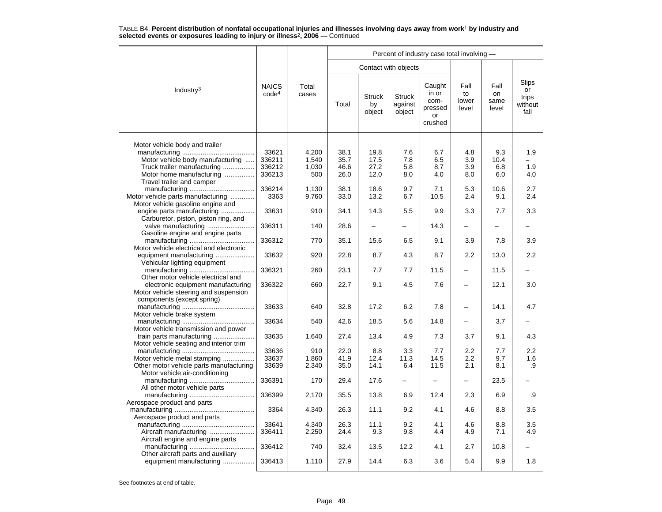|                                                                                                           |                                   |                         |                      |                               |                                    | Percent of industry case total involving -          |                              |                             |                                                |
|-----------------------------------------------------------------------------------------------------------|-----------------------------------|-------------------------|----------------------|-------------------------------|------------------------------------|-----------------------------------------------------|------------------------------|-----------------------------|------------------------------------------------|
|                                                                                                           |                                   |                         |                      | Contact with objects          |                                    |                                                     |                              |                             |                                                |
| Industry <sup>3</sup>                                                                                     | <b>NAICS</b><br>code <sup>4</sup> | Total<br>cases          | Total                | <b>Struck</b><br>by<br>object | <b>Struck</b><br>against<br>object | Caught<br>in or<br>com-<br>pressed<br>or<br>crushed | Fall<br>to<br>lower<br>level | Fall<br>on<br>same<br>level | <b>Slips</b><br>or<br>trips<br>without<br>fall |
| Motor vehicle body and trailer                                                                            |                                   |                         |                      |                               |                                    |                                                     |                              |                             |                                                |
| Motor vehicle body manufacturing<br>Truck trailer manufacturing                                           | 33621<br>336211<br>336212         | 4.200<br>1,540<br>1,030 | 38.1<br>35.7<br>46.6 | 19.8<br>17.5<br>27.2          | 7.6<br>7.8<br>5.8                  | 6.7<br>6.5<br>8.7                                   | 4.8<br>3.9<br>3.9            | 9.3<br>10.4<br>6.8          | 1.9<br>1.9                                     |
| Motor home manufacturing<br>Travel trailer and camper                                                     | 336213                            | 500                     | 26.0                 | 12.0                          | 8.0                                | 4.0                                                 | 8.0                          | 6.0                         | 4.0                                            |
| Motor vehicle parts manufacturing<br>Motor vehicle gasoline engine and                                    | 336214<br>3363                    | 1.130<br>9,760          | 38.1<br>33.0         | 18.6<br>13.2                  | 9.7<br>6.7                         | 7.1<br>10.5                                         | 5.3<br>2.4                   | 10.6<br>9.1                 | 2.7<br>2.4                                     |
| engine parts manufacturing<br>Carburetor, piston, piston ring, and                                        | 33631                             | 910                     | 34.1                 | 14.3                          | 5.5                                | 9.9                                                 | 3.3                          | 7.7                         | 3.3                                            |
| valve manufacturing<br>Gasoline engine and engine parts                                                   | 336311                            | 140                     | 28.6                 | $\overline{\phantom{0}}$      | $\overline{\phantom{0}}$           | 14.3                                                | $\overline{\phantom{0}}$     | $\overline{\phantom{0}}$    |                                                |
| Motor vehicle electrical and electronic                                                                   | 336312                            | 770                     | 35.1                 | 15.6                          | 6.5                                | 9.1                                                 | 3.9                          | 7.8                         | 3.9                                            |
| equipment manufacturing<br>Vehicular lighting equipment                                                   | 33632                             | 920                     | 22.8                 | 8.7                           | 4.3                                | 8.7                                                 | $2.2\,$                      | 13.0                        | $2.2\,$                                        |
| Other motor vehicle electrical and                                                                        | 336321                            | 260                     | 23.1                 | 7.7                           | 7.7                                | 11.5                                                | $\overline{\phantom{0}}$     | 11.5                        |                                                |
| electronic equipment manufacturing<br>Motor vehicle steering and suspension<br>components (except spring) | 336322                            | 660                     | 22.7                 | 9.1                           | 4.5                                | 7.6                                                 |                              | 12.1                        | 3.0                                            |
| Motor vehicle brake system                                                                                | 33633                             | 640                     | 32.8                 | 17.2                          | 6.2                                | 7.8                                                 |                              | 14.1                        | 4.7                                            |
| Motor vehicle transmission and power                                                                      | 33634                             | 540                     | 42.6                 | 18.5                          | 5.6                                | 14.8                                                | $\overline{\phantom{0}}$     | 3.7                         |                                                |
| train parts manufacturing<br>Motor vehicle seating and interior trim                                      | 33635                             | 1,640                   | 27.4                 | 13.4                          | 4.9                                | 7.3                                                 | 3.7                          | 9.1                         | 4.3                                            |
|                                                                                                           | 33636                             | 910                     | 22.0                 | 8.8                           | 3.3                                | 7.7                                                 | 2.2                          | 7.7                         | $2.2\phantom{0}$                               |
| Motor vehicle metal stamping<br>Other motor vehicle parts manufacturing                                   | 33637<br>33639                    | 1,860<br>2,340          | 41.9<br>35.0         | 12.4<br>14.1                  | 11.3<br>6.4                        | 14.5<br>11.5                                        | 2.2<br>2.1                   | 9.7<br>8.1                  | 1.6<br>.9                                      |
| Motor vehicle air-conditioning<br>All other motor vehicle parts                                           | 336391                            | 170                     | 29.4                 | 17.6                          |                                    |                                                     |                              | 23.5                        |                                                |
|                                                                                                           | 336399                            | 2,170                   | 35.5                 | 13.8                          | 6.9                                | 12.4                                                | 2.3                          | 6.9                         | .9                                             |
| Aerospace product and parts<br>Aerospace product and parts                                                | 3364                              | 4,340                   | 26.3                 | 11.1                          | 9.2                                | 4.1                                                 | 4.6                          | 8.8                         | 3.5                                            |
| Aircraft engine and engine parts                                                                          | 33641<br>336411                   | 4,340<br>2,250          | 26.3<br>24.4         | 11.1<br>9.3                   | 9.2<br>9.8                         | 4.1<br>4.4                                          | 4.6<br>4.9                   | 8.8<br>7.1                  | 3.5<br>4.9                                     |
| Other aircraft parts and auxiliary                                                                        | 336412                            | 740                     | 32.4                 | 13.5                          | 12.2                               | 4.1                                                 | 2.7                          | 10.8                        |                                                |
| equipment manufacturing                                                                                   | 336413                            | 1,110                   | 27.9                 | 14.4                          | 6.3                                | 3.6                                                 | 5.4                          | 9.9                         | 1.8                                            |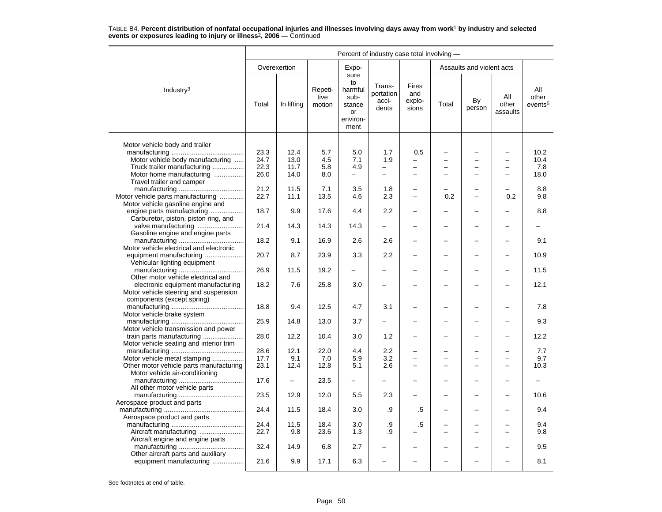|                                         |       |              |                           |                                                                   | Percent of industry case total involving - |                                 |       |                           |                          |                                     |
|-----------------------------------------|-------|--------------|---------------------------|-------------------------------------------------------------------|--------------------------------------------|---------------------------------|-------|---------------------------|--------------------------|-------------------------------------|
|                                         |       | Overexertion |                           | Expo-                                                             |                                            |                                 |       | Assaults and violent acts |                          |                                     |
| Industry <sup>3</sup>                   | Total | In lifting   | Repeti-<br>tive<br>motion | sure<br>to<br>harmful<br>sub-<br>stance<br>or<br>environ-<br>ment | Trans-<br>portation<br>acci-<br>dents      | Fires<br>and<br>explo-<br>sions | Total | By<br>person              | All<br>other<br>assaults | All<br>other<br>events <sup>5</sup> |
|                                         |       |              |                           |                                                                   |                                            |                                 |       |                           |                          |                                     |
| Motor vehicle body and trailer          | 23.3  | 12.4         | 5.7                       | 5.0                                                               | 1.7                                        | 0.5                             |       | -                         | $\overline{\phantom{0}}$ | 10.2                                |
| Motor vehicle body manufacturing        | 24.7  | 13.0         | 4.5                       | 7.1                                                               | 1.9                                        |                                 |       | -                         |                          | 10.4                                |
|                                         |       |              |                           |                                                                   |                                            |                                 |       | $\overline{a}$            |                          |                                     |
| Truck trailer manufacturing             | 22.3  | 11.7         | 5.8                       | 4.9                                                               | $\equiv$                                   | $\overline{\phantom{0}}$        |       |                           | $\overline{\phantom{m}}$ | 7.8                                 |
| Motor home manufacturing                | 26.0  | 14.0         | 8.0                       | -                                                                 | $\overline{\phantom{0}}$                   |                                 |       |                           |                          | 18.0                                |
| Travel trailer and camper               |       |              |                           |                                                                   |                                            |                                 |       |                           |                          |                                     |
|                                         | 21.2  | 11.5         | 7.1                       | 3.5                                                               | 1.8                                        | $\overline{\phantom{0}}$        |       | $\overline{\phantom{0}}$  | $\equiv$                 | 8.8                                 |
| Motor vehicle parts manufacturing       | 22.7  | 11.1         | 13.5                      | 4.6                                                               | 2.3                                        | $\overline{\phantom{0}}$        | 0.2   | $\overline{\phantom{0}}$  | 0.2                      | 9.8                                 |
| Motor vehicle gasoline engine and       |       |              |                           |                                                                   |                                            |                                 |       |                           |                          |                                     |
| engine parts manufacturing              | 18.7  | 9.9          | 17.6                      | 4.4                                                               | 2.2                                        |                                 |       |                           |                          | 8.8                                 |
| Carburetor, piston, piston ring, and    |       |              |                           |                                                                   |                                            |                                 |       |                           |                          |                                     |
| valve manufacturing                     | 21.4  | 14.3         | 14.3                      | 14.3                                                              | $\overline{\phantom{0}}$                   | $\overline{\phantom{0}}$        |       | $\overline{\phantom{0}}$  | $\overline{\phantom{0}}$ |                                     |
| Gasoline engine and engine parts        |       |              |                           |                                                                   |                                            |                                 |       |                           |                          |                                     |
|                                         | 18.2  | 9.1          | 16.9                      | 2.6                                                               | 2.6                                        | $\overline{\phantom{0}}$        |       | $\overline{\phantom{0}}$  | $\equiv$                 | 9.1                                 |
| Motor vehicle electrical and electronic |       |              |                           |                                                                   |                                            |                                 |       |                           |                          |                                     |
| equipment manufacturing                 | 20.7  | 8.7          | 23.9                      | 3.3                                                               | 2.2                                        |                                 |       |                           | $\overline{\phantom{0}}$ | 10.9                                |
| Vehicular lighting equipment            |       |              |                           |                                                                   |                                            |                                 |       |                           |                          |                                     |
|                                         | 26.9  | 11.5         | 19.2                      | $\overline{\phantom{0}}$                                          |                                            |                                 |       | -                         |                          | 11.5                                |
| Other motor vehicle electrical and      |       |              |                           |                                                                   |                                            |                                 |       |                           |                          |                                     |
| electronic equipment manufacturing      | 18.2  | 7.6          | 25.8                      | 3.0                                                               | $\overline{\phantom{0}}$                   |                                 |       |                           |                          | 12.1                                |
| Motor vehicle steering and suspension   |       |              |                           |                                                                   |                                            |                                 |       |                           |                          |                                     |
| components (except spring)              |       |              |                           |                                                                   |                                            |                                 |       |                           |                          |                                     |
|                                         | 18.8  | 9.4          | 12.5                      | 4.7                                                               | 3.1                                        |                                 |       |                           |                          | 7.8                                 |
| Motor vehicle brake system              |       |              |                           |                                                                   |                                            |                                 |       |                           |                          |                                     |
|                                         | 25.9  | 14.8         | 13.0                      | 3.7                                                               |                                            |                                 |       | -                         | $\overline{\phantom{0}}$ | 9.3                                 |
| Motor vehicle transmission and power    |       |              |                           |                                                                   |                                            |                                 |       |                           |                          |                                     |
| train parts manufacturing               | 28.0  | 12.2         | 10.4                      | 3.0                                                               | 1.2                                        |                                 |       |                           |                          | 12.2                                |
| Motor vehicle seating and interior trim |       |              |                           |                                                                   |                                            |                                 |       |                           |                          |                                     |
|                                         | 28.6  | 12.1         | 22.0                      | 4.4                                                               | 2.2                                        | $\equiv$                        |       |                           | $\overline{\phantom{0}}$ | 7.7                                 |
| Motor vehicle metal stamping            | 17.7  | 9.1          | 7.0                       | 5.9                                                               | 3.2                                        | -                               |       | $\overline{\phantom{0}}$  | $\overline{\phantom{0}}$ | 9.7                                 |
| Other motor vehicle parts manufacturing | 23.1  | 12.4         | 12.8                      | 5.1                                                               | 2.6                                        |                                 |       |                           |                          | 10.3                                |
| Motor vehicle air-conditioning          |       |              |                           |                                                                   |                                            |                                 |       |                           |                          |                                     |
|                                         | 17.6  |              | 23.5                      | $\overline{\phantom{0}}$                                          |                                            |                                 |       |                           |                          |                                     |
| All other motor vehicle parts           |       |              |                           |                                                                   |                                            |                                 |       |                           |                          |                                     |
|                                         | 23.5  | 12.9         | 12.0                      | 5.5                                                               | 2.3                                        |                                 |       | -                         | $\overline{\phantom{0}}$ | 10.6                                |
| Aerospace product and parts             |       |              |                           |                                                                   |                                            |                                 |       |                           |                          |                                     |
|                                         | 24.4  | 11.5         | 18.4                      | 3.0                                                               | .9                                         | .5                              |       | L,                        |                          | 9.4                                 |
| Aerospace product and parts             |       |              |                           |                                                                   |                                            |                                 |       |                           |                          |                                     |
|                                         | 24.4  | 11.5         | 18.4                      | 3.0                                                               | .9                                         | .5                              |       |                           |                          | 9.4                                 |
|                                         | 22.7  | 9.8          | 23.6                      | 1.3                                                               | .9                                         |                                 |       | L,                        | $\overline{\phantom{0}}$ | 9.8                                 |
|                                         |       |              |                           |                                                                   |                                            |                                 |       |                           |                          |                                     |
| Aircraft engine and engine parts        |       |              |                           |                                                                   |                                            |                                 |       |                           |                          |                                     |
|                                         | 32.4  | 14.9         | 6.8                       | 2.7                                                               |                                            |                                 |       |                           |                          | 9.5                                 |
| Other aircraft parts and auxiliary      | 21.6  | 9.9          | 17.1                      | 6.3                                                               |                                            | $\equiv$                        |       |                           |                          | 8.1                                 |
| equipment manufacturing                 |       |              |                           |                                                                   |                                            |                                 |       |                           |                          |                                     |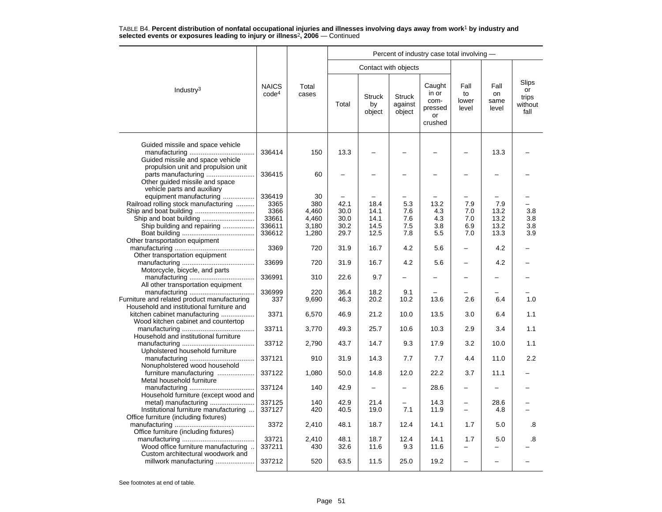|                                                                                                                               |                                                     |                                               |                                      |                                      |                                    | Percent of industry case total involving -          |                                                      |                                     |                                         |
|-------------------------------------------------------------------------------------------------------------------------------|-----------------------------------------------------|-----------------------------------------------|--------------------------------------|--------------------------------------|------------------------------------|-----------------------------------------------------|------------------------------------------------------|-------------------------------------|-----------------------------------------|
|                                                                                                                               |                                                     |                                               |                                      | Contact with objects                 |                                    |                                                     |                                                      |                                     |                                         |
| Industry <sup>3</sup>                                                                                                         | <b>NAICS</b><br>code <sup>4</sup>                   | Total<br>cases                                | Total                                | <b>Struck</b><br>by<br>object        | <b>Struck</b><br>against<br>object | Caught<br>in or<br>com-<br>pressed<br>or<br>crushed | Fall<br>to<br>lower<br>level                         | Fall<br>on<br>same<br>level         | Slips<br>or<br>trips<br>without<br>fall |
| Guided missile and space vehicle<br>Guided missile and space vehicle                                                          | 336414                                              | 150                                           | 13.3                                 |                                      |                                    |                                                     |                                                      | 13.3                                |                                         |
| propulsion unit and propulsion unit<br>Other quided missile and space                                                         | 336415                                              | 60                                            |                                      |                                      |                                    |                                                     |                                                      |                                     |                                         |
| vehicle parts and auxiliary<br>equipment manufacturing<br>Railroad rolling stock manufacturing<br>Ship building and repairing | 336419<br>3365<br>3366<br>33661<br>336611<br>336612 | 30<br>380<br>4,460<br>4.460<br>3,180<br>1,280 | 42.1<br>30.0<br>30.0<br>30.2<br>29.7 | 18.4<br>14.1<br>14.1<br>14.5<br>12.5 | 5.3<br>7.6<br>7.6<br>7.5<br>7.8    | 13.2<br>4.3<br>4.3<br>3.8<br>5.5                    | 7.9<br>7.0<br>7.0<br>6.9<br>7.0                      | 7.9<br>13.2<br>13.2<br>13.2<br>13.3 | $3.8\,$<br>3.8<br>3.8<br>3.9            |
| Other transportation equipment<br>Other transportation equipment                                                              | 3369                                                | 720                                           | 31.9                                 | 16.7                                 | 4.2                                | 5.6                                                 | $\overline{\phantom{0}}$                             | 4.2                                 |                                         |
| Motorcycle, bicycle, and parts                                                                                                | 33699                                               | 720                                           | 31.9                                 | 16.7                                 | 4.2                                | 5.6                                                 |                                                      | 4.2                                 |                                         |
| All other transportation equipment                                                                                            | 336991                                              | 310                                           | 22.6                                 | 9.7                                  | -                                  |                                                     |                                                      |                                     |                                         |
| Furniture and related product manufacturing<br>Household and institutional furniture and                                      | 336999<br>337                                       | 220<br>9,690                                  | 36.4<br>46.3                         | 18.2<br>20.2                         | 9.1<br>10.2                        | 13.6                                                | 2.6                                                  | 6.4                                 | 1.0                                     |
| kitchen cabinet manufacturing<br>Wood kitchen cabinet and countertop                                                          | 3371                                                | 6,570                                         | 46.9                                 | 21.2                                 | 10.0                               | 13.5                                                | 3.0                                                  | 6.4                                 | 1.1                                     |
| Household and institutional furniture                                                                                         | 33711                                               | 3,770                                         | 49.3                                 | 25.7                                 | 10.6                               | 10.3                                                | 2.9                                                  | 3.4                                 | 1.1                                     |
| Upholstered household furniture                                                                                               | 33712                                               | 2,790                                         | 43.7                                 | 14.7                                 | 9.3                                | 17.9                                                | 3.2                                                  | 10.0                                | 1.1                                     |
| Nonupholstered wood household                                                                                                 | 337121                                              | 910                                           | 31.9                                 | 14.3                                 | 7.7                                | 7.7                                                 | 4.4                                                  | 11.0                                | 2.2                                     |
| furniture manufacturing<br>Metal household furniture                                                                          | 337122                                              | 1,080                                         | 50.0                                 | 14.8                                 | 12.0                               | 22.2                                                | 3.7                                                  | 11.1                                |                                         |
| Household furniture (except wood and                                                                                          | 337124                                              | 140                                           | 42.9                                 |                                      |                                    | 28.6                                                | $\overline{\phantom{0}}$                             |                                     |                                         |
| metal) manufacturing<br>Institutional furniture manufacturing<br>Office furniture (including fixtures)                        | 337125<br>337127                                    | 140<br>420                                    | 42.9<br>40.5                         | 21.4<br>19.0                         | 7.1                                | 14.3<br>11.9                                        | $\overline{\phantom{0}}$<br>$\overline{\phantom{0}}$ | 28.6<br>4.8                         |                                         |
| Office furniture (including fixtures)                                                                                         | 3372                                                | 2,410                                         | 48.1                                 | 18.7                                 | 12.4                               | 14.1                                                | 1.7                                                  | 5.0                                 | .8                                      |
| Wood office furniture manufacturing<br>Custom architectural woodwork and                                                      | 33721<br>337211                                     | 2,410<br>430                                  | 48.1<br>32.6                         | 18.7<br>11.6                         | 12.4<br>9.3                        | 14.1<br>11.6                                        | 1.7<br>$\overline{\phantom{0}}$                      | 5.0                                 | .8                                      |
| millwork manufacturing                                                                                                        | 337212                                              | 520                                           | 63.5                                 | 11.5                                 | 25.0                               | 19.2                                                | $\overline{a}$                                       |                                     |                                         |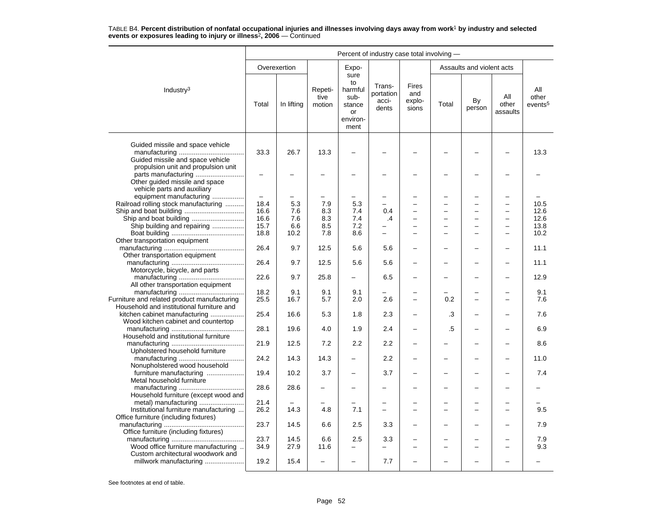|                                                                                                                             | Percent of industry case total involving - |              |                           |                                                                   |                                       |                                        |       |                           |                          |                                     |  |
|-----------------------------------------------------------------------------------------------------------------------------|--------------------------------------------|--------------|---------------------------|-------------------------------------------------------------------|---------------------------------------|----------------------------------------|-------|---------------------------|--------------------------|-------------------------------------|--|
|                                                                                                                             |                                            | Overexertion |                           | Expo-                                                             |                                       |                                        |       | Assaults and violent acts |                          |                                     |  |
| Industry <sup>3</sup>                                                                                                       | Total                                      | In lifting   | Repeti-<br>tive<br>motion | sure<br>to<br>harmful<br>sub-<br>stance<br>or<br>environ-<br>ment | Trans-<br>portation<br>acci-<br>dents | <b>Fires</b><br>and<br>explo-<br>sions | Total | By<br>person              | All<br>other<br>assaults | ΑIΙ<br>other<br>events <sup>5</sup> |  |
| Guided missile and space vehicle<br>Guided missile and space vehicle                                                        | 33.3                                       | 26.7         | 13.3                      |                                                                   |                                       |                                        |       |                           |                          | 13.3                                |  |
| propulsion unit and propulsion unit<br>parts manufacturing<br>Other guided missile and space<br>vehicle parts and auxiliary | $\overline{\phantom{0}}$                   |              |                           |                                                                   |                                       |                                        |       |                           |                          |                                     |  |
| equipment manufacturing                                                                                                     | $\equiv$                                   |              |                           |                                                                   |                                       |                                        |       | ÷                         |                          |                                     |  |
| Railroad rolling stock manufacturing                                                                                        | 18.4                                       | 5.3          | 7.9                       | 5.3                                                               |                                       |                                        |       | ÷                         |                          | 10.5                                |  |
|                                                                                                                             | 16.6                                       | 7.6          | 8.3                       | 7.4                                                               | 0.4                                   |                                        |       |                           |                          | 12.6                                |  |
|                                                                                                                             | 16.6                                       | 7.6          | 8.3                       | 7.4                                                               | $\cdot$                               |                                        |       | $\overline{a}$            | $\overline{\phantom{0}}$ | 12.6                                |  |
| Ship building and repairing                                                                                                 | 15.7                                       | 6.6          | 8.5                       | 7.2                                                               |                                       |                                        |       | $\overline{\phantom{0}}$  | $\overline{\phantom{0}}$ | 13.8                                |  |
|                                                                                                                             | 18.8                                       | 10.2         | 7.8                       | 8.6                                                               | -                                     |                                        |       | $\equiv$                  | $\overline{\phantom{0}}$ | 10.2                                |  |
| Other transportation equipment                                                                                              | 26.4                                       | 9.7          | 12.5                      | 5.6                                                               | 5.6                                   |                                        |       |                           |                          | 11.1                                |  |
| Other transportation equipment<br>Motorcycle, bicycle, and parts                                                            | 26.4                                       | 9.7          | 12.5                      | 5.6                                                               | 5.6                                   |                                        |       |                           |                          | 11.1                                |  |
| All other transportation equipment                                                                                          | 22.6                                       | 9.7          | 25.8                      | $\overline{\phantom{0}}$                                          | 6.5                                   |                                        |       | -                         |                          | 12.9                                |  |
|                                                                                                                             | 18.2                                       | 9.1          | 9.1                       | 9.1                                                               |                                       |                                        |       |                           |                          | 9.1                                 |  |
| Furniture and related product manufacturing<br>Household and institutional furniture and                                    | 25.5                                       | 16.7         | 5.7                       | 2.0                                                               | 2.6                                   | $\equiv$                               | 0.2   | $\equiv$                  |                          | 7.6                                 |  |
| kitchen cabinet manufacturing<br>Wood kitchen cabinet and countertop                                                        | 25.4                                       | 16.6         | 5.3                       | 1.8                                                               | 2.3                                   |                                        | .3    |                           |                          | 7.6                                 |  |
| Household and institutional furniture                                                                                       | 28.1                                       | 19.6         | 4.0                       | 1.9                                                               | 2.4                                   |                                        | .5    |                           |                          | 6.9                                 |  |
| Upholstered household furniture                                                                                             | 21.9                                       | 12.5         | 7.2                       | 2.2                                                               | 2.2                                   |                                        |       |                           |                          | 8.6                                 |  |
| Nonupholstered wood household                                                                                               | 24.2                                       | 14.3         | 14.3                      |                                                                   | 2.2                                   |                                        |       |                           |                          | 11.0                                |  |
| furniture manufacturing<br>Metal household furniture                                                                        | 19.4                                       | 10.2         | 3.7                       | $\overline{\phantom{0}}$                                          | 3.7                                   |                                        |       | -                         |                          | 7.4                                 |  |
| Household furniture (except wood and                                                                                        | 28.6                                       | 28.6         |                           |                                                                   |                                       |                                        |       |                           |                          |                                     |  |
| Institutional furniture manufacturing                                                                                       | 21.4<br>26.2                               | 14.3         | 4.8                       | 7.1                                                               | -                                     |                                        |       | $\equiv$                  | $\sim$                   | 9.5                                 |  |
| Office furniture (including fixtures)<br>Office furniture (including fixtures)                                              | 23.7                                       | 14.5         | 6.6                       | 2.5                                                               | 3.3                                   |                                        |       |                           |                          | 7.9                                 |  |
|                                                                                                                             | 23.7                                       | 14.5         | 6.6                       | 2.5                                                               | 3.3                                   |                                        |       |                           |                          | 7.9                                 |  |
| Wood office furniture manufacturing<br>Custom architectural woodwork and                                                    | 34.9                                       | 27.9         | 11.6                      | -                                                                 |                                       |                                        |       | $\equiv$                  |                          | 9.3                                 |  |
| millwork manufacturing                                                                                                      | 19.2                                       | 15.4         |                           |                                                                   | 7.7                                   |                                        |       |                           |                          |                                     |  |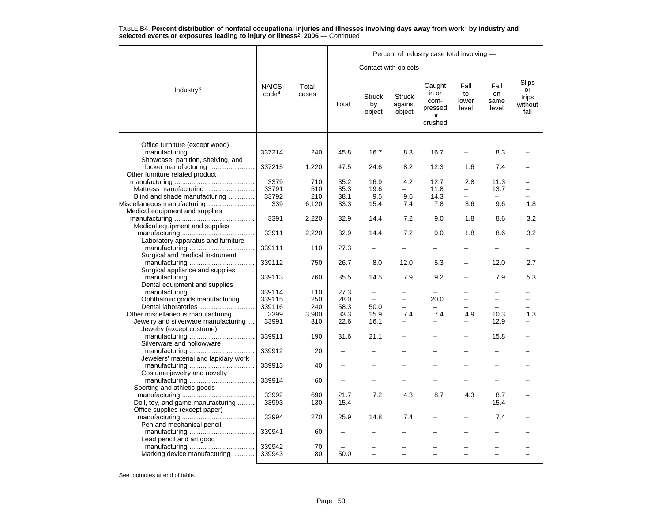|                                                                     |                                   |                |       |                               | Percent of industry case total involving - |                                                     |                              |                             |                                         |  |  |  |  |  |
|---------------------------------------------------------------------|-----------------------------------|----------------|-------|-------------------------------|--------------------------------------------|-----------------------------------------------------|------------------------------|-----------------------------|-----------------------------------------|--|--|--|--|--|
|                                                                     |                                   |                |       |                               | Contact with objects                       |                                                     |                              |                             |                                         |  |  |  |  |  |
| Industry $3$                                                        | <b>NAICS</b><br>code <sup>4</sup> | Total<br>cases | Total | <b>Struck</b><br>by<br>object | <b>Struck</b><br>against<br>object         | Caught<br>in or<br>com-<br>pressed<br>or<br>crushed | Fall<br>to<br>lower<br>level | Fall<br>on<br>same<br>level | Slips<br>or<br>trips<br>without<br>fall |  |  |  |  |  |
| Office furniture (except wood)                                      |                                   |                |       |                               |                                            |                                                     |                              |                             |                                         |  |  |  |  |  |
| Showcase, partition, shelving, and                                  | 337214                            | 240            | 45.8  | 16.7                          | 8.3                                        | 16.7                                                |                              | 8.3                         |                                         |  |  |  |  |  |
| locker manufacturing<br>Other furniture related product             | 337215                            | 1,220          | 47.5  | 24.6                          | 8.2                                        | 12.3                                                | 1.6                          | 7.4                         |                                         |  |  |  |  |  |
|                                                                     | 3379                              | 710            | 35.2  | 16.9                          | 4.2                                        | 12.7                                                | 2.8                          | 11.3                        |                                         |  |  |  |  |  |
| Mattress manufacturing                                              | 33791                             | 510            | 35.3  | 19.6                          |                                            | 11.8                                                | $\equiv$                     | 13.7                        |                                         |  |  |  |  |  |
| Blind and shade manufacturing                                       | 33792                             | 210            | 38.1  | 9.5                           | 9.5                                        | 14.3                                                |                              |                             |                                         |  |  |  |  |  |
|                                                                     | 339                               | 6,120          | 33.3  | 15.4                          | 7.4                                        | 7.8                                                 | 3.6                          | 9.6                         | 1.8                                     |  |  |  |  |  |
| Medical equipment and supplies                                      |                                   |                |       |                               |                                            |                                                     |                              |                             |                                         |  |  |  |  |  |
| Medical equipment and supplies                                      | 3391                              | 2,220          | 32.9  | 14.4                          | 7.2                                        | 9.0                                                 | 1.8                          | 8.6                         | 3.2                                     |  |  |  |  |  |
| Laboratory apparatus and furniture                                  | 33911                             | 2,220          | 32.9  | 14.4                          | 7.2                                        | 9.0                                                 | 1.8                          | 8.6                         | 3.2                                     |  |  |  |  |  |
| Surgical and medical instrument                                     | 339111                            | 110            | 27.3  |                               |                                            |                                                     |                              |                             |                                         |  |  |  |  |  |
| Surgical appliance and supplies                                     | 339112                            | 750            | 26.7  | 8.0                           | 12.0                                       | 5.3                                                 | $\overline{\phantom{0}}$     | 12.0                        | 2.7                                     |  |  |  |  |  |
| Dental equipment and supplies                                       | 339113                            | 760            | 35.5  | 14.5                          | 7.9                                        | 9.2                                                 |                              | 7.9                         | 5.3                                     |  |  |  |  |  |
|                                                                     | 339114                            | 110            | 27.3  | -                             |                                            |                                                     |                              |                             |                                         |  |  |  |  |  |
| Ophthalmic goods manufacturing                                      | 339115                            | 250            | 28.0  |                               | $\overline{\phantom{0}}$                   | 20.0                                                |                              |                             |                                         |  |  |  |  |  |
|                                                                     |                                   |                |       |                               | $\overline{a}$                             |                                                     |                              |                             |                                         |  |  |  |  |  |
|                                                                     | 339116                            | 240            | 58.3  | 50.0                          |                                            |                                                     |                              |                             |                                         |  |  |  |  |  |
| Other miscellaneous manufacturing                                   | 3399                              | 3,900          | 33.3  | 15.9                          | 7.4                                        | 7.4                                                 | 4.9                          | 10.3                        | 1.3                                     |  |  |  |  |  |
| Jewelry and silverware manufacturing                                | 33991                             | 310            | 22.6  | 16.1                          |                                            |                                                     |                              | 12.9                        |                                         |  |  |  |  |  |
| Jewelry (except costume)                                            |                                   |                |       |                               |                                            |                                                     |                              |                             |                                         |  |  |  |  |  |
| Silverware and hollowware                                           | 339911                            | 190            | 31.6  | 21.1                          |                                            |                                                     |                              | 15.8                        |                                         |  |  |  |  |  |
| Jewelers' material and lapidary work                                | 339912                            | 20             |       |                               |                                            |                                                     | -                            |                             |                                         |  |  |  |  |  |
| Costume jewelry and novelty                                         | 339913                            | 40             |       |                               |                                            |                                                     |                              |                             |                                         |  |  |  |  |  |
| Sporting and athletic goods                                         | 339914                            | 60             |       |                               |                                            |                                                     |                              |                             |                                         |  |  |  |  |  |
|                                                                     | 33992                             | 690            | 21.7  | 7.2                           | 4.3                                        | 8.7                                                 | 4.3                          | 8.7                         |                                         |  |  |  |  |  |
|                                                                     |                                   |                |       |                               |                                            |                                                     |                              |                             |                                         |  |  |  |  |  |
| Doll, toy, and game manufacturing<br>Office supplies (except paper) | 33993                             | 130            | 15.4  |                               |                                            |                                                     |                              | 15.4                        |                                         |  |  |  |  |  |
| Pen and mechanical pencil                                           | 33994                             | 270            | 25.9  | 14.8                          | 7.4                                        | $\overline{\phantom{0}}$                            | -                            | 7.4                         |                                         |  |  |  |  |  |
|                                                                     | 339941                            | 60             |       |                               |                                            |                                                     |                              |                             |                                         |  |  |  |  |  |
| Lead pencil and art good                                            | 339942                            | 70             |       |                               |                                            |                                                     |                              |                             |                                         |  |  |  |  |  |
| Marking device manufacturing                                        | 339943                            | 80             | 50.0  | $\overline{\phantom{0}}$      | ÷                                          | $\equiv$                                            |                              |                             |                                         |  |  |  |  |  |
|                                                                     |                                   |                |       |                               |                                            |                                                     |                              |                             |                                         |  |  |  |  |  |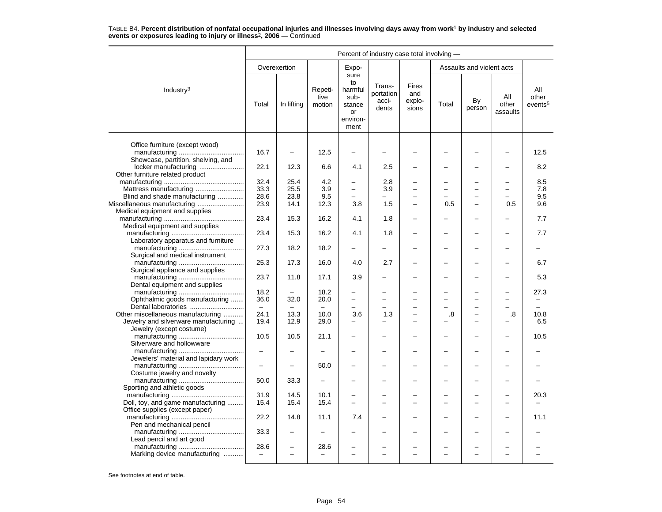| Percent of industry case total involving - |                                                                                                                                                                                                                                                                                                                                                                                                                                       |                                                                                      |                                                                                                                                   |                                                                                                               |                                                                  |                                                                                  |                          |                                               |                                        |
|--------------------------------------------|---------------------------------------------------------------------------------------------------------------------------------------------------------------------------------------------------------------------------------------------------------------------------------------------------------------------------------------------------------------------------------------------------------------------------------------|--------------------------------------------------------------------------------------|-----------------------------------------------------------------------------------------------------------------------------------|---------------------------------------------------------------------------------------------------------------|------------------------------------------------------------------|----------------------------------------------------------------------------------|--------------------------|-----------------------------------------------|----------------------------------------|
|                                            |                                                                                                                                                                                                                                                                                                                                                                                                                                       |                                                                                      | Expo-                                                                                                                             |                                                                                                               |                                                                  |                                                                                  |                          |                                               |                                        |
| Total                                      | In lifting                                                                                                                                                                                                                                                                                                                                                                                                                            | Repeti-<br>tive<br>motion                                                            | to<br>harmful<br>sub-<br>stance<br>or<br>environ-<br>ment                                                                         | Trans-<br>portation<br>acci-<br>dents                                                                         | Fires<br>and<br>explo-<br>sions                                  | Total                                                                            | By<br>person             | All<br>other<br>assaults                      | All<br>other<br>events <sup>5</sup>    |
|                                            |                                                                                                                                                                                                                                                                                                                                                                                                                                       |                                                                                      |                                                                                                                                   |                                                                                                               |                                                                  |                                                                                  |                          |                                               |                                        |
| 16.7                                       | $\overline{\phantom{0}}$                                                                                                                                                                                                                                                                                                                                                                                                              | 12.5                                                                                 |                                                                                                                                   |                                                                                                               |                                                                  |                                                                                  |                          |                                               | 12.5                                   |
| 22.1                                       | 12.3                                                                                                                                                                                                                                                                                                                                                                                                                                  | 6.6                                                                                  | 4.1                                                                                                                               | 2.5                                                                                                           |                                                                  |                                                                                  |                          |                                               | 8.2                                    |
|                                            |                                                                                                                                                                                                                                                                                                                                                                                                                                       |                                                                                      | $\overline{a}$                                                                                                                    |                                                                                                               |                                                                  |                                                                                  |                          |                                               | 8.5                                    |
|                                            |                                                                                                                                                                                                                                                                                                                                                                                                                                       |                                                                                      |                                                                                                                                   |                                                                                                               |                                                                  |                                                                                  |                          | $\equiv$                                      | 7.8                                    |
|                                            |                                                                                                                                                                                                                                                                                                                                                                                                                                       |                                                                                      |                                                                                                                                   |                                                                                                               |                                                                  |                                                                                  |                          |                                               | 9.5                                    |
|                                            |                                                                                                                                                                                                                                                                                                                                                                                                                                       |                                                                                      |                                                                                                                                   |                                                                                                               |                                                                  |                                                                                  |                          |                                               |                                        |
|                                            |                                                                                                                                                                                                                                                                                                                                                                                                                                       |                                                                                      |                                                                                                                                   |                                                                                                               |                                                                  |                                                                                  |                          |                                               | 9.6                                    |
|                                            |                                                                                                                                                                                                                                                                                                                                                                                                                                       |                                                                                      |                                                                                                                                   |                                                                                                               |                                                                  |                                                                                  |                          |                                               | 7.7                                    |
| 23.4                                       | 15.3                                                                                                                                                                                                                                                                                                                                                                                                                                  | 16.2                                                                                 | 4.1                                                                                                                               | 1.8                                                                                                           | $\overline{\phantom{0}}$                                         |                                                                                  | -                        |                                               | 7.7                                    |
| 27.3                                       | 18.2                                                                                                                                                                                                                                                                                                                                                                                                                                  | 18.2                                                                                 |                                                                                                                                   |                                                                                                               |                                                                  |                                                                                  | <u>.</u>                 |                                               |                                        |
| 25.3                                       | 17.3                                                                                                                                                                                                                                                                                                                                                                                                                                  | 16.0                                                                                 | 4.0                                                                                                                               | 2.7                                                                                                           |                                                                  |                                                                                  |                          |                                               | 6.7                                    |
| 23.7                                       | 11.8                                                                                                                                                                                                                                                                                                                                                                                                                                  | 17.1                                                                                 | 3.9                                                                                                                               |                                                                                                               |                                                                  |                                                                                  |                          |                                               | 5.3                                    |
|                                            |                                                                                                                                                                                                                                                                                                                                                                                                                                       |                                                                                      |                                                                                                                                   |                                                                                                               |                                                                  |                                                                                  |                          |                                               |                                        |
| 36.0                                       | 32.0                                                                                                                                                                                                                                                                                                                                                                                                                                  | 20.0                                                                                 | $\overline{a}$                                                                                                                    |                                                                                                               |                                                                  |                                                                                  | $\overline{\phantom{0}}$ |                                               | 27.3                                   |
|                                            |                                                                                                                                                                                                                                                                                                                                                                                                                                       |                                                                                      |                                                                                                                                   |                                                                                                               |                                                                  |                                                                                  |                          |                                               |                                        |
| 19.4                                       | 12.9                                                                                                                                                                                                                                                                                                                                                                                                                                  | 29.0                                                                                 |                                                                                                                                   |                                                                                                               | $\overline{\phantom{0}}$                                         |                                                                                  | -<br>-                   |                                               | 10.8<br>6.5                            |
| 10.5                                       | 10.5                                                                                                                                                                                                                                                                                                                                                                                                                                  | 21.1                                                                                 |                                                                                                                                   |                                                                                                               | $\overline{\phantom{0}}$                                         |                                                                                  | ▃                        |                                               | 10.5                                   |
| $\overline{\phantom{m}}$                   |                                                                                                                                                                                                                                                                                                                                                                                                                                       |                                                                                      |                                                                                                                                   |                                                                                                               |                                                                  |                                                                                  |                          |                                               |                                        |
|                                            |                                                                                                                                                                                                                                                                                                                                                                                                                                       |                                                                                      |                                                                                                                                   |                                                                                                               |                                                                  |                                                                                  |                          |                                               |                                        |
|                                            |                                                                                                                                                                                                                                                                                                                                                                                                                                       |                                                                                      |                                                                                                                                   |                                                                                                               |                                                                  |                                                                                  |                          |                                               |                                        |
|                                            |                                                                                                                                                                                                                                                                                                                                                                                                                                       |                                                                                      |                                                                                                                                   |                                                                                                               |                                                                  |                                                                                  |                          |                                               |                                        |
|                                            |                                                                                                                                                                                                                                                                                                                                                                                                                                       |                                                                                      |                                                                                                                                   |                                                                                                               |                                                                  |                                                                                  | ▃                        |                                               | 20.3                                   |
|                                            |                                                                                                                                                                                                                                                                                                                                                                                                                                       |                                                                                      |                                                                                                                                   |                                                                                                               | $\equiv$                                                         |                                                                                  | -                        |                                               |                                        |
| 22.2                                       | 14.8                                                                                                                                                                                                                                                                                                                                                                                                                                  | 11.1                                                                                 | 7.4                                                                                                                               |                                                                                                               | $\overline{\phantom{0}}$                                         |                                                                                  | -                        |                                               | 11.1                                   |
| 33.3                                       |                                                                                                                                                                                                                                                                                                                                                                                                                                       |                                                                                      |                                                                                                                                   |                                                                                                               |                                                                  |                                                                                  | -                        |                                               |                                        |
| 28.6<br>$\equiv$                           | $\overline{\phantom{0}}$                                                                                                                                                                                                                                                                                                                                                                                                              | 28.6<br>$\overline{\phantom{0}}$                                                     | $\equiv$                                                                                                                          | -                                                                                                             | $\equiv$                                                         | -                                                                                | $\overline{\phantom{0}}$ | $\equiv$                                      |                                        |
|                                            | locker manufacturing<br>32.4<br>Mattress manufacturing<br>33.3<br>Blind and shade manufacturing<br>28.6<br>Miscellaneous manufacturing<br>23.9<br>23.4<br>18.2<br>Ophthalmic goods manufacturing<br>Dental laboratories<br>Other miscellaneous manufacturing<br>24.1<br>Jewelry and silverware manufacturing<br>$\overline{\phantom{0}}$<br>50.0<br>31.9<br>Doll, toy, and game manufacturing<br>15.4<br>Marking device manufacturing | Overexertion<br>25.4<br>25.5<br>23.8<br>14.1<br>15.3<br>13.3<br>33.3<br>14.5<br>15.4 | 4.2<br>3.9<br>9.5<br>12.3<br>16.2<br>18.2<br>$\overline{\phantom{m}}$<br>10.0<br>50.0<br>$\overline{\phantom{0}}$<br>10.1<br>15.4 | sure<br>$\overline{\phantom{0}}$<br>$\overline{\phantom{0}}$<br>3.8<br>4.1<br>$\overline{\phantom{0}}$<br>3.6 | 2.8<br>3.9<br>1.5<br>1.8<br>-<br>$\overline{\phantom{0}}$<br>1.3 | $\overline{\phantom{0}}$<br>$\overline{\phantom{0}}$<br>$\overline{\phantom{0}}$ | 0.5<br>.8                | -<br>$\overline{\phantom{0}}$<br>-<br>L.<br>▃ | Assaults and violent acts<br>0.5<br>.8 |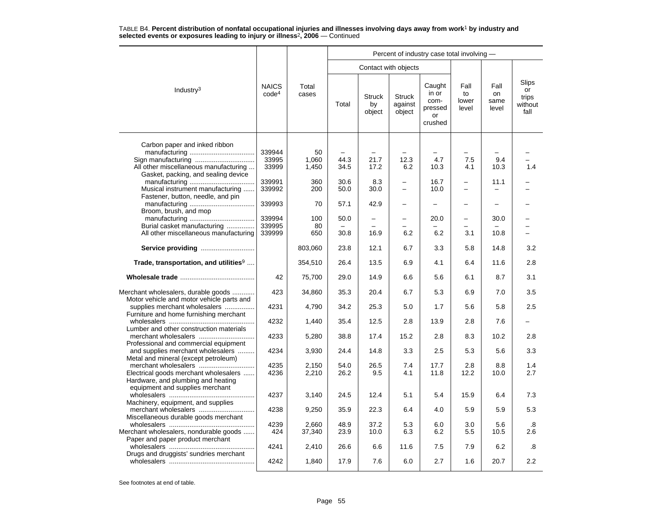|                                                                                                                |                                   |                 | Percent of industry case total involving - |                               |                                    |                                                     |                              |                             |                                         |  |  |  |
|----------------------------------------------------------------------------------------------------------------|-----------------------------------|-----------------|--------------------------------------------|-------------------------------|------------------------------------|-----------------------------------------------------|------------------------------|-----------------------------|-----------------------------------------|--|--|--|
|                                                                                                                |                                   |                 |                                            |                               | Contact with objects               |                                                     |                              |                             |                                         |  |  |  |
| Industry <sup>3</sup>                                                                                          | <b>NAICS</b><br>code <sup>4</sup> | Total<br>cases  | Total                                      | <b>Struck</b><br>by<br>object | <b>Struck</b><br>against<br>object | Caught<br>in or<br>com-<br>pressed<br>or<br>crushed | Fall<br>to<br>lower<br>level | Fall<br>on<br>same<br>level | Slips<br>or<br>trips<br>without<br>fall |  |  |  |
| Carbon paper and inked ribbon                                                                                  | 339944                            | 50              |                                            |                               |                                    |                                                     |                              |                             |                                         |  |  |  |
| Sign manufacturing<br>All other miscellaneous manufacturing<br>Gasket, packing, and sealing device             | 33995<br>33999                    | 1.060<br>1,450  | 44.3<br>34.5                               | 21.7<br>17.2                  | 12.3<br>6.2                        | 4.7<br>10.3                                         | 7.5<br>4.1                   | 9.4<br>10.3                 | 1.4                                     |  |  |  |
| Musical instrument manufacturing<br>Fastener, button, needle, and pin                                          | 339991<br>339992                  | 360<br>200      | 30.6<br>50.0                               | 8.3<br>30.0                   | $\equiv$                           | 16.7<br>10.0                                        | $\overline{\phantom{0}}$     | 11.1                        |                                         |  |  |  |
| Broom, brush, and mop                                                                                          | 339993                            | 70              | 57.1                                       | 42.9                          | -                                  |                                                     |                              |                             |                                         |  |  |  |
| Burial casket manufacturing                                                                                    | 339994<br>339995                  | 100<br>80       | 50.0                                       | $\overline{\phantom{0}}$      |                                    | 20.0                                                | —                            | 30.0                        |                                         |  |  |  |
| All other miscellaneous manufacturing                                                                          | 339999                            | 650             | 30.8                                       | 16.9                          | 6.2                                | 6.2                                                 | 3.1                          | 10.8                        |                                         |  |  |  |
| Service providing                                                                                              |                                   | 803,060         | 23.8                                       | 12.1                          | 6.7                                | 3.3                                                 | 5.8                          | 14.8                        | 3.2                                     |  |  |  |
| Trade, transportation, and utilities <sup>9</sup>                                                              |                                   | 354,510         | 26.4                                       | 13.5                          | 6.9                                | 4.1                                                 | 6.4                          | 11.6                        | 2.8                                     |  |  |  |
|                                                                                                                | 42                                | 75,700          | 29.0                                       | 14.9                          | 6.6                                | 5.6                                                 | 6.1                          | 8.7                         | 3.1                                     |  |  |  |
| Merchant wholesalers, durable goods<br>Motor vehicle and motor vehicle parts and                               | 423                               | 34,860          | 35.3                                       | 20.4                          | 6.7                                | 5.3                                                 | 6.9                          | 7.0                         | 3.5                                     |  |  |  |
| supplies merchant wholesalers<br>Furniture and home furnishing merchant                                        | 4231                              | 4,790           | 34.2                                       | 25.3                          | 5.0                                | 1.7                                                 | 5.6                          | 5.8                         | 2.5                                     |  |  |  |
| Lumber and other construction materials                                                                        | 4232                              | 1,440           | 35.4                                       | 12.5                          | 2.8                                | 13.9                                                | 2.8                          | 7.6                         |                                         |  |  |  |
| Professional and commercial equipment                                                                          | 4233                              | 5,280           | 38.8                                       | 17.4                          | 15.2                               | 2.8                                                 | 8.3                          | 10.2                        | 2.8                                     |  |  |  |
| and supplies merchant wholesalers<br>Metal and mineral (except petroleum)                                      | 4234                              | 3,930           | 24.4                                       | 14.8                          | 3.3                                | 2.5                                                 | 5.3                          | 5.6                         | 3.3                                     |  |  |  |
| Electrical goods merchant wholesalers<br>Hardware, and plumbing and heating<br>equipment and supplies merchant | 4235<br>4236                      | 2,150<br>2,210  | 54.0<br>26.2                               | 26.5<br>9.5                   | 7.4<br>4.1                         | 17.7<br>11.8                                        | 2.8<br>12.2                  | 8.8<br>10.0                 | 1.4<br>2.7                              |  |  |  |
| Machinery, equipment, and supplies                                                                             | 4237                              | 3,140           | 24.5                                       | 12.4                          | 5.1                                | 5.4                                                 | 15.9                         | 6.4                         | 7.3                                     |  |  |  |
| Miscellaneous durable goods merchant                                                                           | 4238                              | 9,250           | 35.9                                       | 22.3                          | 6.4                                | 4.0                                                 | 5.9                          | 5.9                         | 5.3                                     |  |  |  |
| Merchant wholesalers, nondurable goods<br>Paper and paper product merchant                                     | 4239<br>424                       | 2,660<br>37,340 | 48.9<br>23.9                               | 37.2<br>10.0                  | 5.3<br>6.3                         | 6.0<br>6.2                                          | 3.0<br>5.5                   | 5.6<br>10.5                 | .8<br>2.6                               |  |  |  |
| Drugs and druggists' sundries merchant                                                                         | 4241                              | 2,410           | 26.6                                       | 6.6                           | 11.6                               | 7.5                                                 | 7.9                          | 6.2                         | .8                                      |  |  |  |
|                                                                                                                | 4242                              | 1,840           | 17.9                                       | 7.6                           | 6.0                                | 2.7                                                 | 1.6                          | 20.7                        | 2.2                                     |  |  |  |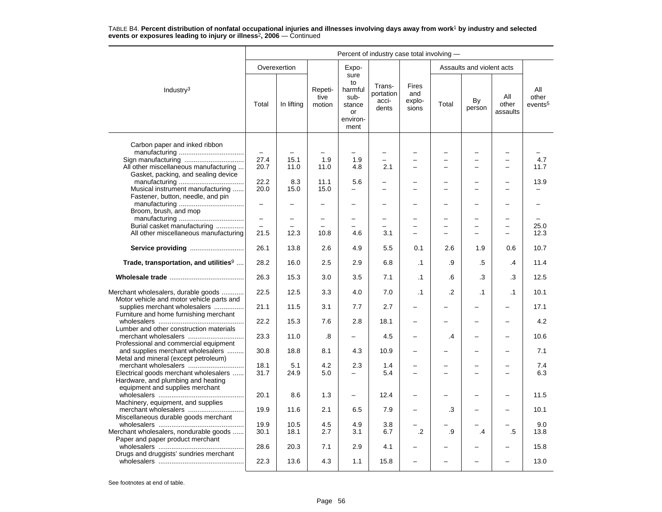|                                                                                                                | Percent of industry case total involving - |              |                           |                                                                   |                                       |                                 |                |                           |                          |                                     |  |  |
|----------------------------------------------------------------------------------------------------------------|--------------------------------------------|--------------|---------------------------|-------------------------------------------------------------------|---------------------------------------|---------------------------------|----------------|---------------------------|--------------------------|-------------------------------------|--|--|
|                                                                                                                |                                            | Overexertion |                           | Expo-                                                             |                                       |                                 |                | Assaults and violent acts |                          |                                     |  |  |
| Industry <sup>3</sup>                                                                                          | Total                                      | In lifting   | Repeti-<br>tive<br>motion | sure<br>to<br>harmful<br>sub-<br>stance<br>or<br>environ-<br>ment | Trans-<br>portation<br>acci-<br>dents | Fires<br>and<br>explo-<br>sions | Total          | By<br>person              | All<br>other<br>assaults | All<br>other<br>events <sup>5</sup> |  |  |
| Carbon paper and inked ribbon                                                                                  |                                            |              |                           |                                                                   |                                       |                                 |                |                           |                          |                                     |  |  |
|                                                                                                                | $\qquad \qquad -$                          |              |                           | -                                                                 |                                       |                                 |                |                           |                          |                                     |  |  |
| Sign manufacturing                                                                                             | 27.4                                       | 15.1         | 1.9                       | 1.9                                                               |                                       |                                 |                |                           |                          | 4.7                                 |  |  |
| All other miscellaneous manufacturing<br>Gasket, packing, and sealing device                                   | 20.7                                       | 11.0         | 11.0                      | 4.8                                                               | 2.1                                   |                                 |                | $\overline{\phantom{0}}$  |                          | 11.7                                |  |  |
|                                                                                                                | 22.2                                       | 8.3          | 11.1                      | 5.6                                                               |                                       |                                 |                |                           |                          | 13.9                                |  |  |
| Musical instrument manufacturing<br>Fastener, button, needle, and pin                                          | 20.0                                       | 15.0         | 15.0                      | -                                                                 |                                       |                                 |                | $\overline{a}$            |                          |                                     |  |  |
| Broom, brush, and mop                                                                                          | $\overline{\phantom{0}}$                   |              |                           |                                                                   |                                       |                                 |                |                           |                          |                                     |  |  |
|                                                                                                                | -                                          |              | $\overline{\phantom{0}}$  | -                                                                 |                                       |                                 |                | ÷                         |                          |                                     |  |  |
| Burial casket manufacturing                                                                                    |                                            |              |                           |                                                                   |                                       |                                 |                | $\overline{\phantom{0}}$  | $\equiv$                 | 25.0                                |  |  |
| All other miscellaneous manufacturing                                                                          | 21.5                                       | 12.3         | 10.8                      | 4.6                                                               | 3.1                                   |                                 |                |                           |                          | 12.3                                |  |  |
| Service providing                                                                                              | 26.1                                       | 13.8         | 2.6                       | 4.9                                                               | 5.5                                   | 0.1                             | 2.6            | 1.9                       | 0.6                      | 10.7                                |  |  |
| Trade, transportation, and utilities <sup>9</sup>                                                              | 28.2                                       | 16.0         | 2.5                       | 2.9                                                               | 6.8                                   | $\cdot$ 1                       | .9             | .5                        | $\overline{.4}$          | 11.4                                |  |  |
|                                                                                                                | 26.3                                       | 15.3         | 3.0                       | 3.5                                                               | 7.1                                   | $\cdot$ 1                       | .6             | .3                        | .3                       | 12.5                                |  |  |
| Merchant wholesalers, durable goods<br>Motor vehicle and motor vehicle parts and                               | 22.5                                       | 12.5         | 3.3                       | 4.0                                                               | 7.0                                   | $\cdot$ 1                       | $\overline{2}$ | $\cdot$ 1                 | $\cdot$ 1                | 10.1                                |  |  |
| supplies merchant wholesalers<br>Furniture and home furnishing merchant                                        | 21.1                                       | 11.5         | 3.1                       | 7.7                                                               | 2.7                                   |                                 |                |                           |                          | 17.1                                |  |  |
| Lumber and other construction materials                                                                        | 22.2                                       | 15.3         | 7.6                       | 2.8                                                               | 18.1                                  | $\overline{\phantom{0}}$        |                | $\overline{\phantom{0}}$  | $\overline{\phantom{0}}$ | 4.2                                 |  |  |
| Professional and commercial equipment                                                                          | 23.3                                       | 11.0         | .8                        |                                                                   | 4.5                                   |                                 | $\cdot$        | $\overline{\phantom{0}}$  |                          | 10.6                                |  |  |
| and supplies merchant wholesalers<br>Metal and mineral (except petroleum)                                      | 30.8                                       | 18.8         | 8.1                       | 4.3                                                               | 10.9                                  |                                 |                |                           |                          | 7.1                                 |  |  |
| merchant wholesalers                                                                                           | 18.1                                       | 5.1          | 4.2                       | 2.3                                                               | 1.4                                   |                                 |                |                           |                          | 7.4                                 |  |  |
| Electrical goods merchant wholesalers<br>Hardware, and plumbing and heating<br>equipment and supplies merchant | 31.7                                       | 24.9         | 5.0                       | $\overline{a}$                                                    | 5.4                                   |                                 |                |                           |                          | 6.3                                 |  |  |
| Machinery, equipment, and supplies                                                                             | 20.1                                       | 8.6          | 1.3                       | $\overline{\phantom{0}}$                                          | 12.4                                  |                                 |                |                           |                          | 11.5                                |  |  |
| Miscellaneous durable goods merchant                                                                           | 19.9                                       | 11.6         | 2.1                       | 6.5                                                               | 7.9                                   |                                 | .3             |                           |                          | 10.1                                |  |  |
|                                                                                                                | 19.9                                       | 10.5         | 4.5                       | 4.9                                                               | 3.8                                   |                                 |                |                           |                          | 9.0                                 |  |  |
| Merchant wholesalers, nondurable goods                                                                         | 30.1                                       | 18.1         | 2.7                       | 3.1                                                               | 6.7                                   | $\cdot$                         | .9             | .4                        | .5                       | 13.8                                |  |  |
| Paper and paper product merchant                                                                               | 28.6                                       | 20.3         | 7.1                       | 2.9                                                               | 4.1                                   |                                 |                |                           |                          | 15.8                                |  |  |
| Drugs and druggists' sundries merchant                                                                         | 22.3                                       | 13.6         | 4.3                       | 1.1                                                               | 15.8                                  |                                 |                |                           |                          | 13.0                                |  |  |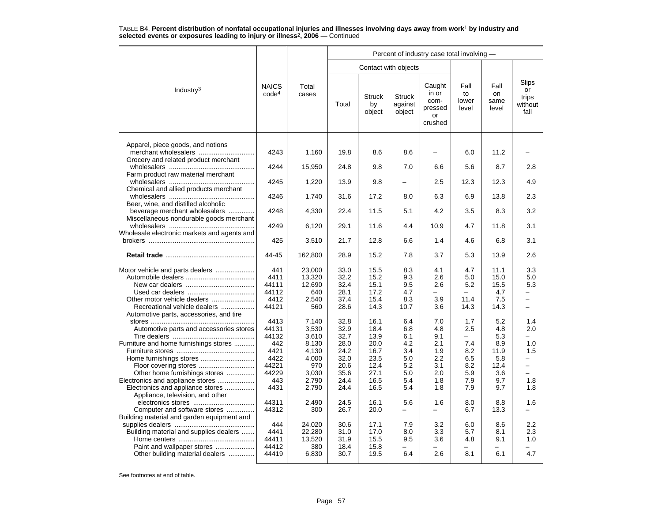|                                                                                                                 |                                   |                                         |                                      |                                      |                                    | Percent of industry case total involving -          |                              |                                   |                                                    |
|-----------------------------------------------------------------------------------------------------------------|-----------------------------------|-----------------------------------------|--------------------------------------|--------------------------------------|------------------------------------|-----------------------------------------------------|------------------------------|-----------------------------------|----------------------------------------------------|
|                                                                                                                 |                                   |                                         |                                      | Contact with objects                 |                                    |                                                     |                              |                                   |                                                    |
| Industry <sup>3</sup>                                                                                           | <b>NAICS</b><br>code <sup>4</sup> | Total<br>cases                          | Total                                | <b>Struck</b><br>by<br>object        | <b>Struck</b><br>against<br>object | Caught<br>in or<br>com-<br>pressed<br>or<br>crushed | Fall<br>to<br>lower<br>level | Fall<br>on<br>same<br>level       | Slips<br>or<br>trips<br>without<br>fall            |
| Apparel, piece goods, and notions<br>merchant wholesalers<br>Grocery and related product merchant               | 4243                              | 1,160                                   | 19.8                                 | 8.6                                  | 8.6                                | $\overline{\phantom{0}}$                            | 6.0                          | 11.2                              |                                                    |
| Farm product raw material merchant                                                                              | 4244                              | 15,950                                  | 24.8                                 | 9.8                                  | 7.0                                | 6.6                                                 | 5.6                          | 8.7                               | 2.8                                                |
|                                                                                                                 | 4245                              | 1,220                                   | 13.9                                 | 9.8                                  |                                    | 2.5                                                 | 12.3                         | 12.3                              | 4.9                                                |
| Chemical and allied products merchant                                                                           | 4246                              | 1,740                                   | 31.6                                 | 17.2                                 | 8.0                                | 6.3                                                 | 6.9                          | 13.8                              | 2.3                                                |
| Beer, wine, and distilled alcoholic<br>beverage merchant wholesalers<br>Miscellaneous nondurable goods merchant | 4248                              | 4,330                                   | 22.4                                 | 11.5                                 | 5.1                                | 4.2                                                 | 3.5                          | 8.3                               | 3.2                                                |
| Wholesale electronic markets and agents and                                                                     | 4249                              | 6,120                                   | 29.1                                 | 11.6                                 | 4.4                                | 10.9                                                | 4.7                          | 11.8                              | 3.1                                                |
|                                                                                                                 | 425                               | 3,510                                   | 21.7                                 | 12.8                                 | 6.6                                | 1.4                                                 | 4.6                          | 6.8                               | 3.1                                                |
|                                                                                                                 | 44-45                             | 162,800                                 | 28.9                                 | 15.2                                 | 7.8                                | 3.7                                                 | 5.3                          | 13.9                              | 2.6                                                |
|                                                                                                                 | 441<br>4411<br>44111<br>44112     | 23,000<br>13,320<br>12.690<br>640       | 33.0<br>32.2<br>32.4<br>28.1         | 15.5<br>15.2<br>15.1<br>17.2         | 8.3<br>9.3<br>9.5<br>4.7           | 4.1<br>2.6<br>2.6                                   | 4.7<br>5.0<br>5.2            | 11.1<br>15.0<br>15.5<br>4.7       | 3.3<br>5.0<br>5.3<br>-                             |
| Other motor vehicle dealers<br>Recreational vehicle dealers<br>Automotive parts, accessories, and tire          | 4412<br>44121                     | 2,540<br>560                            | 37.4<br>28.6                         | 15.4<br>14.3                         | 8.3<br>10.7                        | 3.9<br>3.6                                          | 11.4<br>14.3                 | 7.5<br>14.3                       | $\qquad \qquad -$<br>$\overline{\phantom{0}}$      |
| Automotive parts and accessories stores                                                                         | 4413<br>44131<br>44132<br>442     | 7,140<br>3.530<br>3,610                 | 32.8<br>32.9<br>32.7                 | 16.1<br>18.4<br>13.9                 | 6.4<br>6.8<br>6.1                  | 7.0<br>4.8<br>9.1                                   | 1.7<br>2.5<br>7.4            | 5.2<br>4.8<br>5.3                 | 1.4<br>2.0                                         |
| Furniture and home furnishings stores<br>Other home furnishings stores                                          | 4421<br>4422<br>44221<br>44229    | 8,130<br>4,130<br>4,000<br>970<br>3,030 | 28.0<br>24.2<br>32.0<br>20.6<br>35.6 | 20.0<br>16.7<br>23.5<br>12.4<br>27.1 | 4.2<br>3.4<br>5.0<br>5.2<br>5.0    | 2.1<br>1.9<br>2.2<br>3.1<br>2.0                     | 8.2<br>6.5<br>8.2<br>5.9     | 8.9<br>11.9<br>5.8<br>12.4<br>3.6 | 1.0<br>1.5<br>$\equiv$<br>$\overline{\phantom{0}}$ |
| Electronics and appliance stores<br>Electronics and appliance stores<br>Appliance, television, and other        | 443<br>4431                       | 2,790<br>2,790                          | 24.4<br>24.4                         | 16.5<br>16.5                         | 5.4<br>5.4                         | 1.8<br>1.8                                          | 7.9<br>7.9                   | 9.7<br>9.7                        | 1.8<br>1.8                                         |
| Computer and software stores<br>Building material and garden equipment and                                      | 44311<br>44312                    | 2.490<br>300                            | 24.5<br>26.7                         | 16.1<br>20.0                         | 5.6<br>-                           | 1.6<br>$\overline{\phantom{0}}$                     | 8.0<br>6.7                   | 8.8<br>13.3                       | 1.6<br>-                                           |
| Building material and supplies dealers                                                                          | 444<br>4441<br>44411<br>44412     | 24,020<br>22,280<br>13,520<br>380       | 30.6<br>31.0<br>31.9<br>18.4         | 17.1<br>17.0<br>15.5<br>15.8         | 7.9<br>8.0<br>9.5                  | 3.2<br>3.3<br>3.6                                   | 6.0<br>5.7<br>4.8            | 8.6<br>8.1<br>9.1                 | 2.2<br>2.3<br>1.0                                  |
| Other building material dealers                                                                                 | 44419                             | 6,830                                   | 30.7                                 | 19.5                                 | 6.4                                | 2.6                                                 | 8.1                          | 6.1                               | 4.7                                                |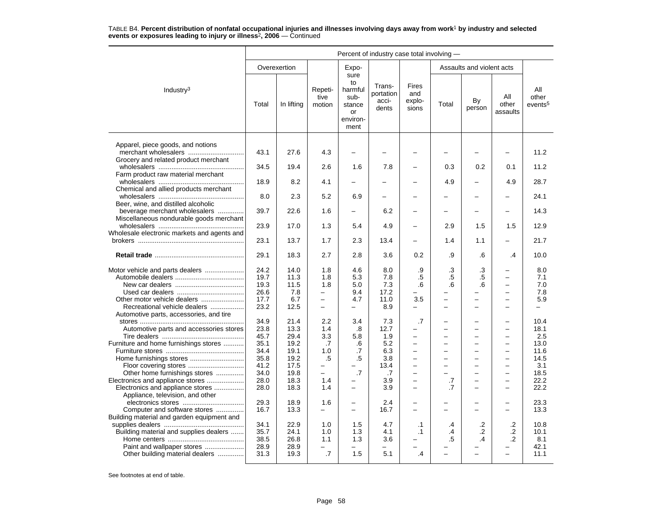|                                                                            | Percent of industry case total involving - |              |                                                      |                                                                   |                                       |                                        |                                                      |                                                      |                                               |                                     |  |
|----------------------------------------------------------------------------|--------------------------------------------|--------------|------------------------------------------------------|-------------------------------------------------------------------|---------------------------------------|----------------------------------------|------------------------------------------------------|------------------------------------------------------|-----------------------------------------------|-------------------------------------|--|
|                                                                            |                                            | Overexertion |                                                      | Expo-                                                             |                                       |                                        |                                                      | Assaults and violent acts                            |                                               |                                     |  |
| Industry $3$                                                               | Total                                      | In lifting   | Repeti-<br>tive<br>motion                            | sure<br>to<br>harmful<br>sub-<br>stance<br>or<br>environ-<br>ment | Trans-<br>portation<br>acci-<br>dents | <b>Fires</b><br>and<br>explo-<br>sions | Total                                                | By<br>person                                         | All<br>other<br>assaults                      | All<br>other<br>events <sup>5</sup> |  |
| Apparel, piece goods, and notions<br>merchant wholesalers                  | 43.1                                       | 27.6         | 4.3                                                  |                                                                   |                                       |                                        |                                                      |                                                      |                                               | 11.2                                |  |
| Grocery and related product merchant<br>Farm product raw material merchant | 34.5                                       | 19.4         | 2.6                                                  | 1.6                                                               | 7.8                                   |                                        | 0.3                                                  | 0.2                                                  | 0.1                                           | 11.2                                |  |
| Chemical and allied products merchant                                      | 18.9                                       | 8.2          | 4.1                                                  |                                                                   |                                       |                                        | 4.9                                                  |                                                      | 4.9                                           | 28.7                                |  |
| Beer, wine, and distilled alcoholic                                        | 8.0                                        | 2.3          | 5.2                                                  | 6.9                                                               |                                       |                                        |                                                      |                                                      |                                               | 24.1                                |  |
| beverage merchant wholesalers<br>Miscellaneous nondurable goods merchant   | 39.7                                       | 22.6         | 1.6                                                  |                                                                   | 6.2                                   |                                        |                                                      | $\overline{\phantom{0}}$                             |                                               | 14.3                                |  |
| Wholesale electronic markets and agents and                                | 23.9                                       | 17.0         | 1.3                                                  | 5.4                                                               | 4.9                                   | $\overline{\phantom{0}}$               | 2.9                                                  | 1.5                                                  | 1.5                                           | 12.9                                |  |
|                                                                            | 23.1                                       | 13.7         | 1.7                                                  | 2.3                                                               | 13.4                                  | $\overline{\phantom{0}}$               | 1.4                                                  | 1.1                                                  | $\overline{\phantom{0}}$                      | 21.7                                |  |
|                                                                            | 29.1                                       | 18.3         | 2.7                                                  | 2.8                                                               | 3.6                                   | 0.2                                    | .9                                                   | .6                                                   | .4                                            | 10.0                                |  |
| Motor vehicle and parts dealers                                            | 24.2                                       | 14.0         | 1.8                                                  | 4.6                                                               | 8.0                                   | .9                                     | .3                                                   | .3                                                   | $\overline{\phantom{0}}$                      | 8.0                                 |  |
|                                                                            | 19.7<br>19.3                               | 11.3<br>11.5 | 1.8<br>1.8                                           | 5.3<br>5.0                                                        | 7.8<br>7.3                            | $.5\,$<br>.6                           | .5<br>.6                                             | .5<br>.6                                             | $\qquad \qquad -$<br>$\overline{\phantom{m}}$ | 7.1<br>7.0                          |  |
|                                                                            | 26.6                                       | 7.8          | -                                                    | 9.4                                                               | 17.2                                  |                                        |                                                      | -                                                    | $\overline{\phantom{0}}$                      | 7.8                                 |  |
| Recreational vehicle dealers<br>Automotive parts, accessories, and tire    | 17.7<br>23.2                               | 6.7<br>12.5  | $\overline{\phantom{0}}$<br>$\overline{\phantom{0}}$ | 4.7<br>-                                                          | 11.0<br>8.9                           | 3.5<br>-                               | $\overline{\phantom{0}}$<br>$\overline{\phantom{0}}$ | $\equiv$<br>$\overline{\phantom{0}}$                 | $\equiv$<br>$\overline{\phantom{0}}$          | 5.9<br>$\overline{\phantom{0}}$     |  |
|                                                                            | 34.9                                       | 21.4         | 2.2                                                  | 3.4                                                               | 7.3                                   | .7                                     |                                                      | $\overline{\phantom{0}}$                             | $\overline{\phantom{0}}$                      | 10.4                                |  |
| Automotive parts and accessories stores                                    | 23.8                                       | 13.3         | 1.4                                                  | .8                                                                | 12.7                                  | $\overline{\phantom{0}}$               | -                                                    | $\overline{a}$                                       | $\overline{\phantom{0}}$                      | 18.1                                |  |
|                                                                            | 45.7                                       | 29.4         | 3.3                                                  | 5.8                                                               | 1.9                                   | -<br>$\equiv$                          |                                                      | -                                                    | $\overline{\phantom{0}}$                      | 2.5                                 |  |
| Furniture and home furnishings stores                                      | 35.1<br>34.4                               | 19.2<br>19.1 | .7<br>1.0                                            | .6<br>.7                                                          | 5.2<br>6.3                            | $\equiv$                               | $\overline{\phantom{0}}$<br>-                        | $\overline{\phantom{0}}$<br>$\overline{\phantom{0}}$ | $\overline{\phantom{0}}$                      | 13.0<br>11.6                        |  |
|                                                                            | 35.8                                       | 19.2         | .5                                                   | $.5\,$                                                            | 3.8                                   |                                        |                                                      |                                                      |                                               | 14.5                                |  |
|                                                                            | 41.2                                       | 17.5         | $\overline{a}$                                       |                                                                   | 13.4                                  | $\equiv$                               |                                                      | $\overline{a}$                                       | $\overline{\phantom{0}}$                      | 3.1                                 |  |
| Other home furnishings stores                                              | 34.0                                       | 19.8         | $\overline{\phantom{0}}$                             | .7                                                                | .7                                    | $\equiv$                               |                                                      | $\overline{\phantom{0}}$                             | $\overline{\phantom{0}}$                      | 18.5                                |  |
| Electronics and appliance stores                                           | 28.0                                       | 18.3         | 1.4                                                  |                                                                   | 3.9                                   | $\overline{\phantom{0}}$               | .7                                                   | $\overline{\phantom{0}}$                             |                                               | 22.2                                |  |
| Electronics and appliance stores                                           | 28.0                                       | 18.3         | 1.4                                                  | -                                                                 | 3.9                                   | $\overline{\phantom{0}}$               | .7                                                   | ÷                                                    |                                               | 22.2                                |  |
| Appliance, television, and other                                           | 29.3                                       | 18.9         |                                                      |                                                                   | 2.4                                   |                                        |                                                      |                                                      |                                               | 23.3                                |  |
| Computer and software stores                                               | 16.7                                       | 13.3         | 1.6<br>$\overline{\phantom{0}}$                      | $\overline{a}$                                                    | 16.7                                  | $\overline{\phantom{0}}$               | -                                                    | $\overline{a}$                                       | $\overline{\phantom{0}}$                      | 13.3                                |  |
| Building material and garden equipment and                                 |                                            |              |                                                      |                                                                   |                                       |                                        |                                                      |                                                      |                                               |                                     |  |
|                                                                            | 34.1                                       | 22.9         | 1.0                                                  | 1.5                                                               | 4.7                                   | $\cdot$ 1                              | .4                                                   | .2                                                   | .2                                            | 10.8                                |  |
| Building material and supplies dealers                                     | 35.7                                       | 24.1         | 1.0                                                  | 1.3                                                               | 4.1                                   | .1                                     | .4                                                   | $\cdot$                                              | $\cdot$ .2                                    | 10.1                                |  |
|                                                                            | 38.5                                       | 26.8         | 1.1                                                  | 1.3                                                               | 3.6                                   |                                        | .5                                                   | .4                                                   | .2                                            | 8.1                                 |  |
| Paint and wallpaper stores                                                 | 28.9                                       | 28.9         |                                                      |                                                                   |                                       |                                        |                                                      |                                                      |                                               | 42.1                                |  |
| Other building material dealers                                            | 31.3                                       | 19.3         | .7                                                   | 1.5                                                               | 5.1                                   | .4                                     | $\equiv$                                             | $\overline{\phantom{0}}$                             | $\sim$                                        | 11.1                                |  |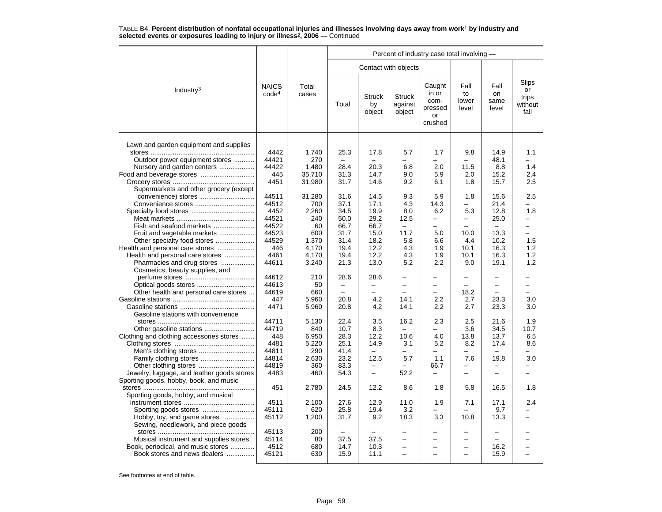|                                                               |                                   |                | Percent of industry case total involving - |                               |                                    |                                                     |                              |                             |                                         |  |  |  |
|---------------------------------------------------------------|-----------------------------------|----------------|--------------------------------------------|-------------------------------|------------------------------------|-----------------------------------------------------|------------------------------|-----------------------------|-----------------------------------------|--|--|--|
|                                                               | Contact with objects              |                |                                            |                               |                                    |                                                     |                              |                             |                                         |  |  |  |
| Industry <sup>3</sup>                                         | <b>NAICS</b><br>code <sup>4</sup> | Total<br>cases | Total                                      | <b>Struck</b><br>by<br>object | <b>Struck</b><br>against<br>object | Caught<br>in or<br>com-<br>pressed<br>or<br>crushed | Fall<br>to<br>lower<br>level | Fall<br>on<br>same<br>level | Slips<br>or<br>trips<br>without<br>fall |  |  |  |
| Lawn and garden equipment and supplies                        |                                   |                |                                            |                               |                                    |                                                     |                              |                             |                                         |  |  |  |
|                                                               | 4442                              | 1,740          | 25.3                                       | 17.8                          | 5.7                                | 1.7                                                 | 9.8                          | 14.9                        | 1.1                                     |  |  |  |
| Outdoor power equipment stores                                | 44421                             | 270            |                                            | -                             | ÷.                                 | -                                                   | -                            | 48.1                        |                                         |  |  |  |
| Nursery and garden centers                                    | 44422                             | 1,480          | 28.4                                       | 20.3                          | 6.8                                | 2.0                                                 | 11.5                         | 8.8                         | 1.4                                     |  |  |  |
| Food and beverage stores                                      | 445                               | 35,710         | 31.3                                       | 14.7                          | 9.0                                | 5.9                                                 | 2.0                          | 15.2                        | 2.4                                     |  |  |  |
|                                                               | 4451                              | 31,980         | 31.7                                       | 14.6                          | 9.2                                | 6.1                                                 | 1.8                          | 15.7                        | 2.5                                     |  |  |  |
| Supermarkets and other grocery (except                        |                                   |                |                                            |                               |                                    |                                                     |                              |                             |                                         |  |  |  |
|                                                               | 44511                             | 31,280         | 31.6                                       | 14.5                          | 9.3                                | 5.9                                                 | 1.8                          | 15.6                        | 2.5                                     |  |  |  |
| Convenience stores                                            | 44512                             | 700            | 37.1                                       | 17.1                          | 4.3                                | 14.3                                                | -                            | 21.4                        |                                         |  |  |  |
|                                                               | 4452                              | 2,260          | 34.5                                       | 19.9                          | 8.0                                | 6.2                                                 | 5.3                          | 12.8                        | 1.8                                     |  |  |  |
|                                                               | 44521                             | 240            | 50.0                                       | 29.2                          | 12.5                               | $\equiv$                                            | -                            |                             | $\equiv$                                |  |  |  |
| Fish and seafood markets                                      | 44522                             | 60             | 66.7                                       | 66.7                          | $\overline{\phantom{0}}$           |                                                     |                              | 25.0                        | -                                       |  |  |  |
|                                                               | 44523                             | 600            | 31.7                                       | 15.0                          | 11.7                               | 5.0                                                 | 10.0                         | 13.3                        | $\equiv$                                |  |  |  |
| Fruit and vegetable markets                                   | 44529                             | 1.370          | 31.4                                       | 18.2                          | 5.8                                | 6.6                                                 | 4.4                          | 10.2                        | 1.5                                     |  |  |  |
| Other specialty food stores                                   | 446                               |                |                                            |                               |                                    |                                                     |                              |                             |                                         |  |  |  |
| Health and personal care stores                               | 4461                              | 4,170          | 19.4                                       | 12.2                          | 4.3                                | 1.9                                                 | 10.1                         | 16.3                        | 1.2                                     |  |  |  |
| Health and personal care stores                               |                                   | 4,170          | 19.4                                       | 12.2                          | 4.3                                | 1.9                                                 | 10.1                         | 16.3                        | 1.2                                     |  |  |  |
| Pharmacies and drug stores<br>Cosmetics, beauty supplies, and | 44611                             | 3,240          | 21.3                                       | 13.0                          | 5.2                                | 2.2                                                 | 9.0                          | 19.1                        | 1.2                                     |  |  |  |
|                                                               | 44612                             | 210            | 28.6                                       | 28.6                          | -                                  | $\overline{\phantom{0}}$                            |                              |                             |                                         |  |  |  |
|                                                               | 44613                             | 50             | $\overline{\phantom{0}}$                   | $\overline{\phantom{0}}$      | $\overline{\phantom{0}}$           | $\overline{\phantom{0}}$                            | $\equiv$                     | $\overline{\phantom{m}}$    | $\equiv$                                |  |  |  |
| Other health and personal care stores                         | 44619                             | 660            |                                            |                               |                                    |                                                     | 18.2                         |                             |                                         |  |  |  |
|                                                               | 447                               | 5,960          | 20.8                                       | 4.2                           | 14.1                               | 2.2                                                 | 2.7                          | 23.3                        | 3.0                                     |  |  |  |
|                                                               | 4471                              | 5,960          | 20.8                                       | 4.2                           | 14.1                               | $2.2\phantom{0}$                                    | 2.7                          | 23.3                        | 3.0                                     |  |  |  |
| Gasoline stations with convenience                            |                                   |                |                                            |                               |                                    |                                                     |                              |                             |                                         |  |  |  |
|                                                               | 44711                             | 5,130          | 22.4                                       | 3.5                           | 16.2                               | 2.3                                                 | 2.5                          | 21.6                        | 1.9                                     |  |  |  |
|                                                               | 44719                             | 840            | 10.7                                       | 8.3                           | $\overline{\phantom{a}}$           | $\overline{\phantom{0}}$                            | 3.6                          | 34.5                        | 10.7                                    |  |  |  |
| Clothing and clothing accessories stores                      | 448                               | 6,950          | 28.3                                       | 12.2                          | 10.6                               | 4.0                                                 | 13.8                         | 13.7                        | 6.5                                     |  |  |  |
|                                                               | 4481                              | 5,220          | 25.1                                       | 14.9                          | 3.1                                | 5.2                                                 | 8.2                          | 17.4                        | 8.6                                     |  |  |  |
|                                                               | 44811                             | 290            | 41.4                                       | $\overline{\phantom{0}}$      | -                                  | $\overline{\phantom{0}}$                            | -                            | $\equiv$                    |                                         |  |  |  |
|                                                               | 44814                             | 2,630          | 23.2                                       | 12.5                          | 5.7                                | 1.1                                                 | 7.6                          | 19.8                        | 3.0                                     |  |  |  |
|                                                               | 44819                             | 360            | 83.3                                       | -                             |                                    | 66.7                                                | -                            | $\overline{\phantom{0}}$    |                                         |  |  |  |
| Jewelry, luggage, and leather goods stores                    | 4483                              | 460            | 54.3                                       | $\equiv$                      | 52.2                               | $\overline{\phantom{0}}$                            |                              |                             |                                         |  |  |  |
| Sporting goods, hobby, book, and music                        |                                   |                |                                            |                               |                                    |                                                     |                              |                             |                                         |  |  |  |
|                                                               | 451                               | 2,780          | 24.5                                       | 12.2                          | 8.6                                | 1.8                                                 | 5.8                          | 16.5                        | 1.8                                     |  |  |  |
| Sporting goods, hobby, and musical                            |                                   |                |                                            |                               |                                    |                                                     |                              |                             |                                         |  |  |  |
|                                                               | 4511                              | 2,100          | 27.6                                       | 12.9                          | 11.0                               | 1.9                                                 | 7.1                          | 17.1                        | 2.4                                     |  |  |  |
|                                                               | 45111                             | 620            | 25.8                                       | 19.4                          | 3.2                                |                                                     |                              | 9.7                         |                                         |  |  |  |
| Hobby, toy, and game stores                                   | 45112                             | 1,200          | 31.7                                       | 9.2                           | 18.3                               | 3.3                                                 | 10.8                         | 13.3                        |                                         |  |  |  |
| Sewing, needlework, and piece goods                           |                                   |                |                                            |                               |                                    |                                                     |                              |                             |                                         |  |  |  |
|                                                               | 45113                             | 200            |                                            |                               |                                    |                                                     |                              |                             |                                         |  |  |  |
| Musical instrument and supplies stores                        | 45114                             | 80             | 37.5                                       | 37.5                          | $\overline{\phantom{0}}$           | $\overline{\phantom{0}}$                            |                              | $\sim$                      |                                         |  |  |  |
| Book, periodical, and music stores                            | 4512                              | 680            | 14.7                                       | 10.3                          | -                                  | -                                                   | -                            | 16.2                        |                                         |  |  |  |
| Book stores and news dealers                                  | 45121                             | 630            | 15.9                                       | 11.1                          | ÷                                  |                                                     |                              | 15.9                        |                                         |  |  |  |
|                                                               |                                   |                |                                            |                               |                                    |                                                     |                              |                             |                                         |  |  |  |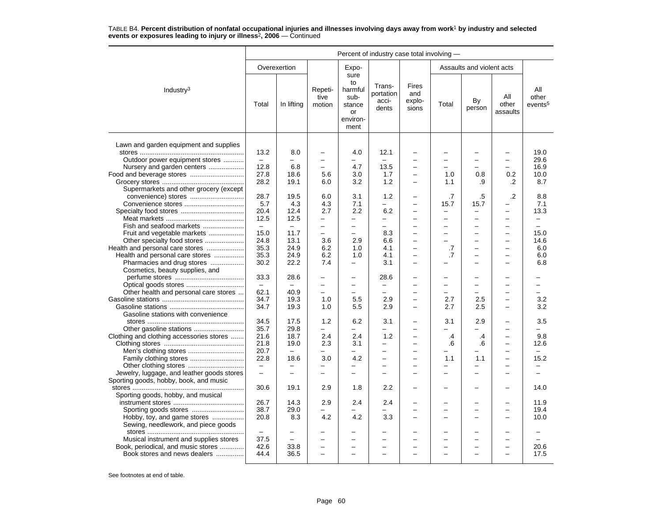|                                            | Percent of industry case total involving - |                          |                           |                                                                   |                                       |                                 |                          |                           |                          |                                     |  |
|--------------------------------------------|--------------------------------------------|--------------------------|---------------------------|-------------------------------------------------------------------|---------------------------------------|---------------------------------|--------------------------|---------------------------|--------------------------|-------------------------------------|--|
|                                            |                                            | Overexertion             |                           | Expo-                                                             |                                       |                                 |                          | Assaults and violent acts |                          |                                     |  |
| Industry $3$                               | Total                                      | In lifting               | Repeti-<br>tive<br>motion | sure<br>to<br>harmful<br>sub-<br>stance<br>or<br>environ-<br>ment | Trans-<br>portation<br>acci-<br>dents | Fires<br>and<br>explo-<br>sions | Total                    | By<br>person              | All<br>other<br>assaults | All<br>other<br>events <sup>5</sup> |  |
| Lawn and garden equipment and supplies     |                                            |                          |                           |                                                                   |                                       |                                 |                          |                           |                          |                                     |  |
|                                            | 13.2                                       | 8.0                      |                           | 4.0                                                               | 12.1                                  |                                 |                          |                           |                          | 19.0                                |  |
| Outdoor power equipment stores             | $\qquad \qquad -$                          | -                        | $\overline{\phantom{0}}$  | -                                                                 | $\equiv$                              |                                 |                          | -                         | $\overline{\phantom{0}}$ | 29.6                                |  |
| Nursery and garden centers                 | 12.8                                       | 6.8                      | $\equiv$                  | 4.7                                                               | 13.5                                  | $\overline{\phantom{0}}$        |                          |                           | $\equiv$                 | 16.9                                |  |
|                                            | 27.8                                       | 18.6                     | 5.6                       | 3.0                                                               | 1.7                                   | $\equiv$                        | 1.0                      | 0.8                       | 0.2                      | 10.0                                |  |
|                                            | 28.2                                       | 19.1                     | 6.0                       | 3.2                                                               | 1.2                                   | -                               | 1.1                      | .9                        | $\cdot$                  | 8.7                                 |  |
| Supermarkets and other grocery (except     |                                            |                          |                           |                                                                   |                                       |                                 |                          |                           |                          |                                     |  |
|                                            | 28.7                                       | 19.5                     | 6.0                       | 3.1                                                               | 1.2                                   | $\overline{\phantom{0}}$        | .7                       | .5                        | .2                       | 8.8                                 |  |
|                                            | 5.7                                        | 4.3                      | 4.3                       | 7.1                                                               |                                       | -                               | 15.7                     | 15.7                      | -                        | 7.1                                 |  |
|                                            | 20.4                                       | 12.4                     | 2.7                       | 2.2                                                               | 6.2                                   |                                 |                          | -                         |                          | 13.3                                |  |
|                                            | 12.5                                       | 12.5                     | $\equiv$                  | $\overline{a}$                                                    | $\equiv$                              | ÷                               | ÷                        | $\overline{\phantom{0}}$  | $\overline{\phantom{0}}$ | $\overline{\phantom{0}}$            |  |
| Fish and seafood markets                   | $\equiv$                                   | $\equiv$                 | $\overline{\phantom{0}}$  | $\overline{\phantom{0}}$                                          | ۳                                     | $\equiv$                        |                          | $\overline{\phantom{0}}$  | ۳                        | -                                   |  |
| Fruit and vegetable markets                | 15.0                                       | 11.7                     | $\overline{\phantom{0}}$  | -                                                                 | 8.3                                   |                                 |                          | -                         |                          | 15.0                                |  |
|                                            | 24.8                                       | 13.1                     | 3.6                       | 2.9                                                               | 6.6                                   |                                 |                          | $\overline{\phantom{0}}$  |                          | 14.6                                |  |
| Health and personal care stores            | 35.3                                       | 24.9                     | 6.2                       | 1.0                                                               | 4.1                                   | -                               | .7                       | -                         | —                        | 6.0                                 |  |
| Health and personal care stores            | 35.3                                       | 24.9                     | 6.2                       | 1.0                                                               | 4.1                                   | $\equiv$                        | .7                       | -                         | $\overline{\phantom{0}}$ | 6.0                                 |  |
| Pharmacies and drug stores                 | 30.2                                       | 22.2                     | 7.4                       | $\overline{\phantom{0}}$                                          | 3.1                                   |                                 |                          |                           |                          | 6.8                                 |  |
| Cosmetics, beauty supplies, and            |                                            |                          |                           |                                                                   |                                       |                                 |                          |                           |                          |                                     |  |
|                                            | 33.3                                       | 28.6                     | $\overline{\phantom{0}}$  | $\equiv$                                                          | 28.6                                  | ÷                               |                          | L                         |                          |                                     |  |
|                                            | $\overline{\phantom{m}}$                   | $\overline{\phantom{m}}$ | $\overline{\phantom{0}}$  | $\overline{\phantom{0}}$                                          | $\overline{\phantom{0}}$              |                                 |                          | -                         |                          | -                                   |  |
| Other health and personal care stores      | 62.1                                       | 40.9                     |                           |                                                                   |                                       |                                 |                          |                           |                          |                                     |  |
|                                            | 34.7                                       | 19.3                     | 1.0                       | 5.5                                                               | 2.9                                   | $\overline{\phantom{0}}$        | 2.7                      | 2.5                       | $\overline{\phantom{0}}$ | 3.2                                 |  |
|                                            | 34.7                                       | 19.3                     | 1.0                       | 5.5                                                               | 2.9                                   | $\equiv$                        | 2.7                      | 2.5                       | $\overline{\phantom{0}}$ | 3.2                                 |  |
| Gasoline stations with convenience         |                                            |                          |                           |                                                                   |                                       |                                 |                          |                           |                          |                                     |  |
|                                            | 34.5                                       | 17.5                     | 1.2                       | 6.2                                                               | 3.1                                   | $\overline{\phantom{0}}$        | 3.1                      | 2.9                       |                          | 3.5                                 |  |
|                                            | 35.7                                       | 29.8                     | $\equiv$                  | $\equiv$                                                          | $\equiv$                              | -                               | $\overline{\phantom{0}}$ | -                         | $\overline{\phantom{0}}$ | ÷                                   |  |
| Clothing and clothing accessories stores   | 21.6                                       | 18.7                     | 2.4                       | 2.4                                                               | 1.2                                   |                                 | .4                       | .4                        |                          | 9.8                                 |  |
|                                            | 21.8                                       | 19.0                     | 2.3                       | 3.1                                                               | $\equiv$                              | $\equiv$                        | .6                       | .6                        | $\overline{\phantom{0}}$ | 12.6                                |  |
|                                            | 20.7                                       | $\equiv$                 | $\overline{\phantom{0}}$  | —                                                                 | $\overline{\phantom{0}}$              | $\overline{\phantom{0}}$        |                          | -                         | $\overline{\phantom{0}}$ |                                     |  |
|                                            | 22.8                                       | 18.6                     | 3.0                       | 4.2                                                               | $\overline{a}$                        |                                 | 1.1                      | 1.1                       |                          | 15.2                                |  |
|                                            | $\overline{\phantom{m}}$                   | $\overline{\phantom{0}}$ | $\overline{\phantom{0}}$  | —                                                                 | -                                     | -                               |                          | -                         |                          |                                     |  |
| Jewelry, luggage, and leather goods stores | $\qquad \qquad -$                          | $\overline{\phantom{0}}$ | $\equiv$                  | -                                                                 |                                       | $\overline{\phantom{0}}$        |                          | -                         |                          |                                     |  |
| Sporting goods, hobby, book, and music     |                                            |                          |                           |                                                                   |                                       |                                 |                          |                           |                          |                                     |  |
|                                            | 30.6                                       | 19.1                     | 2.9                       | 1.8                                                               | 2.2                                   | -                               |                          | -                         |                          | 14.0                                |  |
| Sporting goods, hobby, and musical         |                                            |                          |                           |                                                                   |                                       |                                 |                          |                           |                          |                                     |  |
|                                            | 26.7                                       | 14.3                     | 2.9                       | 2.4                                                               | 2.4                                   |                                 |                          | -                         |                          | 11.9                                |  |
|                                            | 38.7                                       | 29.0                     |                           |                                                                   |                                       | -                               |                          | -                         |                          | 19.4                                |  |
| Hobby, toy, and game stores                | 20.8                                       | 8.3                      | 4.2                       | 4.2                                                               | 3.3                                   |                                 |                          | -                         |                          | 10.0                                |  |
| Sewing, needlework, and piece goods        |                                            |                          |                           |                                                                   |                                       |                                 |                          |                           |                          |                                     |  |
|                                            |                                            |                          |                           |                                                                   |                                       |                                 |                          | -                         |                          |                                     |  |
| Musical instrument and supplies stores     | 37.5                                       | $\equiv$                 |                           | -                                                                 |                                       |                                 |                          | -                         |                          |                                     |  |
| Book, periodical, and music stores         | 42.6                                       | 33.8                     | $\overline{\phantom{0}}$  | $\overline{a}$                                                    |                                       |                                 |                          | -                         |                          | 20.6                                |  |
| Book stores and news dealers               | 44.4                                       | 36.5                     | $\overline{\phantom{0}}$  | $\overline{\phantom{0}}$                                          |                                       |                                 |                          | -                         |                          | 17.5                                |  |
|                                            |                                            |                          |                           |                                                                   |                                       |                                 |                          |                           |                          |                                     |  |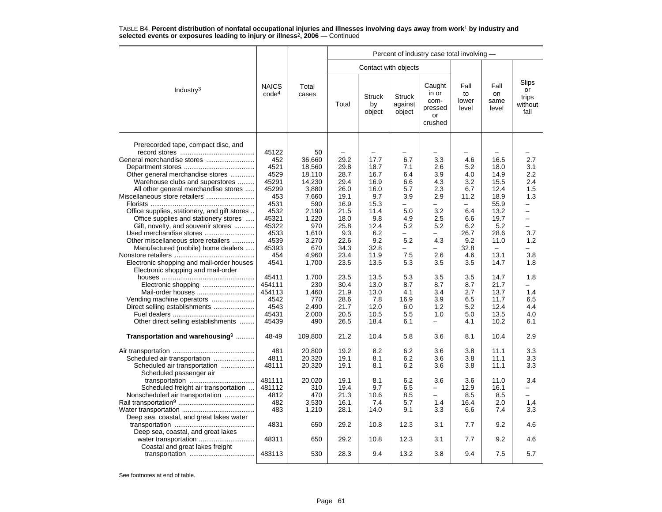|                                                                                                                                          |                                       |                                            | Percent of industry case total involving - |                               |                                      |                                                     |                                         |                                          |                                         |  |  |
|------------------------------------------------------------------------------------------------------------------------------------------|---------------------------------------|--------------------------------------------|--------------------------------------------|-------------------------------|--------------------------------------|-----------------------------------------------------|-----------------------------------------|------------------------------------------|-----------------------------------------|--|--|
|                                                                                                                                          |                                       |                                            |                                            |                               | Contact with objects                 |                                                     |                                         |                                          |                                         |  |  |
| Industry <sup>3</sup>                                                                                                                    | <b>NAICS</b><br>code <sup>4</sup>     | Total<br>cases                             | Total                                      | <b>Struck</b><br>by<br>object | <b>Struck</b><br>against<br>object   | Caught<br>in or<br>com-<br>pressed<br>or<br>crushed | Fall<br>to<br>lower<br>level            | Fall<br>on<br>same<br>level              | Slips<br>or<br>trips<br>without<br>fall |  |  |
| Prerecorded tape, compact disc, and<br>General merchandise stores<br>Other general merchandise stores<br>Warehouse clubs and superstores | 45122<br>452<br>4521<br>4529<br>45291 | 50<br>36,660<br>18,560<br>18,110<br>14,230 | 29.2<br>29.8<br>28.7<br>29.4               | 17.7<br>18.7<br>16.7<br>16.9  | 6.7<br>7.1<br>6.4<br>6.6             | 3.3<br>2.6<br>3.9<br>4.3                            | 4.6<br>5.2<br>4.0<br>3.2                | 16.5<br>18.0<br>14.9<br>15.5             | 2.7<br>3.1<br>2.2<br>2.4                |  |  |
| All other general merchandise stores<br>Miscellaneous store retailers                                                                    | 45299<br>453<br>4531                  | 3,880<br>7,660<br>590                      | 26.0<br>19.1<br>16.9                       | 16.0<br>9.7<br>15.3           | 5.7<br>3.9<br>-                      | 2.3<br>2.9<br>-                                     | 6.7<br>11.2<br>$\overline{\phantom{0}}$ | 12.4<br>18.9<br>55.9                     | 1.5<br>1.3<br>-                         |  |  |
| Office supplies, stationery, and gift stores<br>Office supplies and stationery stores<br>Gift, novelty, and souvenir stores              | 4532<br>45321<br>45322                | 2,190<br>1,220<br>970                      | 21.5<br>18.0<br>25.8                       | 11.4<br>9.8<br>12.4           | 5.0<br>4.9<br>5.2                    | 3.2<br>2.5<br>5.2                                   | 6.4<br>6.6<br>6.2                       | 13.2<br>19.7<br>5.2                      | -<br>÷<br>$\overline{\phantom{0}}$      |  |  |
| Used merchandise stores<br>Other miscellaneous store retailers<br>Manufactured (mobile) home dealers                                     | 4533<br>4539<br>45393                 | 1,610<br>3,270<br>670                      | 9.3<br>22.6<br>34.3                        | 6.2<br>9.2<br>32.8            | $\overline{\phantom{0}}$<br>5.2<br>- | $\overline{\phantom{0}}$<br>4.3<br>-                | 26.7<br>9.2<br>32.8                     | 28.6<br>11.0<br>$\overline{\phantom{0}}$ | 3.7<br>1.2                              |  |  |
| Electronic shopping and mail-order houses<br>Electronic shopping and mail-order                                                          | 454<br>4541                           | 4,960<br>1,700                             | 23.4<br>23.5                               | 11.9<br>13.5                  | 7.5<br>5.3                           | 2.6<br>3.5                                          | 4.6<br>3.5                              | 13.1<br>14.7                             | 3.8<br>1.8                              |  |  |
| Mail-order houses                                                                                                                        | 45411<br>454111<br>454113             | 1,700<br>230<br>1,460                      | 23.5<br>30.4<br>21.9                       | 13.5<br>13.0<br>13.0          | 5.3<br>8.7<br>4.1                    | 3.5<br>8.7<br>3.4                                   | 3.5<br>8.7<br>2.7                       | 14.7<br>21.7<br>13.7                     | 1.8<br>1.4                              |  |  |
| Direct selling establishments                                                                                                            | 4542<br>4543<br>45431                 | 770<br>2,490<br>2,000                      | 28.6<br>21.7<br>20.5                       | 7.8<br>12.0<br>10.5           | 16.9<br>6.0<br>5.5                   | 3.9<br>1.2<br>1.0                                   | 6.5<br>5.2<br>5.0                       | 11.7<br>12.4<br>13.5                     | 6.5<br>4.4<br>4.0                       |  |  |
| Other direct selling establishments<br>Transportation and warehousing <sup>9</sup>                                                       | 45439<br>48-49                        | 490<br>109,800                             | 26.5<br>21.2                               | 18.4<br>10.4                  | 6.1<br>5.8                           | $\equiv$<br>3.6                                     | 4.1<br>8.1                              | 10.2<br>10.4                             | 6.1<br>2.9                              |  |  |
| Scheduled air transportation<br>Scheduled air transportation<br>Scheduled passenger air                                                  | 481<br>4811<br>48111                  | 20,800<br>20,320<br>20,320                 | 19.2<br>19.1<br>19.1                       | 8.2<br>8.1<br>8.1             | 6.2<br>6.2<br>6.2                    | 3.6<br>3.6<br>3.6                                   | 3.8<br>3.8<br>3.8                       | 11.1<br>11.1<br>11.1                     | 3.3<br>3.3<br>3.3                       |  |  |
| Scheduled freight air transportation<br>Nonscheduled air transportation                                                                  | 481111<br>481112<br>4812<br>482       | 20,020<br>310<br>470<br>3,530              | 19.1<br>19.4<br>21.3<br>16.1               | 8.1<br>9.7<br>10.6<br>7.4     | 6.2<br>6.5<br>8.5<br>5.7             | 3.6<br>$\overline{\phantom{0}}$<br>$\equiv$<br>1.4  | 3.6<br>12.9<br>8.5<br>16.4              | 11.0<br>16.1<br>8.5<br>2.0               | 3.4<br>$\overline{a}$<br>-<br>1.4       |  |  |
| Deep sea, coastal, and great lakes water<br>Deep sea, coastal, and great lakes                                                           | 483<br>4831                           | 1,210<br>650                               | 28.1<br>29.2                               | 14.0<br>10.8                  | 9.1<br>12.3                          | 3.3<br>3.1                                          | 6.6<br>7.7                              | 7.4<br>9.2                               | 3.3<br>4.6                              |  |  |
| Coastal and great lakes freight                                                                                                          | 48311                                 | 650                                        | 29.2                                       | 10.8                          | 12.3                                 | 3.1                                                 | 7.7                                     | 9.2                                      | 4.6                                     |  |  |
|                                                                                                                                          | 483113                                | 530                                        | 28.3                                       | 9.4                           | 13.2                                 | 3.8                                                 | 9.4                                     | 7.5                                      | 5.7                                     |  |  |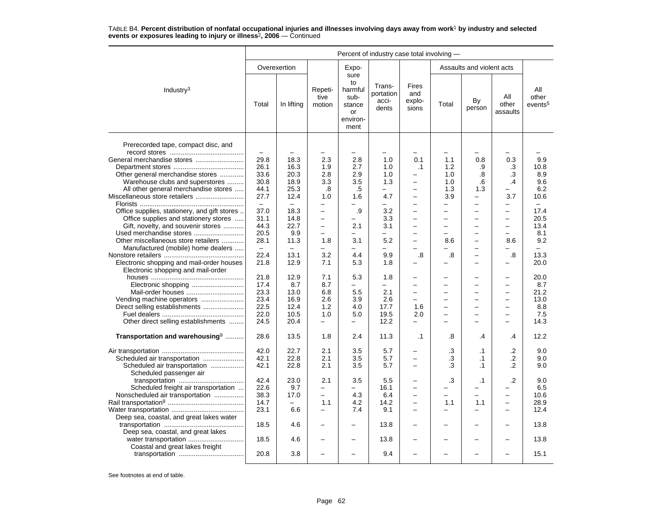|                                                                                 | Percent of industry case total involving - |                          |                                                      |                                                                   |                                       |                                 |                                                      |                                      |                                      |                                     |  |
|---------------------------------------------------------------------------------|--------------------------------------------|--------------------------|------------------------------------------------------|-------------------------------------------------------------------|---------------------------------------|---------------------------------|------------------------------------------------------|--------------------------------------|--------------------------------------|-------------------------------------|--|
|                                                                                 |                                            | Overexertion             |                                                      | Expo-                                                             |                                       |                                 |                                                      | Assaults and violent acts            |                                      |                                     |  |
| Industry <sup>3</sup>                                                           | Total                                      | In lifting               | Repeti-<br>tive<br>motion                            | sure<br>to<br>harmful<br>sub-<br>stance<br>or<br>environ-<br>ment | Trans-<br>portation<br>acci-<br>dents | Fires<br>and<br>explo-<br>sions | Total                                                | By<br>person                         | All<br>other<br>assaults             | All<br>other<br>events <sup>5</sup> |  |
| Prerecorded tape, compact disc, and                                             |                                            |                          |                                                      |                                                                   |                                       |                                 |                                                      |                                      |                                      |                                     |  |
|                                                                                 |                                            |                          |                                                      |                                                                   |                                       |                                 |                                                      |                                      |                                      |                                     |  |
| General merchandise stores                                                      | 29.8                                       | 18.3                     | 2.3                                                  | 2.8                                                               | 1.0                                   | 0.1                             | 1.1                                                  | 0.8                                  | 0.3                                  | 9.9                                 |  |
|                                                                                 | 26.1                                       | 16.3                     | 1.9                                                  | 2.7                                                               | 1.0                                   | $\cdot$ 1                       | 1.2                                                  | .9                                   | .3                                   | 10.8                                |  |
| Other general merchandise stores                                                | 33.6                                       | 20.3                     | 2.8                                                  | 2.9                                                               | 1.0                                   |                                 | 1.0                                                  | .8                                   | .3                                   | 8.9                                 |  |
| Warehouse clubs and superstores                                                 | 30.8                                       | 18.9                     | 3.3                                                  | 3.5                                                               | 1.3                                   | $\overline{\phantom{0}}$        | 1.0                                                  | .6                                   | $\cdot$                              | 9.6                                 |  |
| All other general merchandise stores                                            | 44.1                                       | 25.3                     | .8                                                   | .5                                                                | $\overline{\phantom{0}}$              |                                 | 1.3                                                  | 1.3                                  |                                      | 6.2                                 |  |
| Miscellaneous store retailers                                                   | 27.7                                       | 12.4                     | 1.0                                                  | 1.6                                                               | 4.7                                   | $\overline{\phantom{0}}$        | 3.9                                                  | $\equiv$                             | 3.7                                  | 10.6                                |  |
|                                                                                 |                                            |                          |                                                      | -                                                                 | $\equiv$                              |                                 |                                                      |                                      |                                      | $\equiv$                            |  |
|                                                                                 | $\equiv$                                   | $\equiv$                 | $\overline{\phantom{0}}$<br>$\overline{\phantom{0}}$ |                                                                   |                                       | $\overline{\phantom{0}}$        | $\overline{\phantom{0}}$<br>$\overline{\phantom{0}}$ | $\overline{\phantom{0}}$<br>$\equiv$ | $\equiv$<br>$\overline{\phantom{0}}$ |                                     |  |
| Office supplies, stationery, and gift stores                                    | 37.0                                       | 18.3                     | $\equiv$                                             | .9                                                                | 3.2                                   | $=$                             |                                                      | $\equiv$                             |                                      | 17.4                                |  |
| Office supplies and stationery stores                                           | 31.1                                       | 14.8                     |                                                      |                                                                   | 3.3                                   |                                 | $\overline{\phantom{0}}$                             |                                      | $\overline{\phantom{0}}$             | 20.5                                |  |
| Gift, novelty, and souvenir stores                                              | 44.3                                       | 22.7                     | $\qquad \qquad -$                                    | 2.1                                                               | 3.1                                   | $\overline{\phantom{0}}$        | $\overline{\phantom{0}}$                             | $\overline{\phantom{0}}$             | $\overline{\phantom{0}}$             | 13.4                                |  |
| Used merchandise stores                                                         | 20.5                                       | 9.9                      | $\overline{\phantom{0}}$                             | -                                                                 |                                       |                                 | $\overline{\phantom{0}}$                             | $\overline{\phantom{0}}$             |                                      | 8.1                                 |  |
| Other miscellaneous store retailers                                             | 28.1                                       | 11.3                     | 1.8                                                  | 3.1                                                               | 5.2                                   | ÷                               | 8.6                                                  | $\equiv$                             | 8.6                                  | 9.2                                 |  |
| Manufactured (mobile) home dealers                                              | $\overline{\phantom{a}}$                   | $\overline{\phantom{0}}$ | -                                                    | -                                                                 | $\overline{\phantom{0}}$              | $\overline{\phantom{0}}$        | -                                                    | $\qquad \qquad -$                    | -                                    | -                                   |  |
|                                                                                 | 22.4                                       | 13.1                     | 3.2                                                  | 4.4                                                               | 9.9                                   | .8                              | .8                                                   | $\qquad \qquad -$                    | $\boldsymbol{.8}$                    | 13.3                                |  |
| Electronic shopping and mail-order houses<br>Electronic shopping and mail-order | 21.8                                       | 12.9                     | 7.1                                                  | 5.3                                                               | 1.8                                   | $\equiv$                        |                                                      | $\overline{\phantom{0}}$             | $\overline{\phantom{0}}$             | 20.0                                |  |
|                                                                                 | 21.8                                       | 12.9                     | 7.1                                                  | 5.3                                                               | 1.8                                   |                                 |                                                      |                                      |                                      | 20.0                                |  |
|                                                                                 | 17.4                                       | 8.7                      | 8.7                                                  | $\equiv$                                                          | $\equiv$                              |                                 |                                                      |                                      | $\overline{\phantom{0}}$             | 8.7                                 |  |
| Mail-order houses                                                               | 23.3                                       | 13.0                     | 6.8                                                  | 5.5                                                               | 2.1                                   | $\overline{\phantom{0}}$        | $\overline{\phantom{0}}$                             | $\overline{\phantom{0}}$             | $\overline{\phantom{0}}$             | 21.2                                |  |
| Vending machine operators                                                       | 23.4                                       | 16.9                     | 2.6                                                  | 3.9                                                               | 2.6                                   | $\overline{\phantom{0}}$        |                                                      | $\overline{\phantom{0}}$             | $\overline{\phantom{0}}$             | 13.0                                |  |
|                                                                                 | 22.5                                       | 12.4                     | 1.2                                                  | 4.0                                                               | 17.7                                  | 1.6                             |                                                      | $\overline{\phantom{0}}$             | $\overline{\phantom{0}}$             | 8.8                                 |  |
|                                                                                 | 22.0                                       | 10.5                     | 1.0                                                  | 5.0                                                               | 19.5                                  | 2.0                             |                                                      | $\overline{\phantom{0}}$             | $\overline{\phantom{0}}$             | 7.5                                 |  |
| Other direct selling establishments                                             | 24.5                                       | 20.4                     | $\overline{\phantom{0}}$                             | $\overline{\phantom{0}}$                                          | 12.2                                  | $\overline{\phantom{0}}$        | ÷                                                    | $\equiv$                             | $\overline{\phantom{0}}$             | 14.3                                |  |
| Transportation and warehousing <sup>9</sup>                                     | 28.6                                       | 13.5                     | 1.8                                                  | 2.4                                                               | 11.3                                  | $\cdot$ 1                       | .8                                                   | .4                                   | .4                                   | 12.2                                |  |
|                                                                                 | 42.0                                       | 22.7                     | 2.1                                                  | 3.5                                                               | 5.7                                   | -                               | .3                                                   | $\cdot$ 1                            | .2                                   | 9.0                                 |  |
| Scheduled air transportation                                                    | 42.1                                       | 22.8                     | 2.1                                                  | 3.5                                                               | 5.7                                   |                                 | .3                                                   | $\cdot$ 1                            | .2                                   | 9.0                                 |  |
| Scheduled air transportation                                                    | 42.1                                       | 22.8                     | 2.1                                                  | 3.5                                                               | 5.7                                   | $\equiv$                        | .3                                                   | .1                                   | .2                                   | 9.0                                 |  |
| Scheduled passenger air                                                         |                                            |                          |                                                      |                                                                   |                                       |                                 |                                                      |                                      |                                      |                                     |  |
|                                                                                 | 42.4                                       | 23.0                     | 2.1                                                  | 3.5                                                               | 5.5                                   |                                 | .3                                                   | $\cdot$ 1                            | .2                                   | 9.0                                 |  |
| Scheduled freight air transportation                                            | 22.6                                       | 9.7                      | $\qquad \qquad -$                                    |                                                                   | 16.1                                  | $\overline{\phantom{0}}$        |                                                      | $\overline{\phantom{0}}$             | $\overline{\phantom{0}}$             | 6.5                                 |  |
| Nonscheduled air transportation                                                 | 38.3                                       | 17.0                     | $\equiv$                                             | 4.3                                                               | 6.4                                   | $\overline{\phantom{0}}$        | $\overline{\phantom{0}}$                             | $\equiv$                             | $\equiv$                             | 10.6                                |  |
|                                                                                 | 14.7                                       |                          | 1.1                                                  | 4.2                                                               | 14.2                                  |                                 | 1.1                                                  | 1.1                                  | $\equiv$                             | 28.9                                |  |
|                                                                                 | 23.1                                       | 6.6                      | $\overline{a}$                                       | 7.4                                                               | 9.1                                   | $\overline{\phantom{0}}$        | $\overline{a}$                                       | $\overline{\phantom{0}}$             | $\overline{\phantom{0}}$             | 12.4                                |  |
| Deep sea, coastal, and great lakes water                                        |                                            |                          |                                                      |                                                                   |                                       |                                 |                                                      |                                      |                                      |                                     |  |
|                                                                                 |                                            |                          |                                                      |                                                                   |                                       |                                 |                                                      |                                      |                                      |                                     |  |
| Deep sea, coastal, and great lakes                                              | 18.5                                       | 4.6                      |                                                      |                                                                   | 13.8                                  |                                 |                                                      |                                      |                                      | 13.8                                |  |
| water transportation<br>Coastal and great lakes freight                         | 18.5                                       | 4.6                      | -                                                    |                                                                   | 13.8                                  |                                 |                                                      | $\overline{\phantom{0}}$             | $\overline{\phantom{0}}$             | 13.8                                |  |
|                                                                                 | 20.8                                       | 3.8                      |                                                      |                                                                   | 9.4                                   |                                 |                                                      |                                      |                                      | 15.1                                |  |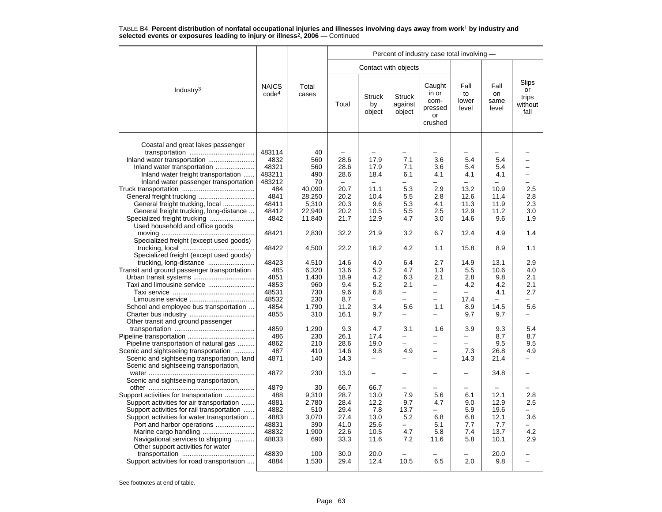|                                                                                       |                                   |                |       |                               |                                    | Percent of industry case total involving -          |                              |                             |                                         |
|---------------------------------------------------------------------------------------|-----------------------------------|----------------|-------|-------------------------------|------------------------------------|-----------------------------------------------------|------------------------------|-----------------------------|-----------------------------------------|
|                                                                                       |                                   |                |       |                               | Contact with objects               |                                                     |                              |                             |                                         |
| Industry <sup>3</sup>                                                                 | <b>NAICS</b><br>code <sup>4</sup> | Total<br>cases | Total | <b>Struck</b><br>by<br>object | <b>Struck</b><br>against<br>object | Caught<br>in or<br>com-<br>pressed<br>or<br>crushed | Fall<br>to<br>lower<br>level | Fall<br>on<br>same<br>level | Slips<br>or<br>trips<br>without<br>fall |
| Coastal and great lakes passenger                                                     |                                   |                |       |                               |                                    |                                                     |                              |                             |                                         |
|                                                                                       | 483114                            | 40             |       |                               | $\overline{\phantom{0}}$           |                                                     |                              |                             |                                         |
| Inland water transportation                                                           | 4832                              | 560            | 28.6  | 17.9                          | 7.1                                | 3.6                                                 | 5.4                          | 5.4                         |                                         |
| Inland water transportation                                                           | 48321                             | 560            | 28.6  | 17.9                          | 7.1                                | 3.6                                                 | 5.4                          | 5.4                         |                                         |
| Inland water freight transportation                                                   | 483211                            | 490            | 28.6  | 18.4                          | 6.1                                | 4.1                                                 | 4.1                          | 4.1                         |                                         |
| Inland water passenger transportation                                                 | 483212                            | 70             |       | $\frac{1}{2}$                 | −                                  | $\equiv$                                            |                              |                             | -                                       |
|                                                                                       | 484                               | 40,090         | 20.7  | 11.1                          | 5.3                                | 2.9                                                 | 13.2                         | 10.9                        | 2.5                                     |
| General freight trucking                                                              | 4841                              | 28,250         | 20.2  | 10.4                          | 5.5                                | 2.8                                                 | 12.6                         | 11.4                        | 2.8                                     |
| General freight trucking, local                                                       | 48411                             | 5,310          | 20.3  | 9.6                           | 5.3                                | 4.1                                                 | 11.3                         | 11.9                        | 2.3                                     |
|                                                                                       | 48412                             |                |       | 10.5                          | 5.5                                | 2.5                                                 | 12.9                         | 11.2                        | 3.0                                     |
| General freight trucking, long-distance                                               | 4842                              | 22,940         | 20.2  |                               | 4.7                                |                                                     | 14.6                         | 9.6                         | 1.9                                     |
| Used household and office goods                                                       |                                   | 11,840         | 21.7  | 12.9                          |                                    | 3.0                                                 |                              |                             |                                         |
| Specialized freight (except used goods)                                               | 48421                             | 2,830          | 32.2  | 21.9                          | 3.2                                | 6.7                                                 | 12.4                         | 4.9                         | 1.4                                     |
| Specialized freight (except used goods)                                               | 48422                             | 4,500          | 22.2  | 16.2                          | 4.2                                | 1.1                                                 | 15.8                         | 8.9                         | 1.1                                     |
|                                                                                       | 48423                             | 4.510          | 14.6  | 4.0                           | 6.4                                | 2.7                                                 | 14.9                         | 13.1                        | 2.9                                     |
| Transit and ground passenger transportation                                           | 485                               | 6,320          | 13.6  | 5.2                           | 4.7                                | 1.3                                                 | 5.5                          | 10.6                        | 4.0                                     |
|                                                                                       | 4851                              | 1,430          | 18.9  | 4.2                           | 6.3                                | 2.1                                                 | 2.8                          | 9.8                         | 2.1                                     |
| Taxi and limousine service                                                            | 4853                              | 960            | 9.4   | 5.2                           | 2.1                                | -                                                   | 4.2                          | 4.2                         | 2.1                                     |
|                                                                                       | 48531                             | 730            | 9.6   | 6.8                           | $\overline{\phantom{0}}$           | -                                                   | $\equiv$                     | 4.1                         | 2.7                                     |
|                                                                                       | 48532                             | 230            | 8.7   | $\overline{\phantom{0}}$      | $\overline{\phantom{0}}$           | $\overline{\phantom{0}}$                            | 17.4                         | $\equiv$                    | $\overline{\phantom{0}}$                |
| School and employee bus transportation                                                | 4854                              | 1.790          | 11.2  | 3.4                           | 5.6                                | 1.1                                                 | 8.9                          | 14.5                        | 5.6                                     |
|                                                                                       | 4855                              | 310            | 16.1  | 9.7                           | $\overline{\phantom{0}}$           | $\overline{\phantom{0}}$                            | 9.7                          | 9.7                         |                                         |
| Other transit and ground passenger                                                    | 4859                              | 1,290          | 9.3   | 4.7                           | 3.1                                | 1.6                                                 | 3.9                          | 9.3                         | 5.4                                     |
|                                                                                       | 486                               | 230            | 26.1  | 17.4                          | $\overline{\phantom{0}}$           | $\overline{\phantom{0}}$                            | Ξ.                           | 8.7                         | 8.7                                     |
|                                                                                       | 4862                              | 210            | 28.6  | 19.0                          | $\overline{\phantom{0}}$           | $\overline{\phantom{0}}$                            |                              | 9.5                         | 9.5                                     |
| Pipeline transportation of natural gas<br>Scenic and sightseeing transportation       | 487                               | 410            | 14.6  | 9.8                           | 4.9                                | $\overline{\phantom{0}}$                            | 7.3                          | 26.8                        | 4.9                                     |
|                                                                                       | 4871                              | 140            | 14.3  | $\overline{\phantom{0}}$      | -                                  | $\overline{\phantom{0}}$                            |                              | 21.4                        |                                         |
| Scenic and sightseeing transportation, land<br>Scenic and sightseeing transportation, |                                   |                |       |                               |                                    |                                                     | 14.3                         |                             |                                         |
| Scenic and sightseeing transportation,                                                | 4872                              | 230            | 13.0  | $\overline{\phantom{0}}$      |                                    | -                                                   | -                            | 34.8                        |                                         |
|                                                                                       | 4879                              | 30             | 66.7  | 66.7                          |                                    |                                                     |                              |                             |                                         |
| Support activities for transportation                                                 | 488                               | 9,310          | 28.7  | 13.0                          | 7.9                                | 5.6                                                 | 6.1                          | 12.1                        | 2.8                                     |
| Support activities for air transportation                                             | 4881                              | 2.780          | 28.4  | 12.2                          | 9.7                                | 4.7                                                 | 9.0                          | 12.9                        | 2.5                                     |
| Support activities for rail transportation                                            | 4882                              | 510            | 29.4  | 7.8                           | 13.7                               | $\overline{\phantom{0}}$                            | 5.9                          | 19.6                        |                                         |
| Support activities for water transportation                                           | 4883                              | 3,070          | 27.4  | 13.0                          | 5.2                                | 6.8                                                 | 6.8                          | 12.1                        | 3.6                                     |
| Port and harbor operations                                                            | 48831                             | 390            | 41.0  | 25.6                          | $\overline{\phantom{0}}$           | 5.1                                                 | 7.7                          | 7.7                         |                                         |
|                                                                                       | 48832                             | 1,900          | 22.6  | 10.5                          | 4.7                                | 5.8                                                 | 7.4                          | 13.7                        | 4.2                                     |
| Navigational services to shipping<br>Other support activities for water               | 48833                             | 690            | 33.3  | 11.6                          | 7.2                                | 11.6                                                | 5.8                          | 10.1                        | 2.9                                     |
|                                                                                       | 48839                             | 100            | 30.0  | 20.0                          |                                    |                                                     |                              | 20.0                        |                                         |
| Support activities for road transportation                                            | 4884                              | 1,530          | 29.4  | 12.4                          | 10.5                               | 6.5                                                 | 2.0                          | 9.8                         |                                         |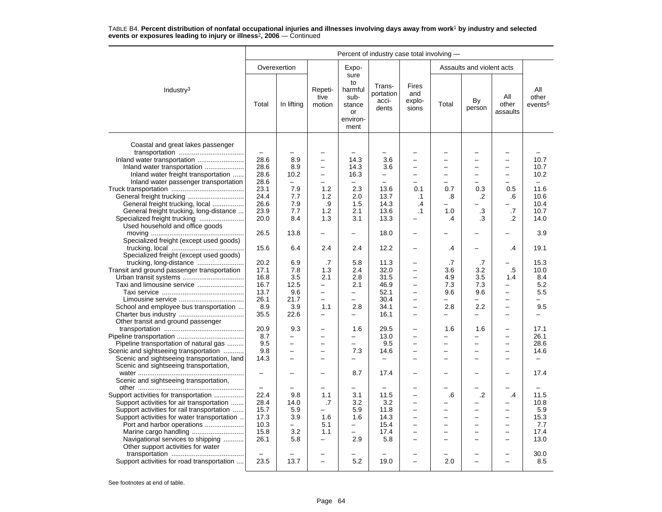|                                             | Percent of industry case total involving - |                                 |                                                      |                                                                   |                                       |                                        |                                 |                                 |                                                      |                                     |
|---------------------------------------------|--------------------------------------------|---------------------------------|------------------------------------------------------|-------------------------------------------------------------------|---------------------------------------|----------------------------------------|---------------------------------|---------------------------------|------------------------------------------------------|-------------------------------------|
|                                             |                                            | Overexertion                    |                                                      | Expo-                                                             |                                       |                                        |                                 | Assaults and violent acts       |                                                      |                                     |
| Industry <sup>3</sup>                       | Total                                      | In lifting                      | Repeti-<br>tive<br>motion                            | sure<br>to<br>harmful<br>sub-<br>stance<br>or<br>environ-<br>ment | Trans-<br>portation<br>acci-<br>dents | <b>Fires</b><br>and<br>explo-<br>sions | Total                           | By<br>person                    | All<br>other<br>assaults                             | All<br>other<br>events <sup>5</sup> |
|                                             |                                            |                                 |                                                      |                                                                   |                                       |                                        |                                 |                                 |                                                      |                                     |
| Coastal and great lakes passenger           | $\frac{1}{2}$                              |                                 | -                                                    |                                                                   |                                       |                                        |                                 | $\overline{\phantom{0}}$        |                                                      |                                     |
|                                             | 28.6                                       | 8.9                             | $\overline{\phantom{0}}$                             | 14.3                                                              | 3.6                                   | ÷                                      |                                 | $\equiv$                        | $\equiv$                                             | 10.7                                |
| Inland water transportation                 | 28.6                                       | 8.9                             | $\overline{\phantom{0}}$                             | 14.3                                                              | 3.6                                   | $\overline{\phantom{0}}$               | -                               | $\overline{\phantom{0}}$        | $\overline{\phantom{0}}$                             | 10.7                                |
| Inland water freight transportation         | 28.6                                       | 10.2                            | $\overline{\phantom{0}}$                             | 16.3                                                              | -                                     |                                        |                                 |                                 | $\overline{\phantom{0}}$                             | 10.2                                |
| Inland water passenger transportation       | 28.6                                       | $\overline{\phantom{0}}$        | $\overline{\phantom{0}}$                             | $\overline{a}$                                                    |                                       |                                        |                                 |                                 |                                                      | $\overline{\phantom{0}}$            |
|                                             | 23.1                                       | 7.9                             | 1.2                                                  | 2.3                                                               | 13.6                                  | 0.1                                    | 0.7                             | 0.3                             | 0.5                                                  | 11.6                                |
|                                             | 24.4                                       | 7.7                             | 1.2                                                  | 2.0                                                               | 13.7                                  | $\cdot$ 1                              | .8                              | .2                              | .6                                                   | 10.6                                |
| General freight trucking, local             | 26.6                                       | 7.9                             | .9                                                   | 1.5                                                               | 14.3                                  | .4                                     | $\overline{\phantom{0}}$        |                                 |                                                      | 10.4                                |
| General freight trucking, long-distance     | 23.9                                       | 7.7                             | 1.2                                                  | 2.1                                                               | 13.6                                  | $\cdot$ 1                              | 1.0                             | $\cdot$ 3                       | .7                                                   | 10.7                                |
| Specialized freight trucking                | 20.0                                       | 8.4                             | 1.3                                                  | 3.1                                                               | 13.3                                  | $\overline{a}$                         | $\cdot$                         | .3                              | .2                                                   | 14.0                                |
| Used household and office goods             |                                            |                                 |                                                      |                                                                   |                                       |                                        |                                 |                                 |                                                      |                                     |
| Specialized freight (except used goods)     | 26.5                                       | 13.8                            | $\overline{\phantom{0}}$                             | $\overline{\phantom{0}}$                                          | 18.0                                  | $\overline{\phantom{0}}$               |                                 |                                 |                                                      | 3.9                                 |
|                                             | 15.6                                       | 6.4                             | 2.4                                                  | 2.4                                                               | 12.2                                  |                                        | .4                              |                                 | .4                                                   | 19.1                                |
| Specialized freight (except used goods)     |                                            |                                 |                                                      |                                                                   |                                       |                                        |                                 |                                 |                                                      |                                     |
| trucking, long-distance                     | 20.2                                       | 6.9                             | .7                                                   | 5.8                                                               | 11.3                                  | -                                      | .7                              | .7                              |                                                      | 15.3                                |
| Transit and ground passenger transportation | 17.1                                       | 7.8                             | 1.3                                                  | 2.4                                                               | 32.0                                  | $\overline{\phantom{0}}$               | 3.6                             | 3.2                             | $.5\,$                                               | 10.0                                |
|                                             | 16.8                                       | 3.5                             | 2.1                                                  | 2.8                                                               | 31.5                                  | -                                      | 4.9                             | 3.5                             | 1.4                                                  | 8.4                                 |
| Taxi and limousine service                  | 16.7                                       | 12.5                            | -                                                    | 2.1                                                               | 46.9                                  |                                        | 7.3                             | 7.3                             | -                                                    | 5.2                                 |
|                                             | 13.7                                       | 9.6                             | $\equiv$                                             | $\equiv$                                                          | 52.1                                  | $\overline{\phantom{0}}$               | 9.6                             | 9.6                             | $\equiv$                                             | 5.5                                 |
|                                             | 26.1                                       | 21.7                            | $\overline{\phantom{0}}$                             | $\overline{a}$                                                    | 30.4                                  | $\overline{\phantom{0}}$               | $\overline{\phantom{0}}$        | $\overline{\phantom{0}}$        | $\overline{\phantom{0}}$                             | $\overline{\phantom{0}}$            |
| School and employee bus transportation      | 8.9                                        | 3.9                             | 1.1                                                  | 2.8                                                               | 34.1                                  | ÷                                      | 2.8                             | 2.2                             | $\equiv$                                             | 9.5                                 |
|                                             | 35.5                                       | 22.6                            | -                                                    | -                                                                 | 16.1                                  | -                                      | -                               |                                 |                                                      |                                     |
| Other transit and ground passenger          |                                            |                                 |                                                      |                                                                   |                                       | $\equiv$                               |                                 |                                 |                                                      |                                     |
|                                             | 20.9<br>8.7                                | 9.3<br>$\overline{\phantom{0}}$ | $\overline{\phantom{0}}$<br>$\overline{\phantom{0}}$ | 1.6<br>$\overline{\phantom{0}}$                                   | 29.5                                  | $\overline{\phantom{0}}$               | 1.6<br>$\overline{\phantom{0}}$ | 1.6<br>$\overline{\phantom{0}}$ | $\overline{\phantom{0}}$<br>$\overline{\phantom{0}}$ | 17.1<br>26.1                        |
| Pipeline transportation of natural gas      | 9.5                                        | $\overline{\phantom{0}}$        | ÷                                                    | $\overline{\phantom{0}}$                                          | 13.0<br>9.5                           | L.                                     | $\overline{a}$                  | $\equiv$                        | L.                                                   | 28.6                                |
| Scenic and sightseeing transportation       | 9.8                                        | $\overline{\phantom{0}}$        | $\overline{\phantom{0}}$                             | 7.3                                                               | 14.6                                  | $\overline{\phantom{0}}$               |                                 | ÷                               | $\overline{\phantom{0}}$                             | 14.6                                |
| Scenic and sightseeing transportation, land | 14.3                                       |                                 | $\overline{\phantom{0}}$                             |                                                                   | $\overline{\phantom{0}}$              |                                        |                                 |                                 |                                                      |                                     |
| Scenic and sightseeing transportation,      |                                            |                                 |                                                      |                                                                   |                                       |                                        |                                 |                                 |                                                      |                                     |
|                                             | $\overline{\phantom{m}}$                   | $\overline{\phantom{0}}$        | $\overline{\phantom{0}}$                             | 8.7                                                               | 17.4                                  | $\overline{\phantom{0}}$               |                                 | $\overline{\phantom{0}}$        |                                                      | 17.4                                |
| Scenic and sightseeing transportation,      |                                            |                                 |                                                      |                                                                   |                                       |                                        |                                 |                                 |                                                      |                                     |
|                                             |                                            |                                 |                                                      |                                                                   | $\overline{\phantom{0}}$              |                                        |                                 |                                 |                                                      |                                     |
| Support activities for transportation       | 22.4                                       | 9.8                             | 1.1                                                  | 3.1                                                               | 11.5                                  |                                        | .6                              | .2                              | .4                                                   | 11.5                                |
| Support activities for air transportation   | 28.4                                       | 14.0                            | .7                                                   | 3.2                                                               | 3.2                                   | -                                      |                                 |                                 |                                                      | 10.8                                |
| Support activities for rail transportation  | 15.7                                       | 5.9                             | -                                                    | 5.9                                                               | 11.8                                  | $\overline{\phantom{0}}$               |                                 | $\overline{\phantom{0}}$        | $\overline{\phantom{0}}$                             | 5.9                                 |
| Support activities for water transportation | 17.3                                       | 3.9                             | 1.6                                                  | 1.6                                                               | 14.3                                  | $\overline{\phantom{0}}$               |                                 | $\overline{\phantom{0}}$        | $\overline{\phantom{0}}$                             | 15.3                                |
| Port and harbor operations                  | 10.3                                       | $\overline{\phantom{0}}$        | 5.1                                                  | $\overline{\phantom{0}}$                                          | 15.4                                  | $\overline{a}$                         |                                 |                                 | $\overline{\phantom{0}}$                             | 7.7                                 |
|                                             | 15.8                                       | 3.2                             | 1.1                                                  | $\equiv$                                                          | 17.4                                  |                                        |                                 |                                 |                                                      | 17.4                                |
| Navigational services to shipping           | 26.1                                       | 5.8                             | $\overline{a}$                                       | 2.9                                                               | 5.8                                   | $\overline{\phantom{0}}$               |                                 | $\overline{\phantom{0}}$        | $\overline{\phantom{0}}$                             | 13.0                                |
| Other support activities for water          |                                            |                                 |                                                      |                                                                   |                                       |                                        |                                 |                                 |                                                      |                                     |
|                                             |                                            |                                 |                                                      |                                                                   |                                       |                                        |                                 |                                 |                                                      | 30.0                                |
| Support activities for road transportation  | 23.5                                       | 13.7                            |                                                      | 5.2                                                               | 19.0                                  |                                        | 2.0                             |                                 |                                                      | 8.5                                 |
|                                             |                                            |                                 |                                                      |                                                                   |                                       |                                        |                                 |                                 |                                                      |                                     |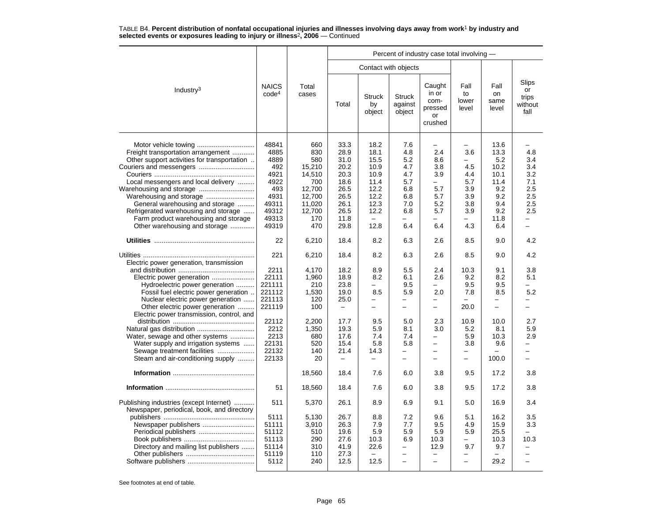|                                                                                                                                                                                                                                                                                                                                    |                                                                                                 |                                                                                                    | Percent of industry case total involving -                                                   |                                                                                                  |                                                                           |                                                                                                                     |                                                                                         |                                                                                        |                                                                                         |  |  |  |
|------------------------------------------------------------------------------------------------------------------------------------------------------------------------------------------------------------------------------------------------------------------------------------------------------------------------------------|-------------------------------------------------------------------------------------------------|----------------------------------------------------------------------------------------------------|----------------------------------------------------------------------------------------------|--------------------------------------------------------------------------------------------------|---------------------------------------------------------------------------|---------------------------------------------------------------------------------------------------------------------|-----------------------------------------------------------------------------------------|----------------------------------------------------------------------------------------|-----------------------------------------------------------------------------------------|--|--|--|
|                                                                                                                                                                                                                                                                                                                                    |                                                                                                 |                                                                                                    |                                                                                              |                                                                                                  | Contact with objects                                                      |                                                                                                                     |                                                                                         |                                                                                        |                                                                                         |  |  |  |
| Industry <sup>3</sup>                                                                                                                                                                                                                                                                                                              | <b>NAICS</b><br>code <sup>4</sup>                                                               | Total<br>cases                                                                                     | Total                                                                                        | <b>Struck</b><br>by<br>object                                                                    | <b>Struck</b><br>against<br>object                                        | Caught<br>in or<br>com-<br>pressed<br>or<br>crushed                                                                 | Fall<br>to<br>lower<br>level                                                            | Fall<br>on<br>same<br>level                                                            | Slips<br>or<br>trips<br>without<br>fall                                                 |  |  |  |
| Freight transportation arrangement<br>Other support activities for transportation<br>Couriers and messengers<br>Local messengers and local delivery<br>Warehousing and storage<br>General warehousing and storage<br>Refrigerated warehousing and storage<br>Farm product warehousing and storage<br>Other warehousing and storage | 48841<br>4885<br>4889<br>492<br>4921<br>4922<br>493<br>4931<br>49311<br>49312<br>49313<br>49319 | 660<br>830<br>580<br>15.210<br>14,510<br>700<br>12,700<br>12,700<br>11,020<br>12,700<br>170<br>470 | 33.3<br>28.9<br>31.0<br>20.2<br>20.3<br>18.6<br>26.5<br>26.5<br>26.1<br>26.5<br>11.8<br>29.8 | 18.2<br>18.1<br>15.5<br>10.9<br>10.9<br>11.4<br>12.2<br>12.2<br>12.3<br>12.2<br>$\equiv$<br>12.8 | 7.6<br>4.8<br>5.2<br>4.7<br>4.7<br>5.7<br>6.8<br>6.8<br>7.0<br>6.8<br>6.4 | $\overline{\phantom{0}}$<br>2.4<br>8.6<br>3.8<br>3.9<br>$\overline{\phantom{0}}$<br>5.7<br>5.7<br>5.2<br>5.7<br>6.4 | $\overline{\phantom{0}}$<br>3.6<br>4.5<br>4.4<br>5.7<br>3.9<br>3.9<br>3.8<br>3.9<br>4.3 | 13.6<br>13.3<br>5.2<br>10.2<br>10.1<br>11.4<br>9.2<br>9.2<br>9.4<br>9.2<br>11.8<br>6.4 | 4.8<br>3.4<br>3.4<br>3.2<br>7.1<br>2.5<br>2.5<br>2.5<br>2.5<br>$\overline{\phantom{0}}$ |  |  |  |
|                                                                                                                                                                                                                                                                                                                                    | 22                                                                                              | 6,210                                                                                              | 18.4                                                                                         | 8.2                                                                                              | 6.3                                                                       | 2.6                                                                                                                 | 8.5                                                                                     | 9.0                                                                                    | 4.2                                                                                     |  |  |  |
| Electric power generation, transmission                                                                                                                                                                                                                                                                                            | 221                                                                                             | 6,210                                                                                              | 18.4                                                                                         | 8.2                                                                                              | 6.3                                                                       | 2.6                                                                                                                 | 8.5                                                                                     | 9.0                                                                                    | 4.2                                                                                     |  |  |  |
| Electric power generation<br>Hydroelectric power generation<br>Fossil fuel electric power generation<br>Nuclear electric power generation<br>Other electric power generation                                                                                                                                                       | 2211<br>22111<br>221111<br>221112<br>221113<br>221119                                           | 4,170<br>1,960<br>210<br>1,530<br>120<br>100                                                       | 18.2<br>18.9<br>23.8<br>19.0<br>25.0<br>$\overline{\phantom{0}}$                             | 8.9<br>8.2<br>8.5<br>-<br>$\overline{\phantom{0}}$                                               | 5.5<br>6.1<br>9.5<br>5.9<br>-<br>$\overline{a}$                           | 2.4<br>2.6<br>2.0<br>-<br>$\overline{\phantom{0}}$                                                                  | 10.3<br>9.2<br>9.5<br>7.8<br>20.0                                                       | 9.1<br>8.2<br>9.5<br>8.5<br>$\overline{\phantom{0}}$<br>$\overline{\phantom{0}}$       | 3.8<br>5.1<br>5.2<br>—<br>-                                                             |  |  |  |
| Electric power transmission, control, and<br>Water, sewage and other systems<br>Water supply and irrigation systems<br>Sewage treatment facilities<br>Steam and air-conditioning supply                                                                                                                                            | 22112<br>2212<br>2213<br>22131<br>22132<br>22133                                                | 2,200<br>1,350<br>680<br>520<br>140<br>20                                                          | 17.7<br>19.3<br>17.6<br>15.4<br>21.4                                                         | 9.5<br>5.9<br>7.4<br>5.8<br>14.3                                                                 | 5.0<br>8.1<br>7.4<br>5.8<br>-<br>$\overline{\phantom{0}}$                 | 2.3<br>3.0<br>-<br>$\overline{\phantom{0}}$<br>$\overline{\phantom{0}}$                                             | 10.9<br>5.2<br>5.9<br>3.8<br>-<br>$\overline{\phantom{0}}$                              | 10.0<br>8.1<br>10.3<br>9.6<br>100.0                                                    | 2.7<br>5.9<br>2.9<br>-                                                                  |  |  |  |
|                                                                                                                                                                                                                                                                                                                                    |                                                                                                 | 18,560                                                                                             | 18.4                                                                                         | 7.6                                                                                              | 6.0                                                                       | 3.8                                                                                                                 | 9.5                                                                                     | 17.2                                                                                   | 3.8                                                                                     |  |  |  |
|                                                                                                                                                                                                                                                                                                                                    | 51                                                                                              | 18,560                                                                                             | 18.4                                                                                         | 7.6                                                                                              | 6.0                                                                       | 3.8                                                                                                                 | 9.5                                                                                     | 17.2                                                                                   | 3.8                                                                                     |  |  |  |
| Publishing industries (except Internet)<br>Newspaper, periodical, book, and directory                                                                                                                                                                                                                                              | 511                                                                                             | 5,370                                                                                              | 26.1                                                                                         | 8.9                                                                                              | 6.9                                                                       | 9.1                                                                                                                 | 5.0                                                                                     | 16.9                                                                                   | 3.4                                                                                     |  |  |  |
| Newspaper publishers<br>Directory and mailing list publishers                                                                                                                                                                                                                                                                      | 5111<br>51111<br>51112<br>51113<br>51114<br>51119<br>5112                                       | 5,130<br>3,910<br>510<br>290<br>310<br>110<br>240                                                  | 26.7<br>26.3<br>19.6<br>27.6<br>41.9<br>27.3<br>12.5                                         | 8.8<br>7.9<br>5.9<br>10.3<br>22.6<br>12.5                                                        | 7.2<br>7.7<br>5.9<br>6.9<br>-<br>$\overline{\phantom{0}}$                 | 9.6<br>9.5<br>5.9<br>10.3<br>12.9<br>$\overline{\phantom{0}}$                                                       | 5.1<br>4.9<br>5.9<br>9.7<br>$\overline{\phantom{0}}$                                    | 16.2<br>15.9<br>25.5<br>10.3<br>9.7<br>29.2                                            | 3.5<br>3.3<br>10.3<br>-                                                                 |  |  |  |
|                                                                                                                                                                                                                                                                                                                                    |                                                                                                 |                                                                                                    |                                                                                              |                                                                                                  |                                                                           |                                                                                                                     |                                                                                         |                                                                                        |                                                                                         |  |  |  |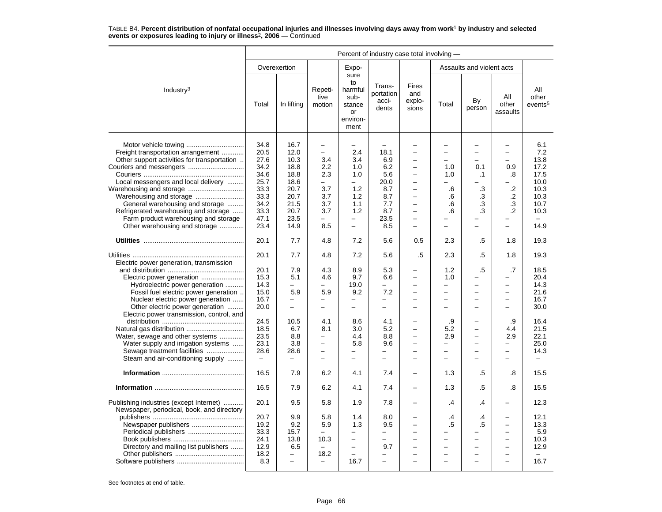|                                                                                                                                                                                                                                                                              | Percent of industry case total involving -                                                   |                                                                                              |                                                                                                                            |                                                                                                                      |                                                                                                          |                                                                                                                                                                                                                                                                     |                                                                                                                              |                                                                                                              |                                                                                                                 |                                                                                    |
|------------------------------------------------------------------------------------------------------------------------------------------------------------------------------------------------------------------------------------------------------------------------------|----------------------------------------------------------------------------------------------|----------------------------------------------------------------------------------------------|----------------------------------------------------------------------------------------------------------------------------|----------------------------------------------------------------------------------------------------------------------|----------------------------------------------------------------------------------------------------------|---------------------------------------------------------------------------------------------------------------------------------------------------------------------------------------------------------------------------------------------------------------------|------------------------------------------------------------------------------------------------------------------------------|--------------------------------------------------------------------------------------------------------------|-----------------------------------------------------------------------------------------------------------------|------------------------------------------------------------------------------------|
|                                                                                                                                                                                                                                                                              |                                                                                              | Overexertion                                                                                 |                                                                                                                            | Expo-                                                                                                                |                                                                                                          |                                                                                                                                                                                                                                                                     |                                                                                                                              | Assaults and violent acts                                                                                    |                                                                                                                 |                                                                                    |
| Industry <sup>3</sup>                                                                                                                                                                                                                                                        | Total                                                                                        | In lifting                                                                                   | Repeti-<br>tive<br>motion                                                                                                  | sure<br>to<br>harmful<br>sub-<br>stance<br>or<br>environ-<br>ment                                                    | Trans-<br>portation<br>acci-<br>dents                                                                    | <b>Fires</b><br>and<br>explo-<br>sions                                                                                                                                                                                                                              | Total                                                                                                                        | By<br>person                                                                                                 | All<br>other<br>assaults                                                                                        | All<br>other<br>events <sup>5</sup>                                                |
| Freight transportation arrangement<br>Other support activities for transportation<br>Local messengers and local delivery<br>General warehousing and storage<br>Refrigerated warehousing and storage<br>Farm product warehousing and storage<br>Other warehousing and storage | 34.8<br>20.5<br>27.6<br>34.2<br>34.6<br>25.7<br>33.3<br>33.3<br>34.2<br>33.3<br>47.1<br>23.4 | 16.7<br>12.0<br>10.3<br>18.8<br>18.8<br>18.6<br>20.7<br>20.7<br>21.5<br>20.7<br>23.5<br>14.9 | $\overline{\phantom{0}}$<br>$\qquad \qquad -$<br>3.4<br>2.2<br>2.3<br>$\equiv$<br>3.7<br>3.7<br>3.7<br>3.7<br>÷<br>8.5     | $\overline{\phantom{0}}$<br>2.4<br>3.4<br>1.0<br>1.0<br>$\equiv$<br>1.2<br>1.2<br>1.1<br>1.2<br>$\equiv$<br>$\equiv$ | $\overline{\phantom{m}}$<br>18.1<br>6.9<br>6.2<br>5.6<br>20.0<br>8.7<br>8.7<br>7.7<br>8.7<br>23.5<br>8.5 | $\overline{\phantom{0}}$<br>$\overline{\phantom{0}}$<br>÷<br>$\overline{\phantom{0}}$<br>$\overline{\phantom{0}}$<br>L.<br>$\overline{\phantom{0}}$<br>$\overline{\phantom{0}}$<br>$\overline{\phantom{0}}$<br>$\overline{\phantom{0}}$<br>$\overline{\phantom{0}}$ | ÷<br>$\overline{\phantom{0}}$<br>1.0<br>1.0<br>$\overline{\phantom{0}}$<br>.6<br>.6<br>.6<br>6.6<br>$\overline{\phantom{0}}$ | $\overline{\phantom{0}}$<br>$\equiv$<br>0.1<br>$\cdot$ 1<br>.3<br>.3<br>.3<br>3.<br>$\overline{\phantom{0}}$ | $\overline{\phantom{0}}$<br>$\overline{\phantom{0}}$<br>0.9<br>.8<br>$\cdot$<br>.2<br>.3<br>$\cdot$<br>$\equiv$ | 6.1<br>7.2<br>13.8<br>17.2<br>17.5<br>10.0<br>10.3<br>10.3<br>10.7<br>10.3<br>14.9 |
|                                                                                                                                                                                                                                                                              | 20.1                                                                                         | 7.7                                                                                          | 4.8                                                                                                                        | 7.2                                                                                                                  | 5.6                                                                                                      | 0.5                                                                                                                                                                                                                                                                 | 2.3                                                                                                                          | .5                                                                                                           | 1.8                                                                                                             | 19.3                                                                               |
| Electric power generation, transmission                                                                                                                                                                                                                                      | 20.1                                                                                         | 7.7                                                                                          | 4.8                                                                                                                        | 7.2                                                                                                                  | 5.6                                                                                                      | .5                                                                                                                                                                                                                                                                  | 2.3                                                                                                                          | .5                                                                                                           | 1.8                                                                                                             | 19.3                                                                               |
| Electric power generation<br>Hydroelectric power generation<br>Fossil fuel electric power generation<br>Nuclear electric power generation<br>Other electric power generation                                                                                                 | 20.1<br>15.3<br>14.3<br>15.0<br>16.7<br>20.0                                                 | 7.9<br>5.1<br>5.9<br>$\overline{\phantom{0}}$<br>$\equiv$                                    | 4.3<br>4.6<br>5.9<br>-<br>$\overline{\phantom{0}}$                                                                         | 8.9<br>9.7<br>19.0<br>9.2<br>$\qquad \qquad -$<br>$\equiv$                                                           | 5.3<br>6.6<br>7.2<br>$\overline{\phantom{0}}$<br>$\equiv$                                                | $\overline{\phantom{0}}$<br>$\overline{\phantom{0}}$<br>$\overline{\phantom{0}}$<br>$\overline{\phantom{0}}$<br>$\equiv$                                                                                                                                            | 1.2<br>1.0<br>$\overline{\phantom{0}}$<br>$\overline{\phantom{0}}$<br>÷                                                      | .5<br>$\overline{\phantom{0}}$<br>$\overline{\phantom{0}}$<br>$\overline{\phantom{0}}$<br>$\equiv$           | .7<br>$\equiv$<br>$\equiv$<br>$\overline{\phantom{0}}$<br>$\equiv$                                              | 18.5<br>20.4<br>14.3<br>21.6<br>16.7<br>30.0                                       |
| Electric power transmission, control, and<br>Water, sewage and other systems<br>Water supply and irrigation systems<br>Sewage treatment facilities<br>Steam and air-conditioning supply                                                                                      | 24.5<br>18.5<br>23.5<br>23.1<br>28.6<br>$\overline{\phantom{0}}$                             | 10.5<br>6.7<br>8.8<br>3.8<br>28.6                                                            | 4.1<br>8.1<br>$\overline{\phantom{0}}$<br>$\overline{\phantom{0}}$<br>$\overline{\phantom{0}}$<br>$\overline{\phantom{0}}$ | 8.6<br>3.0<br>4.4<br>5.8<br>$\overline{\phantom{0}}$<br>$\overline{\phantom{0}}$                                     | 4.1<br>5.2<br>8.8<br>9.6<br>-<br>-                                                                       | -<br>L.<br>-<br>$\overline{\phantom{0}}$                                                                                                                                                                                                                            | .9<br>5.2<br>2.9<br>-<br>-                                                                                                   | $\overline{\phantom{0}}$<br>$\overline{\phantom{0}}$<br>$\equiv$<br>$\qquad \qquad -$                        | .9<br>4.4<br>2.9<br>-<br>-                                                                                      | 16.4<br>21.5<br>22.1<br>25.0<br>14.3                                               |
|                                                                                                                                                                                                                                                                              | 16.5                                                                                         | 7.9                                                                                          | 6.2                                                                                                                        | 4.1                                                                                                                  | 7.4                                                                                                      | $\overline{\phantom{0}}$                                                                                                                                                                                                                                            | 1.3                                                                                                                          | .5                                                                                                           | .8                                                                                                              | 15.5                                                                               |
|                                                                                                                                                                                                                                                                              | 16.5                                                                                         | 7.9                                                                                          | 6.2                                                                                                                        | 4.1                                                                                                                  | 7.4                                                                                                      | $\overline{\phantom{0}}$                                                                                                                                                                                                                                            | 1.3                                                                                                                          | .5                                                                                                           | .8                                                                                                              | 15.5                                                                               |
| Publishing industries (except Internet)<br>Newspaper, periodical, book, and directory<br>Periodical publishers<br>Directory and mailing list publishers                                                                                                                      | 20.1<br>20.7<br>19.2<br>33.3<br>24.1<br>12.9                                                 | 9.5<br>9.9<br>9.2<br>15.7<br>13.8<br>6.5                                                     | 5.8<br>5.8<br>5.9<br>$\overline{\phantom{0}}$<br>10.3<br>$\overline{\phantom{0}}$                                          | 1.9<br>1.4<br>1.3<br>$\overline{\phantom{0}}$<br>$\overline{\phantom{0}}$                                            | 7.8<br>8.0<br>9.5<br>-<br>9.7                                                                            | -<br>$\overline{a}$<br>÷<br>$\overline{\phantom{0}}$                                                                                                                                                                                                                | .4<br>.4<br>.5<br>-<br>-                                                                                                     | .4<br>.4<br>.5<br>$\overline{\phantom{0}}$<br>$\overline{\phantom{0}}$                                       | ÷<br>$\equiv$<br>$\equiv$<br>$\overline{\phantom{0}}$                                                           | 12.3<br>12.1<br>13.3<br>5.9<br>10.3<br>12.9                                        |
|                                                                                                                                                                                                                                                                              | 18.2<br>8.3                                                                                  | $\overline{\phantom{0}}$                                                                     | 18.2<br>$\equiv$                                                                                                           | 16.7                                                                                                                 |                                                                                                          |                                                                                                                                                                                                                                                                     |                                                                                                                              |                                                                                                              |                                                                                                                 | 16.7                                                                               |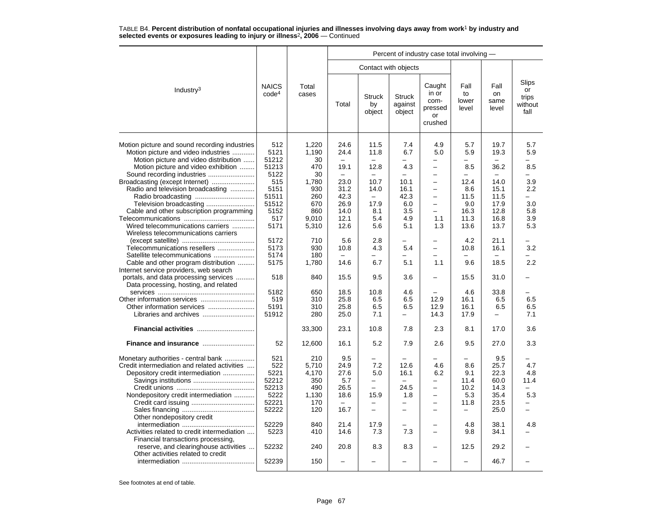|                                                                                                                                                                |                                                                |                                                            | Percent of industry case total involving -         |                                                  |                                               |                                                                                                     |                                                                       |                                                             |                                                            |  |  |  |
|----------------------------------------------------------------------------------------------------------------------------------------------------------------|----------------------------------------------------------------|------------------------------------------------------------|----------------------------------------------------|--------------------------------------------------|-----------------------------------------------|-----------------------------------------------------------------------------------------------------|-----------------------------------------------------------------------|-------------------------------------------------------------|------------------------------------------------------------|--|--|--|
|                                                                                                                                                                |                                                                |                                                            |                                                    | Contact with objects                             |                                               |                                                                                                     |                                                                       |                                                             |                                                            |  |  |  |
| Industry <sup>3</sup>                                                                                                                                          | <b>NAICS</b><br>code <sup>4</sup>                              | Total<br>cases                                             | Total                                              | <b>Struck</b><br>by<br>object                    | <b>Struck</b><br>against<br>object            | Caught<br>in or<br>com-<br>pressed<br>or<br>crushed                                                 | Fall<br>to<br>lower<br>level                                          | Fall<br>on<br>same<br>level                                 | <b>Slips</b><br>or<br>trips<br>without<br>fall             |  |  |  |
| Motion picture and sound recording industries<br>Motion picture and video industries<br>Motion picture and video distribution                                  | 512<br>5121<br>51212                                           | 1,220<br>1,190<br>30                                       | 24.6<br>24.4                                       | 11.5<br>11.8                                     | 7.4<br>6.7                                    | 4.9<br>5.0                                                                                          | 5.7<br>5.9                                                            | 19.7<br>19.3                                                | 5.7<br>5.9                                                 |  |  |  |
| Motion picture and video exhibition<br>Sound recording industries                                                                                              | 51213<br>5122                                                  | 470<br>30                                                  | 19.1<br>$\qquad \qquad -$                          | 12.8                                             | 4.3<br>$\overline{\phantom{0}}$               | $\overline{\phantom{0}}$<br>$\overline{\phantom{0}}$                                                | 8.5<br>$\overline{\phantom{0}}$                                       | 36.2                                                        | 8.5                                                        |  |  |  |
| Broadcasting (except Internet)<br>Radio and television broadcasting                                                                                            | 515<br>5151<br>51511<br>51512                                  | 1,780<br>930<br>260<br>670                                 | 23.0<br>31.2<br>42.3<br>26.9                       | 10.7<br>14.0<br>$\overline{\phantom{0}}$<br>17.9 | 10.1<br>16.1<br>42.3<br>6.0                   | $\overline{a}$<br>$\overline{\phantom{0}}$<br>$\overline{\phantom{0}}$<br>$\overline{\phantom{0}}$  | 12.4<br>8.6<br>11.5<br>9.0                                            | 14.0<br>15.1<br>11.5<br>17.9                                | 3.9<br>$2.2\phantom{0}$<br>$\overline{\phantom{0}}$<br>3.0 |  |  |  |
| Cable and other subscription programming<br>Wired telecommunications carriers<br>Wireless telecommunications carriers                                          | 5152<br>517<br>5171                                            | 860<br>9,010<br>5,310                                      | 14.0<br>12.1<br>12.6                               | 8.1<br>5.4<br>5.6                                | 3.5<br>4.9<br>5.1                             | $\overline{\phantom{0}}$<br>1.1<br>1.3                                                              | 16.3<br>11.3<br>13.6                                                  | 12.8<br>16.8<br>13.7                                        | 5.8<br>3.9<br>5.3                                          |  |  |  |
| Telecommunications resellers<br>Satellite telecommunications<br>Cable and other program distribution                                                           | 5172<br>5173<br>5174<br>5175                                   | 710<br>930<br>180<br>1,780                                 | 5.6<br>10.8<br>14.6                                | 2.8<br>4.3<br>6.7                                | 5.4<br>5.1                                    | $\overline{\phantom{0}}$<br>$\overline{\phantom{0}}$<br>$\overline{a}$<br>1.1                       | 4.2<br>10.8<br>9.6                                                    | 21.1<br>16.1<br>18.5                                        | 3.2<br>2.2                                                 |  |  |  |
| Internet service providers, web search<br>portals, and data processing services<br>.<br>Data processing, hosting, and related                                  | 518                                                            | 840                                                        | 15.5                                               | 9.5                                              | 3.6                                           | $\overline{\phantom{0}}$                                                                            | 15.5                                                                  | 31.0                                                        |                                                            |  |  |  |
| Libraries and archives                                                                                                                                         | 5182<br>519<br>5191<br>51912                                   | 650<br>310<br>310<br>280                                   | 18.5<br>25.8<br>25.8<br>25.0                       | 10.8<br>6.5<br>6.5<br>7.1                        | 4.6<br>6.5<br>6.5<br>$\overline{\phantom{0}}$ | 12.9<br>12.9<br>14.3                                                                                | 4.6<br>16.1<br>16.1<br>17.9                                           | 33.8<br>6.5<br>6.5<br>$\overline{\phantom{0}}$              | 6.5<br>6.5<br>7.1                                          |  |  |  |
| Financial activities                                                                                                                                           |                                                                | 33,300                                                     | 23.1                                               | 10.8                                             | 7.8                                           | 2.3                                                                                                 | 8.1                                                                   | 17.0                                                        | 3.6                                                        |  |  |  |
|                                                                                                                                                                | 52                                                             | 12,600                                                     | 16.1                                               | 5.2                                              | 7.9                                           | 2.6                                                                                                 | 9.5                                                                   | 27.0                                                        | 3.3                                                        |  |  |  |
| Monetary authorities - central bank<br>Credit intermediation and related activities<br>Depository credit intermediation<br>Nondepository credit intermediation | 521<br>522<br>5221<br>52212<br>52213<br>5222<br>52221<br>52222 | 210<br>5,710<br>4,170<br>350<br>490<br>1,130<br>170<br>120 | 9.5<br>24.9<br>27.6<br>5.7<br>26.5<br>18.6<br>16.7 | 7.2<br>5.0<br>÷<br>15.9<br>$\equiv$              | 12.6<br>16.1<br>24.5<br>1.8<br>-              | 4.6<br>6.2<br>$\overline{\phantom{0}}$<br>$\overline{\phantom{0}}$<br>$\overline{\phantom{0}}$<br>÷ | 8.6<br>9.1<br>11.4<br>10.2<br>5.3<br>11.8<br>$\overline{\phantom{0}}$ | 9.5<br>25.7<br>22.3<br>60.0<br>14.3<br>35.4<br>23.5<br>25.0 | 4.7<br>4.8<br>11.4<br>5.3                                  |  |  |  |
| Other nondepository credit<br>Activities related to credit intermediation<br>Financial transactions processing,                                                | 52229<br>5223                                                  | 840<br>410                                                 | 21.4<br>14.6                                       | 17.9<br>7.3                                      | 7.3                                           | $\overline{a}$<br>$\overline{\phantom{0}}$                                                          | 4.8<br>9.8                                                            | 38.1<br>34.1                                                | 4.8                                                        |  |  |  |
| reserve, and clearinghouse activities<br>Other activities related to credit                                                                                    | 52232                                                          | 240                                                        | 20.8                                               | 8.3                                              | 8.3                                           | $\overline{\phantom{0}}$                                                                            | 12.5                                                                  | 29.2                                                        |                                                            |  |  |  |
|                                                                                                                                                                | 52239                                                          | 150                                                        |                                                    |                                                  |                                               |                                                                                                     | ÷                                                                     | 46.7                                                        |                                                            |  |  |  |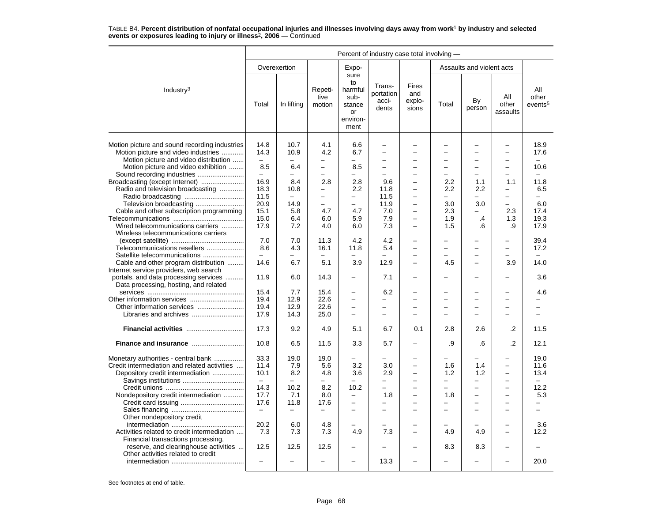|                                                                                                                               | Percent of industry case total involving - |                                         |                                                      |                                                                   |                                                  |                                                                        |                                 |                                                      |                                                                |                                     |  |
|-------------------------------------------------------------------------------------------------------------------------------|--------------------------------------------|-----------------------------------------|------------------------------------------------------|-------------------------------------------------------------------|--------------------------------------------------|------------------------------------------------------------------------|---------------------------------|------------------------------------------------------|----------------------------------------------------------------|-------------------------------------|--|
|                                                                                                                               |                                            | Overexertion                            |                                                      | Expo-                                                             |                                                  |                                                                        |                                 | Assaults and violent acts                            |                                                                |                                     |  |
| Industry <sup>3</sup>                                                                                                         | Total                                      | In lifting                              | Repeti-<br>tive<br>motion                            | sure<br>to<br>harmful<br>sub-<br>stance<br>or<br>environ-<br>ment | Trans-<br>portation<br>acci-<br>dents            | <b>Fires</b><br>and<br>explo-<br>sions                                 | Total                           | By<br>person                                         | All<br>other<br>assaults                                       | All<br>other<br>events <sup>5</sup> |  |
| Motion picture and sound recording industries<br>Motion picture and video industries<br>Motion picture and video distribution | 14.8<br>14.3                               | 10.7<br>10.9                            | 4.1<br>4.2                                           | 6.6<br>6.7                                                        | $\overline{\phantom{0}}$<br>$\equiv$<br>$\equiv$ | $\overline{\phantom{0}}$<br>$\equiv$<br>÷                              | ÷                               | L,<br>$\equiv$<br>$\equiv$                           | $\overline{\phantom{0}}$<br>$\overline{\phantom{0}}$<br>$\sim$ | 18.9<br>17.6                        |  |
| Motion picture and video exhibition<br>Sound recording industries                                                             | 8.5<br>$\equiv$                            | 6.4<br>-                                | $\overline{\phantom{0}}$<br>$\overline{\phantom{0}}$ | 8.5<br>-                                                          | $\overline{\phantom{0}}$                         | $\overline{\phantom{0}}$                                               | $\overline{\phantom{0}}$        | $\overline{\phantom{0}}$<br>$\overline{a}$           | $\overline{\phantom{0}}$                                       | 10.6                                |  |
| Broadcasting (except Internet)<br>Radio and television broadcasting                                                           | 16.9<br>18.3<br>11.5                       | 8.4<br>10.8<br>$\overline{\phantom{m}}$ | 2.8<br>$\qquad \qquad -$<br>$\overline{\phantom{0}}$ | 2.8<br>2.2<br>-                                                   | 9.6<br>11.8<br>11.5                              | $\overline{a}$<br>$\overline{\phantom{0}}$<br>$\overline{\phantom{0}}$ | 2.2<br>2.2<br>-                 | 1.1<br>2.2<br>-                                      | 1.1<br>$\overline{\phantom{0}}$<br>$\overline{\phantom{0}}$    | 11.8<br>6.5<br>-                    |  |
| Television broadcasting<br>Cable and other subscription programming                                                           | 20.9<br>15.1<br>15.0                       | 14.9<br>5.8<br>6.4                      | $\overline{\phantom{0}}$<br>4.7<br>6.0               | $\overline{\phantom{0}}$<br>4.7<br>5.9                            | 11.9<br>7.0<br>7.9                               | $\overline{\phantom{0}}$<br>$\overline{\phantom{0}}$                   | 3.0<br>2.3<br>1.9               | 3.0<br>.4                                            | 2.3<br>1.3                                                     | 6.0<br>17.4<br>19.3                 |  |
| Wired telecommunications carriers<br>Wireless telecommunications carriers                                                     | 17.9<br>7.0                                | 7.2<br>7.0                              | 4.0<br>11.3                                          | 6.0<br>4.2                                                        | 7.3<br>4.2                                       | $\overline{\phantom{0}}$<br>$\overline{\phantom{0}}$                   | 1.5                             | .6                                                   | .9<br>$\overline{\phantom{0}}$                                 | 17.9<br>39.4                        |  |
| Telecommunications resellers<br>Satellite telecommunications                                                                  | 8.6                                        | 4.3                                     | 16.1                                                 | 11.8                                                              | 5.4                                              | $\overline{\phantom{0}}$<br>-                                          | ▃                               | $\overline{\phantom{0}}$<br>$\overline{\phantom{0}}$ | $\overline{\phantom{0}}$                                       | 17.2                                |  |
| Cable and other program distribution<br>Internet service providers, web search<br>portals, and data processing services       | 14.6<br>11.9                               | 6.7<br>6.0                              | 5.1<br>14.3                                          | 3.9<br>$\overline{\phantom{0}}$                                   | 12.9<br>7.1                                      | $\overline{\phantom{0}}$<br>$\overline{\phantom{0}}$                   | 4.5                             | $\overline{a}$                                       | 3.9                                                            | 14.0<br>3.6                         |  |
| Data processing, hosting, and related                                                                                         | 15.4                                       | 7.7                                     | 15.4                                                 | $\overline{\phantom{0}}$                                          | 6.2                                              | $\equiv$                                                               |                                 | ÷                                                    |                                                                | 4.6                                 |  |
| Other information services                                                                                                    | 19.4<br>19.4                               | 12.9<br>12.9                            | 22.6<br>22.6                                         | $\overline{\phantom{0}}$                                          | $\overline{\phantom{0}}$                         | L.                                                                     |                                 | $\overline{a}$                                       |                                                                |                                     |  |
|                                                                                                                               | 17.9                                       | 14.3                                    | 25.0                                                 | $\overline{\phantom{0}}$                                          |                                                  |                                                                        |                                 | L,                                                   |                                                                |                                     |  |
| Financial activities                                                                                                          | 17.3                                       | 9.2                                     | 4.9                                                  | 5.1                                                               | 6.7                                              | 0.1                                                                    | 2.8                             | 2.6                                                  | .2                                                             | 11.5                                |  |
|                                                                                                                               | 10.8                                       | 6.5                                     | 11.5                                                 | 3.3                                                               | 5.7                                              |                                                                        | .9                              | .6                                                   | $\cdot$                                                        | 12.1                                |  |
| Monetary authorities - central bank<br>Credit intermediation and related activities<br>Depository credit intermediation       | 33.3<br>11.4<br>10.1<br>$\frac{1}{2}$      | 19.0<br>7.9<br>8.2                      | 19.0<br>5.6<br>4.8                                   | 3.2<br>3.6                                                        | 3.0<br>2.9                                       | -<br>÷<br>$\overline{\phantom{0}}$                                     | 1.6<br>1.2                      | 1.4<br>1.2                                           | $\rightarrow$<br>$\overline{\phantom{0}}$                      | 19.0<br>11.6<br>13.4                |  |
| Nondepository credit intermediation                                                                                           | 14.3<br>17.7<br>17.6                       | 10.2<br>7.1<br>11.8                     | 8.2<br>8.0<br>17.6                                   | 10.2<br>-<br>-                                                    | $\overline{\phantom{0}}$<br>1.8                  | $\overline{\phantom{0}}$<br>$\overline{\phantom{0}}$                   | $\overline{\phantom{0}}$<br>1.8 | $\overline{\phantom{0}}$<br>$\qquad \qquad -$        | $\overline{\phantom{0}}$<br>$\overline{\phantom{0}}$           | 12.2<br>5.3                         |  |
| Other nondepository credit                                                                                                    | $\overline{\phantom{m}}$                   | $\overline{\phantom{0}}$                | $\overline{\phantom{0}}$                             | $\overline{\phantom{0}}$                                          |                                                  |                                                                        |                                 | $\overline{\phantom{0}}$                             |                                                                |                                     |  |
| Activities related to credit intermediation<br>Financial transactions processing,                                             | 20.2<br>7.3                                | 6.0<br>7.3                              | 4.8<br>7.3                                           | 4.9                                                               | 7.3                                              | $\equiv$                                                               | 4.9                             | 4.9                                                  | $\sim$                                                         | 3.6<br>12.2                         |  |
| reserve, and clearinghouse activities<br>Other activities related to credit                                                   | 12.5                                       | 12.5                                    | 12.5                                                 | -                                                                 |                                                  |                                                                        | 8.3                             | 8.3                                                  |                                                                |                                     |  |
|                                                                                                                               |                                            |                                         |                                                      |                                                                   | 13.3                                             |                                                                        |                                 |                                                      |                                                                | 20.0                                |  |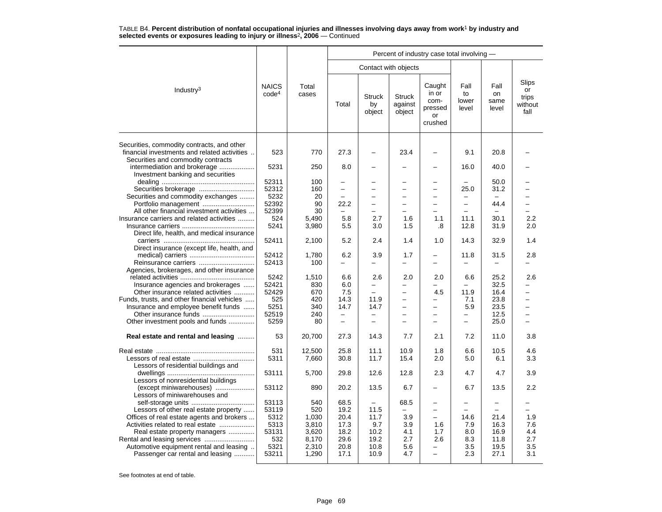|                                                                                                                                  |                                   |                | Percent of industry case total involving - |                                |                                    |                                                            |                              |                             |                                         |  |  |
|----------------------------------------------------------------------------------------------------------------------------------|-----------------------------------|----------------|--------------------------------------------|--------------------------------|------------------------------------|------------------------------------------------------------|------------------------------|-----------------------------|-----------------------------------------|--|--|
|                                                                                                                                  |                                   |                |                                            |                                | Contact with objects               |                                                            |                              |                             |                                         |  |  |
| Industry <sup>3</sup>                                                                                                            | <b>NAICS</b><br>code <sup>4</sup> | Total<br>cases | Total                                      | <b>Struck</b><br>by<br>object  | <b>Struck</b><br>against<br>object | Caught<br>in or<br>com-<br>pressed<br><b>or</b><br>crushed | Fall<br>to<br>lower<br>level | Fall<br>on<br>same<br>level | Slips<br>or<br>trips<br>without<br>fall |  |  |
| Securities, commodity contracts, and other<br>financial investments and related activities<br>Securities and commodity contracts | 523                               | 770            | 27.3                                       |                                | 23.4                               |                                                            | 9.1                          | 20.8                        |                                         |  |  |
| intermediation and brokerage<br>Investment banking and securities                                                                | 5231                              | 250            | 8.0                                        |                                |                                    |                                                            | 16.0                         | 40.0                        |                                         |  |  |
|                                                                                                                                  | 52311                             | 100            |                                            |                                |                                    |                                                            |                              | 50.0                        |                                         |  |  |
| Securities brokerage                                                                                                             | 52312                             | 160            | $\overline{\phantom{0}}$                   | $\overline{\phantom{0}}$<br>L. | $\overline{\phantom{0}}$           | $\overline{a}$<br>L.                                       | 25.0                         | 31.2                        |                                         |  |  |
| Securities and commodity exchanges                                                                                               | 5232<br>52392                     | 20             |                                            |                                |                                    |                                                            |                              |                             |                                         |  |  |
| Portfolio management<br>All other financial investment activities                                                                | 52399                             | 90<br>30       | 22.2                                       | $\qquad \qquad -$<br>-         | $\overline{\phantom{0}}$           | $\overline{\phantom{0}}$                                   | -                            | 44.4                        |                                         |  |  |
| Insurance carriers and related activities                                                                                        | 524                               | 5,490          | 5.8                                        | 2.7                            | 1.6                                | 1.1                                                        | 11.1                         | 30.1                        | 2.2                                     |  |  |
|                                                                                                                                  | 5241                              | 3,980          | 5.5                                        | 3.0                            | 1.5                                | .8                                                         | 12.8                         | 31.9                        | 2.0                                     |  |  |
| Direct life, health, and medical insurance                                                                                       |                                   |                |                                            |                                |                                    |                                                            |                              |                             |                                         |  |  |
|                                                                                                                                  | 52411                             | 2,100          | 5.2                                        | 2.4                            | 1.4                                | 1.0                                                        | 14.3                         | 32.9                        | 1.4                                     |  |  |
| Direct insurance (except life, health, and                                                                                       |                                   |                |                                            |                                |                                    |                                                            |                              |                             |                                         |  |  |
|                                                                                                                                  | 52412                             | 1,780          | 6.2                                        | 3.9                            | 1.7                                |                                                            | 11.8                         | 31.5                        | 2.8                                     |  |  |
| Reinsurance carriers                                                                                                             | 52413                             | 100            |                                            | $\overline{a}$                 | $\overline{\phantom{0}}$           |                                                            | $\overline{a}$               |                             |                                         |  |  |
| Agencies, brokerages, and other insurance                                                                                        |                                   |                |                                            |                                |                                    |                                                            |                              |                             |                                         |  |  |
|                                                                                                                                  | 5242                              | 1,510          | 6.6                                        | 2.6                            | 2.0                                | 2.0                                                        | 6.6                          | 25.2                        | 2.6                                     |  |  |
| Insurance agencies and brokerages                                                                                                | 52421                             | 830            | 6.0                                        | $\overline{\phantom{0}}$       | -                                  | -                                                          | -                            | 32.5                        |                                         |  |  |
| Other insurance related activities                                                                                               | 52429                             | 670            | 7.5                                        |                                | $\overline{\phantom{0}}$           | 4.5                                                        | 11.9                         | 16.4                        |                                         |  |  |
| Funds, trusts, and other financial vehicles                                                                                      | 525                               | 420            | 14.3                                       | 11.9                           | $\equiv$                           | -                                                          | 7.1                          | 23.8                        | $\equiv$                                |  |  |
| Insurance and employee benefit funds                                                                                             | 5251                              | 340            | 14.7                                       | 14.7                           | -                                  | $\overline{\phantom{0}}$                                   | 5.9                          | 23.5                        | $\overline{\phantom{0}}$                |  |  |
|                                                                                                                                  | 52519                             | 240            | $\overline{\phantom{0}}$                   |                                |                                    | $\overline{\phantom{0}}$                                   |                              | 12.5                        |                                         |  |  |
| Other investment pools and funds                                                                                                 | 5259                              | 80             | $\overline{\phantom{0}}$                   | $\overline{\phantom{0}}$       | L                                  | ÷                                                          | $\overline{\phantom{0}}$     | 25.0                        |                                         |  |  |
| Real estate and rental and leasing                                                                                               | 53                                | 20.700         | 27.3                                       | 14.3                           | 7.7                                | 2.1                                                        | 7.2                          | 11.0                        | 3.8                                     |  |  |
|                                                                                                                                  | 531                               | 12,500         | 25.8                                       | 11.1                           | 10.9                               | 1.8                                                        | 6.6                          | 10.5                        | 4.6                                     |  |  |
|                                                                                                                                  | 5311                              | 7,660          | 30.8                                       | 11.7                           | 15.4                               | 2.0                                                        | 5.0                          | 6.1                         | 3.3                                     |  |  |
| Lessors of residential buildings and                                                                                             |                                   |                |                                            |                                |                                    |                                                            |                              |                             |                                         |  |  |
| Lessors of nonresidential buildings                                                                                              | 53111                             | 5,700          | 29.8                                       | 12.6                           | 12.8                               | 2.3                                                        | 4.7                          | 4.7                         | 3.9                                     |  |  |
| (except miniwarehouses)<br>Lessors of miniwarehouses and                                                                         | 53112                             | 890            | 20.2                                       | 13.5                           | 6.7                                |                                                            | 6.7                          | 13.5                        | 2.2                                     |  |  |
|                                                                                                                                  | 53113                             | 540            | 68.5                                       | $\equiv$                       | 68.5                               | $\equiv$                                                   |                              |                             |                                         |  |  |
| Lessors of other real estate property                                                                                            | 53119                             | 520            | 19.2                                       | 11.5                           | $\overline{\phantom{0}}$           | -                                                          | -                            | $\equiv$                    |                                         |  |  |
| Offices of real estate agents and brokers                                                                                        | 5312                              | 1,030          | 20.4                                       | 11.7                           | 3.9                                | $\overline{\phantom{0}}$                                   | 14.6                         | 21.4                        | 1.9                                     |  |  |
| Activities related to real estate                                                                                                | 5313                              | 3,810          | 17.3                                       | 9.7                            | 3.9                                | 1.6                                                        | 7.9                          | 16.3                        | 7.6                                     |  |  |
| Real estate property managers                                                                                                    | 53131                             | 3,620          | 18.2                                       | 10.2                           | 4.1                                | 1.7                                                        | 8.0                          | 16.9                        | 4.4                                     |  |  |
|                                                                                                                                  | 532                               | 8,170          | 29.6                                       | 19.2                           | 2.7                                | 2.6                                                        | 8.3                          | 11.8                        | 2.7                                     |  |  |
| Automotive equipment rental and leasing                                                                                          | 5321                              | 2,310          | 20.8                                       | 10.8                           | 5.6                                | $\overline{a}$                                             | 3.5                          | 19.5                        | 3.5                                     |  |  |
| Passenger car rental and leasing                                                                                                 | 53211                             | 1,290          | 17.1                                       | 10.9                           | 4.7                                | $\overline{\phantom{0}}$                                   | 2.3                          | 27.1                        | 3.1                                     |  |  |
|                                                                                                                                  |                                   |                |                                            |                                |                                    |                                                            |                              |                             |                                         |  |  |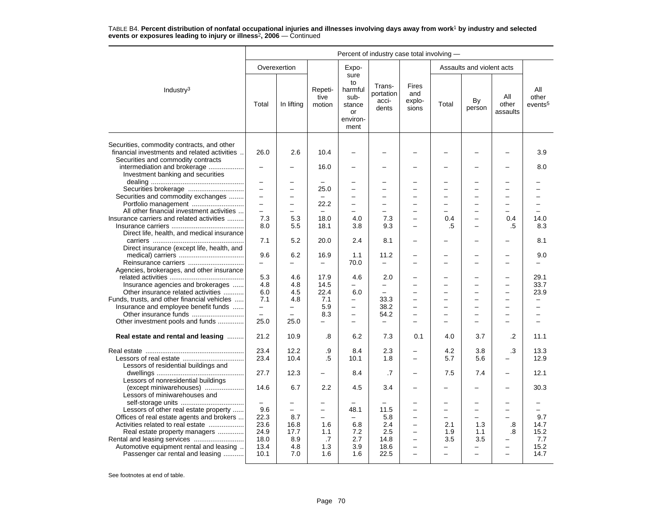|                                                                                                                                                                  | Percent of industry case total involving - |                                                      |                           |                                                                   |                                       |                                                      |                          |                                      |                                      |                                     |
|------------------------------------------------------------------------------------------------------------------------------------------------------------------|--------------------------------------------|------------------------------------------------------|---------------------------|-------------------------------------------------------------------|---------------------------------------|------------------------------------------------------|--------------------------|--------------------------------------|--------------------------------------|-------------------------------------|
|                                                                                                                                                                  |                                            | Overexertion                                         |                           | Expo-                                                             |                                       |                                                      |                          | Assaults and violent acts            |                                      |                                     |
| Industry $3$                                                                                                                                                     | Total                                      | In lifting                                           | Repeti-<br>tive<br>motion | sure<br>to<br>harmful<br>sub-<br>stance<br>or<br>environ-<br>ment | Trans-<br>portation<br>acci-<br>dents | Fires<br>and<br>explo-<br>sions                      | Total                    | By<br>person                         | All<br>other<br>assaults             | All<br>other<br>events <sup>5</sup> |
| Securities, commodity contracts, and other<br>financial investments and related activities<br>Securities and commodity contracts<br>intermediation and brokerage | 26.0<br>$\equiv$                           | 2.6                                                  | 10.4<br>16.0              |                                                                   |                                       |                                                      |                          | $\overline{\phantom{0}}$             |                                      | 3.9<br>8.0                          |
| Investment banking and securities                                                                                                                                |                                            |                                                      |                           |                                                                   |                                       |                                                      |                          |                                      |                                      |                                     |
|                                                                                                                                                                  | $\overline{\phantom{m}}$                   |                                                      |                           |                                                                   |                                       |                                                      |                          | $\overline{\phantom{0}}$             |                                      |                                     |
|                                                                                                                                                                  | $\overline{\phantom{0}}$<br>$\rightarrow$  | $\overline{\phantom{0}}$<br>$\overline{\phantom{0}}$ | 25.0<br>$\equiv$          | $\overline{\phantom{0}}$<br>L.                                    | $\overline{\phantom{0}}$              | $\overline{\phantom{0}}$                             |                          | $\overline{\phantom{0}}$<br>$\equiv$ | $\overline{\phantom{0}}$<br>$\equiv$ |                                     |
| Securities and commodity exchanges<br>Portfolio management                                                                                                       | $\overline{\phantom{m}}$                   | $\overline{\phantom{0}}$                             | 22.2                      | $\qquad \qquad -$                                                 | $\overline{\phantom{0}}$              | $\equiv$                                             |                          | $\overline{\phantom{0}}$             | $\overline{\phantom{0}}$             | ÷                                   |
| All other financial investment activities                                                                                                                        | $\overline{\phantom{m}}$                   | $\overline{a}$                                       | $\overline{\phantom{0}}$  |                                                                   |                                       |                                                      |                          |                                      |                                      |                                     |
| Insurance carriers and related activities                                                                                                                        | 7.3                                        | 5.3                                                  | 18.0                      | 4.0                                                               | 7.3                                   |                                                      | 0.4                      | L.                                   | 0.4                                  | 14.0                                |
|                                                                                                                                                                  | 8.0                                        | 5.5                                                  | 18.1                      | 3.8                                                               | 9.3                                   | -                                                    | .5                       | $\equiv$                             | .5                                   | 8.3                                 |
| Direct life, health, and medical insurance                                                                                                                       |                                            |                                                      |                           |                                                                   |                                       |                                                      |                          |                                      |                                      |                                     |
| Direct insurance (except life, health, and                                                                                                                       | 7.1                                        | 5.2                                                  | 20.0                      | 2.4                                                               | 8.1                                   |                                                      |                          |                                      |                                      | 8.1                                 |
| Reinsurance carriers                                                                                                                                             | 9.6<br>$\equiv$                            | 6.2                                                  | 16.9<br>$\qquad \qquad -$ | 1.1<br>70.0                                                       | 11.2<br>$\frac{1}{2}$                 |                                                      |                          |                                      |                                      | 9.0                                 |
| Agencies, brokerages, and other insurance                                                                                                                        | 5.3                                        | 4.6                                                  | 17.9                      |                                                                   | 2.0                                   | ÷                                                    |                          | $\equiv$                             | $\overline{\phantom{0}}$             | 29.1                                |
| Insurance agencies and brokerages                                                                                                                                | 4.8                                        | 4.8                                                  | 14.5                      | 4.6<br>$\overline{\phantom{0}}$                                   | $\overline{\phantom{0}}$              |                                                      |                          | $\overline{\phantom{0}}$             | $\overline{\phantom{0}}$             | 33.7                                |
| Other insurance related activities                                                                                                                               | 6.0                                        | 4.5                                                  | 22.4                      | 6.0                                                               |                                       |                                                      |                          | $\overline{\phantom{0}}$             |                                      | 23.9                                |
| Funds, trusts, and other financial vehicles                                                                                                                      | 7.1                                        | 4.8                                                  | 7.1                       | $\overline{\phantom{0}}$                                          | 33.3                                  | $\overline{\phantom{0}}$                             | ÷,                       | $\overline{\phantom{0}}$             | $\overline{\phantom{0}}$             |                                     |
| Insurance and employee benefit funds                                                                                                                             | $\equiv$                                   | $\overline{\phantom{0}}$                             | 5.9                       | $\qquad \qquad -$                                                 | 38.2                                  | $\equiv$                                             | $\equiv$                 | $\overline{\phantom{0}}$             | $\overline{\phantom{0}}$             | $\equiv$                            |
|                                                                                                                                                                  |                                            |                                                      | 8.3                       | $\qquad \qquad -$                                                 | 54.2                                  |                                                      |                          |                                      |                                      |                                     |
| Other investment pools and funds                                                                                                                                 | 25.0                                       | 25.0                                                 | $\equiv$                  |                                                                   | $\frac{1}{2}$                         |                                                      |                          |                                      |                                      |                                     |
| Real estate and rental and leasing                                                                                                                               | 21.2                                       | 10.9                                                 | .8                        | 6.2                                                               | 7.3                                   | 0.1                                                  | 4.0                      | 3.7                                  | $\cdot$                              | 11.1                                |
|                                                                                                                                                                  | 23.4                                       | 12.2                                                 | .9                        | 8.4                                                               | 2.3                                   | -                                                    | 4.2                      | 3.8                                  | .3                                   | 13.3                                |
| Lessors of residential buildings and                                                                                                                             | 23.4                                       | 10.4                                                 | .5                        | 10.1                                                              | 1.8                                   | $\overline{\phantom{0}}$                             | 5.7                      | 5.6                                  |                                      | 12.9                                |
| Lessors of nonresidential buildings                                                                                                                              | 27.7                                       | 12.3                                                 | $\overline{\phantom{0}}$  | 8.4                                                               | .7                                    | $\overline{\phantom{0}}$                             | 7.5                      | 7.4                                  | $\overline{\phantom{0}}$             | 12.1                                |
| (except miniwarehouses)<br>Lessors of miniwarehouses and                                                                                                         | 14.6                                       | 6.7                                                  | 2.2                       | 4.5                                                               | 3.4                                   |                                                      |                          |                                      |                                      | 30.3                                |
|                                                                                                                                                                  | $\sim$                                     |                                                      |                           |                                                                   |                                       |                                                      |                          | -                                    |                                      |                                     |
| Lessors of other real estate property                                                                                                                            | 9.6                                        | $\overline{\phantom{0}}$                             | $\qquad \qquad -$         | 48.1                                                              | 11.5                                  | -                                                    | -                        | $\qquad \qquad -$                    | $\overline{\phantom{0}}$             | $=$                                 |
| Offices of real estate agents and brokers                                                                                                                        | 22.3                                       | 8.7                                                  | $\overline{\phantom{0}}$  |                                                                   | 5.8                                   |                                                      | -                        | $\overline{\phantom{0}}$             |                                      | 9.7                                 |
| Activities related to real estate                                                                                                                                | 23.6                                       | 16.8                                                 | 1.6                       | 6.8                                                               | 2.4                                   | $\overline{\phantom{0}}$                             | 2.1                      | 1.3                                  | .8                                   | 14.7                                |
| Real estate property managers                                                                                                                                    | 24.9<br>18.0                               | 17.7<br>8.9                                          | 1.1<br>.7                 | 7.2<br>2.7                                                        | 2.5<br>14.8                           | $\overline{\phantom{0}}$<br>$\overline{\phantom{0}}$ | 1.9<br>3.5               | 1.1<br>3.5                           | .8                                   | 15.2<br>7.7                         |
| Automotive equipment rental and leasing                                                                                                                          | 13.4                                       | 4.8                                                  | 1.3                       | 3.9                                                               | 18.6                                  | $\overline{\phantom{0}}$                             | $\overline{\phantom{0}}$ |                                      | $\overline{\phantom{0}}$             | 15.2                                |
| Passenger car rental and leasing                                                                                                                                 | 10.1                                       | 7.0                                                  | 1.6                       | 1.6                                                               | 22.5                                  | $\overline{\phantom{0}}$                             | $\overline{\phantom{0}}$ | $\overline{\phantom{0}}$             | $\overline{\phantom{0}}$             | 14.7                                |
|                                                                                                                                                                  |                                            |                                                      |                           |                                                                   |                                       |                                                      |                          |                                      |                                      |                                     |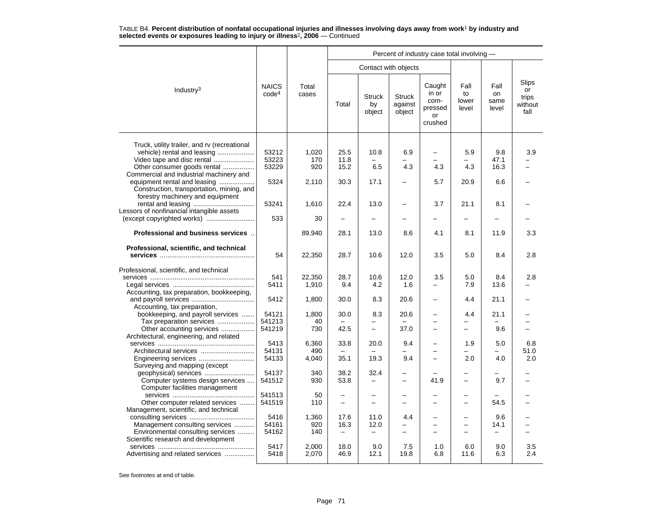|                                                                                                                                                                                     |                                   |                       |                                                      |                                          |                                        | Percent of industry case total involving -           |                                                      |                             |                                         |
|-------------------------------------------------------------------------------------------------------------------------------------------------------------------------------------|-----------------------------------|-----------------------|------------------------------------------------------|------------------------------------------|----------------------------------------|------------------------------------------------------|------------------------------------------------------|-----------------------------|-----------------------------------------|
|                                                                                                                                                                                     |                                   |                       |                                                      | Contact with objects                     |                                        |                                                      |                                                      |                             |                                         |
| Industry <sup>3</sup>                                                                                                                                                               | <b>NAICS</b><br>code <sup>4</sup> | Total<br>cases        | Total                                                | <b>Struck</b><br>by<br>object            | <b>Struck</b><br>against<br>object     | Caught<br>in or<br>com-<br>pressed<br>or<br>crushed  | Fall<br>to<br>lower<br>level                         | Fall<br>on<br>same<br>level | Slips<br>or<br>trips<br>without<br>fall |
| Truck, utility trailer, and rv (recreational<br>vehicle) rental and leasing<br>Video tape and disc rental<br>Other consumer goods rental<br>Commercial and industrial machinery and | 53212<br>53223<br>53229           | 1,020<br>170<br>920   | 25.5<br>11.8<br>15.2                                 | 10.8<br>6.5                              | 6.9<br>4.3                             | 4.3                                                  | 5.9<br>4.3                                           | 9.8<br>47.1<br>16.3         | 3.9                                     |
| equipment rental and leasing<br>Construction, transportation, mining, and<br>forestry machinery and equipment                                                                       | 5324                              | 2,110                 | 30.3                                                 | 17.1                                     |                                        | 5.7                                                  | 20.9                                                 | 6.6                         |                                         |
| Lessors of nonfinancial intangible assets                                                                                                                                           | 53241<br>533                      | 1,610<br>30           | 22.4<br>$\equiv$                                     | 13.0<br>$\overline{a}$                   |                                        | 3.7                                                  | 21.1<br>$\overline{\phantom{0}}$                     | 8.1                         |                                         |
| <b>Professional and business services</b>                                                                                                                                           |                                   | 89,940                | 28.1                                                 | 13.0                                     | 8.6                                    | 4.1                                                  | 8.1                                                  | 11.9                        | 3.3                                     |
|                                                                                                                                                                                     |                                   |                       |                                                      |                                          |                                        |                                                      |                                                      |                             |                                         |
| Professional, scientific, and technical                                                                                                                                             | 54                                | 22,350                | 28.7                                                 | 10.6                                     | 12.0                                   | 3.5                                                  | 5.0                                                  | 8.4                         | 2.8                                     |
| Professional, scientific, and technical                                                                                                                                             | 541<br>5411                       | 22,350<br>1,910       | 28.7<br>9.4                                          | 10.6<br>4.2                              | 12.0<br>1.6                            | 3.5                                                  | 5.0<br>7.9                                           | 8.4<br>13.6                 | 2.8                                     |
| Accounting, tax preparation, bookkeeping,<br>Accounting, tax preparation,                                                                                                           | 5412                              | 1,800                 | 30.0                                                 | 8.3                                      | 20.6                                   | $\equiv$                                             | 4.4                                                  | 21.1                        |                                         |
| bookkeeping, and payroll services<br>Tax preparation services                                                                                                                       | 54121<br>541213                   | 1,800<br>40           | 30.0                                                 | 8.3                                      | 20.6                                   | $\overline{\phantom{0}}$                             | 4.4                                                  | 21.1                        |                                         |
| Other accounting services<br>Architectural, engineering, and related                                                                                                                | 541219                            | 730                   | 42.5                                                 | $\overline{\phantom{0}}$                 | 37.0                                   | $\equiv$                                             | $\equiv$                                             | 9.6                         |                                         |
| Architectural services<br>Engineering services                                                                                                                                      | 5413<br>54131<br>54133            | 6,360<br>490<br>4,040 | 33.8<br>$\equiv$<br>35.1                             | 20.0<br>19.3                             | 9.4<br>$\overline{\phantom{0}}$<br>9.4 | $\overline{\phantom{0}}$<br>$\overline{\phantom{0}}$ | 1.9<br>$\overline{\phantom{0}}$<br>2.0               | 5.0<br>4.0                  | 6.8<br>51.0<br>2.0                      |
| Surveying and mapping (except<br>Computer systems design services<br>Computer facilities management                                                                                 | 54137<br>541512                   | 340<br>930            | 38.2<br>53.8                                         | 32.4                                     | -                                      | 41.9                                                 | $\overline{\phantom{0}}$                             | 9.7                         |                                         |
| Other computer related services<br>Management, scientific, and technical                                                                                                            | 541513<br>541519                  | 50<br>110             | $\overline{\phantom{0}}$<br>$\overline{\phantom{0}}$ | -                                        |                                        | $\overline{\phantom{0}}$                             | $\overline{\phantom{0}}$                             | 54.5                        |                                         |
| Management consulting services<br>Environmental consulting services                                                                                                                 | 5416<br>54161<br>54162            | 1,360<br>920<br>140   | 17.6<br>16.3<br>$\overline{\phantom{m}}$             | 11.0<br>12.0<br>$\overline{\phantom{0}}$ | 4.4<br>-<br>-                          | $\overline{\phantom{0}}$<br>÷<br>—                   | $\overline{\phantom{0}}$<br>$\overline{\phantom{0}}$ | 9.6<br>14.1                 |                                         |
| Scientific research and development<br>Advertising and related services                                                                                                             | 5417<br>5418                      | 2,000<br>2,070        | 18.0<br>46.9                                         | 9.0<br>12.1                              | 7.5<br>19.8                            | 1.0<br>6.8                                           | 6.0<br>11.6                                          | 9.0<br>6.3                  | 3.5<br>2.4                              |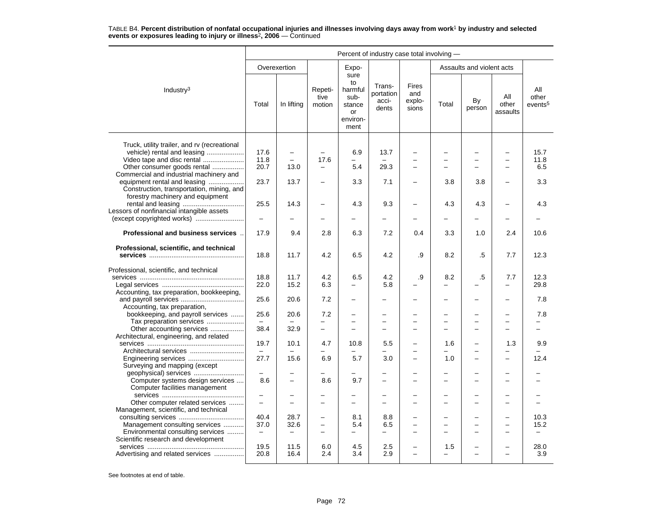|                                                                                                               | Percent of industry case total involving - |                          |                           |                                                                   |                                       |                                 |          |                           |                          |                                     |  |
|---------------------------------------------------------------------------------------------------------------|--------------------------------------------|--------------------------|---------------------------|-------------------------------------------------------------------|---------------------------------------|---------------------------------|----------|---------------------------|--------------------------|-------------------------------------|--|
|                                                                                                               |                                            | Overexertion             |                           | Expo-                                                             |                                       |                                 |          | Assaults and violent acts |                          |                                     |  |
| Industry <sup>3</sup>                                                                                         | Total                                      | In lifting               | Repeti-<br>tive<br>motion | sure<br>to<br>harmful<br>sub-<br>stance<br>or<br>environ-<br>ment | Trans-<br>portation<br>acci-<br>dents | Fires<br>and<br>explo-<br>sions | Total    | By<br>person              | All<br>other<br>assaults | All<br>other<br>events <sup>5</sup> |  |
| Truck, utility trailer, and rv (recreational<br>vehicle) rental and leasing                                   | 17.6                                       | $\overline{\phantom{m}}$ |                           | 6.9                                                               | 13.7                                  |                                 |          |                           |                          | 15.7                                |  |
| Video tape and disc rental                                                                                    | 11.8                                       | $\overline{\phantom{0}}$ | 17.6                      |                                                                   |                                       |                                 |          | $\overline{\phantom{0}}$  |                          | 11.8                                |  |
| Other consumer goods rental                                                                                   | 20.7                                       | 13.0                     |                           | 5.4                                                               | 29.3                                  | $\overline{\phantom{m}}$        |          | -                         |                          | 6.5                                 |  |
| Commercial and industrial machinery and                                                                       |                                            |                          |                           |                                                                   |                                       |                                 |          |                           |                          |                                     |  |
| equipment rental and leasing<br>Construction, transportation, mining, and<br>forestry machinery and equipment | 23.7                                       | 13.7                     |                           | 3.3                                                               | 7.1                                   | $\overline{\phantom{0}}$        | 3.8      | 3.8                       |                          | 3.3                                 |  |
|                                                                                                               | 25.5                                       | 14.3                     |                           | 4.3                                                               | 9.3                                   | -                               | 4.3      | 4.3                       |                          | 4.3                                 |  |
| Lessors of nonfinancial intangible assets                                                                     |                                            |                          |                           |                                                                   |                                       |                                 |          |                           |                          |                                     |  |
|                                                                                                               | $\equiv$                                   | $\equiv$                 | -                         | -                                                                 |                                       | $\overline{\phantom{0}}$        |          | <u>.</u>                  |                          |                                     |  |
| Professional and business services                                                                            | 17.9                                       | 9.4                      | 2.8                       | 6.3                                                               | 7.2                                   | 0.4                             | 3.3      | 1.0                       | 2.4                      | 10.6                                |  |
| Professional, scientific, and technical                                                                       | 18.8                                       | 11.7                     | 4.2                       | 6.5                                                               | 4.2                                   | .9                              | 8.2      | .5                        | 7.7                      | 12.3                                |  |
| Professional, scientific, and technical                                                                       |                                            |                          |                           |                                                                   |                                       |                                 |          |                           |                          |                                     |  |
|                                                                                                               | 18.8                                       | 11.7                     | 4.2                       | 6.5                                                               | 4.2                                   | .9                              | 8.2      | .5                        | 7.7                      | 12.3                                |  |
|                                                                                                               | 22.0                                       | 15.2                     | 6.3                       | -                                                                 | 5.8                                   |                                 |          |                           | $\overline{\phantom{0}}$ | 29.8                                |  |
| Accounting, tax preparation, bookkeeping,                                                                     | 25.6                                       | 20.6                     | 7.2                       | -                                                                 |                                       |                                 |          | <u>.</u>                  |                          | 7.8                                 |  |
| Accounting, tax preparation,<br>bookkeeping, and payroll services                                             | 25.6                                       | 20.6                     | 7.2                       |                                                                   |                                       |                                 |          |                           |                          | 7.8                                 |  |
| Tax preparation services                                                                                      | $\qquad \qquad -$                          |                          | $\overline{a}$            | $\equiv$                                                          | $\overline{\phantom{0}}$              | $\overline{\phantom{0}}$        | $\equiv$ | $\overline{\phantom{0}}$  | $\equiv$                 |                                     |  |
| Other accounting services                                                                                     | 38.4                                       | 32.9                     | $\equiv$                  | $\overline{\phantom{0}}$                                          | $\overline{\phantom{0}}$              | ÷                               | -        | −                         | $\equiv$                 | $=$                                 |  |
| Architectural, engineering, and related                                                                       |                                            |                          |                           |                                                                   |                                       |                                 |          |                           |                          |                                     |  |
|                                                                                                               | 19.7                                       | 10.1                     | 4.7                       | 10.8                                                              | 5.5                                   | $\overline{\phantom{0}}$        | 1.6      | L,                        | 1.3                      | 9.9                                 |  |
| Architectural services<br>Engineering services                                                                | $\overline{\phantom{m}}$<br>27.7           | 15.6                     | 6.9                       | $\overline{\phantom{0}}$<br>5.7                                   | 3.0                                   | -                               | 1.0      | <u>.</u>                  | -                        | 12.4                                |  |
| Surveying and mapping (except                                                                                 |                                            |                          |                           |                                                                   |                                       |                                 |          |                           |                          |                                     |  |
| geophysical) services                                                                                         | $\overline{\phantom{0}}$                   | $\overline{\phantom{0}}$ |                           | -                                                                 |                                       | -                               |          | -                         |                          |                                     |  |
| Computer systems design services                                                                              | 8.6                                        |                          | 8.6                       | 9.7                                                               | -                                     | $\overline{\phantom{0}}$        |          | -                         |                          |                                     |  |
| Computer facilities management                                                                                |                                            |                          |                           |                                                                   |                                       |                                 |          |                           |                          |                                     |  |
|                                                                                                               | $\overline{\phantom{m}}$                   |                          | -                         | $\overline{\phantom{0}}$                                          | $\overline{\phantom{0}}$              | $\overline{\phantom{0}}$        |          | ▃                         |                          |                                     |  |
| Other computer related services<br>Management, scientific, and technical                                      | $\overline{\phantom{0}}$                   |                          |                           | -                                                                 | $\overline{\phantom{0}}$              |                                 |          | -                         |                          |                                     |  |
|                                                                                                               | 40.4                                       | 28.7                     | -                         | 8.1                                                               | 8.8                                   |                                 |          | -                         |                          | 10.3                                |  |
| Management consulting services                                                                                | 37.0                                       | 32.6                     | $\equiv$                  | 5.4                                                               | 6.5                                   | -                               |          | -                         |                          | 15.2                                |  |
| Environmental consulting services                                                                             | $\overline{\phantom{m}}$                   | $\overline{\phantom{0}}$ | $\overline{\phantom{0}}$  | -                                                                 |                                       | -                               |          | ▃                         |                          | $\overline{\phantom{0}}$            |  |
| Scientific research and development                                                                           |                                            |                          |                           |                                                                   |                                       |                                 |          |                           |                          |                                     |  |
|                                                                                                               | 19.5                                       | 11.5                     | 6.0                       | 4.5                                                               | 2.5                                   |                                 | 1.5      |                           |                          | 28.0                                |  |
| Advertising and related services                                                                              | 20.8                                       | 16.4                     | 2.4                       | 3.4                                                               | 2.9                                   | $\equiv$                        | $\equiv$ | ÷                         | $\overline{\phantom{0}}$ | 3.9                                 |  |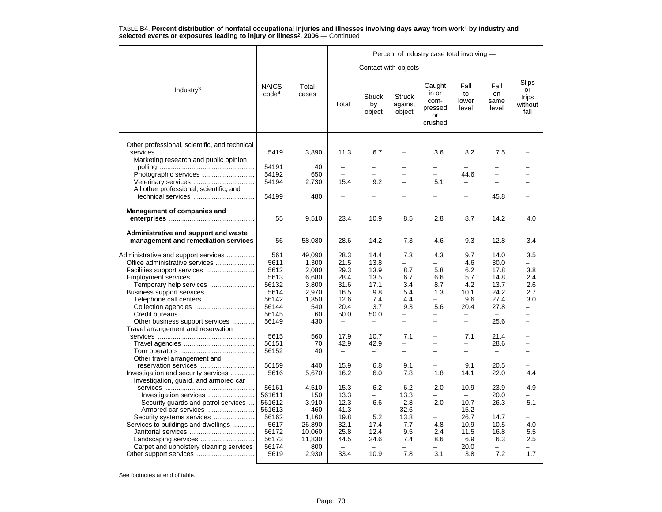|                                                                              |                                   |                |                           |                               |                                    | Percent of industry case total involving -          |                                                      |                             |                                         |
|------------------------------------------------------------------------------|-----------------------------------|----------------|---------------------------|-------------------------------|------------------------------------|-----------------------------------------------------|------------------------------------------------------|-----------------------------|-----------------------------------------|
|                                                                              |                                   |                |                           | Contact with objects          |                                    |                                                     |                                                      |                             |                                         |
| Industry <sup>3</sup>                                                        | <b>NAICS</b><br>code <sup>4</sup> | Total<br>cases | Total                     | <b>Struck</b><br>by<br>object | <b>Struck</b><br>against<br>object | Caught<br>in or<br>com-<br>pressed<br>or<br>crushed | Fall<br>to<br>lower<br>level                         | Fall<br>on<br>same<br>level | Slips<br>or<br>trips<br>without<br>fall |
| Other professional, scientific, and technical                                | 5419                              | 3,890          | 11.3                      | 6.7                           |                                    | 3.6                                                 | 8.2                                                  | 7.5                         |                                         |
| Marketing research and public opinion                                        |                                   |                |                           |                               |                                    |                                                     |                                                      |                             |                                         |
|                                                                              | 54191                             | 40             | -                         |                               |                                    | -                                                   |                                                      |                             |                                         |
| Photographic services                                                        | 54192                             | 650            | L.                        | L.                            |                                    | $\equiv$                                            | 44.6                                                 |                             |                                         |
| All other professional, scientific, and                                      | 54194                             | 2,730          | 15.4                      | 9.2                           |                                    | 5.1                                                 |                                                      |                             |                                         |
| technical services                                                           | 54199                             | 480            | -                         |                               |                                    |                                                     |                                                      | 45.8                        |                                         |
| Management of companies and                                                  | 55                                | 9,510          | 23.4                      | 10.9                          | 8.5                                | 2.8                                                 | 8.7                                                  | 14.2                        | 4.0                                     |
| Administrative and support and waste<br>management and remediation services  | 56                                | 58,080         | 28.6                      | 14.2                          | 7.3                                | 4.6                                                 | 9.3                                                  | 12.8                        | 3.4                                     |
| Administrative and support services                                          | 561                               | 49.090         | 28.3                      | 14.4                          | 7.3                                | 4.3                                                 | 9.7                                                  | 14.0                        | 3.5                                     |
| Office administrative services                                               | 5611                              | 1,300          | 21.5                      | 13.8                          | $=$                                |                                                     | 4.6                                                  | 30.0                        |                                         |
|                                                                              | 5612                              | 2,080          | 29.3                      | 13.9                          | 8.7                                | 5.8                                                 | 6.2                                                  | 17.8                        | 3.8                                     |
|                                                                              | 5613                              | 6,680          | 28.4                      | 13.5                          | 6.7                                | 6.6                                                 | 5.7                                                  | 14.8                        | 2.4                                     |
| Temporary help services                                                      | 56132                             | 3,800          | 31.6                      | 17.1                          | 3.4                                | 8.7                                                 | 4.2                                                  | 13.7                        | 2.6                                     |
| Business support services                                                    | 5614                              | 2,970          | 16.5                      | 9.8                           | 5.4                                | 1.3                                                 | 10.1                                                 | 24.2                        | 2.7                                     |
| Telephone call centers                                                       | 56142                             | 1,350          | 12.6                      | 7.4                           | 4.4                                |                                                     | 9.6                                                  | 27.4                        | 3.0                                     |
|                                                                              | 56144                             | 540            | 20.4                      | 3.7                           | 9.3                                | 5.6                                                 | 20.4                                                 | 27.8                        | -                                       |
|                                                                              | 56145                             | 60             | 50.0                      | 50.0                          | -                                  | $\overline{\phantom{0}}$                            | $\overline{\phantom{0}}$                             |                             | $\overline{\phantom{0}}$                |
| Other business support services                                              | 56149                             | 430            | $\qquad \qquad -$         | $\overline{\phantom{0}}$      | $\equiv$                           | $\overline{\phantom{0}}$                            | $\overline{\phantom{0}}$                             | 25.6                        | -                                       |
| Travel arrangement and reservation                                           |                                   |                |                           |                               |                                    |                                                     |                                                      |                             |                                         |
|                                                                              | 5615                              | 560            | 17.9                      | 10.7                          | 7.1                                |                                                     | 7.1                                                  | 21.4                        |                                         |
|                                                                              | 56151<br>56152                    | 70<br>40       | 42.9<br>$\qquad \qquad -$ | 42.9<br>-                     | ÷<br>$\overline{\phantom{0}}$      | $\overline{\phantom{0}}$<br>÷                       | $\overline{\phantom{0}}$<br>$\overline{\phantom{0}}$ | 28.6                        | -                                       |
| Other travel arrangement and                                                 |                                   |                |                           |                               |                                    |                                                     |                                                      |                             |                                         |
|                                                                              | 56159                             | 440            | 15.9                      | 6.8                           | 9.1                                |                                                     | 9.1                                                  | 20.5                        |                                         |
| Investigation and security services<br>Investigation, guard, and armored car | 5616                              | 5,670          | 16.2                      | 6.0                           | 7.8                                | 1.8                                                 | 14.1                                                 | 22.0                        | 4.4                                     |
|                                                                              | 56161                             | 4,510          | 15.3                      | 6.2                           | 6.2                                | 2.0                                                 | 10.9                                                 | 23.9                        | 4.9                                     |
| Investigation services                                                       | 561611                            | 150            | 13.3                      | -                             | 13.3                               | $\overline{\phantom{0}}$                            | $\overline{\phantom{0}}$                             | 20.0                        | $\overline{\phantom{0}}$                |
| Security guards and patrol services                                          | 561612                            | 3,910          | 12.3                      | 6.6                           | 2.8                                | 2.0                                                 | 10.7                                                 | 26.3                        | 5.1                                     |
| Armored car services                                                         | 561613                            | 460            | 41.3                      | $\overline{\phantom{0}}$      | 32.6                               | $\equiv$                                            | 15.2                                                 |                             |                                         |
| Security systems services                                                    | 56162                             | 1,160          | 19.8                      | 5.2                           | 13.8                               | $\overline{\phantom{0}}$                            | 26.7                                                 | 14.7                        | -                                       |
| Services to buildings and dwellings                                          | 5617                              | 26.890         | 32.1                      | 17.4                          | 7.7                                | 4.8                                                 | 10.9                                                 | 10.5                        | 4.0                                     |
|                                                                              | 56172                             | 10,060         | 25.8                      | 12.4                          | 9.5                                | 2.4                                                 | 11.5                                                 | 16.8                        | 5.5                                     |
|                                                                              | 56173                             | 11,830         | 44.5                      | 24.6                          | 7.4                                | 8.6                                                 | 6.9                                                  | 6.3                         | 2.5                                     |
| Carpet and upholstery cleaning services                                      | 56174<br>5619                     | 800            | 33.4                      | 10.9                          | 7.8                                | 3.1                                                 | 20.0                                                 | 7.2                         | 1.7                                     |
|                                                                              |                                   | 2,930          |                           |                               |                                    |                                                     | 3.8                                                  |                             |                                         |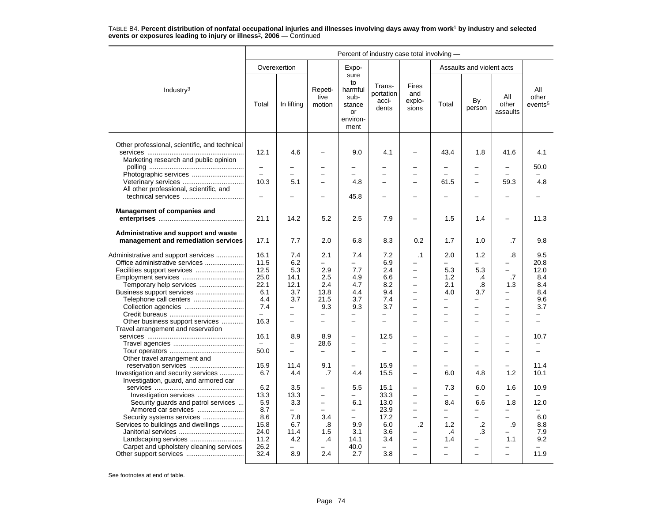|                                                                              | Percent of industry case total involving - |                          |                           |                                                                   |                                       |                                                      |                          |                           |                          |                                     |  |
|------------------------------------------------------------------------------|--------------------------------------------|--------------------------|---------------------------|-------------------------------------------------------------------|---------------------------------------|------------------------------------------------------|--------------------------|---------------------------|--------------------------|-------------------------------------|--|
|                                                                              |                                            | Overexertion             |                           | Expo-                                                             |                                       |                                                      |                          | Assaults and violent acts |                          |                                     |  |
| Industry <sup>3</sup>                                                        | Total                                      | In lifting               | Repeti-<br>tive<br>motion | sure<br>to<br>harmful<br>sub-<br>stance<br>or<br>environ-<br>ment | Trans-<br>portation<br>acci-<br>dents | Fires<br>and<br>explo-<br>sions                      | Total                    | By<br>person              | All<br>other<br>assaults | All<br>other<br>events <sup>5</sup> |  |
| Other professional, scientific, and technical                                | 12.1                                       | 4.6                      |                           | 9.0                                                               | 4.1                                   |                                                      | 43.4                     | 1.8                       | 41.6                     | 4.1                                 |  |
| Marketing research and public opinion                                        | $\qquad \qquad -$                          |                          | -                         | $\overline{\phantom{0}}$                                          |                                       | $\overline{\phantom{0}}$                             |                          | -                         | $\overline{\phantom{0}}$ | 50.0                                |  |
| Photographic services                                                        |                                            |                          |                           | $\equiv$                                                          |                                       |                                                      |                          |                           |                          |                                     |  |
| Veterinary services                                                          | 10.3                                       | 5.1                      |                           | 4.8                                                               |                                       |                                                      | 61.5                     | $\overline{\phantom{0}}$  | 59.3                     | 4.8                                 |  |
| All other professional, scientific, and                                      |                                            |                          |                           |                                                                   |                                       |                                                      |                          |                           |                          |                                     |  |
|                                                                              | -                                          |                          | -                         | 45.8                                                              | -                                     | $\overline{\phantom{0}}$                             |                          | -                         |                          |                                     |  |
| <b>Management of companies and</b>                                           |                                            |                          |                           |                                                                   |                                       |                                                      |                          |                           |                          |                                     |  |
|                                                                              | 21.1                                       | 14.2                     | 5.2                       | 2.5                                                               | 7.9                                   | $\overline{\phantom{0}}$                             | 1.5                      | 1.4                       | $\overline{\phantom{0}}$ | 11.3                                |  |
| Administrative and support and waste<br>management and remediation services  | 17.1                                       | 7.7                      | 2.0                       | 6.8                                                               | 8.3                                   | 0.2                                                  | 1.7                      | 1.0                       | .7                       | 9.8                                 |  |
| Administrative and support services                                          | 16.1                                       | 7.4                      | 2.1                       | 7.4                                                               | 7.2                                   | $\cdot$ 1                                            | 2.0                      | 1.2                       | .8                       | 9.5                                 |  |
|                                                                              | 11.5                                       | 6.2                      | $\equiv$                  | $\overline{\phantom{0}}$                                          | 6.9                                   |                                                      | $\equiv$                 |                           | $\overline{\phantom{0}}$ | 20.8                                |  |
|                                                                              | 12.5                                       | 5.3                      | 2.9                       | 7.7                                                               | 2.4                                   | $\overline{\phantom{0}}$                             | 5.3                      | 5.3                       | $\equiv$                 | 12.0                                |  |
| Employment services                                                          | 25.0                                       | 14.1                     | 2.5                       | 4.9                                                               | 6.6                                   | $\qquad \qquad -$                                    | 1.2                      | .4                        | .7                       | 8.4                                 |  |
| Temporary help services                                                      | 22.1                                       | 12.1                     | 2.4                       | 4.7                                                               | 8.2                                   | $\overline{a}$                                       | 2.1                      | .8                        | 1.3                      | 8.4                                 |  |
| Business support services                                                    | 6.1                                        | 3.7                      | 13.8                      | 4.4                                                               | 9.4                                   | $\overline{\phantom{0}}$                             | 4.0                      | 3.7                       | $\qquad \qquad -$        | 8.4                                 |  |
| Telephone call centers                                                       | 4.4                                        | 3.7                      | 21.5                      | 3.7                                                               | 7.4                                   | $\overline{\phantom{0}}$                             |                          | -                         | $\overline{\phantom{m}}$ | 9.6                                 |  |
|                                                                              | 7.4                                        | $\overline{\phantom{0}}$ | 9.3                       | 9.3                                                               | 3.7                                   | $\overline{\phantom{0}}$                             |                          | $\overline{\phantom{0}}$  | $\equiv$                 | 3.7                                 |  |
|                                                                              | $\overline{\phantom{0}}$                   | $\overline{\phantom{0}}$ | $\qquad \qquad -$         | -                                                                 | $\overline{\phantom{0}}$              | $\overline{\phantom{m}}$                             | $\overline{\phantom{0}}$ | -                         | $\overline{\phantom{m}}$ | -                                   |  |
| Other business support services                                              | 16.3                                       | -                        | $\overline{\phantom{0}}$  | $\overline{\phantom{0}}$                                          | $\overline{\phantom{0}}$              | $\overline{\phantom{0}}$                             |                          | -                         |                          | -                                   |  |
| Travel arrangement and reservation                                           |                                            |                          |                           |                                                                   |                                       |                                                      |                          |                           |                          |                                     |  |
|                                                                              | 16.1                                       | 8.9                      | 8.9                       |                                                                   | 12.5                                  |                                                      |                          |                           |                          | 10.7                                |  |
|                                                                              |                                            |                          | 28.6                      | $\overline{\phantom{0}}$                                          | $\overline{\phantom{0}}$              | $\equiv$                                             | -                        | -                         | $\sim$                   |                                     |  |
|                                                                              | 50.0                                       | $\overline{\phantom{0}}$ | $\overline{\phantom{m}}$  | $\overline{\phantom{0}}$                                          | -                                     | $\overline{\phantom{0}}$                             |                          | -                         | $\overline{\phantom{0}}$ | -                                   |  |
| Other travel arrangement and                                                 |                                            |                          |                           |                                                                   |                                       |                                                      |                          |                           |                          |                                     |  |
| reservation services                                                         | 15.9                                       | 11.4                     | 9.1                       |                                                                   | 15.9                                  |                                                      |                          |                           |                          | 11.4                                |  |
| Investigation and security services<br>Investigation, guard, and armored car | 6.7                                        | 4.4                      | .7                        | 4.4                                                               | 15.5                                  | $\overline{\phantom{0}}$                             | 6.0                      | 4.8                       | 1.2                      | 10.1                                |  |
|                                                                              | 6.2                                        | 3.5                      | $\overline{\phantom{0}}$  | 5.5                                                               | 15.1                                  | $\overline{\phantom{0}}$                             | 7.3                      | 6.0                       | 1.6                      | 10.9                                |  |
|                                                                              | 13.3                                       | 13.3                     | $\qquad \qquad -$         | —                                                                 | 33.3                                  | $\overline{\phantom{0}}$                             | $\overline{\phantom{0}}$ | -                         | $\overline{\phantom{0}}$ | -                                   |  |
| Security guards and patrol services                                          | 5.9                                        | 3.3                      | $\overline{\phantom{m}}$  | 6.1                                                               | 13.0                                  | $\overline{\phantom{0}}$                             | 8.4                      | 6.6                       | 1.8                      | 12.0                                |  |
| Armored car services                                                         | 8.7                                        | $\overline{\phantom{0}}$ | $\equiv$                  | $\equiv$                                                          | 23.9                                  | $\overline{\phantom{0}}$                             | $\overline{\phantom{0}}$ | $\overline{a}$            | $\overline{\phantom{0}}$ |                                     |  |
| Security systems services                                                    | 8.6                                        | 7.8                      | 3.4                       | $\overline{\phantom{0}}$                                          | 17.2                                  | $\equiv$                                             | -                        | -                         | $\equiv$                 | 6.0                                 |  |
| Services to buildings and dwellings                                          | 15.8                                       | 6.7                      | .8                        | 9.9                                                               | 6.0                                   | .2                                                   | 1.2                      | .2                        | .9                       | 8.8                                 |  |
|                                                                              | 24.0                                       | 11.4                     | 1.5                       | 3.1                                                               | 3.6                                   |                                                      | .4                       | .3                        | $\equiv$                 | 7.9                                 |  |
| Carpet and upholstery cleaning services                                      | 11.2<br>26.2                               | 4.2                      | $\cdot$                   | 14.1<br>40.0                                                      | 3.4                                   | $\overline{\phantom{m}}$<br>$\overline{\phantom{0}}$ | 1.4                      | -<br>-                    | 1.1                      | 9.2                                 |  |
|                                                                              | 32.4                                       | 8.9                      | 2.4                       | 2.7                                                               | 3.8                                   |                                                      |                          |                           |                          | 11.9                                |  |
|                                                                              |                                            |                          |                           |                                                                   |                                       |                                                      |                          |                           |                          |                                     |  |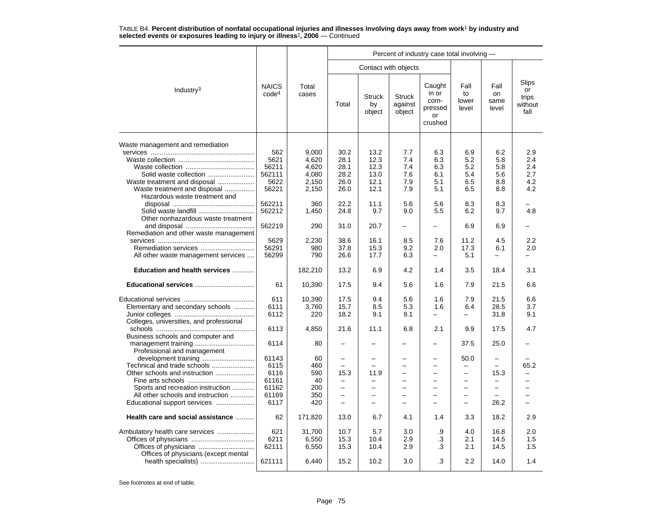|                                                               |                                   |                |                          |                               |                                    | Percent of industry case total involving -          |                              |                             |                                                |
|---------------------------------------------------------------|-----------------------------------|----------------|--------------------------|-------------------------------|------------------------------------|-----------------------------------------------------|------------------------------|-----------------------------|------------------------------------------------|
|                                                               |                                   |                |                          |                               | Contact with objects               |                                                     |                              |                             |                                                |
| Industry <sup>3</sup>                                         | <b>NAICS</b><br>code <sup>4</sup> | Total<br>cases | Total                    | <b>Struck</b><br>by<br>object | <b>Struck</b><br>against<br>object | Caught<br>in or<br>com-<br>pressed<br>or<br>crushed | Fall<br>to<br>lower<br>level | Fall<br>on<br>same<br>level | <b>Slips</b><br>or<br>trips<br>without<br>fall |
| Waste management and remediation                              |                                   |                |                          |                               |                                    |                                                     |                              |                             |                                                |
|                                                               | 562                               | 9,000          | 30.2                     | 13.2                          | 7.7                                | 6.3                                                 | 6.9                          | 6.2                         | 2.9                                            |
|                                                               | 5621                              | 4,620          | 28.1                     | 12.3                          | 7.4                                | 6.3                                                 | 5.2                          | 5.8                         | 2.4                                            |
|                                                               | 56211                             | 4.620          | 28.1                     | 12.3                          | 7.4                                | 6.3                                                 | 5.2                          | 5.8                         | 2.4                                            |
| Solid waste collection                                        | 562111                            | 4,080          | 28.2                     | 13.0                          | 7.6                                | 6.1                                                 | 5.4                          | 5.6                         | 2.7                                            |
|                                                               | 5622                              |                | 26.0                     | 12.1                          | 7.9                                | 5.1                                                 | 6.5                          | 8.8                         | 4.2                                            |
| Waste treatment and disposal                                  | 56221                             | 2,150          | 26.0                     | 12.1                          | 7.9                                | 5.1                                                 | 6.5                          | 8.8                         | 4.2                                            |
| Waste treatment and disposal<br>Hazardous waste treatment and |                                   | 2,150          |                          |                               |                                    |                                                     |                              |                             |                                                |
|                                                               | 562211                            |                | 22.2                     | 11.1                          | 5.6                                | 5.6                                                 | 8.3                          | 8.3                         |                                                |
|                                                               |                                   | 360            | 24.8                     | 9.7                           | 9.0                                |                                                     | 6.2                          | 9.7                         | 4.8                                            |
| Solid waste landfill                                          | 562212                            | 1,450          |                          |                               |                                    | 5.5                                                 |                              |                             |                                                |
| Other nonhazardous waste treatment                            |                                   |                |                          |                               |                                    |                                                     |                              |                             |                                                |
|                                                               | 562219                            | 290            | 31.0                     | 20.7                          | $\overline{\phantom{0}}$           | $\overline{\phantom{0}}$                            | 6.9                          | 6.9                         |                                                |
| Remediation and other waste management                        |                                   |                |                          |                               |                                    |                                                     | 11.2                         | 4.5                         |                                                |
|                                                               | 5629                              | 2,230          | 38.6                     | 16.1                          | 8.5                                | 7.6                                                 |                              |                             | 2.2                                            |
|                                                               | 56291                             | 980            | 37.8                     | 15.3                          | 9.2                                | 2.0                                                 | 17.3                         | 6.1                         | 2.0                                            |
| All other waste management services                           | 56299                             | 790            | 26.6                     | 17.7                          | 6.3                                | $\equiv$                                            | 5.1                          |                             | ▃                                              |
| Education and health services                                 |                                   | 182,210        | 13.2                     | 6.9                           | 4.2                                | 1.4                                                 | 3.5                          | 18.4                        | 3.1                                            |
| Educational services                                          | 61                                | 10,390         | 17.5                     | 9.4                           | 5.6                                | 1.6                                                 | 7.9                          | 21.5                        | 6.6                                            |
|                                                               | 611                               | 10.390         | 17.5                     | 9.4                           | 5.6                                | 1.6                                                 | 7.9                          | 21.5                        | 6.6                                            |
| Elementary and secondary schools                              | 6111                              | 3,760          | 15.7                     | 8.5                           | 5.3                                | 1.6                                                 | 6.4                          | 28.5                        | 3.7                                            |
|                                                               | 6112                              | 220            | 18.2                     | 9.1                           | 9.1                                | $\overline{\phantom{0}}$                            |                              | 31.8                        | 9.1                                            |
| Colleges, universities, and professional                      |                                   |                |                          |                               |                                    |                                                     |                              |                             |                                                |
|                                                               | 6113                              | 4,850          | 21.6                     | 11.1                          | 6.8                                | 2.1                                                 | 9.9                          | 17.5                        | 4.7                                            |
| Business schools and computer and                             |                                   |                |                          |                               |                                    |                                                     |                              |                             |                                                |
|                                                               | 6114                              | 80             | -                        |                               |                                    |                                                     | 37.5                         | 25.0                        |                                                |
| Professional and management                                   |                                   |                |                          |                               |                                    |                                                     |                              |                             |                                                |
|                                                               | 61143                             | 60             | -                        | $\overline{\phantom{0}}$      |                                    | $\overline{\phantom{m}}$                            | 50.0                         |                             |                                                |
| Technical and trade schools                                   | 6115                              | 460            | ÷                        | $\overline{\phantom{0}}$      | $\equiv$                           | $\overline{\phantom{0}}$                            | -                            | $\equiv$                    | 65.2                                           |
|                                                               | 6116                              | 590            | 15.3                     | 11.9                          | $\overline{\phantom{0}}$           | $\equiv$                                            | $\overline{\phantom{0}}$     | 15.3                        | -                                              |
|                                                               | 61161                             | 40             |                          | -                             |                                    |                                                     |                              |                             |                                                |
| Sports and recreation instruction                             | 61162                             | 200            | $\overline{\phantom{0}}$ | $\overline{\phantom{0}}$      |                                    | $\overline{\phantom{0}}$                            | $\equiv$                     | $\equiv$                    | ▃                                              |
| All other schools and instruction                             | 61169                             | 350            | —                        | $\overline{\phantom{0}}$      | $\overline{\phantom{0}}$           | $\overline{\phantom{m}}$                            | $\overline{\phantom{0}}$     |                             | $\overline{\phantom{0}}$                       |
| Educational support services                                  | 6117                              | 420            | $\overline{\phantom{0}}$ | $\overline{\phantom{0}}$      |                                    |                                                     | $\overline{\phantom{0}}$     | 26.2                        | $\overline{\phantom{0}}$                       |
|                                                               |                                   |                |                          |                               |                                    |                                                     |                              |                             |                                                |
| Health care and social assistance                             | 62                                | 171,820        | 13.0                     | 6.7                           | 4.1                                | 1.4                                                 | 3.3                          | 18.2                        | 2.9                                            |
| Ambulatory health care services                               | 621                               | 31,700         | 10.7                     | 5.7                           | 3.0                                | .9                                                  | 4.0                          | 16.8                        | 2.0                                            |
|                                                               | 6211                              | 6,550          | 15.3                     | 10.4                          | 2.9                                | .3                                                  | 2.1                          | 14.5                        | 1.5                                            |
|                                                               | 62111                             | 6,550          | 15.3                     | 10.4                          | 2.9                                | .3                                                  | 2.1                          | 14.5                        | 1.5                                            |
| Offices of physicians (except mental                          |                                   |                |                          |                               |                                    |                                                     |                              |                             |                                                |
| health specialists)                                           | 621111                            | 6,440          | 15.2                     | 10.2                          | 3.0                                | .3                                                  | 2.2                          | 14.0                        | 1.4                                            |
|                                                               |                                   |                |                          |                               |                                    |                                                     |                              |                             |                                                |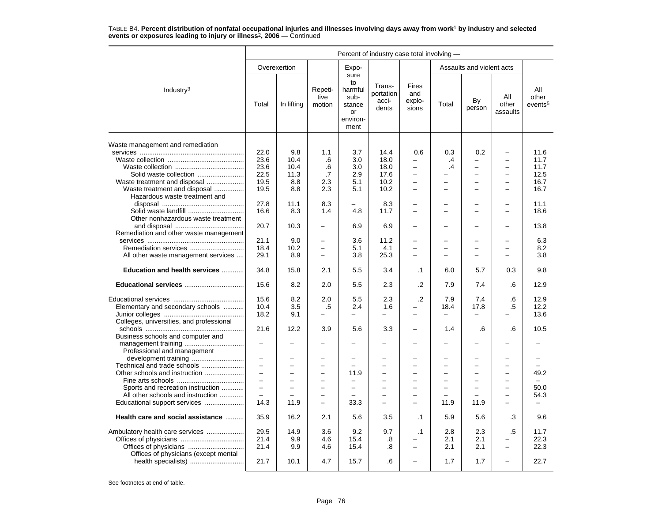|                                          | Percent of industry case total involving - |                          |                           |                                                                   |                                       |                                        |           |                           |                          |                                     |  |
|------------------------------------------|--------------------------------------------|--------------------------|---------------------------|-------------------------------------------------------------------|---------------------------------------|----------------------------------------|-----------|---------------------------|--------------------------|-------------------------------------|--|
|                                          |                                            | Overexertion             |                           | Expo-                                                             |                                       |                                        |           | Assaults and violent acts |                          |                                     |  |
| Industry <sup>3</sup>                    | Total                                      | In lifting               | Repeti-<br>tive<br>motion | sure<br>to<br>harmful<br>sub-<br>stance<br>or<br>environ-<br>ment | Trans-<br>portation<br>acci-<br>dents | <b>Fires</b><br>and<br>explo-<br>sions | Total     | By<br>person              | All<br>other<br>assaults | All<br>other<br>events <sup>5</sup> |  |
| Waste management and remediation         |                                            |                          |                           |                                                                   |                                       |                                        |           |                           |                          |                                     |  |
|                                          | 22.0                                       | 9.8                      | 1.1                       | 3.7                                                               | 14.4                                  | 0.6                                    | 0.3       | 0.2                       | $\overline{\phantom{0}}$ | 11.6                                |  |
|                                          | 23.6                                       | 10.4                     | .6                        | 3.0                                                               | 18.0                                  | $\equiv$                               | $\cdot$ 4 |                           | $\overline{\phantom{0}}$ | 11.7                                |  |
|                                          | 23.6                                       | 10.4                     | .6                        | 3.0                                                               | 18.0                                  | $\overline{\phantom{0}}$               | .4        | $\overline{\phantom{0}}$  | $\overline{\phantom{m}}$ | 11.7                                |  |
| Solid waste collection                   | 22.5                                       | 11.3                     | .7                        | 2.9                                                               | 17.6                                  | $\overline{\phantom{0}}$               |           | $\equiv$                  | $\equiv$                 | 12.5                                |  |
| Waste treatment and disposal             | 19.5                                       | 8.8                      | 2.3                       | 5.1                                                               | 10.2                                  | L.                                     |           | $\equiv$                  | $\overline{\phantom{0}}$ | 16.7                                |  |
| Waste treatment and disposal             | 19.5                                       | 8.8                      | 2.3                       | 5.1                                                               | 10.2                                  | $\overline{\phantom{0}}$               | -         | $\equiv$                  | $\equiv$                 | 16.7                                |  |
| Hazardous waste treatment and            |                                            |                          |                           |                                                                   |                                       |                                        |           |                           |                          |                                     |  |
|                                          |                                            |                          | 8.3                       |                                                                   |                                       |                                        |           |                           |                          |                                     |  |
|                                          | 27.8                                       | 11.1                     | 1.4                       | -                                                                 | 8.3                                   |                                        |           |                           |                          | 11.1                                |  |
| Solid waste landfill                     | 16.6                                       | 8.3                      |                           | 4.8                                                               | 11.7                                  |                                        |           |                           |                          | 18.6                                |  |
| Other nonhazardous waste treatment       |                                            |                          |                           |                                                                   |                                       |                                        |           |                           |                          |                                     |  |
|                                          | 20.7                                       | 10.3                     | -                         | 6.9                                                               | 6.9                                   | -                                      |           |                           | $\overline{\phantom{0}}$ | 13.8                                |  |
| Remediation and other waste management   |                                            |                          |                           | 3.6                                                               | 11.2                                  |                                        |           |                           |                          | 6.3                                 |  |
|                                          | 21.1                                       | 9.0                      | $\overline{\phantom{0}}$  |                                                                   |                                       | -                                      |           |                           |                          |                                     |  |
|                                          | 18.4                                       | 10.2                     | $\overline{\phantom{0}}$  | 5.1                                                               | 4.1                                   | ÷                                      |           | $\equiv$                  |                          | 8.2                                 |  |
| All other waste management services      | 29.1                                       | 8.9                      | $\equiv$                  | 3.8                                                               | 25.3                                  | ÷                                      | ÷         | $\equiv$                  |                          | 3.8                                 |  |
| Education and health services            | 34.8                                       | 15.8                     | 2.1                       | 5.5                                                               | 3.4                                   | $\cdot$ 1                              | 6.0       | 5.7                       | 0.3                      | 9.8                                 |  |
| Educational services                     | 15.6                                       | 8.2                      | 2.0                       | 5.5                                                               | 2.3                                   | .2                                     | 7.9       | 7.4                       | .6                       | 12.9                                |  |
|                                          | 15.6                                       | 8.2                      | 2.0                       | 5.5                                                               | 2.3                                   | $\cdot$                                | 7.9       | 7.4                       | .6                       | 12.9                                |  |
| Elementary and secondary schools         | 10.4                                       | 3.5                      | .5                        | 2.4                                                               | 1.6                                   |                                        | 18.4      | 17.8                      | .5                       | 12.2                                |  |
|                                          | 18.2                                       | 9.1                      | $\overline{\phantom{0}}$  | $\equiv$                                                          | $\overline{\phantom{0}}$              |                                        | $\equiv$  |                           |                          | 13.6                                |  |
| Colleges, universities, and professional |                                            |                          | 3.9                       | 5.6                                                               | 3.3                                   | $\equiv$                               |           | .6                        | .6                       |                                     |  |
| Business schools and computer and        | 21.6                                       | 12.2                     |                           |                                                                   |                                       |                                        | 1.4       |                           |                          | 10.5                                |  |
| Professional and management              | $\overline{\phantom{0}}$                   |                          |                           |                                                                   |                                       |                                        |           |                           |                          |                                     |  |
|                                          | $\overline{\phantom{0}}$                   | $\overline{\phantom{0}}$ | $\overline{\phantom{0}}$  | $\overline{\phantom{0}}$                                          | $\overline{\phantom{0}}$              |                                        |           | $\overline{\phantom{0}}$  |                          |                                     |  |
|                                          | $\overline{\phantom{0}}$                   | $\overline{\phantom{0}}$ | $\overline{\phantom{0}}$  | $\overline{\phantom{0}}$                                          | $\overline{\phantom{0}}$              | $\equiv$                               | ÷         | $\equiv$                  | $\equiv$                 | $\equiv$                            |  |
| Other schools and instruction            | $\rightarrow$                              | $\overline{\phantom{0}}$ | $\overline{\phantom{0}}$  | 11.9                                                              | $\overline{\phantom{0}}$              |                                        |           | $\overline{\phantom{0}}$  | $\overline{\phantom{0}}$ | 49.2                                |  |
|                                          |                                            |                          | -                         | -                                                                 |                                       |                                        |           |                           |                          |                                     |  |
| Sports and recreation instruction        | $\equiv$                                   | $\equiv$                 | $\overline{\phantom{0}}$  | $\overline{a}$                                                    | $\overline{\phantom{0}}$              | ÷                                      | L         | $\overline{\phantom{0}}$  | $\overline{\phantom{0}}$ | 50.0                                |  |
| All other schools and instruction        | $\overline{\phantom{0}}$                   |                          | $\overline{\phantom{0}}$  | $\overline{\phantom{0}}$                                          | $\overline{\phantom{0}}$              | $\overline{\phantom{0}}$               |           |                           | $\equiv$                 | 54.3                                |  |
| Educational support services             | 14.3                                       | 11.9                     | $\equiv$                  | 33.3                                                              | $\equiv$                              | $\overline{\phantom{0}}$               | 11.9      | 11.9                      | $\equiv$                 |                                     |  |
| Health care and social assistance        | 35.9                                       | 16.2                     | 2.1                       | 5.6                                                               | 3.5                                   | $\cdot$ 1                              | 5.9       | 5.6                       | .3                       | 9.6                                 |  |
|                                          | 29.5                                       | 14.9                     | 3.6                       | 9.2                                                               | 9.7                                   |                                        | 2.8       | 2.3                       | .5                       | 11.7                                |  |
| Ambulatory health care services          | 21.4                                       | 9.9                      | 4.6                       | 15.4                                                              |                                       | $\cdot$ 1                              | 2.1       | 2.1                       | $\overline{\phantom{0}}$ | 22.3                                |  |
|                                          |                                            |                          |                           |                                                                   | .8                                    |                                        |           |                           | $\overline{\phantom{0}}$ |                                     |  |
|                                          | 21.4                                       | 9.9                      | 4.6                       | 15.4                                                              | .8                                    | $\overline{\phantom{0}}$               | 2.1       | 2.1                       |                          | 22.3                                |  |
| Offices of physicians (except mental     | 21.7                                       | 10.1                     | 4.7                       | 15.7                                                              | .6                                    | ÷                                      | 1.7       | 1.7                       | $\equiv$                 | 22.7                                |  |
|                                          |                                            |                          |                           |                                                                   |                                       |                                        |           |                           |                          |                                     |  |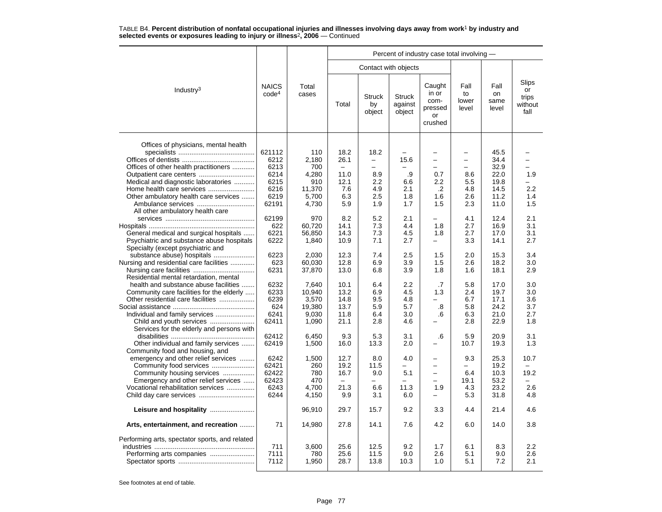|                                                                                                                                                                                                                                |                                                                 |                                                                 | Percent of industry case total involving -                             |                                                                          |                                        |                                                                   |                                                                         |                                                              |                                         |  |  |  |
|--------------------------------------------------------------------------------------------------------------------------------------------------------------------------------------------------------------------------------|-----------------------------------------------------------------|-----------------------------------------------------------------|------------------------------------------------------------------------|--------------------------------------------------------------------------|----------------------------------------|-------------------------------------------------------------------|-------------------------------------------------------------------------|--------------------------------------------------------------|-----------------------------------------|--|--|--|
|                                                                                                                                                                                                                                |                                                                 |                                                                 |                                                                        | Contact with objects                                                     |                                        |                                                                   |                                                                         |                                                              |                                         |  |  |  |
| Industry <sup>3</sup>                                                                                                                                                                                                          | <b>NAICS</b><br>code <sup>4</sup>                               | Total<br>cases                                                  | Total                                                                  | <b>Struck</b><br>by<br>object                                            | <b>Struck</b><br>against<br>object     | Caught<br>in or<br>com-<br>pressed<br>or<br>crushed               | Fall<br>to<br>lower<br>level                                            | Fall<br>on<br>same<br>level                                  | Slips<br>or<br>trips<br>without<br>fall |  |  |  |
| Offices of physicians, mental health<br>Offices of other health practitioners<br>Medical and diagnostic laboratories<br>Home health care services<br>Other ambulatory health care services<br>All other ambulatory health care | 621112<br>6212<br>6213<br>6214<br>6215<br>6216<br>6219<br>62191 | 110<br>2,180<br>700<br>4,280<br>910<br>11,370<br>5,700<br>4,730 | 18.2<br>26.1<br>$\qquad \qquad -$<br>11.0<br>12.1<br>7.6<br>6.3<br>5.9 | 18.2<br>$\overline{\phantom{0}}$<br>-<br>8.9<br>2.2<br>4.9<br>2.5<br>1.9 | 15.6<br>.9<br>6.6<br>2.1<br>1.8<br>1.7 | $\equiv$<br>-<br>0.7<br>$2.2\phantom{0}$<br>$\cdot$<br>1.6<br>1.5 | $\equiv$<br>$\overline{\phantom{0}}$<br>8.6<br>5.5<br>4.8<br>2.6<br>2.3 | 45.5<br>34.4<br>32.9<br>22.0<br>19.8<br>14.5<br>11.2<br>11.0 | -<br>-<br>1.9<br>2.2<br>1.4<br>1.5      |  |  |  |
| General medical and surgical hospitals<br>Psychiatric and substance abuse hospitals<br>Specialty (except psychiatric and                                                                                                       | 62199<br>622<br>6221<br>6222                                    | 970<br>60,720<br>56,850<br>1,840                                | 8.2<br>14.1<br>14.3<br>10.9                                            | 5.2<br>7.3<br>7.3<br>7.1                                                 | 2.1<br>4.4<br>4.5<br>2.7               | 1.8<br>1.8<br>$\overline{\phantom{0}}$                            | 4.1<br>2.7<br>2.7<br>3.3                                                | 12.4<br>16.9<br>17.0<br>14.1                                 | 2.1<br>3.1<br>3.1<br>2.7                |  |  |  |
| Nursing and residential care facilities<br>Residential mental retardation, mental                                                                                                                                              | 6223<br>623<br>6231                                             | 2,030<br>60,030<br>37,870                                       | 12.3<br>12.8<br>13.0                                                   | 7.4<br>6.9<br>6.8                                                        | 2.5<br>3.9<br>3.9                      | 1.5<br>1.5<br>1.8                                                 | 2.0<br>2.6<br>1.6                                                       | 15.3<br>18.2<br>18.1                                         | 3.4<br>3.0<br>2.9                       |  |  |  |
| health and substance abuse facilities<br>Community care facilities for the elderly<br>Other residential care facilities<br>Individual and family services                                                                      | 6232<br>6233<br>6239<br>624<br>6241<br>62411                    | 7,640<br>10,940<br>3,570<br>19,380<br>9,030<br>1,090            | 10.1<br>13.2<br>14.8<br>13.7<br>11.8<br>21.1                           | 6.4<br>6.9<br>9.5<br>5.9<br>6.4<br>2.8                                   | 2.2<br>4.5<br>4.8<br>5.7<br>3.0<br>4.6 | .7<br>1.3<br>$\overline{\phantom{0}}$<br>.8<br>.6                 | 5.8<br>2.4<br>6.7<br>5.8<br>6.3<br>2.8                                  | 17.0<br>19.7<br>17.1<br>24.2<br>21.0<br>22.9                 | 3.0<br>3.0<br>3.6<br>3.7<br>2.7<br>1.8  |  |  |  |
| Services for the elderly and persons with<br>Other individual and family services<br>Community food and housing, and                                                                                                           | 62412<br>62419                                                  | 6,450<br>1,500                                                  | 9.3<br>16.0                                                            | 5.3<br>13.3                                                              | 3.1<br>2.0                             | .6                                                                | 5.9<br>10.7                                                             | 20.9<br>19.3                                                 | 3.1<br>1.3                              |  |  |  |
| emergency and other relief services<br>Community food services<br>Community housing services<br>Emergency and other relief services<br>Vocational rehabilitation services                                                      | 6242<br>62421<br>62422<br>62423<br>6243<br>6244                 | 1,500<br>260<br>780<br>470<br>4,700<br>4,150                    | 12.7<br>19.2<br>16.7<br>21.3<br>9.9                                    | 8.0<br>11.5<br>9.0<br>6.6<br>3.1                                         | 4.0<br>5.1<br>11.3<br>6.0              | $\equiv$<br>$\overline{\phantom{0}}$<br>$=$<br>1.9                | 9.3<br>6.4<br>19.1<br>4.3<br>5.3                                        | 25.3<br>19.2<br>10.3<br>53.2<br>23.2<br>31.8                 | 10.7<br>19.2<br>2.6<br>4.8              |  |  |  |
|                                                                                                                                                                                                                                |                                                                 | 96,910                                                          | 29.7                                                                   | 15.7                                                                     | 9.2                                    | 3.3                                                               | 4.4                                                                     | 21.4                                                         | 4.6                                     |  |  |  |
| Arts, entertainment, and recreation                                                                                                                                                                                            | 71                                                              | 14,980                                                          | 27.8                                                                   | 14.1                                                                     | 7.6                                    | 4.2                                                               | 6.0                                                                     | 14.0                                                         | 3.8                                     |  |  |  |
| Performing arts, spectator sports, and related<br>Performing arts companies                                                                                                                                                    | 711<br>7111<br>7112                                             | 3,600<br>780<br>1,950                                           | 25.6<br>25.6<br>28.7                                                   | 12.5<br>11.5<br>13.8                                                     | 9.2<br>9.0<br>10.3                     | 1.7<br>2.6<br>1.0                                                 | 6.1<br>5.1<br>5.1                                                       | 8.3<br>9.0<br>7.2                                            | 2.2<br>2.6<br>2.1                       |  |  |  |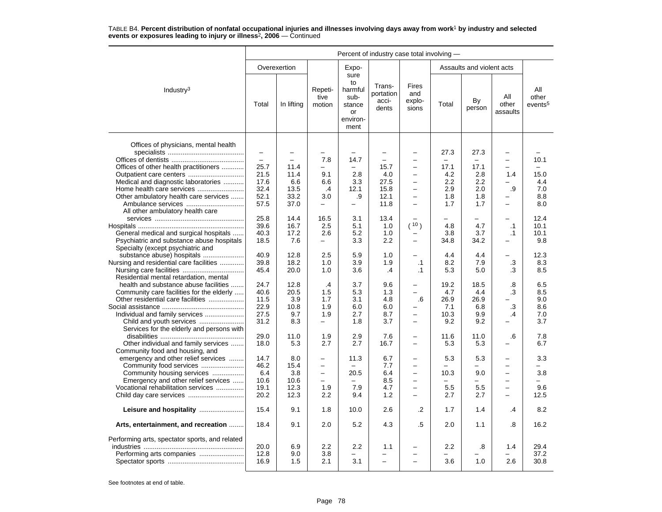|                                                | Percent of industry case total involving - |                          |                           |                                                                   |                                       |                                        |       |                           |                          |                                     |
|------------------------------------------------|--------------------------------------------|--------------------------|---------------------------|-------------------------------------------------------------------|---------------------------------------|----------------------------------------|-------|---------------------------|--------------------------|-------------------------------------|
|                                                |                                            | Overexertion             |                           | Expo-                                                             |                                       |                                        |       | Assaults and violent acts |                          |                                     |
| Industry <sup>3</sup>                          | Total                                      | In lifting               | Repeti-<br>tive<br>motion | sure<br>to<br>harmful<br>sub-<br>stance<br>or<br>environ-<br>ment | Trans-<br>portation<br>acci-<br>dents | <b>Fires</b><br>and<br>explo-<br>sions | Total | By<br>person              | All<br>other<br>assaults | All<br>other<br>events <sup>5</sup> |
| Offices of physicians, mental health           | $\qquad \qquad -$                          | $\overline{\phantom{0}}$ | -                         |                                                                   |                                       | $\overline{\phantom{0}}$               | 27.3  | 27.3                      | $\overline{\phantom{0}}$ |                                     |
|                                                | $\overline{\phantom{0}}$                   | $\equiv$                 | 7.8                       | 14.7                                                              | $\equiv$                              | $\overline{\phantom{0}}$               |       |                           | $\equiv$                 | 10.1                                |
| Offices of other health practitioners          | 25.7                                       | 11.4                     | $\overline{\phantom{0}}$  | $\overline{\phantom{0}}$                                          | 15.7                                  | $\overline{\phantom{0}}$               | 17.1  | 17.1                      |                          | $=$                                 |
|                                                | 21.5                                       | 11.4                     | 9.1                       | 2.8                                                               | 4.0                                   | $\overline{\phantom{0}}$               | 4.2   | 2.8                       | 1.4                      | 15.0                                |
| Medical and diagnostic laboratories            | 17.6                                       | 6.6                      | 6.6                       | 3.3                                                               | 27.5                                  | $\overline{\phantom{0}}$               | 2.2   | 2.2                       | $\equiv$                 | 4.4                                 |
|                                                | 32.4                                       | 13.5                     | $\cdot$                   | 12.1                                                              | 15.8                                  |                                        | 2.9   | 2.0                       | .9                       | 7.0                                 |
|                                                | 52.1                                       | 33.2                     | 3.0                       |                                                                   | 12.1                                  | $\equiv$                               | 1.8   | 1.8                       | $\equiv$                 | 8.8                                 |
| Other ambulatory health care services          |                                            |                          | $\overline{a}$            | .9                                                                |                                       | $\overline{\phantom{0}}$               |       |                           | $\equiv$                 |                                     |
|                                                | 57.5                                       | 37.0                     |                           | $\overline{\phantom{0}}$                                          | 11.8                                  |                                        | 1.7   | 1.7                       |                          | 8.0                                 |
| All other ambulatory health care               |                                            |                          |                           |                                                                   |                                       |                                        |       |                           |                          |                                     |
|                                                | 25.8                                       | 14.4                     | 16.5                      | 3.1                                                               | 13.4                                  |                                        |       |                           |                          | 12.4                                |
|                                                | 39.6                                       | 16.7                     | 2.5                       | 5.1                                                               | 1.0                                   | (10)                                   | 4.8   | 4.7                       | $\cdot$ 1                | 10.1                                |
| General medical and surgical hospitals         | 40.3                                       | 17.2                     | 2.6                       | 5.2                                                               | 1.0                                   |                                        | 3.8   | 3.7                       | $\cdot$ 1                | 10.1                                |
| Psychiatric and substance abuse hospitals      | 18.5                                       | 7.6                      | $\overline{\phantom{0}}$  | 3.3                                                               | 2.2                                   | $\overline{\phantom{0}}$               | 34.8  | 34.2                      |                          | 9.8                                 |
| Specialty (except psychiatric and              |                                            |                          |                           |                                                                   |                                       |                                        |       |                           |                          |                                     |
| substance abuse) hospitals                     | 40.9                                       | 12.8                     | 2.5                       | 5.9                                                               | 1.0                                   |                                        | 4.4   | 4.4                       | $\equiv$                 | 12.3                                |
| Nursing and residential care facilities        | 39.8                                       | 18.2                     | 1.0                       | 3.9                                                               | 1.9                                   | $\cdot$ 1                              | 8.2   | 7.9                       | .3                       | 8.3                                 |
|                                                | 45.4                                       | 20.0                     | 1.0                       | 3.6                                                               | $\cdot$                               | $\cdot$ 1                              | 5.3   | 5.0                       | .3                       | 8.5                                 |
| Residential mental retardation, mental         |                                            |                          |                           |                                                                   |                                       |                                        |       |                           |                          |                                     |
| health and substance abuse facilities          | 24.7                                       | 12.8                     | .4                        | 3.7                                                               | 9.6                                   |                                        | 19.2  | 18.5                      | .8                       | 6.5                                 |
| Community care facilities for the elderly      | 40.6                                       | 20.5                     | 1.5                       | 5.3                                                               | 1.3                                   | ÷                                      | 4.7   | 4.4                       | .3                       | 8.5                                 |
| Other residential care facilities              | 11.5                                       | 3.9                      | 1.7                       | 3.1                                                               | 4.8                                   | .6                                     | 26.9  | 26.9                      |                          | 9.0                                 |
|                                                | 22.9                                       | 10.8                     | 1.9                       | 6.0                                                               | 6.0                                   |                                        | 7.1   | 6.8                       | .3                       | 8.6                                 |
|                                                | 27.5                                       | 9.7                      | 1.9                       | 2.7                                                               | 8.7                                   | -                                      | 10.3  | 9.9                       | $\cdot$                  | 7.0                                 |
|                                                | 31.2                                       | 8.3                      | -                         | 1.8                                                               | 3.7                                   | -                                      | 9.2   | 9.2                       |                          | 3.7                                 |
| Services for the elderly and persons with      |                                            |                          |                           |                                                                   |                                       |                                        |       |                           |                          |                                     |
|                                                | 29.0                                       | 11.0                     | 1.9                       | 2.9                                                               | 7.6                                   | $\overline{\phantom{0}}$               | 11.6  | 11.0                      | .6                       | 7.8                                 |
| Other individual and family services           | 18.0                                       | 5.3                      | 2.7                       | 2.7                                                               | 16.7                                  | $\overline{a}$                         | 5.3   | 5.3                       |                          | 6.7                                 |
| Community food and housing, and                |                                            |                          |                           |                                                                   |                                       |                                        |       |                           |                          |                                     |
| emergency and other relief services            | 14.7                                       | 8.0                      | -                         | 11.3                                                              | 6.7                                   |                                        | 5.3   | 5.3                       | $\overline{\phantom{0}}$ | 3.3                                 |
| Community food services                        | 46.2                                       | 15.4                     | $\overline{\phantom{0}}$  |                                                                   | 7.7                                   | $\overline{\phantom{0}}$               |       |                           | $\overline{\phantom{0}}$ |                                     |
| Community housing services                     | 6.4                                        | 3.8                      | $\overline{\phantom{0}}$  | 20.5                                                              | 6.4                                   | $\overline{\phantom{0}}$               | 10.3  | 9.0                       | $\overline{\phantom{m}}$ | 3.8                                 |
| Emergency and other relief services            | 10.6                                       | 10.6                     | $\overline{\phantom{0}}$  |                                                                   | 8.5                                   | $\overline{\phantom{0}}$               |       |                           | $\equiv$                 |                                     |
|                                                |                                            |                          | 1.9                       | 7.9                                                               | 4.7                                   |                                        | 5.5   |                           | $\equiv$                 | 9.6                                 |
| Vocational rehabilitation services             | 19.1                                       | 12.3                     |                           |                                                                   |                                       | $\overline{\phantom{0}}$               |       | 5.5                       |                          |                                     |
|                                                | 20.2                                       | 12.3                     | $2.2\phantom{0}$          | 9.4                                                               | 1.2                                   |                                        | 2.7   | 2.7                       |                          | 12.5                                |
|                                                | 15.4                                       | 9.1                      | 1.8                       | 10.0                                                              | 2.6                                   | .2                                     | 1.7   | 1.4                       | .4                       | 8.2                                 |
| Arts, entertainment, and recreation            | 18.4                                       | 9.1                      | 2.0                       | 5.2                                                               | 4.3                                   | .5                                     | 2.0   | 1.1                       | .8                       | 16.2                                |
| Performing arts, spectator sports, and related |                                            |                          |                           |                                                                   |                                       |                                        |       |                           |                          |                                     |
|                                                | 20.0                                       | 6.9                      | 2.2                       | 2.2                                                               | 1.1                                   | -                                      | 2.2   | .8                        | 1.4                      | 29.4                                |
| Performing arts companies                      | 12.8                                       | 9.0                      | 3.8                       |                                                                   |                                       |                                        |       |                           |                          | 37.2                                |
|                                                | 16.9                                       | 1.5                      | 2.1                       | 3.1                                                               |                                       |                                        | 3.6   | 1.0                       | 2.6                      | 30.8                                |
|                                                |                                            |                          |                           |                                                                   |                                       |                                        |       |                           |                          |                                     |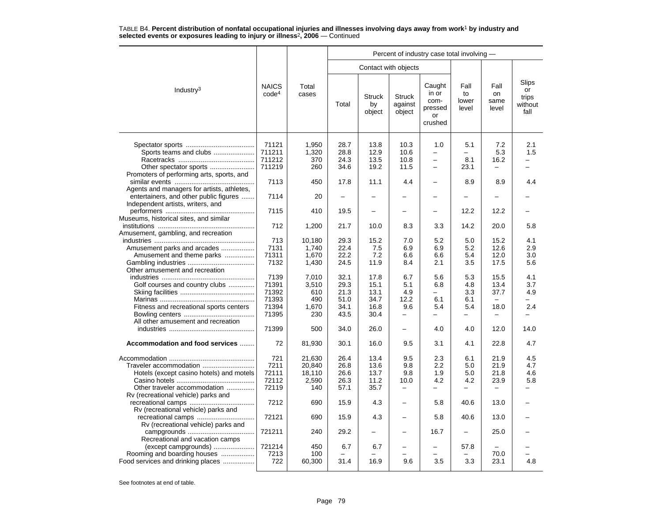|                                                                                                             |                                                   |                                              | Percent of industry case total involving -   |                                              |                                                       |                                                                                         |                                                |                              |                                         |  |  |  |
|-------------------------------------------------------------------------------------------------------------|---------------------------------------------------|----------------------------------------------|----------------------------------------------|----------------------------------------------|-------------------------------------------------------|-----------------------------------------------------------------------------------------|------------------------------------------------|------------------------------|-----------------------------------------|--|--|--|
|                                                                                                             |                                                   |                                              |                                              |                                              | Contact with objects                                  |                                                                                         |                                                |                              |                                         |  |  |  |
| Industry <sup>3</sup>                                                                                       | <b>NAICS</b><br>code <sup>4</sup>                 | Total<br>cases                               | Total                                        | <b>Struck</b><br>by<br>object                | <b>Struck</b><br>against<br>object                    | Caught<br>in or<br>com-<br>pressed<br>or<br>crushed                                     | Fall<br>to<br>lower<br>level                   | Fall<br>on<br>same<br>level  | Slips<br>or<br>trips<br>without<br>fall |  |  |  |
| Sports teams and clubs<br>Promoters of performing arts, sports, and                                         | 71121<br>711211<br>711212<br>711219               | 1,950<br>1,320<br>370<br>260                 | 28.7<br>28.8<br>24.3<br>34.6                 | 13.8<br>12.9<br>13.5<br>19.2                 | 10.3<br>10.6<br>10.8<br>11.5                          | 1.0<br>$\overline{\phantom{0}}$<br>$\overline{\phantom{0}}$<br>$\overline{\phantom{0}}$ | 5.1<br>$\overline{\phantom{0}}$<br>8.1<br>23.1 | 7.2<br>5.3<br>16.2           | 2.1<br>1.5                              |  |  |  |
|                                                                                                             | 7113                                              | 450                                          | 17.8                                         | 11.1                                         | 4.4                                                   |                                                                                         | 8.9                                            | 8.9                          | 4.4                                     |  |  |  |
| Agents and managers for artists, athletes,<br>entertainers, and other public figures                        | 7114                                              | 20                                           | $\overline{\phantom{0}}$                     | -                                            |                                                       |                                                                                         |                                                |                              |                                         |  |  |  |
| Independent artists, writers, and                                                                           | 7115                                              | 410                                          | 19.5                                         | $\overline{\phantom{0}}$                     |                                                       |                                                                                         | 12.2                                           | 12.2                         |                                         |  |  |  |
| Museums, historical sites, and similar<br>Amusement, gambling, and recreation                               | 712                                               | 1,200                                        | 21.7                                         | 10.0                                         | 8.3                                                   | 3.3                                                                                     | 14.2                                           | 20.0                         | 5.8                                     |  |  |  |
| Amusement parks and arcades<br>Amusement and theme parks                                                    | 713<br>7131<br>71311<br>7132                      | 10,180<br>1.740<br>1,670<br>1,430            | 29.3<br>22.4<br>22.2<br>24.5                 | 15.2<br>7.5<br>7.2<br>11.9                   | 7.0<br>6.9<br>6.6<br>8.4                              | 5.2<br>6.9<br>6.6<br>2.1                                                                | 5.0<br>5.2<br>5.4<br>3.5                       | 15.2<br>12.6<br>12.0<br>17.5 | 4.1<br>2.9<br>3.0<br>5.6                |  |  |  |
| Other amusement and recreation<br>Golf courses and country clubs<br>Fitness and recreational sports centers | 7139<br>71391<br>71392<br>71393<br>71394<br>71395 | 7.010<br>3,510<br>610<br>490<br>1,670<br>230 | 32.1<br>29.3<br>21.3<br>51.0<br>34.1<br>43.5 | 17.8<br>15.1<br>13.1<br>34.7<br>16.8<br>30.4 | 6.7<br>5.1<br>4.9<br>12.2<br>9.6<br>÷                 | 5.6<br>6.8<br>▃<br>6.1<br>5.4                                                           | 5.3<br>4.8<br>3.3<br>6.1<br>5.4                | 15.5<br>13.4<br>37.7<br>18.0 | 4.1<br>3.7<br>4.9<br>2.4                |  |  |  |
| All other amusement and recreation                                                                          | 71399                                             | 500                                          | 34.0                                         | 26.0                                         |                                                       | 4.0                                                                                     | 4.0                                            | 12.0                         | 14.0                                    |  |  |  |
| Accommodation and food services                                                                             | 72                                                | 81,930                                       | 30.1                                         | 16.0                                         | 9.5                                                   | 3.1                                                                                     | 4.1                                            | 22.8                         | 4.7                                     |  |  |  |
| Traveler accommodation<br>Hotels (except casino hotels) and motels<br>Other traveler accommodation          | 721<br>7211<br>72111<br>72112<br>72119            | 21,630<br>20,840<br>18,110<br>2,590<br>140   | 26.4<br>26.8<br>26.6<br>26.3<br>57.1         | 13.4<br>13.6<br>13.7<br>11.2<br>35.7         | 9.5<br>9.8<br>9.8<br>10.0<br>$\overline{\phantom{0}}$ | 2.3<br>2.2<br>1.9<br>4.2                                                                | 6.1<br>5.0<br>5.0<br>4.2                       | 21.9<br>21.9<br>21.8<br>23.9 | 4.5<br>4.7<br>4.6<br>5.8                |  |  |  |
| Rv (recreational vehicle) parks and                                                                         | 7212                                              | 690                                          | 15.9                                         | 4.3                                          |                                                       | 5.8                                                                                     | 40.6                                           | 13.0                         |                                         |  |  |  |
| Rv (recreational vehicle) parks and                                                                         | 72121                                             | 690                                          | 15.9                                         | 4.3                                          |                                                       | 5.8                                                                                     | 40.6                                           | 13.0                         |                                         |  |  |  |
| Rv (recreational vehicle) parks and<br>Recreational and vacation camps                                      | 721211                                            | 240                                          | 29.2                                         |                                              |                                                       | 16.7                                                                                    |                                                | 25.0                         |                                         |  |  |  |
| (except campgrounds)<br>Rooming and boarding houses<br>Food services and drinking places                    | 721214<br>7213<br>722                             | 450<br>100<br>60,300                         | 6.7<br>31.4                                  | 6.7<br>16.9                                  | 9.6                                                   | 3.5                                                                                     | 57.8<br>3.3                                    | 70.0<br>23.1                 | 4.8                                     |  |  |  |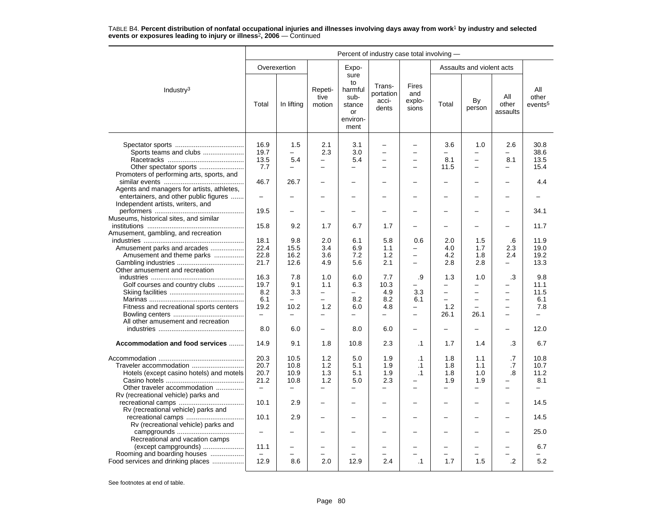|                                                                                                    | Percent of industry case total involving -               |                                                          |                                                      |                                                                   |                                                      |                                                                         |                                                      |                                                      |                                                      |                                                         |  |
|----------------------------------------------------------------------------------------------------|----------------------------------------------------------|----------------------------------------------------------|------------------------------------------------------|-------------------------------------------------------------------|------------------------------------------------------|-------------------------------------------------------------------------|------------------------------------------------------|------------------------------------------------------|------------------------------------------------------|---------------------------------------------------------|--|
|                                                                                                    |                                                          | Overexertion                                             |                                                      | Expo-                                                             |                                                      |                                                                         |                                                      | Assaults and violent acts                            |                                                      |                                                         |  |
| Industry <sup>3</sup>                                                                              | Total                                                    | In lifting                                               | Repeti-<br>tive<br>motion                            | sure<br>to<br>harmful<br>sub-<br>stance<br>or<br>environ-<br>ment | Trans-<br>portation<br>acci-<br>dents                | <b>Fires</b><br>and<br>explo-<br>sions                                  | Total                                                | By<br>person                                         | All<br>other<br>assaults                             | All<br>other<br>events <sup>5</sup>                     |  |
| Sports teams and clubs                                                                             | 16.9<br>19.7<br>13.5                                     | 1.5<br>$\overline{\phantom{0}}$<br>5.4                   | 2.1<br>2.3                                           | 3.1<br>3.0<br>5.4                                                 | $\overline{\phantom{0}}$<br>$\equiv$                 | $\overline{\phantom{0}}$<br>$\overline{\phantom{0}}$                    | 3.6<br>$\overline{\phantom{0}}$<br>8.1               | 1.0                                                  | 2.6<br>$\overline{\phantom{0}}$<br>8.1               | 30.8<br>38.6<br>13.5                                    |  |
| Other spectator sports<br>Promoters of performing arts, sports, and                                | 7.7                                                      | $\equiv$                                                 | $\overline{\phantom{0}}$                             | $\overline{a}$                                                    |                                                      | $\equiv$                                                                | 11.5                                                 | $\overline{\phantom{0}}$                             | $\equiv$                                             | 15.4                                                    |  |
| Agents and managers for artists, athletes,                                                         | 46.7                                                     | 26.7                                                     |                                                      |                                                                   |                                                      |                                                                         |                                                      |                                                      |                                                      | 4.4                                                     |  |
| entertainers, and other public figures<br>Independent artists, writers, and                        | $\overline{\phantom{0}}$                                 |                                                          |                                                      |                                                                   |                                                      |                                                                         |                                                      |                                                      |                                                      |                                                         |  |
| Museums, historical sites, and similar                                                             | 19.5                                                     |                                                          |                                                      |                                                                   |                                                      |                                                                         |                                                      |                                                      |                                                      | 34.1                                                    |  |
| Amusement, gambling, and recreation                                                                | 15.8                                                     | 9.2                                                      | 1.7                                                  | 6.7                                                               | 1.7                                                  |                                                                         |                                                      |                                                      |                                                      | 11.7                                                    |  |
| Amusement parks and arcades<br>Amusement and theme parks                                           | 18.1<br>22.4<br>22.8<br>21.7                             | 9.8<br>15.5<br>16.2<br>12.6                              | 2.0<br>3.4<br>3.6<br>4.9                             | 6.1<br>6.9<br>7.2<br>5.6                                          | 5.8<br>1.1<br>1.2<br>2.1                             | 0.6<br>$\overline{\phantom{0}}$<br>$\equiv$<br>$\overline{\phantom{0}}$ | 2.0<br>4.0<br>4.2<br>2.8                             | 1.5<br>1.7<br>1.8<br>2.8                             | .6<br>2.3<br>2.4<br>$\overline{\phantom{0}}$         | 11.9<br>19.0<br>19.2<br>13.3                            |  |
| Other amusement and recreation<br>Golf courses and country clubs                                   | 16.3<br>19.7                                             | 7.8<br>9.1                                               | 1.0<br>1.1                                           | 6.0<br>6.3                                                        | 7.7<br>10.3                                          | .9                                                                      | 1.3<br>$\overline{\phantom{0}}$                      | 1.0<br>$\overline{\phantom{0}}$                      | .3<br>$\overline{\phantom{0}}$                       | 9.8<br>11.1                                             |  |
|                                                                                                    | 8.2<br>6.1                                               | 3.3<br>$\overline{\phantom{0}}$<br>10.2                  | $\qquad \qquad -$<br>$\overline{\phantom{0}}$<br>1.2 | $\overline{\phantom{0}}$<br>8.2                                   | 4.9<br>8.2<br>4.8                                    | 3.3<br>6.1                                                              | $\overline{\phantom{0}}$                             | $\overline{\phantom{0}}$<br>$\overline{\phantom{0}}$ | $\overline{\phantom{0}}$<br>$\overline{\phantom{0}}$ | 11.5<br>6.1                                             |  |
| Fitness and recreational sports centers<br>All other amusement and recreation                      | 19.2<br>$\overline{\phantom{0}}$                         |                                                          | $\overline{\phantom{0}}$                             | 6.0                                                               | $\overline{\phantom{0}}$                             | $\equiv$                                                                | 1.2<br>26.1                                          | 26.1                                                 | $\overline{\phantom{0}}$                             | 7.8                                                     |  |
|                                                                                                    | 8.0                                                      | 6.0                                                      |                                                      | 8.0                                                               | 6.0                                                  |                                                                         |                                                      |                                                      |                                                      | 12.0                                                    |  |
| Accommodation and food services                                                                    | 14.9                                                     | 9.1                                                      | 1.8                                                  | 10.8                                                              | 2.3                                                  | .1                                                                      | 1.7                                                  | 1.4                                                  | .3                                                   | 6.7                                                     |  |
| Traveler accommodation<br>Hotels (except casino hotels) and motels<br>Other traveler accommodation | 20.3<br>20.7<br>20.7<br>21.2<br>$\overline{\phantom{m}}$ | 10.5<br>10.8<br>10.9<br>10.8<br>$\overline{\phantom{0}}$ | 1.2<br>1.2<br>1.3<br>1.2<br>$\overline{\phantom{0}}$ | 5.0<br>5.1<br>5.1<br>5.0<br>-                                     | 1.9<br>1.9<br>1.9<br>2.3<br>$\overline{\phantom{m}}$ | $\cdot$ 1<br>$\cdot$ 1<br>$\cdot$ 1<br>$\equiv$                         | 1.8<br>1.8<br>1.8<br>1.9<br>$\overline{\phantom{0}}$ | 1.1<br>1.1<br>1.0<br>1.9<br>$\overline{\phantom{0}}$ | .7<br>.7<br>.8<br>$\equiv$                           | 10.8<br>10.7<br>11.2<br>8.1<br>$\overline{\phantom{0}}$ |  |
| Rv (recreational vehicle) parks and<br>Rv (recreational vehicle) parks and                         | 10.1                                                     | 2.9                                                      |                                                      |                                                                   |                                                      |                                                                         |                                                      |                                                      |                                                      | 14.5                                                    |  |
| Rv (recreational vehicle) parks and                                                                | 10.1                                                     | 2.9                                                      |                                                      | $\overline{\phantom{0}}$                                          |                                                      |                                                                         |                                                      | $\overline{\phantom{0}}$                             |                                                      | 14.5                                                    |  |
| Recreational and vacation camps                                                                    | $\overline{\phantom{0}}$                                 |                                                          |                                                      |                                                                   |                                                      |                                                                         |                                                      |                                                      |                                                      | 25.0                                                    |  |
| (except campgrounds)<br>Rooming and boarding houses<br>Food services and drinking places           | 11.1<br>$\overline{\phantom{0}}$<br>12.9                 | 8.6                                                      | 2.0                                                  | 12.9                                                              | 2.4                                                  | $\cdot$ 1                                                               | 1.7                                                  | 1.5                                                  | $\cdot$                                              | 6.7<br>5.2                                              |  |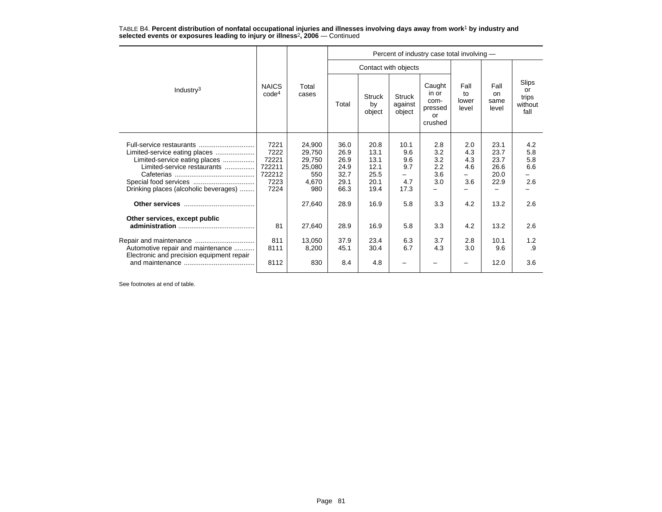|                                                                                                                                        |                                                           |                                                             | Percent of industry case total involving -           |                                                      |                                               |                                                     |                                 |                                              |                                         |  |  |  |  |
|----------------------------------------------------------------------------------------------------------------------------------------|-----------------------------------------------------------|-------------------------------------------------------------|------------------------------------------------------|------------------------------------------------------|-----------------------------------------------|-----------------------------------------------------|---------------------------------|----------------------------------------------|-----------------------------------------|--|--|--|--|
|                                                                                                                                        |                                                           |                                                             |                                                      |                                                      | Contact with objects                          |                                                     |                                 |                                              |                                         |  |  |  |  |
| Industry $3$                                                                                                                           | <b>NAICS</b><br>code <sup>4</sup>                         | Total<br>cases                                              | Total                                                | <b>Struck</b><br>by<br>object                        | <b>Struck</b><br>against<br>object            | Caught<br>in or<br>com-<br>pressed<br>or<br>crushed | Fall<br>to<br>lower<br>level    | Fall<br>on.<br>same<br>level                 | Slips<br>or<br>trips<br>without<br>fall |  |  |  |  |
| Limited-service eating places<br>Limited-service eating places<br>Limited-service restaurants<br>Drinking places (alcoholic beverages) | 7221<br>7222<br>72221<br>722211<br>722212<br>7223<br>7224 | 24.900<br>29.750<br>29,750<br>25,080<br>550<br>4,670<br>980 | 36.0<br>26.9<br>26.9<br>24.9<br>32.7<br>29.1<br>66.3 | 20.8<br>13.1<br>13.1<br>12.1<br>25.5<br>20.1<br>19.4 | 10.1<br>9.6<br>9.6<br>9.7<br>-<br>4.7<br>17.3 | 2.8<br>3.2<br>3.2<br>2.2<br>3.6<br>3.0              | 2.0<br>4.3<br>4.3<br>4.6<br>3.6 | 23.1<br>23.7<br>23.7<br>26.6<br>20.0<br>22.9 | 4.2<br>5.8<br>5.8<br>6.6<br>2.6         |  |  |  |  |
|                                                                                                                                        |                                                           | 27,640                                                      | 28.9                                                 | 16.9                                                 | 5.8                                           | 3.3                                                 | 4.2                             | 13.2                                         | 2.6                                     |  |  |  |  |
| Other services, except public<br>Automotive repair and maintenance<br>Electronic and precision equipment repair                        | 81<br>811<br>8111                                         | 27,640<br>13,050<br>8,200                                   | 28.9<br>37.9<br>45.1                                 | 16.9<br>23.4<br>30.4                                 | 5.8<br>6.3<br>6.7                             | 3.3<br>3.7<br>4.3                                   | 4.2<br>2.8<br>3.0               | 13.2<br>10.1<br>9.6                          | 2.6<br>1.2<br>.9                        |  |  |  |  |
|                                                                                                                                        | 8112                                                      | 830                                                         | 8.4                                                  | 4.8                                                  |                                               |                                                     |                                 | 12.0                                         | 3.6                                     |  |  |  |  |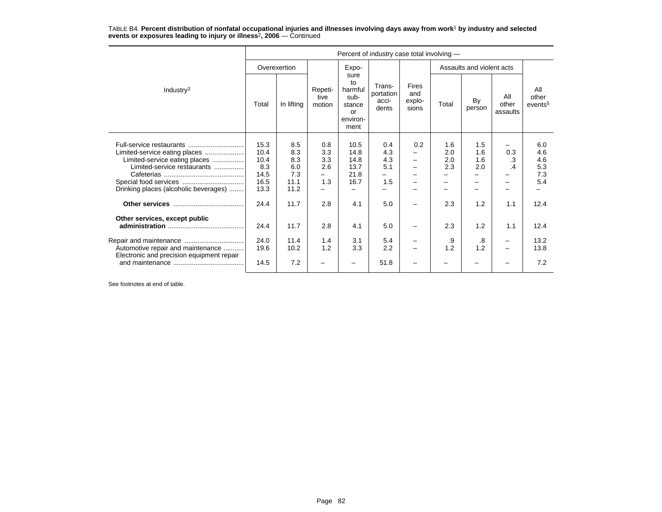|                                                                                                                                        | Percent of industry case total involving -          |                                                 |                                 |                                                                   |                                       |                                        |                          |                           |                          |                                        |  |  |
|----------------------------------------------------------------------------------------------------------------------------------------|-----------------------------------------------------|-------------------------------------------------|---------------------------------|-------------------------------------------------------------------|---------------------------------------|----------------------------------------|--------------------------|---------------------------|--------------------------|----------------------------------------|--|--|
|                                                                                                                                        | Overexertion                                        |                                                 |                                 | Expo-                                                             |                                       |                                        |                          | Assaults and violent acts |                          |                                        |  |  |
| Industry <sup>3</sup>                                                                                                                  | Total                                               | In lifting                                      | Repeti-<br>tive<br>motion       | sure<br>to<br>harmful<br>sub-<br>stance<br>or<br>environ-<br>ment | Trans-<br>portation<br>acci-<br>dents | <b>Fires</b><br>and<br>explo-<br>sions | Total                    | By<br>person              | All<br>other<br>assaults | All<br>other<br>events <sup>5</sup>    |  |  |
| Limited-service eating places<br>Limited-service eating places<br>Limited-service restaurants<br>Drinking places (alcoholic beverages) | 15.3<br>10.4<br>10.4<br>8.3<br>14.5<br>16.5<br>13.3 | 8.5<br>8.3<br>8.3<br>6.0<br>7.3<br>11.1<br>11.2 | 0.8<br>3.3<br>3.3<br>2.6<br>1.3 | 10.5<br>14.8<br>14.8<br>13.7<br>21.8<br>16.7                      | 0.4<br>4.3<br>4.3<br>5.1<br>1.5       | 0.2                                    | 1.6<br>2.0<br>2.0<br>2.3 | 1.5<br>1.6<br>1.6<br>2.0  | 0.3<br>.3<br>.4          | 6.0<br>4.6<br>4.6<br>5.3<br>7.3<br>5.4 |  |  |
|                                                                                                                                        | 24.4                                                | 11.7                                            | 2.8                             | 4.1                                                               | 5.0                                   |                                        | 2.3                      | 1.2                       | 1.1                      | 12.4                                   |  |  |
| Other services, except public                                                                                                          | 24.4                                                | 11.7                                            | 2.8                             | 4.1                                                               | 5.0                                   |                                        | 2.3                      | 1.2                       | 1.1                      | 12.4                                   |  |  |
| Automotive repair and maintenance                                                                                                      | 24.0<br>19.6                                        | 11.4<br>10.2                                    | 1.4<br>1.2                      | 3.1<br>3.3                                                        | 5.4<br>2.2                            |                                        | .9<br>1.2                | .8<br>1.2                 |                          | 13.2<br>13.8                           |  |  |
| Electronic and precision equipment repair                                                                                              | 14.5                                                | 7.2                                             |                                 |                                                                   | 51.8                                  |                                        |                          |                           |                          | 7.2                                    |  |  |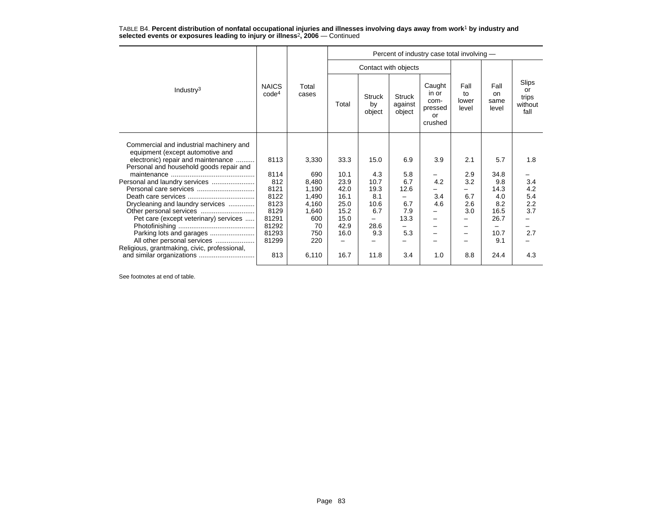|                                                                               |                                   |                | Percent of industry case total involving - |                               |                                    |                                                     |                              |                              |                                         |  |  |  |
|-------------------------------------------------------------------------------|-----------------------------------|----------------|--------------------------------------------|-------------------------------|------------------------------------|-----------------------------------------------------|------------------------------|------------------------------|-----------------------------------------|--|--|--|
|                                                                               |                                   |                |                                            |                               | Contact with objects               |                                                     |                              |                              |                                         |  |  |  |
| Industry <sup>3</sup>                                                         | <b>NAICS</b><br>code <sup>4</sup> | Total<br>cases | Total                                      | <b>Struck</b><br>by<br>object | <b>Struck</b><br>against<br>object | Caught<br>in or<br>com-<br>pressed<br>or<br>crushed | Fall<br>to<br>lower<br>level | Fall<br>on.<br>same<br>level | Slips<br>or<br>trips<br>without<br>fall |  |  |  |
| Commercial and industrial machinery and<br>equipment (except automotive and   |                                   |                |                                            |                               |                                    | 3.9                                                 | 2.1                          | 5.7                          | 1.8                                     |  |  |  |
| electronic) repair and maintenance<br>Personal and household goods repair and | 8113                              | 3,330          | 33.3                                       | 15.0                          | 6.9                                |                                                     |                              |                              |                                         |  |  |  |
|                                                                               | 8114                              | 690            | 10.1                                       | 4.3                           | 5.8                                |                                                     | 2.9                          | 34.8                         |                                         |  |  |  |
|                                                                               | 812                               | 8.480          | 23.9                                       | 10.7                          | 6.7                                | 4.2                                                 | 3.2                          | 9.8                          | 3.4                                     |  |  |  |
|                                                                               | 8121                              | 1,190          | 42.0                                       | 19.3                          | 12.6                               |                                                     |                              | 14.3                         | 4.2                                     |  |  |  |
|                                                                               | 8122                              | 1,490          | 16.1                                       | 8.1                           |                                    | 3.4                                                 | 6.7                          | 4.0                          | 5.4                                     |  |  |  |
| Drycleaning and laundry services                                              | 8123                              | 4,160          | 25.0                                       | 10.6                          | 6.7                                | 4.6                                                 | 2.6                          | 8.2                          | 2.2                                     |  |  |  |
|                                                                               | 8129                              | 1,640          | 15.2                                       | 6.7                           | 7.9                                |                                                     | 3.0                          | 16.5                         | 3.7                                     |  |  |  |
| Pet care (except veterinary) services                                         | 81291                             | 600            | 15.0                                       |                               | 13.3                               |                                                     |                              | 26.7                         |                                         |  |  |  |
|                                                                               | 81292                             | 70             | 42.9                                       | 28.6                          |                                    |                                                     |                              |                              |                                         |  |  |  |
| Parking lots and garages                                                      | 81293                             | 750            | 16.0                                       | 9.3                           | 5.3                                |                                                     | -                            | 10.7                         | 2.7                                     |  |  |  |
| All other personal services                                                   | 81299                             | 220            |                                            |                               |                                    |                                                     |                              | 9.1                          |                                         |  |  |  |
| Religious, grantmaking, civic, professional,                                  | 813                               | 6,110          | 16.7                                       | 11.8                          | 3.4                                | 1.0                                                 | 8.8                          | 24.4                         | 4.3                                     |  |  |  |